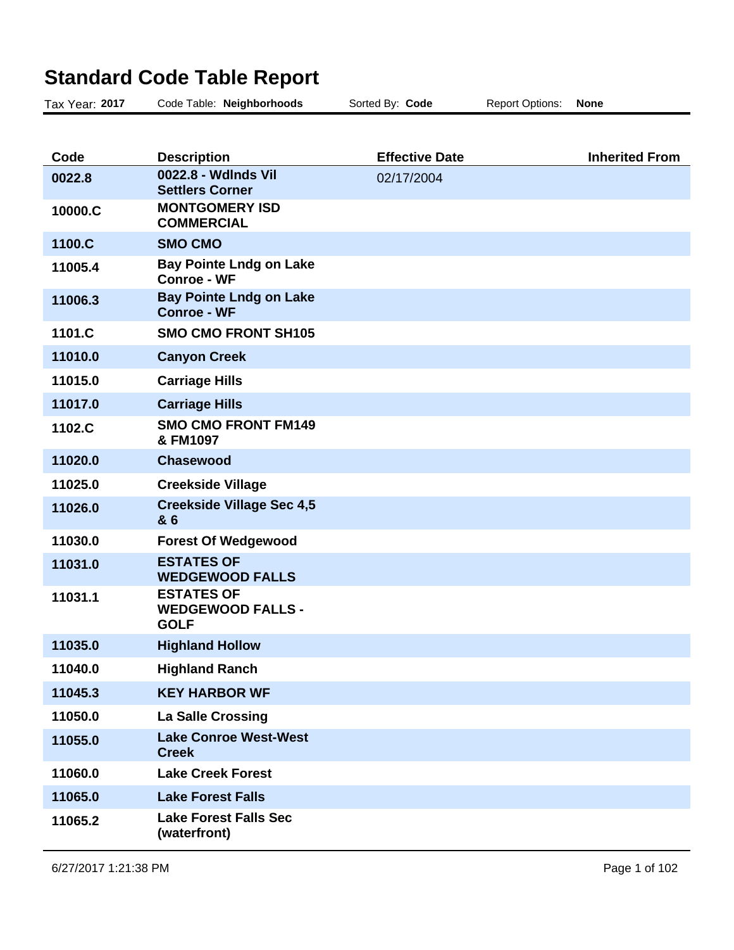## **Standard Code Table Report**

| Tax Year: 2017 | Code Table: Neighborhoods                                    | Sorted By: Code       | <b>Report Options:</b> | <b>None</b>           |
|----------------|--------------------------------------------------------------|-----------------------|------------------------|-----------------------|
|                |                                                              |                       |                        |                       |
| Code           | <b>Description</b>                                           | <b>Effective Date</b> |                        | <b>Inherited From</b> |
| 0022.8         | 0022.8 - Wdlnds Vil<br><b>Settlers Corner</b>                | 02/17/2004            |                        |                       |
| 10000.C        | <b>MONTGOMERY ISD</b><br><b>COMMERCIAL</b>                   |                       |                        |                       |
| 1100.C         | <b>SMO CMO</b>                                               |                       |                        |                       |
| 11005.4        | <b>Bay Pointe Lndg on Lake</b><br><b>Conroe - WF</b>         |                       |                        |                       |
| 11006.3        | <b>Bay Pointe Lndg on Lake</b><br><b>Conroe - WF</b>         |                       |                        |                       |
| 1101.C         | <b>SMO CMO FRONT SH105</b>                                   |                       |                        |                       |
| 11010.0        | <b>Canyon Creek</b>                                          |                       |                        |                       |
| 11015.0        | <b>Carriage Hills</b>                                        |                       |                        |                       |
| 11017.0        | <b>Carriage Hills</b>                                        |                       |                        |                       |
| 1102.C         | <b>SMO CMO FRONT FM149</b><br>& FM1097                       |                       |                        |                       |
| 11020.0        | <b>Chasewood</b>                                             |                       |                        |                       |
| 11025.0        | <b>Creekside Village</b>                                     |                       |                        |                       |
| 11026.0        | <b>Creekside Village Sec 4,5</b><br>& 6                      |                       |                        |                       |
| 11030.0        | <b>Forest Of Wedgewood</b>                                   |                       |                        |                       |
| 11031.0        | <b>ESTATES OF</b><br><b>WEDGEWOOD FALLS</b>                  |                       |                        |                       |
| 11031.1        | <b>ESTATES OF</b><br><b>WEDGEWOOD FALLS -</b><br><b>GOLF</b> |                       |                        |                       |
| 11035.0        | <b>Highland Hollow</b>                                       |                       |                        |                       |
| 11040.0        | <b>Highland Ranch</b>                                        |                       |                        |                       |
| 11045.3        | <b>KEY HARBOR WF</b>                                         |                       |                        |                       |
| 11050.0        | <b>La Salle Crossing</b>                                     |                       |                        |                       |
| 11055.0        | <b>Lake Conroe West-West</b><br><b>Creek</b>                 |                       |                        |                       |
| 11060.0        | <b>Lake Creek Forest</b>                                     |                       |                        |                       |
| 11065.0        | <b>Lake Forest Falls</b>                                     |                       |                        |                       |
| 11065.2        | <b>Lake Forest Falls Sec</b><br>(waterfront)                 |                       |                        |                       |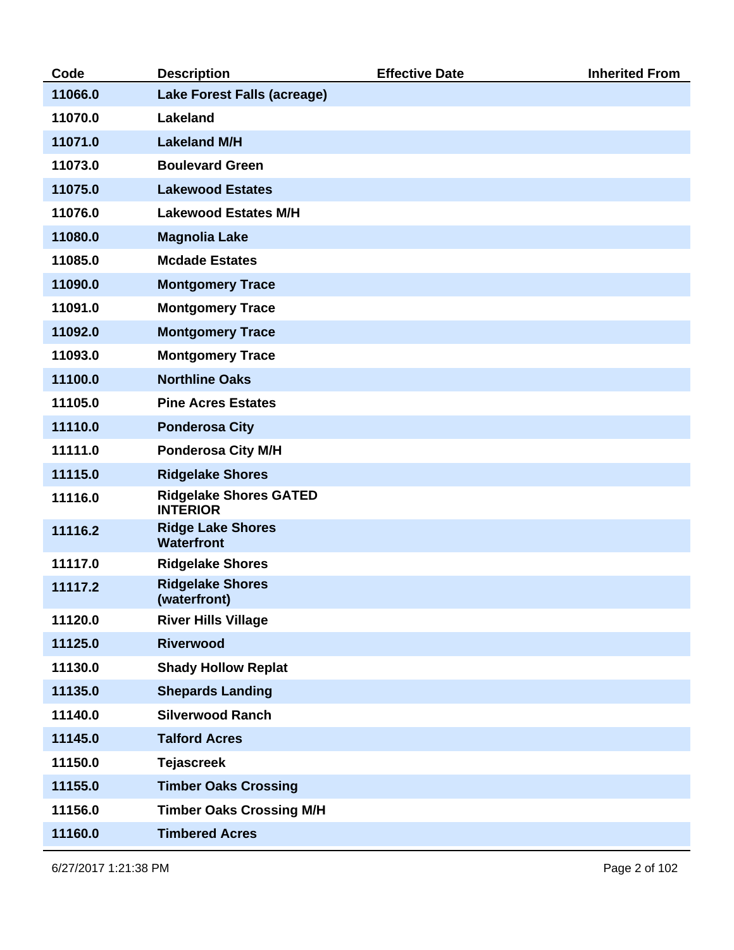| Code    | <b>Description</b>                               | <b>Effective Date</b> | <b>Inherited From</b> |
|---------|--------------------------------------------------|-----------------------|-----------------------|
| 11066.0 | <b>Lake Forest Falls (acreage)</b>               |                       |                       |
| 11070.0 | <b>Lakeland</b>                                  |                       |                       |
| 11071.0 | <b>Lakeland M/H</b>                              |                       |                       |
| 11073.0 | <b>Boulevard Green</b>                           |                       |                       |
| 11075.0 | <b>Lakewood Estates</b>                          |                       |                       |
| 11076.0 | <b>Lakewood Estates M/H</b>                      |                       |                       |
| 11080.0 | <b>Magnolia Lake</b>                             |                       |                       |
| 11085.0 | <b>Mcdade Estates</b>                            |                       |                       |
| 11090.0 | <b>Montgomery Trace</b>                          |                       |                       |
| 11091.0 | <b>Montgomery Trace</b>                          |                       |                       |
| 11092.0 | <b>Montgomery Trace</b>                          |                       |                       |
| 11093.0 | <b>Montgomery Trace</b>                          |                       |                       |
| 11100.0 | <b>Northline Oaks</b>                            |                       |                       |
| 11105.0 | <b>Pine Acres Estates</b>                        |                       |                       |
| 11110.0 | <b>Ponderosa City</b>                            |                       |                       |
| 11111.0 | <b>Ponderosa City M/H</b>                        |                       |                       |
| 11115.0 | <b>Ridgelake Shores</b>                          |                       |                       |
| 11116.0 | <b>Ridgelake Shores GATED</b><br><b>INTERIOR</b> |                       |                       |
| 11116.2 | <b>Ridge Lake Shores</b><br><b>Waterfront</b>    |                       |                       |
| 11117.0 | <b>Ridgelake Shores</b>                          |                       |                       |
| 11117.2 | <b>Ridgelake Shores</b><br>(waterfront)          |                       |                       |
| 11120.0 | <b>River Hills Village</b>                       |                       |                       |
| 11125.0 | <b>Riverwood</b>                                 |                       |                       |
| 11130.0 | <b>Shady Hollow Replat</b>                       |                       |                       |
| 11135.0 | <b>Shepards Landing</b>                          |                       |                       |
| 11140.0 | <b>Silverwood Ranch</b>                          |                       |                       |
| 11145.0 | <b>Talford Acres</b>                             |                       |                       |
| 11150.0 | <b>Tejascreek</b>                                |                       |                       |
| 11155.0 | <b>Timber Oaks Crossing</b>                      |                       |                       |
| 11156.0 | <b>Timber Oaks Crossing M/H</b>                  |                       |                       |
| 11160.0 | <b>Timbered Acres</b>                            |                       |                       |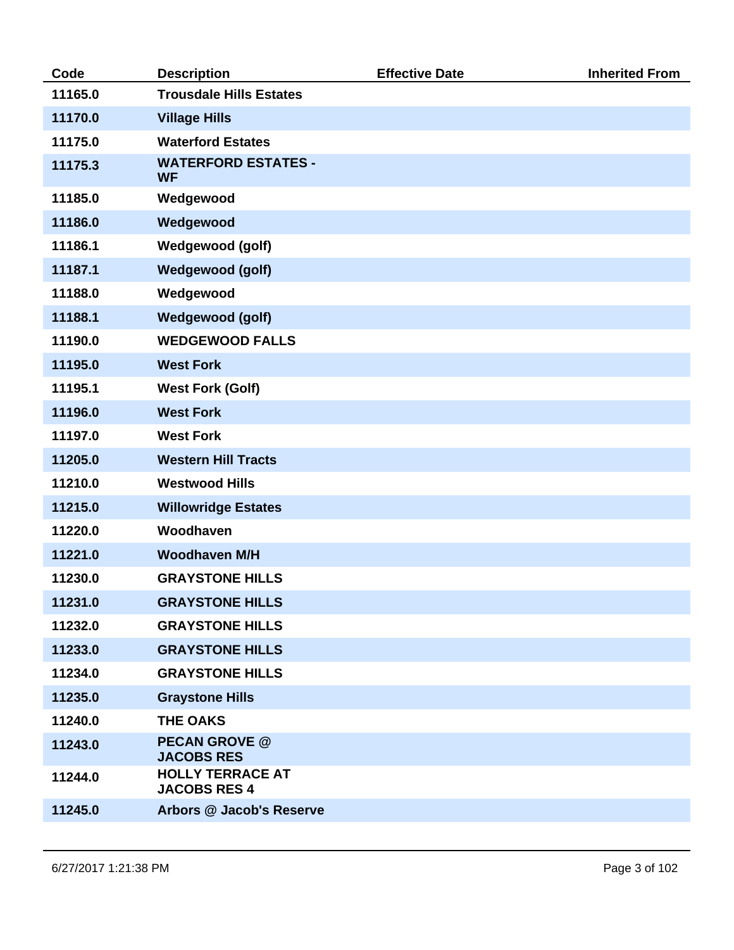| Code    | <b>Description</b>                             | <b>Effective Date</b> | <b>Inherited From</b> |
|---------|------------------------------------------------|-----------------------|-----------------------|
| 11165.0 | <b>Trousdale Hills Estates</b>                 |                       |                       |
| 11170.0 | <b>Village Hills</b>                           |                       |                       |
| 11175.0 | <b>Waterford Estates</b>                       |                       |                       |
| 11175.3 | <b>WATERFORD ESTATES -</b><br><b>WF</b>        |                       |                       |
| 11185.0 | Wedgewood                                      |                       |                       |
| 11186.0 | Wedgewood                                      |                       |                       |
| 11186.1 | <b>Wedgewood (golf)</b>                        |                       |                       |
| 11187.1 | <b>Wedgewood (golf)</b>                        |                       |                       |
| 11188.0 | Wedgewood                                      |                       |                       |
| 11188.1 | <b>Wedgewood (golf)</b>                        |                       |                       |
| 11190.0 | <b>WEDGEWOOD FALLS</b>                         |                       |                       |
| 11195.0 | <b>West Fork</b>                               |                       |                       |
| 11195.1 | <b>West Fork (Golf)</b>                        |                       |                       |
| 11196.0 | <b>West Fork</b>                               |                       |                       |
| 11197.0 | <b>West Fork</b>                               |                       |                       |
| 11205.0 | <b>Western Hill Tracts</b>                     |                       |                       |
| 11210.0 | <b>Westwood Hills</b>                          |                       |                       |
| 11215.0 | <b>Willowridge Estates</b>                     |                       |                       |
| 11220.0 | Woodhaven                                      |                       |                       |
| 11221.0 | <b>Woodhaven M/H</b>                           |                       |                       |
| 11230.0 | <b>GRAYSTONE HILLS</b>                         |                       |                       |
| 11231.0 | <b>GRAYSTONE HILLS</b>                         |                       |                       |
| 11232.0 | <b>GRAYSTONE HILLS</b>                         |                       |                       |
| 11233.0 | <b>GRAYSTONE HILLS</b>                         |                       |                       |
| 11234.0 | <b>GRAYSTONE HILLS</b>                         |                       |                       |
| 11235.0 | <b>Graystone Hills</b>                         |                       |                       |
| 11240.0 | <b>THE OAKS</b>                                |                       |                       |
| 11243.0 | <b>PECAN GROVE @</b><br><b>JACOBS RES</b>      |                       |                       |
| 11244.0 | <b>HOLLY TERRACE AT</b><br><b>JACOBS RES 4</b> |                       |                       |
| 11245.0 | Arbors @ Jacob's Reserve                       |                       |                       |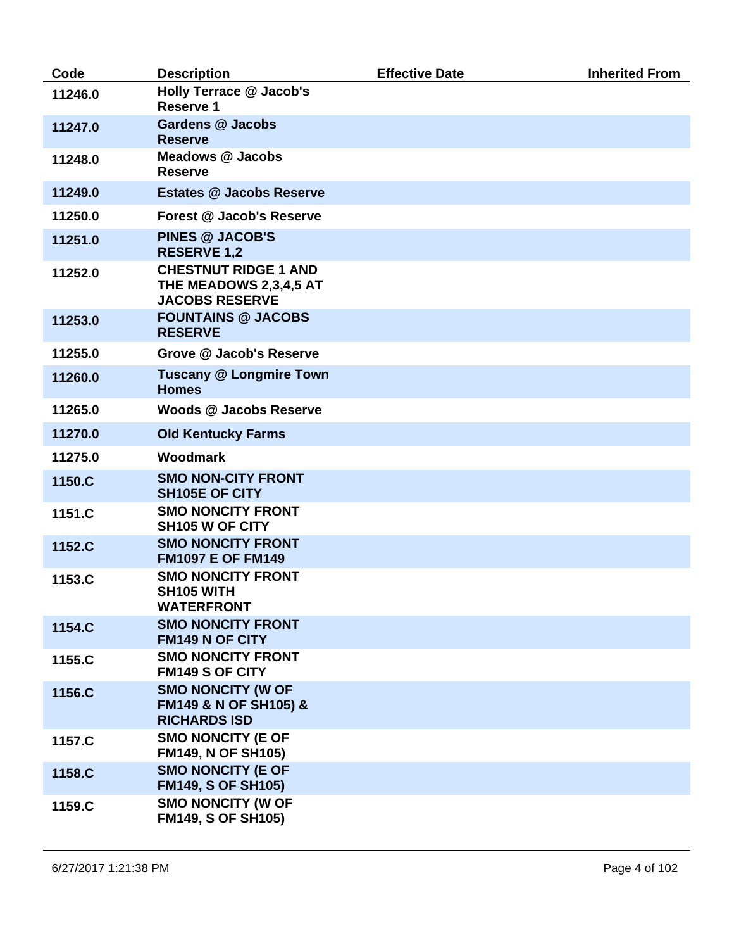| Code    | <b>Description</b>                                                             | <b>Effective Date</b> | <b>Inherited From</b> |
|---------|--------------------------------------------------------------------------------|-----------------------|-----------------------|
| 11246.0 | <b>Holly Terrace @ Jacob's</b><br><b>Reserve 1</b>                             |                       |                       |
| 11247.0 | <b>Gardens @ Jacobs</b><br><b>Reserve</b>                                      |                       |                       |
| 11248.0 | <b>Meadows @ Jacobs</b><br><b>Reserve</b>                                      |                       |                       |
| 11249.0 | <b>Estates @ Jacobs Reserve</b>                                                |                       |                       |
| 11250.0 | Forest @ Jacob's Reserve                                                       |                       |                       |
| 11251.0 | <b>PINES @ JACOB'S</b><br><b>RESERVE 1,2</b>                                   |                       |                       |
| 11252.0 | <b>CHESTNUT RIDGE 1 AND</b><br>THE MEADOWS 2,3,4,5 AT<br><b>JACOBS RESERVE</b> |                       |                       |
| 11253.0 | <b>FOUNTAINS @ JACOBS</b><br><b>RESERVE</b>                                    |                       |                       |
| 11255.0 | Grove @ Jacob's Reserve                                                        |                       |                       |
| 11260.0 | <b>Tuscany @ Longmire Town</b><br><b>Homes</b>                                 |                       |                       |
| 11265.0 | Woods @ Jacobs Reserve                                                         |                       |                       |
| 11270.0 | <b>Old Kentucky Farms</b>                                                      |                       |                       |
| 11275.0 | Woodmark                                                                       |                       |                       |
| 1150.C  | <b>SMO NON-CITY FRONT</b><br>SH105E OF CITY                                    |                       |                       |
| 1151.C  | <b>SMO NONCITY FRONT</b><br>SH105 W OF CITY                                    |                       |                       |
| 1152.C  | <b>SMO NONCITY FRONT</b><br><b>FM1097 E OF FM149</b>                           |                       |                       |
| 1153.C  | <b>SMO NONCITY FRONT</b><br>SH105 WITH<br>WATERFRONT                           |                       |                       |
| 1154.C  | <b>SMO NONCITY FRONT</b><br>FM149 N OF CITY                                    |                       |                       |
| 1155.C  | <b>SMO NONCITY FRONT</b><br><b>FM149 S OF CITY</b>                             |                       |                       |
| 1156.C  | <b>SMO NONCITY (W OF</b><br>FM149 & N OF SH105) &<br><b>RICHARDS ISD</b>       |                       |                       |
| 1157.C  | <b>SMO NONCITY (E OF</b><br><b>FM149, N OF SH105)</b>                          |                       |                       |
| 1158.C  | <b>SMO NONCITY (E OF</b><br><b>FM149, S OF SH105)</b>                          |                       |                       |
| 1159.C  | <b>SMO NONCITY (W OF</b><br><b>FM149, S OF SH105)</b>                          |                       |                       |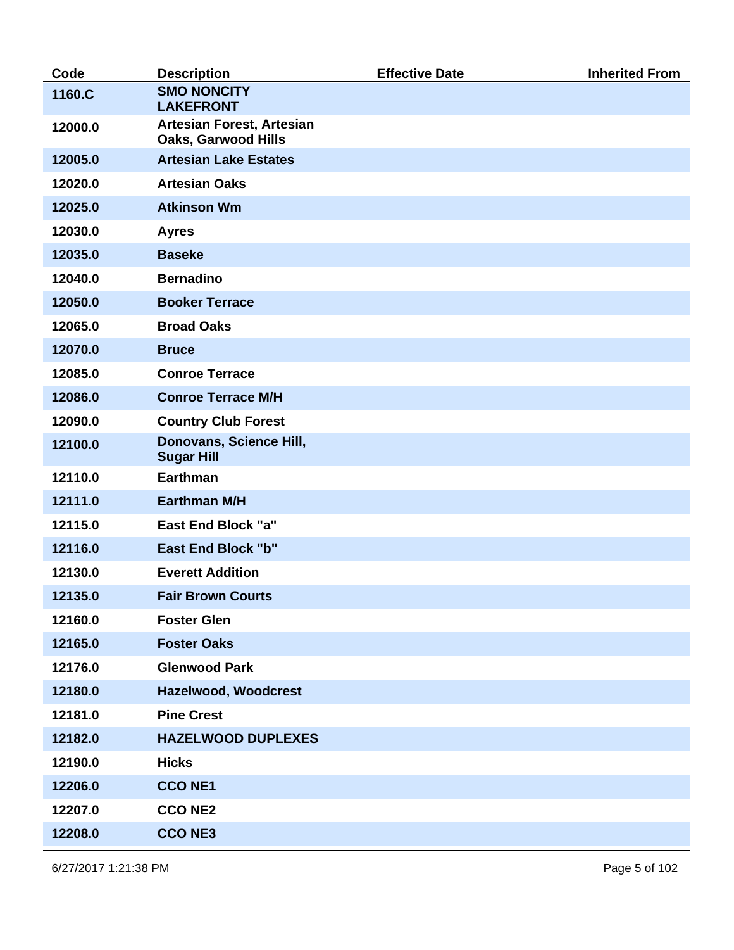| Code    | <b>Description</b>                                      | <b>Effective Date</b> | <b>Inherited From</b> |
|---------|---------------------------------------------------------|-----------------------|-----------------------|
| 1160.C  | <b>SMO NONCITY</b><br><b>LAKEFRONT</b>                  |                       |                       |
| 12000.0 | Artesian Forest, Artesian<br><b>Oaks, Garwood Hills</b> |                       |                       |
| 12005.0 | <b>Artesian Lake Estates</b>                            |                       |                       |
| 12020.0 | <b>Artesian Oaks</b>                                    |                       |                       |
| 12025.0 | <b>Atkinson Wm</b>                                      |                       |                       |
| 12030.0 | <b>Ayres</b>                                            |                       |                       |
| 12035.0 | <b>Baseke</b>                                           |                       |                       |
| 12040.0 | <b>Bernadino</b>                                        |                       |                       |
| 12050.0 | <b>Booker Terrace</b>                                   |                       |                       |
| 12065.0 | <b>Broad Oaks</b>                                       |                       |                       |
| 12070.0 | <b>Bruce</b>                                            |                       |                       |
| 12085.0 | <b>Conroe Terrace</b>                                   |                       |                       |
| 12086.0 | <b>Conroe Terrace M/H</b>                               |                       |                       |
| 12090.0 | <b>Country Club Forest</b>                              |                       |                       |
| 12100.0 | Donovans, Science Hill,<br><b>Sugar Hill</b>            |                       |                       |
| 12110.0 | <b>Earthman</b>                                         |                       |                       |
| 12111.0 | <b>Earthman M/H</b>                                     |                       |                       |
| 12115.0 | <b>East End Block "a"</b>                               |                       |                       |
| 12116.0 | <b>East End Block "b"</b>                               |                       |                       |
| 12130.0 | <b>Everett Addition</b>                                 |                       |                       |
| 12135.0 | <b>Fair Brown Courts</b>                                |                       |                       |
| 12160.0 | <b>Foster Glen</b>                                      |                       |                       |
| 12165.0 | <b>Foster Oaks</b>                                      |                       |                       |
| 12176.0 | <b>Glenwood Park</b>                                    |                       |                       |
| 12180.0 | Hazelwood, Woodcrest                                    |                       |                       |
| 12181.0 | <b>Pine Crest</b>                                       |                       |                       |
| 12182.0 | <b>HAZELWOOD DUPLEXES</b>                               |                       |                       |
| 12190.0 | <b>Hicks</b>                                            |                       |                       |
| 12206.0 | <b>CCONE1</b>                                           |                       |                       |
| 12207.0 | <b>CCONE2</b>                                           |                       |                       |
| 12208.0 | <b>CCONE3</b>                                           |                       |                       |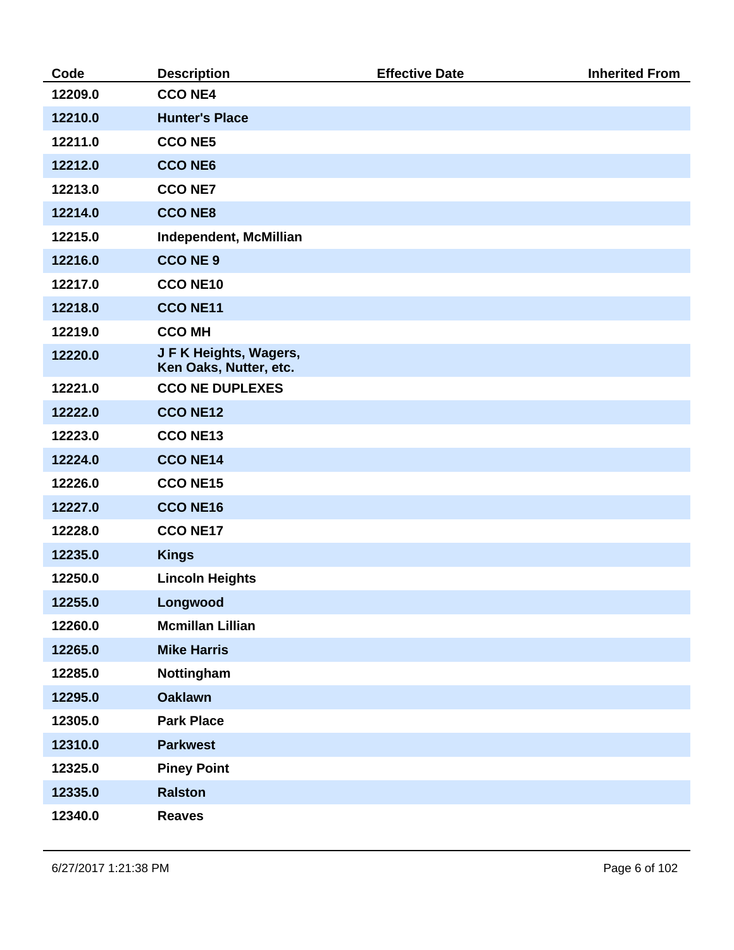| Code    | <b>Description</b>                               | <b>Effective Date</b> | <b>Inherited From</b> |
|---------|--------------------------------------------------|-----------------------|-----------------------|
| 12209.0 | <b>CCONE4</b>                                    |                       |                       |
| 12210.0 | <b>Hunter's Place</b>                            |                       |                       |
| 12211.0 | <b>CCONE5</b>                                    |                       |                       |
| 12212.0 | <b>CCO NE6</b>                                   |                       |                       |
| 12213.0 | <b>CCONE7</b>                                    |                       |                       |
| 12214.0 | <b>CCONE8</b>                                    |                       |                       |
| 12215.0 | <b>Independent, McMillian</b>                    |                       |                       |
| 12216.0 | <b>CCONE 9</b>                                   |                       |                       |
| 12217.0 | <b>CCONE10</b>                                   |                       |                       |
| 12218.0 | <b>CCONE11</b>                                   |                       |                       |
| 12219.0 | <b>CCO MH</b>                                    |                       |                       |
| 12220.0 | J F K Heights, Wagers,<br>Ken Oaks, Nutter, etc. |                       |                       |
| 12221.0 | <b>CCO NE DUPLEXES</b>                           |                       |                       |
| 12222.0 | <b>CCO NE12</b>                                  |                       |                       |
| 12223.0 | <b>CCONE13</b>                                   |                       |                       |
| 12224.0 | <b>CCO NE14</b>                                  |                       |                       |
| 12226.0 | <b>CCONE15</b>                                   |                       |                       |
| 12227.0 | <b>CCONE16</b>                                   |                       |                       |
| 12228.0 | <b>CCONE17</b>                                   |                       |                       |
| 12235.0 | <b>Kings</b>                                     |                       |                       |
| 12250.0 | <b>Lincoln Heights</b>                           |                       |                       |
| 12255.0 | Longwood                                         |                       |                       |
| 12260.0 | <b>Mcmillan Lillian</b>                          |                       |                       |
| 12265.0 | <b>Mike Harris</b>                               |                       |                       |
| 12285.0 | Nottingham                                       |                       |                       |
| 12295.0 | <b>Oaklawn</b>                                   |                       |                       |
| 12305.0 | <b>Park Place</b>                                |                       |                       |
| 12310.0 | <b>Parkwest</b>                                  |                       |                       |
| 12325.0 | <b>Piney Point</b>                               |                       |                       |
| 12335.0 | <b>Ralston</b>                                   |                       |                       |
| 12340.0 | <b>Reaves</b>                                    |                       |                       |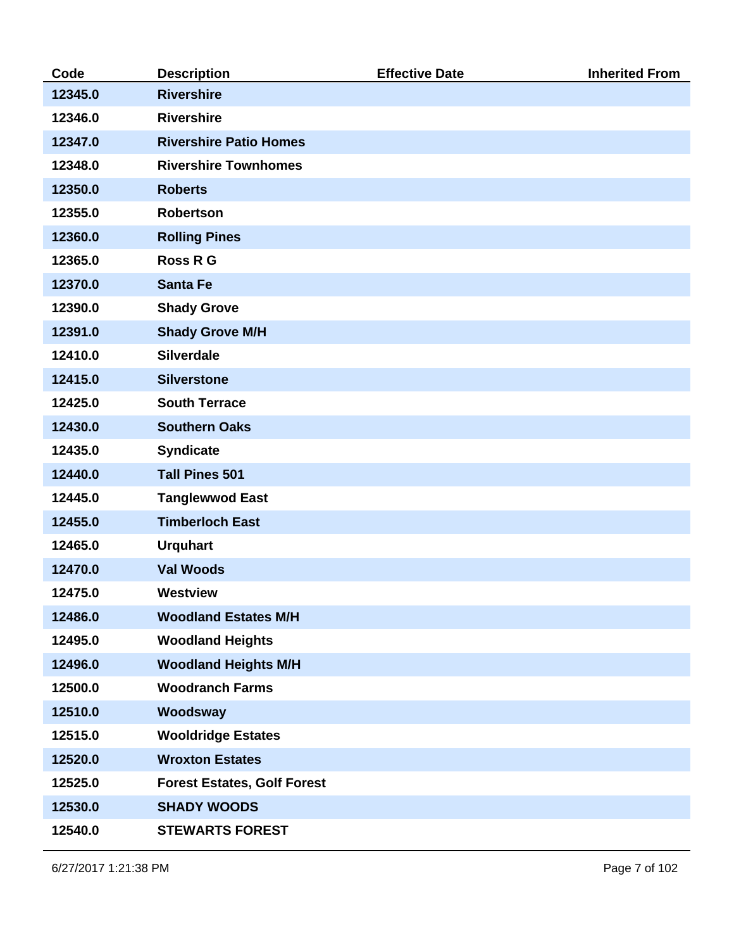| Code    | <b>Description</b>                 | <b>Effective Date</b> | <b>Inherited From</b> |
|---------|------------------------------------|-----------------------|-----------------------|
| 12345.0 | <b>Rivershire</b>                  |                       |                       |
| 12346.0 | <b>Rivershire</b>                  |                       |                       |
| 12347.0 | <b>Rivershire Patio Homes</b>      |                       |                       |
| 12348.0 | <b>Rivershire Townhomes</b>        |                       |                       |
| 12350.0 | <b>Roberts</b>                     |                       |                       |
| 12355.0 | <b>Robertson</b>                   |                       |                       |
| 12360.0 | <b>Rolling Pines</b>               |                       |                       |
| 12365.0 | <b>Ross R G</b>                    |                       |                       |
| 12370.0 | <b>Santa Fe</b>                    |                       |                       |
| 12390.0 | <b>Shady Grove</b>                 |                       |                       |
| 12391.0 | <b>Shady Grove M/H</b>             |                       |                       |
| 12410.0 | <b>Silverdale</b>                  |                       |                       |
| 12415.0 | <b>Silverstone</b>                 |                       |                       |
| 12425.0 | <b>South Terrace</b>               |                       |                       |
| 12430.0 | <b>Southern Oaks</b>               |                       |                       |
| 12435.0 | <b>Syndicate</b>                   |                       |                       |
| 12440.0 | <b>Tall Pines 501</b>              |                       |                       |
| 12445.0 | <b>Tanglewwod East</b>             |                       |                       |
| 12455.0 | <b>Timberloch East</b>             |                       |                       |
| 12465.0 | <b>Urquhart</b>                    |                       |                       |
| 12470.0 | <b>Val Woods</b>                   |                       |                       |
| 12475.0 | <b>Westview</b>                    |                       |                       |
| 12486.0 | <b>Woodland Estates M/H</b>        |                       |                       |
| 12495.0 | <b>Woodland Heights</b>            |                       |                       |
| 12496.0 | <b>Woodland Heights M/H</b>        |                       |                       |
| 12500.0 | <b>Woodranch Farms</b>             |                       |                       |
| 12510.0 | Woodsway                           |                       |                       |
| 12515.0 | <b>Wooldridge Estates</b>          |                       |                       |
| 12520.0 | <b>Wroxton Estates</b>             |                       |                       |
| 12525.0 | <b>Forest Estates, Golf Forest</b> |                       |                       |
| 12530.0 | <b>SHADY WOODS</b>                 |                       |                       |
| 12540.0 | <b>STEWARTS FOREST</b>             |                       |                       |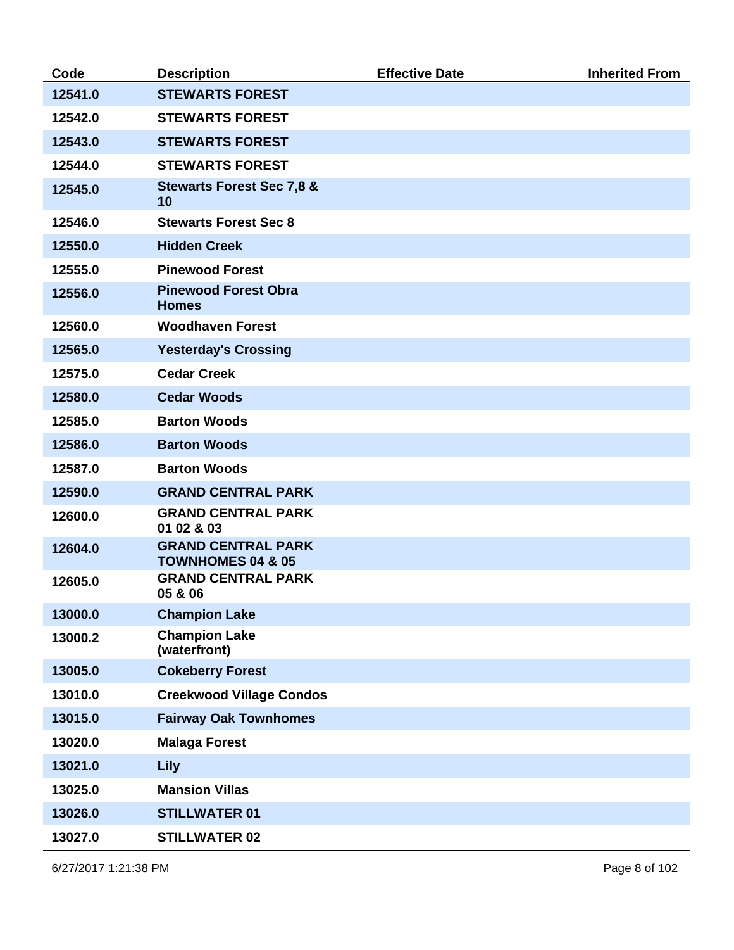| Code    | <b>Description</b>                                        | <b>Effective Date</b> | <b>Inherited From</b> |
|---------|-----------------------------------------------------------|-----------------------|-----------------------|
| 12541.0 | <b>STEWARTS FOREST</b>                                    |                       |                       |
| 12542.0 | <b>STEWARTS FOREST</b>                                    |                       |                       |
| 12543.0 | <b>STEWARTS FOREST</b>                                    |                       |                       |
| 12544.0 | <b>STEWARTS FOREST</b>                                    |                       |                       |
| 12545.0 | <b>Stewarts Forest Sec 7,8 &amp;</b><br>10                |                       |                       |
| 12546.0 | <b>Stewarts Forest Sec 8</b>                              |                       |                       |
| 12550.0 | <b>Hidden Creek</b>                                       |                       |                       |
| 12555.0 | <b>Pinewood Forest</b>                                    |                       |                       |
| 12556.0 | <b>Pinewood Forest Obra</b><br><b>Homes</b>               |                       |                       |
| 12560.0 | <b>Woodhaven Forest</b>                                   |                       |                       |
| 12565.0 | <b>Yesterday's Crossing</b>                               |                       |                       |
| 12575.0 | <b>Cedar Creek</b>                                        |                       |                       |
| 12580.0 | <b>Cedar Woods</b>                                        |                       |                       |
| 12585.0 | <b>Barton Woods</b>                                       |                       |                       |
| 12586.0 | <b>Barton Woods</b>                                       |                       |                       |
| 12587.0 | <b>Barton Woods</b>                                       |                       |                       |
| 12590.0 | <b>GRAND CENTRAL PARK</b>                                 |                       |                       |
| 12600.0 | <b>GRAND CENTRAL PARK</b><br>01 02 & 03                   |                       |                       |
| 12604.0 | <b>GRAND CENTRAL PARK</b><br><b>TOWNHOMES 04 &amp; 05</b> |                       |                       |
| 12605.0 | <b>GRAND CENTRAL PARK</b><br>05 & 06                      |                       |                       |
| 13000.0 | <b>Champion Lake</b>                                      |                       |                       |
| 13000.2 | <b>Champion Lake</b><br>(waterfront)                      |                       |                       |
| 13005.0 | <b>Cokeberry Forest</b>                                   |                       |                       |
| 13010.0 | <b>Creekwood Village Condos</b>                           |                       |                       |
| 13015.0 | <b>Fairway Oak Townhomes</b>                              |                       |                       |
| 13020.0 | <b>Malaga Forest</b>                                      |                       |                       |
| 13021.0 | <b>Lily</b>                                               |                       |                       |
| 13025.0 | <b>Mansion Villas</b>                                     |                       |                       |
| 13026.0 | <b>STILLWATER 01</b>                                      |                       |                       |
| 13027.0 | <b>STILLWATER 02</b>                                      |                       |                       |

6/27/2017 1:21:38 PM Page 8 of 102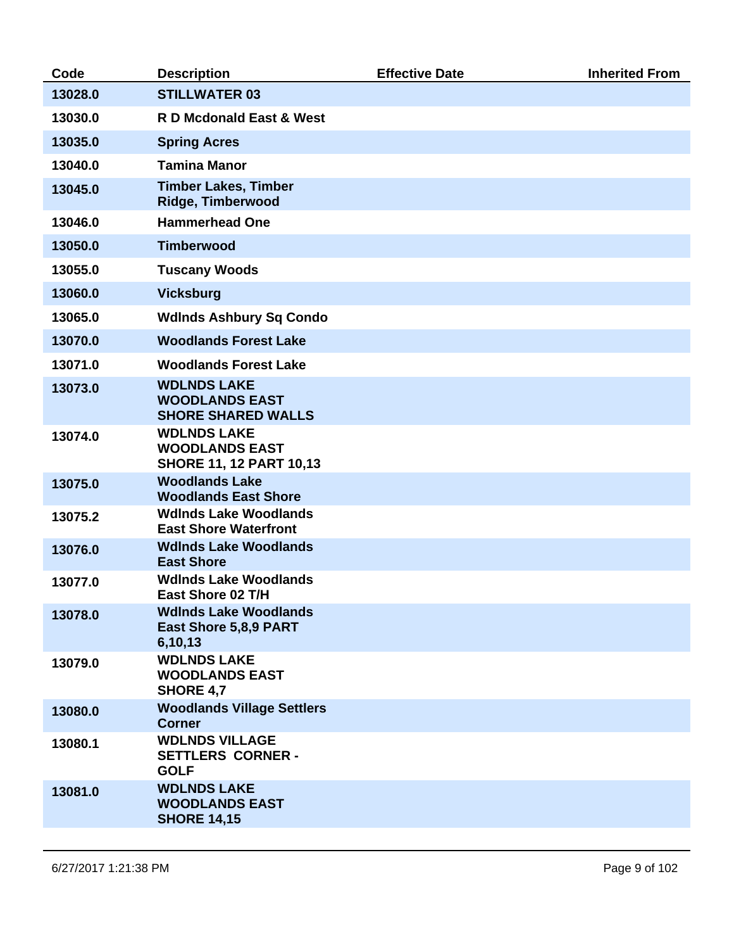| Code    | <b>Description</b>                                                            | <b>Effective Date</b> | <b>Inherited From</b> |
|---------|-------------------------------------------------------------------------------|-----------------------|-----------------------|
| 13028.0 | <b>STILLWATER 03</b>                                                          |                       |                       |
| 13030.0 | <b>R D Mcdonald East &amp; West</b>                                           |                       |                       |
| 13035.0 | <b>Spring Acres</b>                                                           |                       |                       |
| 13040.0 | <b>Tamina Manor</b>                                                           |                       |                       |
| 13045.0 | <b>Timber Lakes, Timber</b><br><b>Ridge, Timberwood</b>                       |                       |                       |
| 13046.0 | <b>Hammerhead One</b>                                                         |                       |                       |
| 13050.0 | <b>Timberwood</b>                                                             |                       |                       |
| 13055.0 | <b>Tuscany Woods</b>                                                          |                       |                       |
| 13060.0 | <b>Vicksburg</b>                                                              |                       |                       |
| 13065.0 | <b>WdInds Ashbury Sq Condo</b>                                                |                       |                       |
| 13070.0 | <b>Woodlands Forest Lake</b>                                                  |                       |                       |
| 13071.0 | <b>Woodlands Forest Lake</b>                                                  |                       |                       |
| 13073.0 | <b>WDLNDS LAKE</b><br><b>WOODLANDS EAST</b><br><b>SHORE SHARED WALLS</b>      |                       |                       |
| 13074.0 | <b>WDLNDS LAKE</b><br><b>WOODLANDS EAST</b><br><b>SHORE 11, 12 PART 10,13</b> |                       |                       |
| 13075.0 | <b>Woodlands Lake</b><br><b>Woodlands East Shore</b>                          |                       |                       |
| 13075.2 | <b>WdInds Lake Woodlands</b><br><b>East Shore Waterfront</b>                  |                       |                       |
| 13076.0 | <b>WdInds Lake Woodlands</b><br><b>East Shore</b>                             |                       |                       |
| 13077.0 | <b>WdInds Lake Woodlands</b><br>East Shore 02 T/H                             |                       |                       |
| 13078.0 | <b>WdInds Lake Woodlands</b><br>East Shore 5,8,9 PART<br>6,10,13              |                       |                       |
| 13079.0 | <b>WDLNDS LAKE</b><br><b>WOODLANDS EAST</b><br><b>SHORE 4,7</b>               |                       |                       |
| 13080.0 | <b>Woodlands Village Settlers</b><br><b>Corner</b>                            |                       |                       |
| 13080.1 | <b>WDLNDS VILLAGE</b><br><b>SETTLERS CORNER -</b><br><b>GOLF</b>              |                       |                       |
| 13081.0 | <b>WDLNDS LAKE</b><br><b>WOODLANDS EAST</b><br><b>SHORE 14,15</b>             |                       |                       |
|         |                                                                               |                       |                       |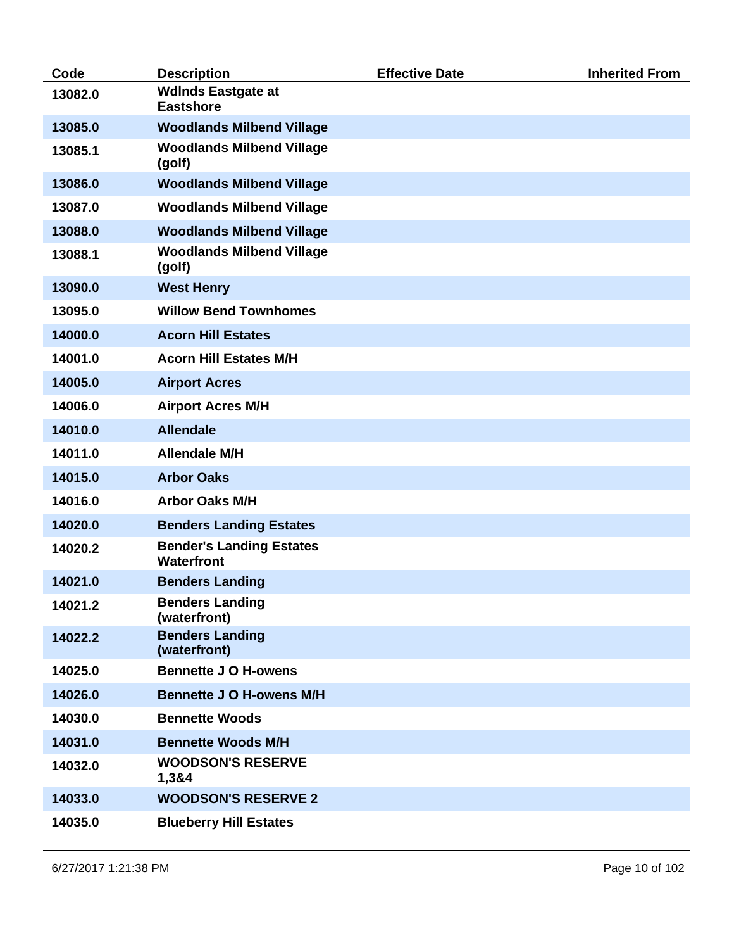| Code    | <b>Description</b>                            | <b>Effective Date</b> | <b>Inherited From</b> |
|---------|-----------------------------------------------|-----------------------|-----------------------|
| 13082.0 | <b>WdInds Eastgate at</b><br><b>Eastshore</b> |                       |                       |
| 13085.0 | <b>Woodlands Milbend Village</b>              |                       |                       |
| 13085.1 | <b>Woodlands Milbend Village</b><br>(golf)    |                       |                       |
| 13086.0 | <b>Woodlands Milbend Village</b>              |                       |                       |
| 13087.0 | <b>Woodlands Milbend Village</b>              |                       |                       |
| 13088.0 | <b>Woodlands Milbend Village</b>              |                       |                       |
| 13088.1 | <b>Woodlands Milbend Village</b><br>(golf)    |                       |                       |
| 13090.0 | <b>West Henry</b>                             |                       |                       |
| 13095.0 | <b>Willow Bend Townhomes</b>                  |                       |                       |
| 14000.0 | <b>Acorn Hill Estates</b>                     |                       |                       |
| 14001.0 | <b>Acorn Hill Estates M/H</b>                 |                       |                       |
| 14005.0 | <b>Airport Acres</b>                          |                       |                       |
| 14006.0 | <b>Airport Acres M/H</b>                      |                       |                       |
| 14010.0 | <b>Allendale</b>                              |                       |                       |
| 14011.0 | <b>Allendale M/H</b>                          |                       |                       |
| 14015.0 | <b>Arbor Oaks</b>                             |                       |                       |
| 14016.0 | <b>Arbor Oaks M/H</b>                         |                       |                       |
| 14020.0 | <b>Benders Landing Estates</b>                |                       |                       |
| 14020.2 | <b>Bender's Landing Estates</b><br>Waterfront |                       |                       |
| 14021.0 | <b>Benders Landing</b>                        |                       |                       |
| 14021.2 | <b>Benders Landing</b><br>(waterfront)        |                       |                       |
| 14022.2 | <b>Benders Landing</b><br>(waterfront)        |                       |                       |
| 14025.0 | <b>Bennette J O H-owens</b>                   |                       |                       |
| 14026.0 | <b>Bennette J O H-owens M/H</b>               |                       |                       |
| 14030.0 | <b>Bennette Woods</b>                         |                       |                       |
| 14031.0 | <b>Bennette Woods M/H</b>                     |                       |                       |
| 14032.0 | <b>WOODSON'S RESERVE</b><br>1,3&4             |                       |                       |
| 14033.0 | <b>WOODSON'S RESERVE 2</b>                    |                       |                       |
| 14035.0 | <b>Blueberry Hill Estates</b>                 |                       |                       |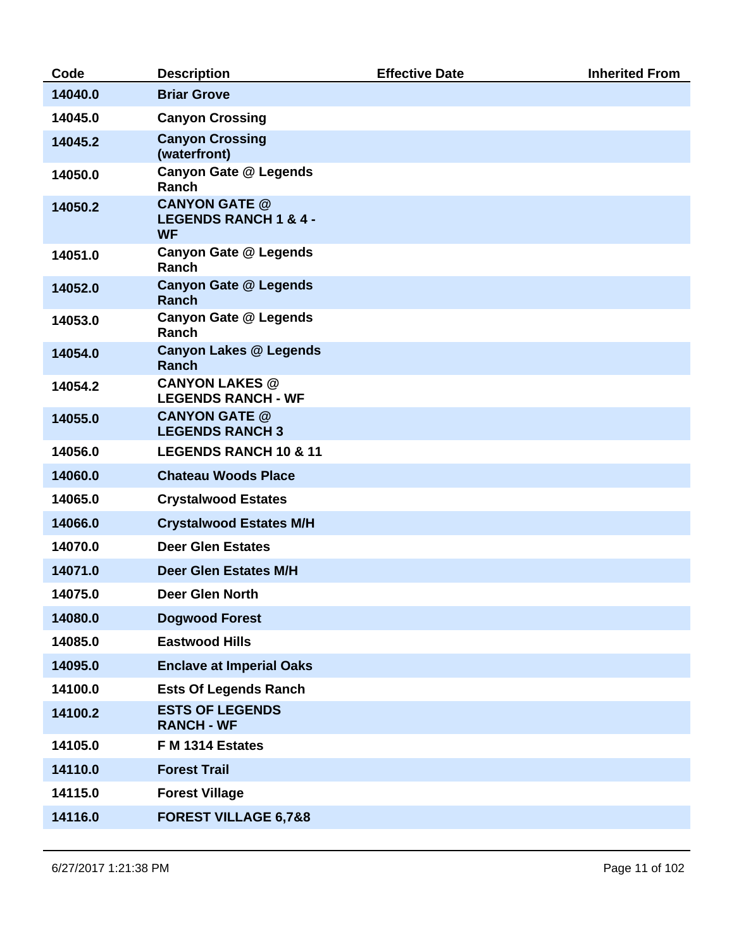| Code    | <b>Description</b>                                                    | <b>Effective Date</b> | <b>Inherited From</b> |
|---------|-----------------------------------------------------------------------|-----------------------|-----------------------|
| 14040.0 | <b>Briar Grove</b>                                                    |                       |                       |
| 14045.0 | <b>Canyon Crossing</b>                                                |                       |                       |
| 14045.2 | <b>Canyon Crossing</b><br>(waterfront)                                |                       |                       |
| 14050.0 | <b>Canyon Gate @ Legends</b><br>Ranch                                 |                       |                       |
| 14050.2 | <b>CANYON GATE @</b><br><b>LEGENDS RANCH 1 &amp; 4 -</b><br><b>WF</b> |                       |                       |
| 14051.0 | <b>Canyon Gate @ Legends</b><br>Ranch                                 |                       |                       |
| 14052.0 | <b>Canyon Gate @ Legends</b><br><b>Ranch</b>                          |                       |                       |
| 14053.0 | <b>Canyon Gate @ Legends</b><br>Ranch                                 |                       |                       |
| 14054.0 | <b>Canyon Lakes @ Legends</b><br>Ranch                                |                       |                       |
| 14054.2 | <b>CANYON LAKES @</b><br><b>LEGENDS RANCH - WF</b>                    |                       |                       |
| 14055.0 | <b>CANYON GATE @</b><br><b>LEGENDS RANCH 3</b>                        |                       |                       |
| 14056.0 | <b>LEGENDS RANCH 10 &amp; 11</b>                                      |                       |                       |
| 14060.0 | <b>Chateau Woods Place</b>                                            |                       |                       |
| 14065.0 | <b>Crystalwood Estates</b>                                            |                       |                       |
| 14066.0 | <b>Crystalwood Estates M/H</b>                                        |                       |                       |
| 14070.0 | <b>Deer Glen Estates</b>                                              |                       |                       |
| 14071.0 | <b>Deer Glen Estates M/H</b>                                          |                       |                       |
| 14075.0 | <b>Deer Glen North</b>                                                |                       |                       |
| 14080.0 | <b>Dogwood Forest</b>                                                 |                       |                       |
| 14085.0 | <b>Eastwood Hills</b>                                                 |                       |                       |
| 14095.0 | <b>Enclave at Imperial Oaks</b>                                       |                       |                       |
| 14100.0 | <b>Ests Of Legends Ranch</b>                                          |                       |                       |
| 14100.2 | <b>ESTS OF LEGENDS</b><br><b>RANCH - WF</b>                           |                       |                       |
| 14105.0 | F M 1314 Estates                                                      |                       |                       |
| 14110.0 | <b>Forest Trail</b>                                                   |                       |                       |
| 14115.0 | <b>Forest Village</b>                                                 |                       |                       |
| 14116.0 | <b>FOREST VILLAGE 6,7&amp;8</b>                                       |                       |                       |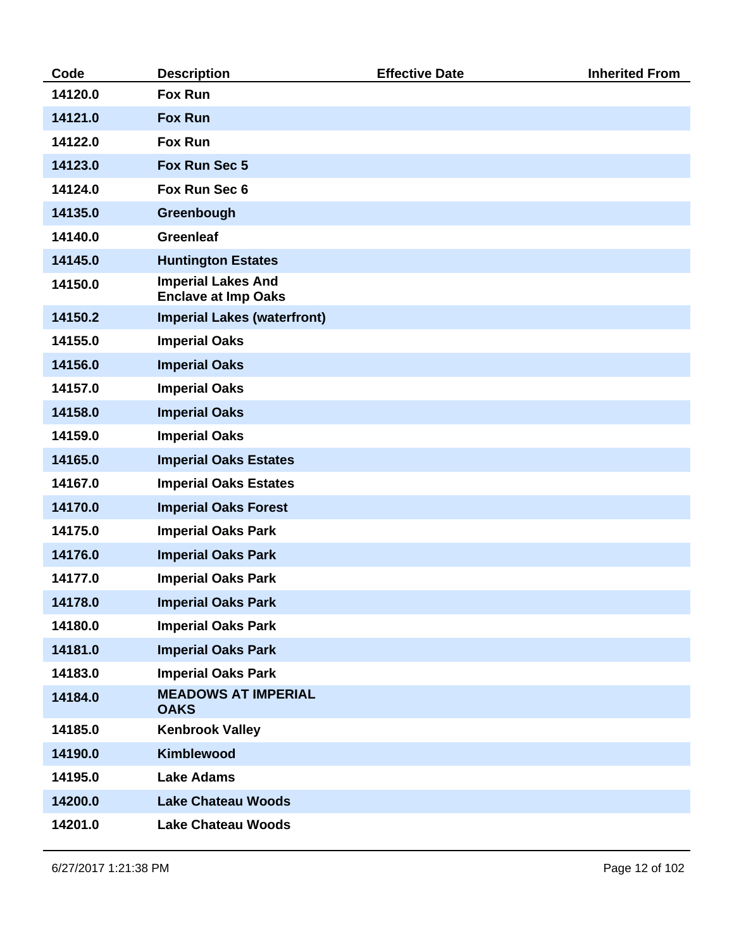| Code    | <b>Description</b>                                      | <b>Effective Date</b> | <b>Inherited From</b> |
|---------|---------------------------------------------------------|-----------------------|-----------------------|
| 14120.0 | <b>Fox Run</b>                                          |                       |                       |
| 14121.0 | <b>Fox Run</b>                                          |                       |                       |
| 14122.0 | <b>Fox Run</b>                                          |                       |                       |
| 14123.0 | Fox Run Sec 5                                           |                       |                       |
| 14124.0 | Fox Run Sec 6                                           |                       |                       |
| 14135.0 | Greenbough                                              |                       |                       |
| 14140.0 | <b>Greenleaf</b>                                        |                       |                       |
| 14145.0 | <b>Huntington Estates</b>                               |                       |                       |
| 14150.0 | <b>Imperial Lakes And</b><br><b>Enclave at Imp Oaks</b> |                       |                       |
| 14150.2 | <b>Imperial Lakes (waterfront)</b>                      |                       |                       |
| 14155.0 | <b>Imperial Oaks</b>                                    |                       |                       |
| 14156.0 | <b>Imperial Oaks</b>                                    |                       |                       |
| 14157.0 | <b>Imperial Oaks</b>                                    |                       |                       |
| 14158.0 | <b>Imperial Oaks</b>                                    |                       |                       |
| 14159.0 | <b>Imperial Oaks</b>                                    |                       |                       |
| 14165.0 | <b>Imperial Oaks Estates</b>                            |                       |                       |
| 14167.0 | <b>Imperial Oaks Estates</b>                            |                       |                       |
| 14170.0 | <b>Imperial Oaks Forest</b>                             |                       |                       |
| 14175.0 | <b>Imperial Oaks Park</b>                               |                       |                       |
| 14176.0 | <b>Imperial Oaks Park</b>                               |                       |                       |
| 14177.0 | <b>Imperial Oaks Park</b>                               |                       |                       |
| 14178.0 | <b>Imperial Oaks Park</b>                               |                       |                       |
| 14180.0 | <b>Imperial Oaks Park</b>                               |                       |                       |
| 14181.0 | <b>Imperial Oaks Park</b>                               |                       |                       |
| 14183.0 | <b>Imperial Oaks Park</b>                               |                       |                       |
| 14184.0 | <b>MEADOWS AT IMPERIAL</b><br><b>OAKS</b>               |                       |                       |
| 14185.0 | <b>Kenbrook Valley</b>                                  |                       |                       |
| 14190.0 | <b>Kimblewood</b>                                       |                       |                       |
| 14195.0 | <b>Lake Adams</b>                                       |                       |                       |
| 14200.0 | <b>Lake Chateau Woods</b>                               |                       |                       |
| 14201.0 | <b>Lake Chateau Woods</b>                               |                       |                       |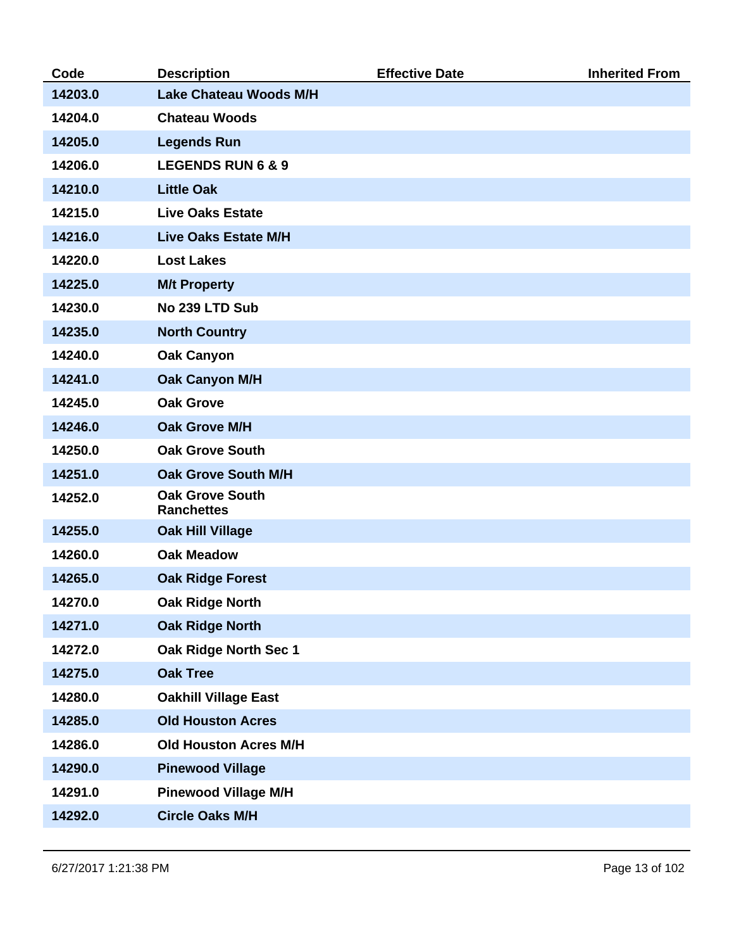| Code    | <b>Description</b>                          | <b>Effective Date</b> | <b>Inherited From</b> |
|---------|---------------------------------------------|-----------------------|-----------------------|
| 14203.0 | <b>Lake Chateau Woods M/H</b>               |                       |                       |
| 14204.0 | <b>Chateau Woods</b>                        |                       |                       |
| 14205.0 | <b>Legends Run</b>                          |                       |                       |
| 14206.0 | <b>LEGENDS RUN 6 &amp; 9</b>                |                       |                       |
| 14210.0 | <b>Little Oak</b>                           |                       |                       |
| 14215.0 | <b>Live Oaks Estate</b>                     |                       |                       |
| 14216.0 | <b>Live Oaks Estate M/H</b>                 |                       |                       |
| 14220.0 | <b>Lost Lakes</b>                           |                       |                       |
| 14225.0 | <b>M/t Property</b>                         |                       |                       |
| 14230.0 | No 239 LTD Sub                              |                       |                       |
| 14235.0 | <b>North Country</b>                        |                       |                       |
| 14240.0 | <b>Oak Canyon</b>                           |                       |                       |
| 14241.0 | <b>Oak Canyon M/H</b>                       |                       |                       |
| 14245.0 | <b>Oak Grove</b>                            |                       |                       |
| 14246.0 | <b>Oak Grove M/H</b>                        |                       |                       |
| 14250.0 | <b>Oak Grove South</b>                      |                       |                       |
| 14251.0 | <b>Oak Grove South M/H</b>                  |                       |                       |
| 14252.0 | <b>Oak Grove South</b><br><b>Ranchettes</b> |                       |                       |
| 14255.0 | <b>Oak Hill Village</b>                     |                       |                       |
| 14260.0 | <b>Oak Meadow</b>                           |                       |                       |
| 14265.0 | <b>Oak Ridge Forest</b>                     |                       |                       |
| 14270.0 | <b>Oak Ridge North</b>                      |                       |                       |
| 14271.0 | <b>Oak Ridge North</b>                      |                       |                       |
| 14272.0 | Oak Ridge North Sec 1                       |                       |                       |
| 14275.0 | <b>Oak Tree</b>                             |                       |                       |
| 14280.0 | <b>Oakhill Village East</b>                 |                       |                       |
| 14285.0 | <b>Old Houston Acres</b>                    |                       |                       |
| 14286.0 | <b>Old Houston Acres M/H</b>                |                       |                       |
| 14290.0 | <b>Pinewood Village</b>                     |                       |                       |
| 14291.0 | <b>Pinewood Village M/H</b>                 |                       |                       |
| 14292.0 | <b>Circle Oaks M/H</b>                      |                       |                       |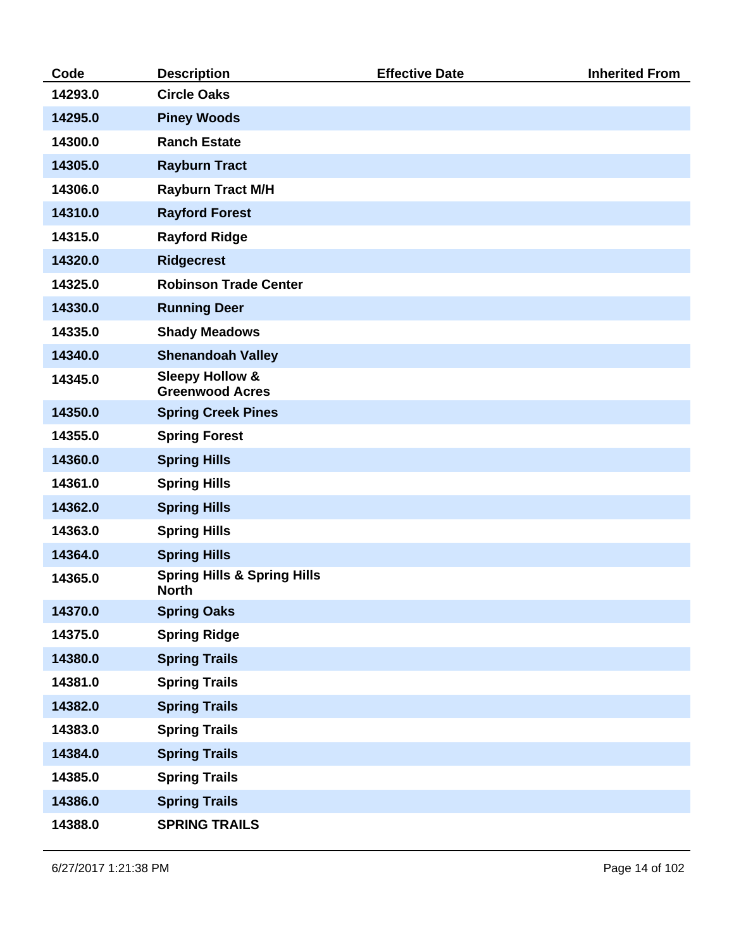| Code    | <b>Description</b>                                     | <b>Effective Date</b> | <b>Inherited From</b> |
|---------|--------------------------------------------------------|-----------------------|-----------------------|
| 14293.0 | <b>Circle Oaks</b>                                     |                       |                       |
| 14295.0 | <b>Piney Woods</b>                                     |                       |                       |
| 14300.0 | <b>Ranch Estate</b>                                    |                       |                       |
| 14305.0 | <b>Rayburn Tract</b>                                   |                       |                       |
| 14306.0 | <b>Rayburn Tract M/H</b>                               |                       |                       |
| 14310.0 | <b>Rayford Forest</b>                                  |                       |                       |
| 14315.0 | <b>Rayford Ridge</b>                                   |                       |                       |
| 14320.0 | <b>Ridgecrest</b>                                      |                       |                       |
| 14325.0 | <b>Robinson Trade Center</b>                           |                       |                       |
| 14330.0 | <b>Running Deer</b>                                    |                       |                       |
| 14335.0 | <b>Shady Meadows</b>                                   |                       |                       |
| 14340.0 | <b>Shenandoah Valley</b>                               |                       |                       |
| 14345.0 | <b>Sleepy Hollow &amp;</b><br><b>Greenwood Acres</b>   |                       |                       |
| 14350.0 | <b>Spring Creek Pines</b>                              |                       |                       |
| 14355.0 | <b>Spring Forest</b>                                   |                       |                       |
| 14360.0 | <b>Spring Hills</b>                                    |                       |                       |
| 14361.0 | <b>Spring Hills</b>                                    |                       |                       |
| 14362.0 | <b>Spring Hills</b>                                    |                       |                       |
| 14363.0 | <b>Spring Hills</b>                                    |                       |                       |
| 14364.0 | <b>Spring Hills</b>                                    |                       |                       |
| 14365.0 | <b>Spring Hills &amp; Spring Hills</b><br><b>North</b> |                       |                       |
| 14370.0 | <b>Spring Oaks</b>                                     |                       |                       |
| 14375.0 | <b>Spring Ridge</b>                                    |                       |                       |
| 14380.0 | <b>Spring Trails</b>                                   |                       |                       |
| 14381.0 | <b>Spring Trails</b>                                   |                       |                       |
| 14382.0 | <b>Spring Trails</b>                                   |                       |                       |
| 14383.0 | <b>Spring Trails</b>                                   |                       |                       |
| 14384.0 | <b>Spring Trails</b>                                   |                       |                       |
| 14385.0 | <b>Spring Trails</b>                                   |                       |                       |
| 14386.0 | <b>Spring Trails</b>                                   |                       |                       |
| 14388.0 | <b>SPRING TRAILS</b>                                   |                       |                       |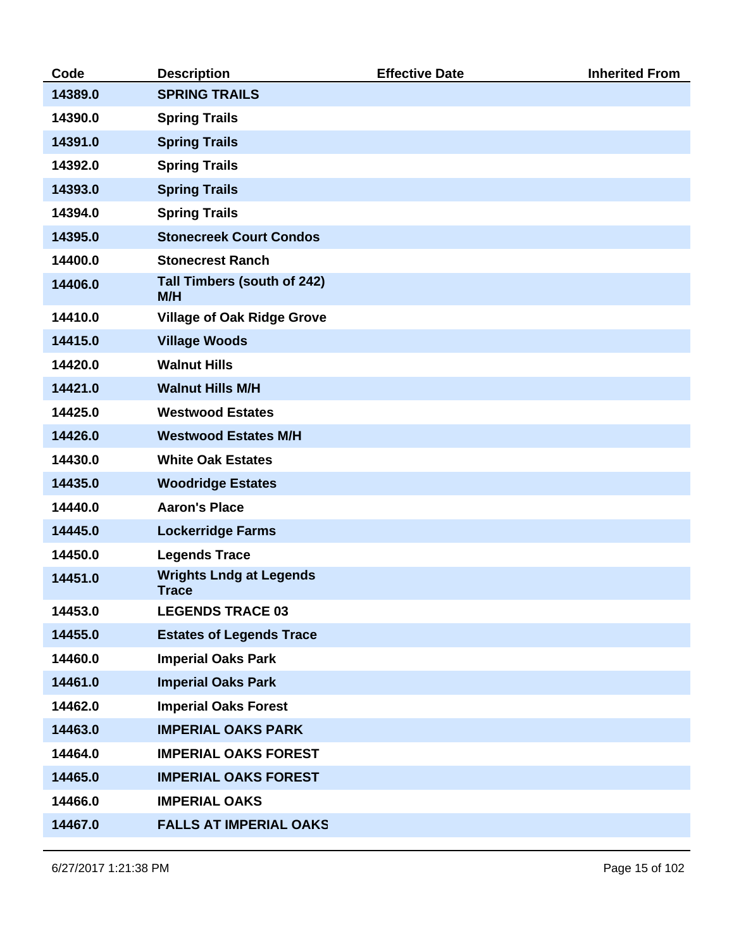| Code    | <b>Description</b>                             | <b>Effective Date</b> | <b>Inherited From</b> |
|---------|------------------------------------------------|-----------------------|-----------------------|
| 14389.0 | <b>SPRING TRAILS</b>                           |                       |                       |
| 14390.0 | <b>Spring Trails</b>                           |                       |                       |
| 14391.0 | <b>Spring Trails</b>                           |                       |                       |
| 14392.0 | <b>Spring Trails</b>                           |                       |                       |
| 14393.0 | <b>Spring Trails</b>                           |                       |                       |
| 14394.0 | <b>Spring Trails</b>                           |                       |                       |
| 14395.0 | <b>Stonecreek Court Condos</b>                 |                       |                       |
| 14400.0 | <b>Stonecrest Ranch</b>                        |                       |                       |
| 14406.0 | Tall Timbers (south of 242)<br>M/H             |                       |                       |
| 14410.0 | <b>Village of Oak Ridge Grove</b>              |                       |                       |
| 14415.0 | <b>Village Woods</b>                           |                       |                       |
| 14420.0 | <b>Walnut Hills</b>                            |                       |                       |
| 14421.0 | <b>Walnut Hills M/H</b>                        |                       |                       |
| 14425.0 | <b>Westwood Estates</b>                        |                       |                       |
| 14426.0 | <b>Westwood Estates M/H</b>                    |                       |                       |
| 14430.0 | <b>White Oak Estates</b>                       |                       |                       |
| 14435.0 | <b>Woodridge Estates</b>                       |                       |                       |
| 14440.0 | <b>Aaron's Place</b>                           |                       |                       |
| 14445.0 | <b>Lockerridge Farms</b>                       |                       |                       |
| 14450.0 | <b>Legends Trace</b>                           |                       |                       |
| 14451.0 | <b>Wrights Lndg at Legends</b><br><b>Trace</b> |                       |                       |
| 14453.0 | <b>LEGENDS TRACE 03</b>                        |                       |                       |
| 14455.0 | <b>Estates of Legends Trace</b>                |                       |                       |
| 14460.0 | <b>Imperial Oaks Park</b>                      |                       |                       |
| 14461.0 | <b>Imperial Oaks Park</b>                      |                       |                       |
| 14462.0 | <b>Imperial Oaks Forest</b>                    |                       |                       |
| 14463.0 | <b>IMPERIAL OAKS PARK</b>                      |                       |                       |
| 14464.0 | <b>IMPERIAL OAKS FOREST</b>                    |                       |                       |
| 14465.0 | <b>IMPERIAL OAKS FOREST</b>                    |                       |                       |
| 14466.0 | <b>IMPERIAL OAKS</b>                           |                       |                       |
| 14467.0 | <b>FALLS AT IMPERIAL OAKS</b>                  |                       |                       |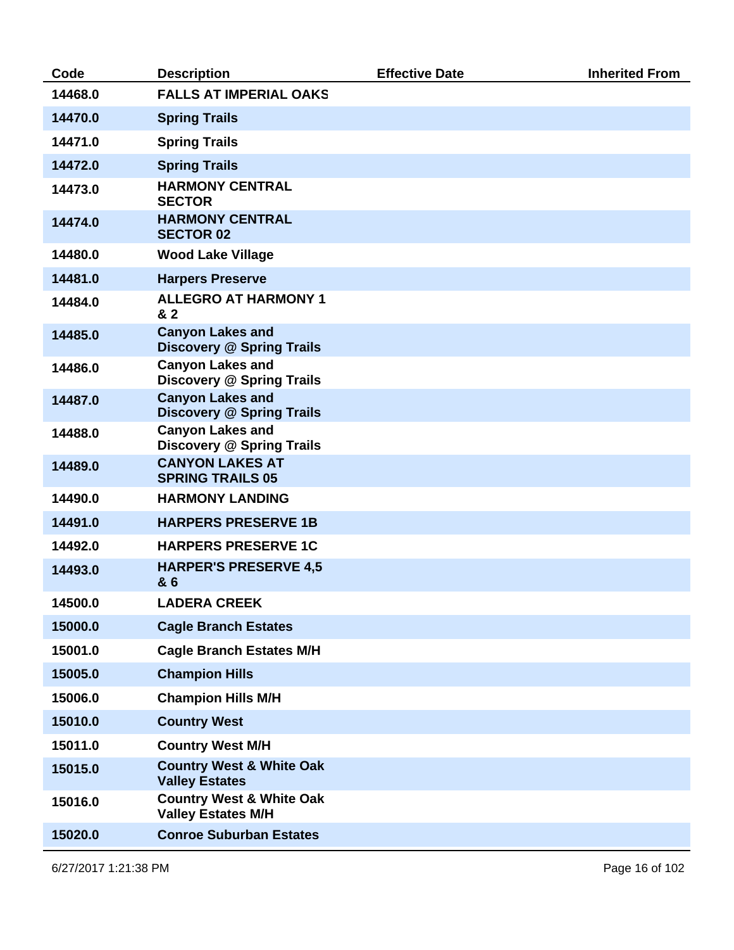| Code    | <b>Description</b>                                               | <b>Effective Date</b> | <b>Inherited From</b> |
|---------|------------------------------------------------------------------|-----------------------|-----------------------|
| 14468.0 | <b>FALLS AT IMPERIAL OAKS</b>                                    |                       |                       |
| 14470.0 | <b>Spring Trails</b>                                             |                       |                       |
| 14471.0 | <b>Spring Trails</b>                                             |                       |                       |
| 14472.0 | <b>Spring Trails</b>                                             |                       |                       |
| 14473.0 | <b>HARMONY CENTRAL</b><br><b>SECTOR</b>                          |                       |                       |
| 14474.0 | <b>HARMONY CENTRAL</b><br><b>SECTOR 02</b>                       |                       |                       |
| 14480.0 | <b>Wood Lake Village</b>                                         |                       |                       |
| 14481.0 | <b>Harpers Preserve</b>                                          |                       |                       |
| 14484.0 | <b>ALLEGRO AT HARMONY 1</b><br>& 2                               |                       |                       |
| 14485.0 | <b>Canyon Lakes and</b><br><b>Discovery @ Spring Trails</b>      |                       |                       |
| 14486.0 | <b>Canyon Lakes and</b><br><b>Discovery @ Spring Trails</b>      |                       |                       |
| 14487.0 | <b>Canyon Lakes and</b><br><b>Discovery @ Spring Trails</b>      |                       |                       |
| 14488.0 | <b>Canyon Lakes and</b><br><b>Discovery @ Spring Trails</b>      |                       |                       |
| 14489.0 | <b>CANYON LAKES AT</b><br><b>SPRING TRAILS 05</b>                |                       |                       |
| 14490.0 | <b>HARMONY LANDING</b>                                           |                       |                       |
| 14491.0 | <b>HARPERS PRESERVE 1B</b>                                       |                       |                       |
| 14492.0 | <b>HARPERS PRESERVE 1C</b>                                       |                       |                       |
| 14493.0 | <b>HARPER'S PRESERVE 4,5</b><br>& 6                              |                       |                       |
| 14500.0 | <b>LADERA CREEK</b>                                              |                       |                       |
| 15000.0 | <b>Cagle Branch Estates</b>                                      |                       |                       |
| 15001.0 | <b>Cagle Branch Estates M/H</b>                                  |                       |                       |
| 15005.0 | <b>Champion Hills</b>                                            |                       |                       |
| 15006.0 | <b>Champion Hills M/H</b>                                        |                       |                       |
| 15010.0 | <b>Country West</b>                                              |                       |                       |
| 15011.0 | <b>Country West M/H</b>                                          |                       |                       |
| 15015.0 | <b>Country West &amp; White Oak</b><br><b>Valley Estates</b>     |                       |                       |
| 15016.0 | <b>Country West &amp; White Oak</b><br><b>Valley Estates M/H</b> |                       |                       |
| 15020.0 | <b>Conroe Suburban Estates</b>                                   |                       |                       |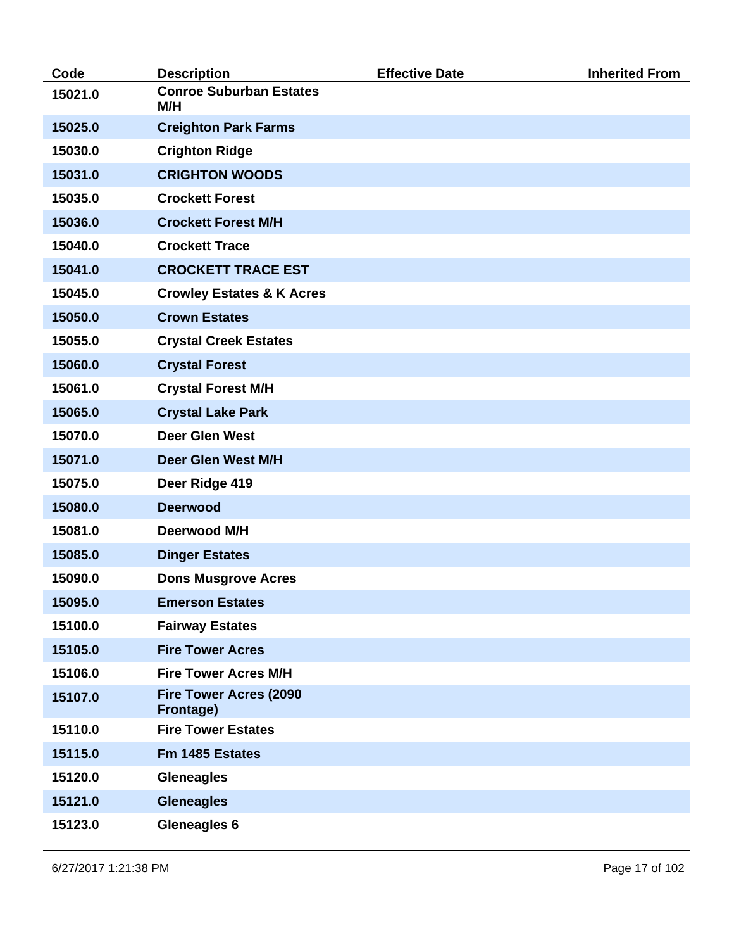| Code    | <b>Description</b>                         | <b>Effective Date</b> | <b>Inherited From</b> |
|---------|--------------------------------------------|-----------------------|-----------------------|
| 15021.0 | <b>Conroe Suburban Estates</b><br>M/H      |                       |                       |
| 15025.0 | <b>Creighton Park Farms</b>                |                       |                       |
| 15030.0 | <b>Crighton Ridge</b>                      |                       |                       |
| 15031.0 | <b>CRIGHTON WOODS</b>                      |                       |                       |
| 15035.0 | <b>Crockett Forest</b>                     |                       |                       |
| 15036.0 | <b>Crockett Forest M/H</b>                 |                       |                       |
| 15040.0 | <b>Crockett Trace</b>                      |                       |                       |
| 15041.0 | <b>CROCKETT TRACE EST</b>                  |                       |                       |
| 15045.0 | <b>Crowley Estates &amp; K Acres</b>       |                       |                       |
| 15050.0 | <b>Crown Estates</b>                       |                       |                       |
| 15055.0 | <b>Crystal Creek Estates</b>               |                       |                       |
| 15060.0 | <b>Crystal Forest</b>                      |                       |                       |
| 15061.0 | <b>Crystal Forest M/H</b>                  |                       |                       |
| 15065.0 | <b>Crystal Lake Park</b>                   |                       |                       |
| 15070.0 | <b>Deer Glen West</b>                      |                       |                       |
| 15071.0 | Deer Glen West M/H                         |                       |                       |
| 15075.0 | Deer Ridge 419                             |                       |                       |
| 15080.0 | <b>Deerwood</b>                            |                       |                       |
| 15081.0 | Deerwood M/H                               |                       |                       |
| 15085.0 | <b>Dinger Estates</b>                      |                       |                       |
| 15090.0 | <b>Dons Musgrove Acres</b>                 |                       |                       |
| 15095.0 | <b>Emerson Estates</b>                     |                       |                       |
| 15100.0 | <b>Fairway Estates</b>                     |                       |                       |
| 15105.0 | <b>Fire Tower Acres</b>                    |                       |                       |
| 15106.0 | <b>Fire Tower Acres M/H</b>                |                       |                       |
| 15107.0 | <b>Fire Tower Acres (2090</b><br>Frontage) |                       |                       |
| 15110.0 | <b>Fire Tower Estates</b>                  |                       |                       |
| 15115.0 | Fm 1485 Estates                            |                       |                       |
| 15120.0 | <b>Gleneagles</b>                          |                       |                       |
| 15121.0 | <b>Gleneagles</b>                          |                       |                       |
| 15123.0 | <b>Gleneagles 6</b>                        |                       |                       |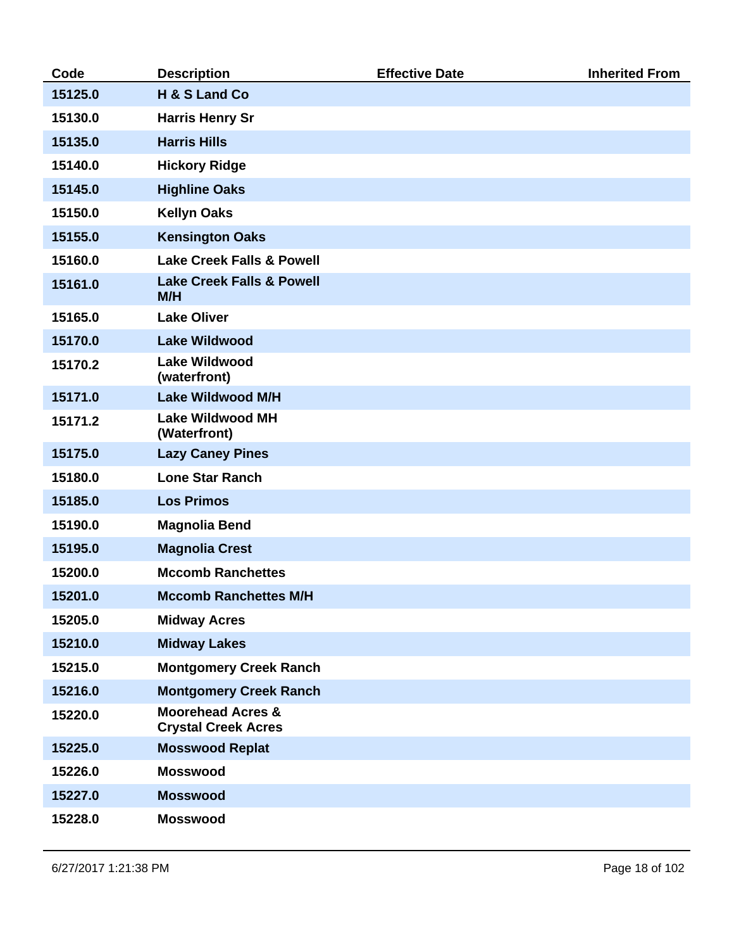| Code    | <b>Description</b>                                         | <b>Effective Date</b> | <b>Inherited From</b> |
|---------|------------------------------------------------------------|-----------------------|-----------------------|
| 15125.0 | H & S Land Co                                              |                       |                       |
| 15130.0 | <b>Harris Henry Sr</b>                                     |                       |                       |
| 15135.0 | <b>Harris Hills</b>                                        |                       |                       |
| 15140.0 | <b>Hickory Ridge</b>                                       |                       |                       |
| 15145.0 | <b>Highline Oaks</b>                                       |                       |                       |
| 15150.0 | <b>Kellyn Oaks</b>                                         |                       |                       |
| 15155.0 | <b>Kensington Oaks</b>                                     |                       |                       |
| 15160.0 | <b>Lake Creek Falls &amp; Powell</b>                       |                       |                       |
| 15161.0 | <b>Lake Creek Falls &amp; Powell</b><br>M/H                |                       |                       |
| 15165.0 | <b>Lake Oliver</b>                                         |                       |                       |
| 15170.0 | <b>Lake Wildwood</b>                                       |                       |                       |
| 15170.2 | <b>Lake Wildwood</b><br>(waterfront)                       |                       |                       |
| 15171.0 | <b>Lake Wildwood M/H</b>                                   |                       |                       |
| 15171.2 | <b>Lake Wildwood MH</b><br>(Waterfront)                    |                       |                       |
| 15175.0 | <b>Lazy Caney Pines</b>                                    |                       |                       |
| 15180.0 | <b>Lone Star Ranch</b>                                     |                       |                       |
| 15185.0 | <b>Los Primos</b>                                          |                       |                       |
| 15190.0 | <b>Magnolia Bend</b>                                       |                       |                       |
| 15195.0 | <b>Magnolia Crest</b>                                      |                       |                       |
| 15200.0 | <b>Mccomb Ranchettes</b>                                   |                       |                       |
| 15201.0 | <b>Mccomb Ranchettes M/H</b>                               |                       |                       |
| 15205.0 | <b>Midway Acres</b>                                        |                       |                       |
| 15210.0 | <b>Midway Lakes</b>                                        |                       |                       |
| 15215.0 | <b>Montgomery Creek Ranch</b>                              |                       |                       |
| 15216.0 | <b>Montgomery Creek Ranch</b>                              |                       |                       |
| 15220.0 | <b>Moorehead Acres &amp;</b><br><b>Crystal Creek Acres</b> |                       |                       |
| 15225.0 | <b>Mosswood Replat</b>                                     |                       |                       |
| 15226.0 | <b>Mosswood</b>                                            |                       |                       |
| 15227.0 | <b>Mosswood</b>                                            |                       |                       |
| 15228.0 | <b>Mosswood</b>                                            |                       |                       |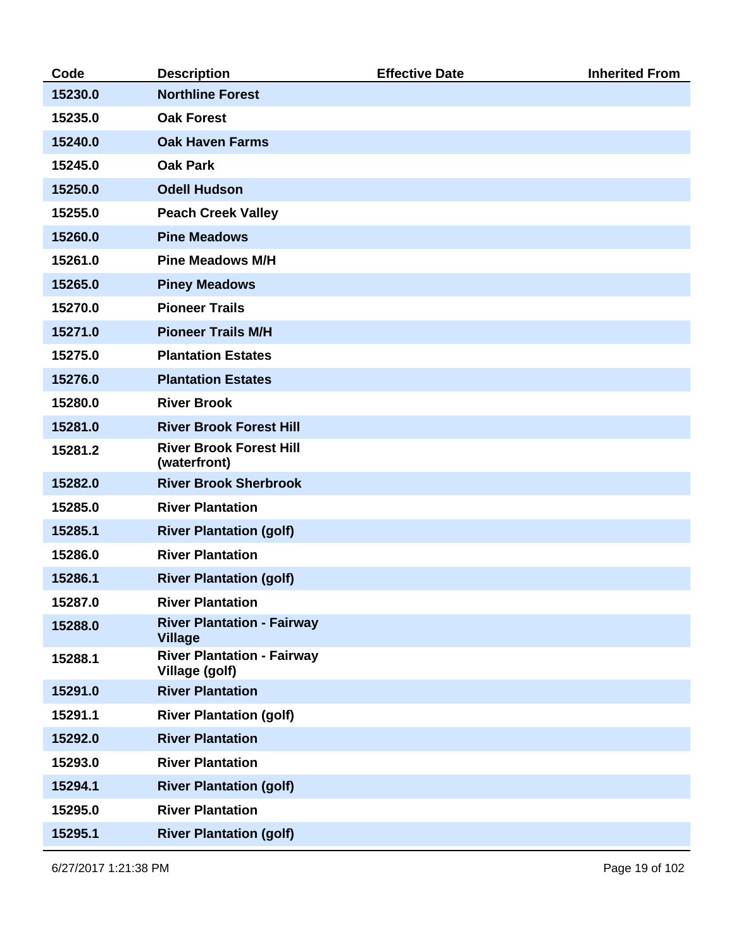| Code    | <b>Description</b>                                  | <b>Effective Date</b> | <b>Inherited From</b> |
|---------|-----------------------------------------------------|-----------------------|-----------------------|
| 15230.0 | <b>Northline Forest</b>                             |                       |                       |
| 15235.0 | <b>Oak Forest</b>                                   |                       |                       |
| 15240.0 | <b>Oak Haven Farms</b>                              |                       |                       |
| 15245.0 | <b>Oak Park</b>                                     |                       |                       |
| 15250.0 | <b>Odell Hudson</b>                                 |                       |                       |
| 15255.0 | <b>Peach Creek Valley</b>                           |                       |                       |
| 15260.0 | <b>Pine Meadows</b>                                 |                       |                       |
| 15261.0 | <b>Pine Meadows M/H</b>                             |                       |                       |
| 15265.0 | <b>Piney Meadows</b>                                |                       |                       |
| 15270.0 | <b>Pioneer Trails</b>                               |                       |                       |
| 15271.0 | <b>Pioneer Trails M/H</b>                           |                       |                       |
| 15275.0 | <b>Plantation Estates</b>                           |                       |                       |
| 15276.0 | <b>Plantation Estates</b>                           |                       |                       |
| 15280.0 | <b>River Brook</b>                                  |                       |                       |
| 15281.0 | <b>River Brook Forest Hill</b>                      |                       |                       |
| 15281.2 | <b>River Brook Forest Hill</b><br>(waterfront)      |                       |                       |
| 15282.0 | <b>River Brook Sherbrook</b>                        |                       |                       |
| 15285.0 | <b>River Plantation</b>                             |                       |                       |
| 15285.1 | <b>River Plantation (golf)</b>                      |                       |                       |
| 15286.0 | <b>River Plantation</b>                             |                       |                       |
| 15286.1 | <b>River Plantation (golf)</b>                      |                       |                       |
| 15287.0 | <b>River Plantation</b>                             |                       |                       |
| 15288.0 | <b>River Plantation - Fairway</b><br><b>Village</b> |                       |                       |
| 15288.1 | <b>River Plantation - Fairway</b><br>Village (golf) |                       |                       |
| 15291.0 | <b>River Plantation</b>                             |                       |                       |
| 15291.1 | <b>River Plantation (golf)</b>                      |                       |                       |
| 15292.0 | <b>River Plantation</b>                             |                       |                       |
| 15293.0 | <b>River Plantation</b>                             |                       |                       |
| 15294.1 | <b>River Plantation (golf)</b>                      |                       |                       |
| 15295.0 | <b>River Plantation</b>                             |                       |                       |
| 15295.1 | <b>River Plantation (golf)</b>                      |                       |                       |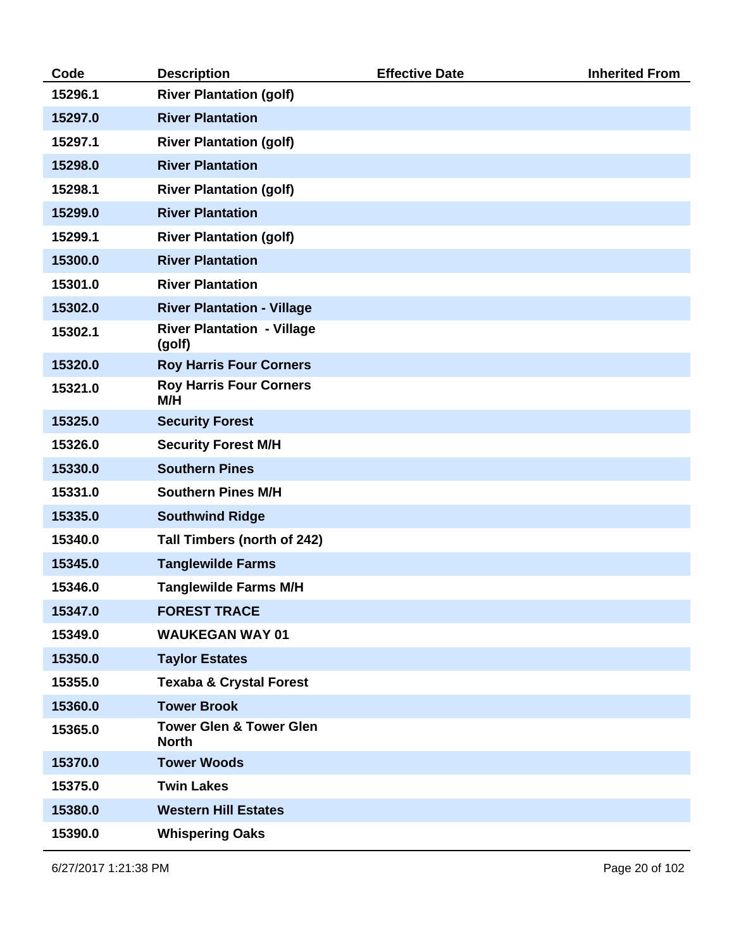| Code    | <b>Description</b>                                 | <b>Effective Date</b> | <b>Inherited From</b> |
|---------|----------------------------------------------------|-----------------------|-----------------------|
| 15296.1 | <b>River Plantation (golf)</b>                     |                       |                       |
| 15297.0 | <b>River Plantation</b>                            |                       |                       |
| 15297.1 | <b>River Plantation (golf)</b>                     |                       |                       |
| 15298.0 | <b>River Plantation</b>                            |                       |                       |
| 15298.1 | <b>River Plantation (golf)</b>                     |                       |                       |
| 15299.0 | <b>River Plantation</b>                            |                       |                       |
| 15299.1 | <b>River Plantation (golf)</b>                     |                       |                       |
| 15300.0 | <b>River Plantation</b>                            |                       |                       |
| 15301.0 | <b>River Plantation</b>                            |                       |                       |
| 15302.0 | <b>River Plantation - Village</b>                  |                       |                       |
| 15302.1 | <b>River Plantation - Village</b><br>(golf)        |                       |                       |
| 15320.0 | <b>Roy Harris Four Corners</b>                     |                       |                       |
| 15321.0 | <b>Roy Harris Four Corners</b><br>M/H              |                       |                       |
| 15325.0 | <b>Security Forest</b>                             |                       |                       |
| 15326.0 | <b>Security Forest M/H</b>                         |                       |                       |
| 15330.0 | <b>Southern Pines</b>                              |                       |                       |
| 15331.0 | <b>Southern Pines M/H</b>                          |                       |                       |
| 15335.0 | <b>Southwind Ridge</b>                             |                       |                       |
| 15340.0 | Tall Timbers (north of 242)                        |                       |                       |
| 15345.0 | <b>Tanglewilde Farms</b>                           |                       |                       |
| 15346.0 | <b>Tanglewilde Farms M/H</b>                       |                       |                       |
| 15347.0 | <b>FOREST TRACE</b>                                |                       |                       |
| 15349.0 | <b>WAUKEGAN WAY 01</b>                             |                       |                       |
| 15350.0 | <b>Taylor Estates</b>                              |                       |                       |
| 15355.0 | <b>Texaba &amp; Crystal Forest</b>                 |                       |                       |
| 15360.0 | <b>Tower Brook</b>                                 |                       |                       |
| 15365.0 | <b>Tower Glen &amp; Tower Glen</b><br><b>North</b> |                       |                       |
| 15370.0 | <b>Tower Woods</b>                                 |                       |                       |
| 15375.0 | <b>Twin Lakes</b>                                  |                       |                       |
| 15380.0 | <b>Western Hill Estates</b>                        |                       |                       |
| 15390.0 | <b>Whispering Oaks</b>                             |                       |                       |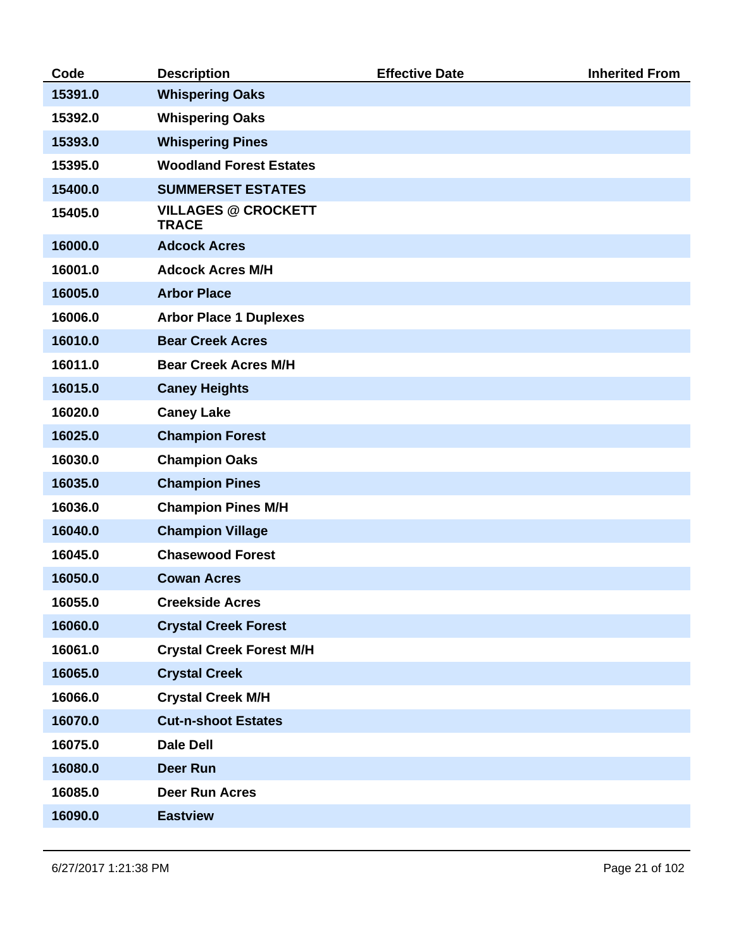| Code    | <b>Description</b>                         | <b>Effective Date</b> | <b>Inherited From</b> |
|---------|--------------------------------------------|-----------------------|-----------------------|
| 15391.0 | <b>Whispering Oaks</b>                     |                       |                       |
| 15392.0 | <b>Whispering Oaks</b>                     |                       |                       |
| 15393.0 | <b>Whispering Pines</b>                    |                       |                       |
| 15395.0 | <b>Woodland Forest Estates</b>             |                       |                       |
| 15400.0 | <b>SUMMERSET ESTATES</b>                   |                       |                       |
| 15405.0 | <b>VILLAGES @ CROCKETT</b><br><b>TRACE</b> |                       |                       |
| 16000.0 | <b>Adcock Acres</b>                        |                       |                       |
| 16001.0 | <b>Adcock Acres M/H</b>                    |                       |                       |
| 16005.0 | <b>Arbor Place</b>                         |                       |                       |
| 16006.0 | <b>Arbor Place 1 Duplexes</b>              |                       |                       |
| 16010.0 | <b>Bear Creek Acres</b>                    |                       |                       |
| 16011.0 | <b>Bear Creek Acres M/H</b>                |                       |                       |
| 16015.0 | <b>Caney Heights</b>                       |                       |                       |
| 16020.0 | <b>Caney Lake</b>                          |                       |                       |
| 16025.0 | <b>Champion Forest</b>                     |                       |                       |
| 16030.0 | <b>Champion Oaks</b>                       |                       |                       |
| 16035.0 | <b>Champion Pines</b>                      |                       |                       |
| 16036.0 | <b>Champion Pines M/H</b>                  |                       |                       |
| 16040.0 | <b>Champion Village</b>                    |                       |                       |
| 16045.0 | <b>Chasewood Forest</b>                    |                       |                       |
| 16050.0 | <b>Cowan Acres</b>                         |                       |                       |
| 16055.0 | <b>Creekside Acres</b>                     |                       |                       |
| 16060.0 | <b>Crystal Creek Forest</b>                |                       |                       |
| 16061.0 | <b>Crystal Creek Forest M/H</b>            |                       |                       |
| 16065.0 | <b>Crystal Creek</b>                       |                       |                       |
| 16066.0 | <b>Crystal Creek M/H</b>                   |                       |                       |
| 16070.0 | <b>Cut-n-shoot Estates</b>                 |                       |                       |
| 16075.0 | <b>Dale Dell</b>                           |                       |                       |
| 16080.0 | <b>Deer Run</b>                            |                       |                       |
| 16085.0 | <b>Deer Run Acres</b>                      |                       |                       |
| 16090.0 | <b>Eastview</b>                            |                       |                       |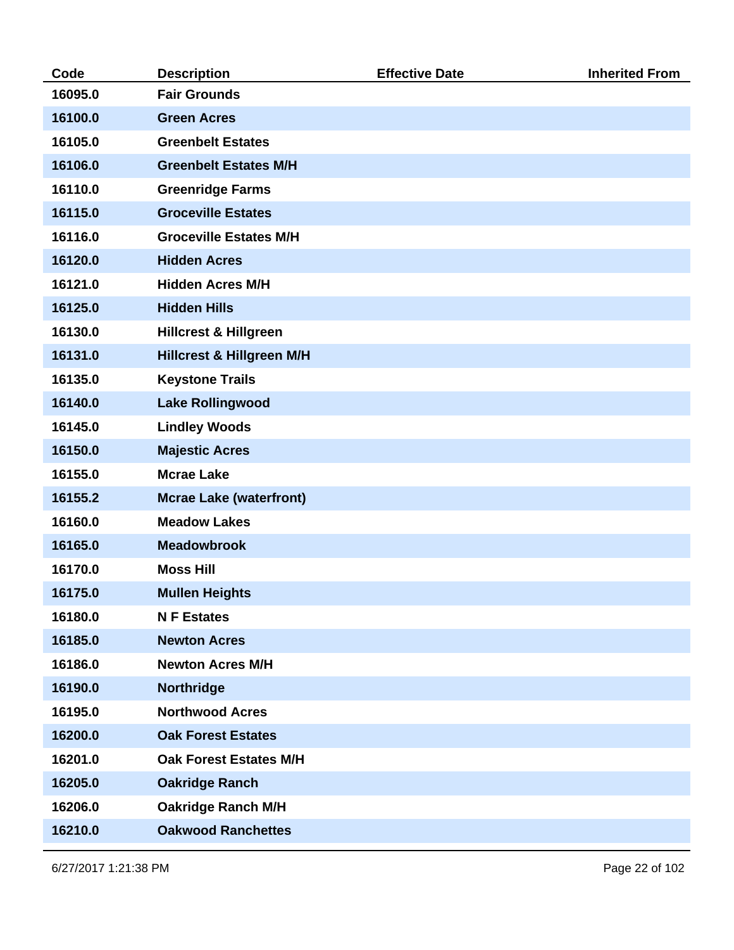| Code    | <b>Description</b>                   | <b>Effective Date</b> | <b>Inherited From</b> |
|---------|--------------------------------------|-----------------------|-----------------------|
| 16095.0 | <b>Fair Grounds</b>                  |                       |                       |
| 16100.0 | <b>Green Acres</b>                   |                       |                       |
| 16105.0 | <b>Greenbelt Estates</b>             |                       |                       |
| 16106.0 | <b>Greenbelt Estates M/H</b>         |                       |                       |
| 16110.0 | <b>Greenridge Farms</b>              |                       |                       |
| 16115.0 | <b>Groceville Estates</b>            |                       |                       |
| 16116.0 | <b>Groceville Estates M/H</b>        |                       |                       |
| 16120.0 | <b>Hidden Acres</b>                  |                       |                       |
| 16121.0 | <b>Hidden Acres M/H</b>              |                       |                       |
| 16125.0 | <b>Hidden Hills</b>                  |                       |                       |
| 16130.0 | <b>Hillcrest &amp; Hillgreen</b>     |                       |                       |
| 16131.0 | <b>Hillcrest &amp; Hillgreen M/H</b> |                       |                       |
| 16135.0 | <b>Keystone Trails</b>               |                       |                       |
| 16140.0 | <b>Lake Rollingwood</b>              |                       |                       |
| 16145.0 | <b>Lindley Woods</b>                 |                       |                       |
| 16150.0 | <b>Majestic Acres</b>                |                       |                       |
| 16155.0 | <b>Mcrae Lake</b>                    |                       |                       |
| 16155.2 | <b>Mcrae Lake (waterfront)</b>       |                       |                       |
| 16160.0 | <b>Meadow Lakes</b>                  |                       |                       |
| 16165.0 | <b>Meadowbrook</b>                   |                       |                       |
| 16170.0 | <b>Moss Hill</b>                     |                       |                       |
| 16175.0 | <b>Mullen Heights</b>                |                       |                       |
| 16180.0 | <b>N F Estates</b>                   |                       |                       |
| 16185.0 | <b>Newton Acres</b>                  |                       |                       |
| 16186.0 | <b>Newton Acres M/H</b>              |                       |                       |
| 16190.0 | Northridge                           |                       |                       |
| 16195.0 | <b>Northwood Acres</b>               |                       |                       |
| 16200.0 | <b>Oak Forest Estates</b>            |                       |                       |
| 16201.0 | <b>Oak Forest Estates M/H</b>        |                       |                       |
| 16205.0 | <b>Oakridge Ranch</b>                |                       |                       |
| 16206.0 | <b>Oakridge Ranch M/H</b>            |                       |                       |
| 16210.0 | <b>Oakwood Ranchettes</b>            |                       |                       |
|         |                                      |                       |                       |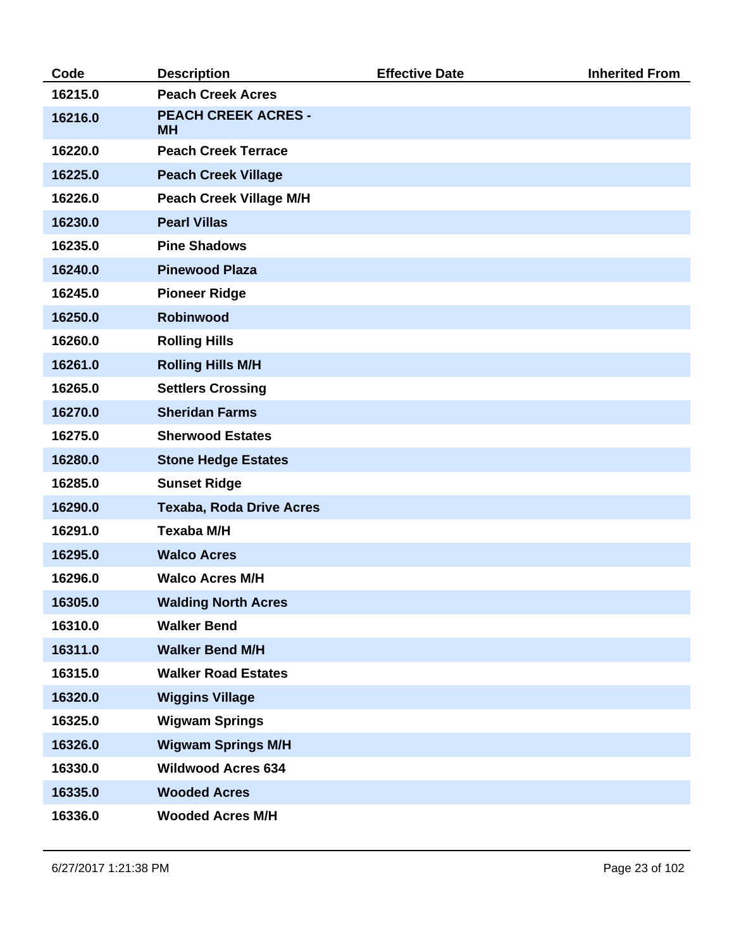| Code    | <b>Description</b>                      | <b>Effective Date</b> | <b>Inherited From</b> |
|---------|-----------------------------------------|-----------------------|-----------------------|
| 16215.0 | <b>Peach Creek Acres</b>                |                       |                       |
| 16216.0 | <b>PEACH CREEK ACRES -</b><br><b>MH</b> |                       |                       |
| 16220.0 | <b>Peach Creek Terrace</b>              |                       |                       |
| 16225.0 | <b>Peach Creek Village</b>              |                       |                       |
| 16226.0 | <b>Peach Creek Village M/H</b>          |                       |                       |
| 16230.0 | <b>Pearl Villas</b>                     |                       |                       |
| 16235.0 | <b>Pine Shadows</b>                     |                       |                       |
| 16240.0 | <b>Pinewood Plaza</b>                   |                       |                       |
| 16245.0 | <b>Pioneer Ridge</b>                    |                       |                       |
| 16250.0 | <b>Robinwood</b>                        |                       |                       |
| 16260.0 | <b>Rolling Hills</b>                    |                       |                       |
| 16261.0 | <b>Rolling Hills M/H</b>                |                       |                       |
| 16265.0 | <b>Settlers Crossing</b>                |                       |                       |
| 16270.0 | <b>Sheridan Farms</b>                   |                       |                       |
| 16275.0 | <b>Sherwood Estates</b>                 |                       |                       |
| 16280.0 | <b>Stone Hedge Estates</b>              |                       |                       |
| 16285.0 | <b>Sunset Ridge</b>                     |                       |                       |
| 16290.0 | <b>Texaba, Roda Drive Acres</b>         |                       |                       |
| 16291.0 | <b>Texaba M/H</b>                       |                       |                       |
| 16295.0 | <b>Walco Acres</b>                      |                       |                       |
| 16296.0 | <b>Walco Acres M/H</b>                  |                       |                       |
| 16305.0 | <b>Walding North Acres</b>              |                       |                       |
| 16310.0 | <b>Walker Bend</b>                      |                       |                       |
| 16311.0 | <b>Walker Bend M/H</b>                  |                       |                       |
| 16315.0 | <b>Walker Road Estates</b>              |                       |                       |
| 16320.0 | <b>Wiggins Village</b>                  |                       |                       |
| 16325.0 | <b>Wigwam Springs</b>                   |                       |                       |
| 16326.0 | <b>Wigwam Springs M/H</b>               |                       |                       |
| 16330.0 | <b>Wildwood Acres 634</b>               |                       |                       |
| 16335.0 | <b>Wooded Acres</b>                     |                       |                       |
| 16336.0 | <b>Wooded Acres M/H</b>                 |                       |                       |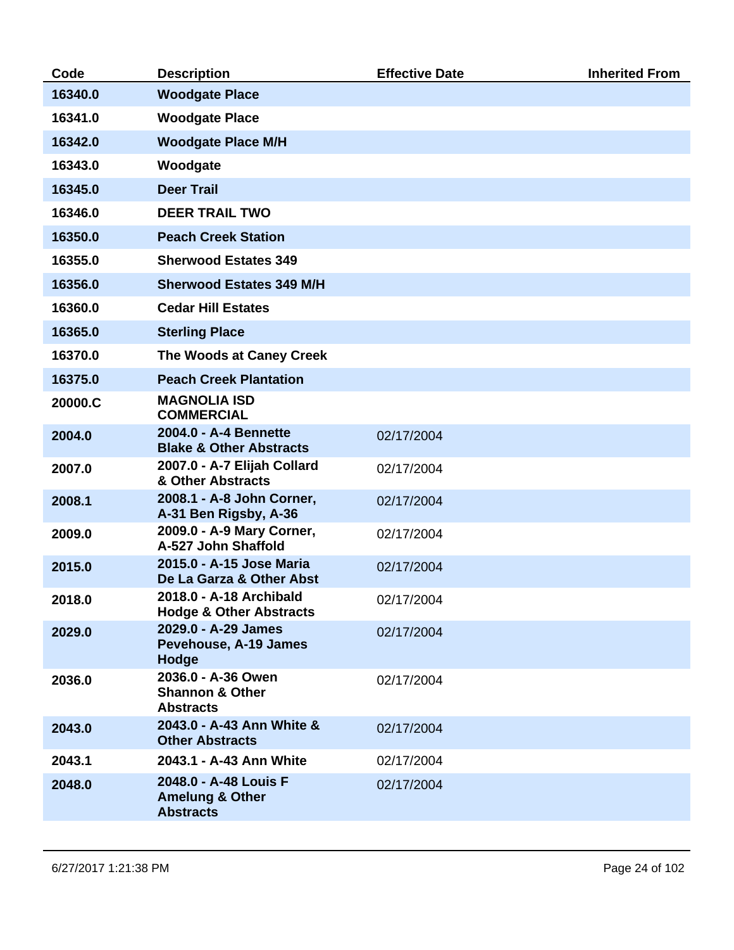| Code    | <b>Description</b>                                                      | <b>Effective Date</b> | <b>Inherited From</b> |
|---------|-------------------------------------------------------------------------|-----------------------|-----------------------|
| 16340.0 | <b>Woodgate Place</b>                                                   |                       |                       |
| 16341.0 | <b>Woodgate Place</b>                                                   |                       |                       |
| 16342.0 | <b>Woodgate Place M/H</b>                                               |                       |                       |
| 16343.0 | Woodgate                                                                |                       |                       |
| 16345.0 | <b>Deer Trail</b>                                                       |                       |                       |
| 16346.0 | <b>DEER TRAIL TWO</b>                                                   |                       |                       |
| 16350.0 | <b>Peach Creek Station</b>                                              |                       |                       |
| 16355.0 | <b>Sherwood Estates 349</b>                                             |                       |                       |
| 16356.0 | <b>Sherwood Estates 349 M/H</b>                                         |                       |                       |
| 16360.0 | <b>Cedar Hill Estates</b>                                               |                       |                       |
| 16365.0 | <b>Sterling Place</b>                                                   |                       |                       |
| 16370.0 | The Woods at Caney Creek                                                |                       |                       |
| 16375.0 | <b>Peach Creek Plantation</b>                                           |                       |                       |
| 20000.C | <b>MAGNOLIA ISD</b><br><b>COMMERCIAL</b>                                |                       |                       |
| 2004.0  | 2004.0 - A-4 Bennette<br><b>Blake &amp; Other Abstracts</b>             | 02/17/2004            |                       |
| 2007.0  | 2007.0 - A-7 Elijah Collard<br>& Other Abstracts                        | 02/17/2004            |                       |
| 2008.1  | 2008.1 - A-8 John Corner,<br>A-31 Ben Rigsby, A-36                      | 02/17/2004            |                       |
| 2009.0  | 2009.0 - A-9 Mary Corner,<br>A-527 John Shaffold                        | 02/17/2004            |                       |
| 2015.0  | 2015.0 - A-15 Jose Maria<br>De La Garza & Other Abst                    | 02/17/2004            |                       |
| 2018.0  | 2018.0 - A-18 Archibald<br><b>Hodge &amp; Other Abstracts</b>           | 02/17/2004            |                       |
| 2029.0  | 2029.0 - A-29 James<br><b>Pevehouse, A-19 James</b><br>Hodge            | 02/17/2004            |                       |
| 2036.0  | 2036.0 - A-36 Owen<br><b>Shannon &amp; Other</b><br><b>Abstracts</b>    | 02/17/2004            |                       |
| 2043.0  | 2043.0 - A-43 Ann White &<br><b>Other Abstracts</b>                     | 02/17/2004            |                       |
| 2043.1  | 2043.1 - A-43 Ann White                                                 | 02/17/2004            |                       |
| 2048.0  | 2048.0 - A-48 Louis F<br><b>Amelung &amp; Other</b><br><b>Abstracts</b> | 02/17/2004            |                       |
|         |                                                                         |                       |                       |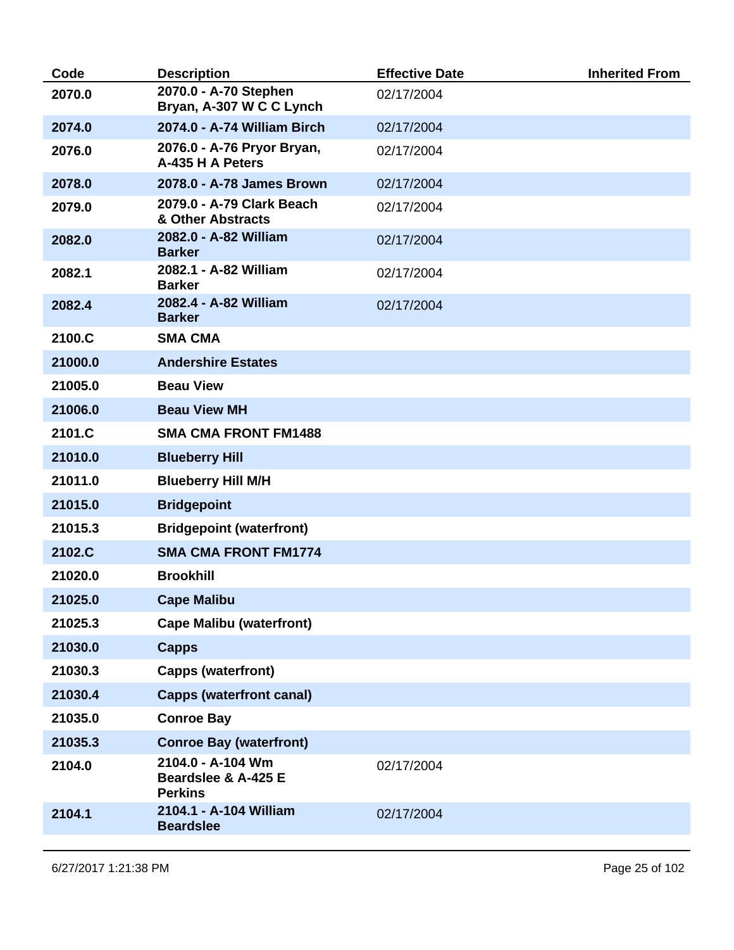| Code    | <b>Description</b>                                         | <b>Effective Date</b> | <b>Inherited From</b> |
|---------|------------------------------------------------------------|-----------------------|-----------------------|
| 2070.0  | 2070.0 - A-70 Stephen<br>Bryan, A-307 W C C Lynch          | 02/17/2004            |                       |
| 2074.0  | 2074.0 - A-74 William Birch                                | 02/17/2004            |                       |
| 2076.0  | 2076.0 - A-76 Pryor Bryan,<br>A-435 H A Peters             | 02/17/2004            |                       |
| 2078.0  | 2078.0 - A-78 James Brown                                  | 02/17/2004            |                       |
| 2079.0  | 2079.0 - A-79 Clark Beach<br>& Other Abstracts             | 02/17/2004            |                       |
| 2082.0  | 2082.0 - A-82 William<br><b>Barker</b>                     | 02/17/2004            |                       |
| 2082.1  | 2082.1 - A-82 William<br><b>Barker</b>                     | 02/17/2004            |                       |
| 2082.4  | 2082.4 - A-82 William<br><b>Barker</b>                     | 02/17/2004            |                       |
| 2100.C  | <b>SMA CMA</b>                                             |                       |                       |
| 21000.0 | <b>Andershire Estates</b>                                  |                       |                       |
| 21005.0 | <b>Beau View</b>                                           |                       |                       |
| 21006.0 | <b>Beau View MH</b>                                        |                       |                       |
| 2101.C  | <b>SMA CMA FRONT FM1488</b>                                |                       |                       |
| 21010.0 | <b>Blueberry Hill</b>                                      |                       |                       |
| 21011.0 | <b>Blueberry Hill M/H</b>                                  |                       |                       |
| 21015.0 | <b>Bridgepoint</b>                                         |                       |                       |
| 21015.3 | <b>Bridgepoint (waterfront)</b>                            |                       |                       |
| 2102.C  | <b>SMA CMA FRONT FM1774</b>                                |                       |                       |
| 21020.0 | <b>Brookhill</b>                                           |                       |                       |
| 21025.0 | <b>Cape Malibu</b>                                         |                       |                       |
| 21025.3 | <b>Cape Malibu (waterfront)</b>                            |                       |                       |
| 21030.0 | <b>Capps</b>                                               |                       |                       |
| 21030.3 | <b>Capps (waterfront)</b>                                  |                       |                       |
| 21030.4 | <b>Capps (waterfront canal)</b>                            |                       |                       |
| 21035.0 | <b>Conroe Bay</b>                                          |                       |                       |
| 21035.3 | <b>Conroe Bay (waterfront)</b>                             |                       |                       |
| 2104.0  | 2104.0 - A-104 Wm<br>Beardslee & A-425 E<br><b>Perkins</b> | 02/17/2004            |                       |
| 2104.1  | 2104.1 - A-104 William<br><b>Beardslee</b>                 | 02/17/2004            |                       |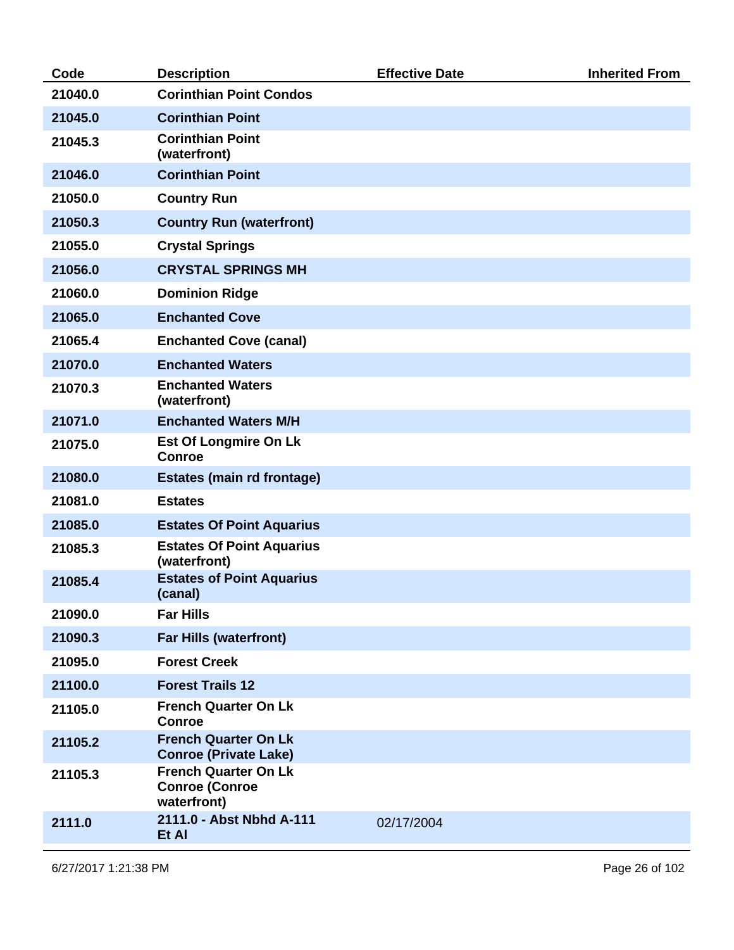| Code    | <b>Description</b>                                                  | <b>Effective Date</b> | <b>Inherited From</b> |
|---------|---------------------------------------------------------------------|-----------------------|-----------------------|
| 21040.0 | <b>Corinthian Point Condos</b>                                      |                       |                       |
| 21045.0 | <b>Corinthian Point</b>                                             |                       |                       |
| 21045.3 | <b>Corinthian Point</b><br>(waterfront)                             |                       |                       |
| 21046.0 | <b>Corinthian Point</b>                                             |                       |                       |
| 21050.0 | <b>Country Run</b>                                                  |                       |                       |
| 21050.3 | <b>Country Run (waterfront)</b>                                     |                       |                       |
| 21055.0 | <b>Crystal Springs</b>                                              |                       |                       |
| 21056.0 | <b>CRYSTAL SPRINGS MH</b>                                           |                       |                       |
| 21060.0 | <b>Dominion Ridge</b>                                               |                       |                       |
| 21065.0 | <b>Enchanted Cove</b>                                               |                       |                       |
| 21065.4 | <b>Enchanted Cove (canal)</b>                                       |                       |                       |
| 21070.0 | <b>Enchanted Waters</b>                                             |                       |                       |
| 21070.3 | <b>Enchanted Waters</b><br>(waterfront)                             |                       |                       |
| 21071.0 | <b>Enchanted Waters M/H</b>                                         |                       |                       |
| 21075.0 | <b>Est Of Longmire On Lk</b><br><b>Conroe</b>                       |                       |                       |
| 21080.0 | <b>Estates (main rd frontage)</b>                                   |                       |                       |
| 21081.0 | <b>Estates</b>                                                      |                       |                       |
| 21085.0 | <b>Estates Of Point Aquarius</b>                                    |                       |                       |
| 21085.3 | <b>Estates Of Point Aquarius</b><br>(waterfront)                    |                       |                       |
| 21085.4 | <b>Estates of Point Aquarius</b><br>(canal)                         |                       |                       |
| 21090.0 | <b>Far Hills</b>                                                    |                       |                       |
| 21090.3 | <b>Far Hills (waterfront)</b>                                       |                       |                       |
| 21095.0 | <b>Forest Creek</b>                                                 |                       |                       |
| 21100.0 | <b>Forest Trails 12</b>                                             |                       |                       |
| 21105.0 | <b>French Quarter On Lk</b><br><b>Conroe</b>                        |                       |                       |
| 21105.2 | <b>French Quarter On Lk</b><br><b>Conroe (Private Lake)</b>         |                       |                       |
| 21105.3 | <b>French Quarter On Lk</b><br><b>Conroe (Conroe</b><br>waterfront) |                       |                       |
| 2111.0  | 2111.0 - Abst Nbhd A-111<br>Et Al                                   | 02/17/2004            |                       |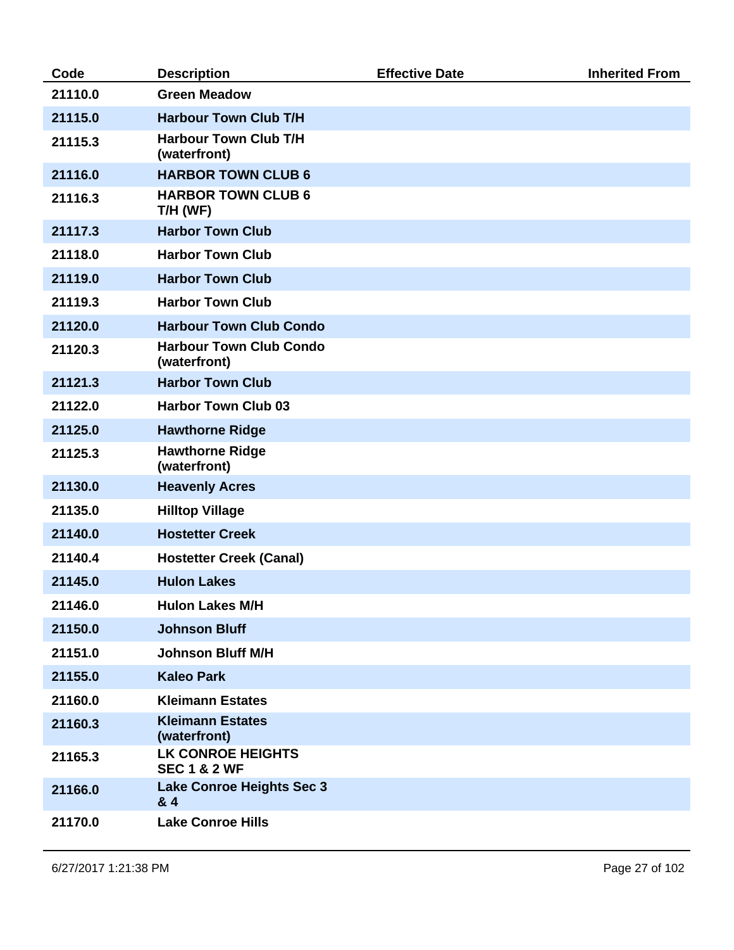| Code    | <b>Description</b>                                  | <b>Effective Date</b> | <b>Inherited From</b> |
|---------|-----------------------------------------------------|-----------------------|-----------------------|
| 21110.0 | <b>Green Meadow</b>                                 |                       |                       |
| 21115.0 | <b>Harbour Town Club T/H</b>                        |                       |                       |
| 21115.3 | <b>Harbour Town Club T/H</b><br>(waterfront)        |                       |                       |
| 21116.0 | <b>HARBOR TOWN CLUB 6</b>                           |                       |                       |
| 21116.3 | <b>HARBOR TOWN CLUB 6</b><br>T/H (WF)               |                       |                       |
| 21117.3 | <b>Harbor Town Club</b>                             |                       |                       |
| 21118.0 | <b>Harbor Town Club</b>                             |                       |                       |
| 21119.0 | <b>Harbor Town Club</b>                             |                       |                       |
| 21119.3 | <b>Harbor Town Club</b>                             |                       |                       |
| 21120.0 | <b>Harbour Town Club Condo</b>                      |                       |                       |
| 21120.3 | <b>Harbour Town Club Condo</b><br>(waterfront)      |                       |                       |
| 21121.3 | <b>Harbor Town Club</b>                             |                       |                       |
| 21122.0 | <b>Harbor Town Club 03</b>                          |                       |                       |
| 21125.0 | <b>Hawthorne Ridge</b>                              |                       |                       |
| 21125.3 | <b>Hawthorne Ridge</b><br>(waterfront)              |                       |                       |
| 21130.0 | <b>Heavenly Acres</b>                               |                       |                       |
| 21135.0 | <b>Hilltop Village</b>                              |                       |                       |
| 21140.0 | <b>Hostetter Creek</b>                              |                       |                       |
| 21140.4 | <b>Hostetter Creek (Canal)</b>                      |                       |                       |
| 21145.0 | <b>Hulon Lakes</b>                                  |                       |                       |
| 21146.0 | <b>Hulon Lakes M/H</b>                              |                       |                       |
| 21150.0 | <b>Johnson Bluff</b>                                |                       |                       |
| 21151.0 | <b>Johnson Bluff M/H</b>                            |                       |                       |
| 21155.0 | <b>Kaleo Park</b>                                   |                       |                       |
| 21160.0 | <b>Kleimann Estates</b>                             |                       |                       |
| 21160.3 | <b>Kleimann Estates</b><br>(waterfront)             |                       |                       |
| 21165.3 | <b>LK CONROE HEIGHTS</b><br><b>SEC 1 &amp; 2 WF</b> |                       |                       |
| 21166.0 | <b>Lake Conroe Heights Sec 3</b><br>& 4             |                       |                       |
| 21170.0 | <b>Lake Conroe Hills</b>                            |                       |                       |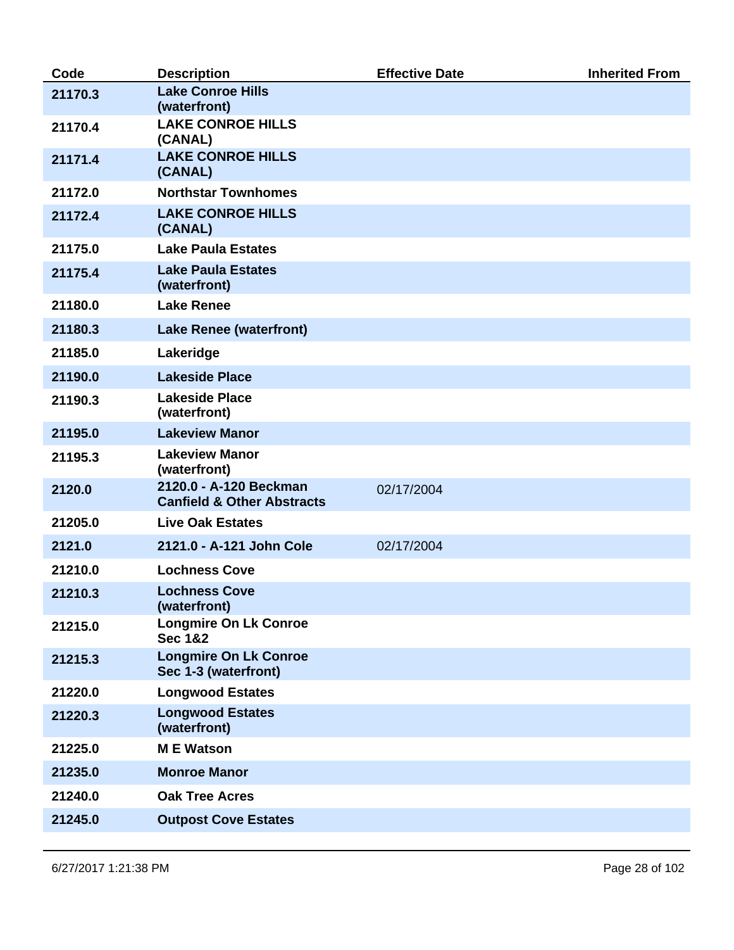| Code    | <b>Description</b>                                              | <b>Effective Date</b> | <b>Inherited From</b> |
|---------|-----------------------------------------------------------------|-----------------------|-----------------------|
| 21170.3 | <b>Lake Conroe Hills</b><br>(waterfront)                        |                       |                       |
| 21170.4 | <b>LAKE CONROE HILLS</b><br>(CANAL)                             |                       |                       |
| 21171.4 | <b>LAKE CONROE HILLS</b><br>(CANAL)                             |                       |                       |
| 21172.0 | <b>Northstar Townhomes</b>                                      |                       |                       |
| 21172.4 | <b>LAKE CONROE HILLS</b><br>(CANAL)                             |                       |                       |
| 21175.0 | <b>Lake Paula Estates</b>                                       |                       |                       |
| 21175.4 | <b>Lake Paula Estates</b><br>(waterfront)                       |                       |                       |
| 21180.0 | <b>Lake Renee</b>                                               |                       |                       |
| 21180.3 | <b>Lake Renee (waterfront)</b>                                  |                       |                       |
| 21185.0 | Lakeridge                                                       |                       |                       |
| 21190.0 | <b>Lakeside Place</b>                                           |                       |                       |
| 21190.3 | <b>Lakeside Place</b><br>(waterfront)                           |                       |                       |
| 21195.0 | <b>Lakeview Manor</b>                                           |                       |                       |
| 21195.3 | <b>Lakeview Manor</b><br>(waterfront)                           |                       |                       |
| 2120.0  | 2120.0 - A-120 Beckman<br><b>Canfield &amp; Other Abstracts</b> | 02/17/2004            |                       |
| 21205.0 | <b>Live Oak Estates</b>                                         |                       |                       |
| 2121.0  | 2121.0 - A-121 John Cole                                        | 02/17/2004            |                       |
| 21210.0 | <b>Lochness Cove</b>                                            |                       |                       |
| 21210.3 | <b>Lochness Cove</b><br>(waterfront)                            |                       |                       |
| 21215.0 | <b>Longmire On Lk Conroe</b><br><b>Sec 1&amp;2</b>              |                       |                       |
| 21215.3 | <b>Longmire On Lk Conroe</b><br>Sec 1-3 (waterfront)            |                       |                       |
| 21220.0 | <b>Longwood Estates</b>                                         |                       |                       |
| 21220.3 | <b>Longwood Estates</b><br>(waterfront)                         |                       |                       |
| 21225.0 | <b>ME</b> Watson                                                |                       |                       |
| 21235.0 | <b>Monroe Manor</b>                                             |                       |                       |
| 21240.0 | <b>Oak Tree Acres</b>                                           |                       |                       |
| 21245.0 | <b>Outpost Cove Estates</b>                                     |                       |                       |
|         |                                                                 |                       |                       |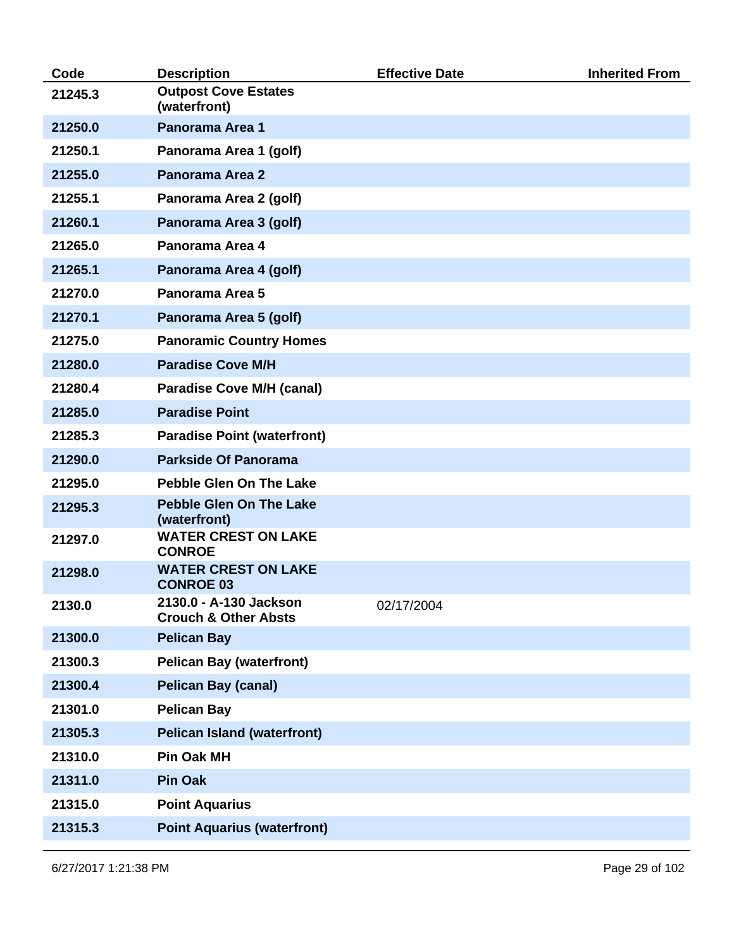| Code    | <b>Description</b>                                        | <b>Effective Date</b> | <b>Inherited From</b> |
|---------|-----------------------------------------------------------|-----------------------|-----------------------|
| 21245.3 | <b>Outpost Cove Estates</b><br>(waterfront)               |                       |                       |
| 21250.0 | <b>Panorama Area 1</b>                                    |                       |                       |
| 21250.1 | Panorama Area 1 (golf)                                    |                       |                       |
| 21255.0 | <b>Panorama Area 2</b>                                    |                       |                       |
| 21255.1 | Panorama Area 2 (golf)                                    |                       |                       |
| 21260.1 | Panorama Area 3 (golf)                                    |                       |                       |
| 21265.0 | Panorama Area 4                                           |                       |                       |
| 21265.1 | Panorama Area 4 (golf)                                    |                       |                       |
| 21270.0 | Panorama Area 5                                           |                       |                       |
| 21270.1 | Panorama Area 5 (golf)                                    |                       |                       |
| 21275.0 | <b>Panoramic Country Homes</b>                            |                       |                       |
| 21280.0 | <b>Paradise Cove M/H</b>                                  |                       |                       |
| 21280.4 | <b>Paradise Cove M/H (canal)</b>                          |                       |                       |
| 21285.0 | <b>Paradise Point</b>                                     |                       |                       |
| 21285.3 | <b>Paradise Point (waterfront)</b>                        |                       |                       |
| 21290.0 | <b>Parkside Of Panorama</b>                               |                       |                       |
| 21295.0 | <b>Pebble Glen On The Lake</b>                            |                       |                       |
| 21295.3 | <b>Pebble Glen On The Lake</b><br>(waterfront)            |                       |                       |
| 21297.0 | <b>WATER CREST ON LAKE</b><br><b>CONROE</b>               |                       |                       |
| 21298.0 | <b>WATER CREST ON LAKE</b><br><b>CONROE 03</b>            |                       |                       |
| 2130.0  | 2130.0 - A-130 Jackson<br><b>Crouch &amp; Other Absts</b> | 02/17/2004            |                       |
| 21300.0 | <b>Pelican Bay</b>                                        |                       |                       |
| 21300.3 | <b>Pelican Bay (waterfront)</b>                           |                       |                       |
| 21300.4 | <b>Pelican Bay (canal)</b>                                |                       |                       |
| 21301.0 | <b>Pelican Bay</b>                                        |                       |                       |
| 21305.3 | <b>Pelican Island (waterfront)</b>                        |                       |                       |
| 21310.0 | <b>Pin Oak MH</b>                                         |                       |                       |
| 21311.0 | <b>Pin Oak</b>                                            |                       |                       |
| 21315.0 | <b>Point Aquarius</b>                                     |                       |                       |
| 21315.3 | <b>Point Aquarius (waterfront)</b>                        |                       |                       |
|         |                                                           |                       |                       |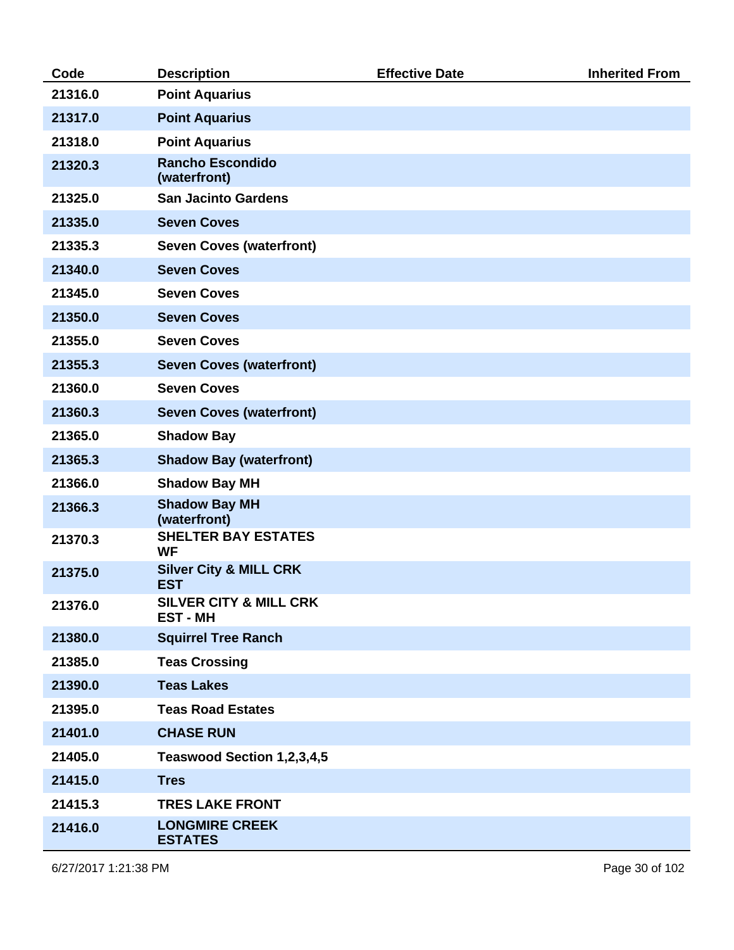| Code    | <b>Description</b>                                 | <b>Effective Date</b> | <b>Inherited From</b> |
|---------|----------------------------------------------------|-----------------------|-----------------------|
| 21316.0 | <b>Point Aquarius</b>                              |                       |                       |
| 21317.0 | <b>Point Aquarius</b>                              |                       |                       |
| 21318.0 | <b>Point Aquarius</b>                              |                       |                       |
| 21320.3 | <b>Rancho Escondido</b><br>(waterfront)            |                       |                       |
| 21325.0 | <b>San Jacinto Gardens</b>                         |                       |                       |
| 21335.0 | <b>Seven Coves</b>                                 |                       |                       |
| 21335.3 | <b>Seven Coves (waterfront)</b>                    |                       |                       |
| 21340.0 | <b>Seven Coves</b>                                 |                       |                       |
| 21345.0 | <b>Seven Coves</b>                                 |                       |                       |
| 21350.0 | <b>Seven Coves</b>                                 |                       |                       |
| 21355.0 | <b>Seven Coves</b>                                 |                       |                       |
| 21355.3 | <b>Seven Coves (waterfront)</b>                    |                       |                       |
| 21360.0 | <b>Seven Coves</b>                                 |                       |                       |
| 21360.3 | <b>Seven Coves (waterfront)</b>                    |                       |                       |
| 21365.0 | <b>Shadow Bay</b>                                  |                       |                       |
| 21365.3 | <b>Shadow Bay (waterfront)</b>                     |                       |                       |
| 21366.0 | <b>Shadow Bay MH</b>                               |                       |                       |
| 21366.3 | <b>Shadow Bay MH</b><br>(waterfront)               |                       |                       |
| 21370.3 | <b>SHELTER BAY ESTATES</b><br><b>WF</b>            |                       |                       |
| 21375.0 | <b>Silver City &amp; MILL CRK</b><br><b>EST</b>    |                       |                       |
| 21376.0 | <b>SILVER CITY &amp; MILL CRK</b><br><b>EST-MH</b> |                       |                       |
| 21380.0 | <b>Squirrel Tree Ranch</b>                         |                       |                       |
| 21385.0 | <b>Teas Crossing</b>                               |                       |                       |
| 21390.0 | <b>Teas Lakes</b>                                  |                       |                       |
| 21395.0 | <b>Teas Road Estates</b>                           |                       |                       |
| 21401.0 | <b>CHASE RUN</b>                                   |                       |                       |
| 21405.0 | Teaswood Section 1,2,3,4,5                         |                       |                       |
| 21415.0 | <b>Tres</b>                                        |                       |                       |
| 21415.3 | <b>TRES LAKE FRONT</b>                             |                       |                       |
| 21416.0 | <b>LONGMIRE CREEK</b><br><b>ESTATES</b>            |                       |                       |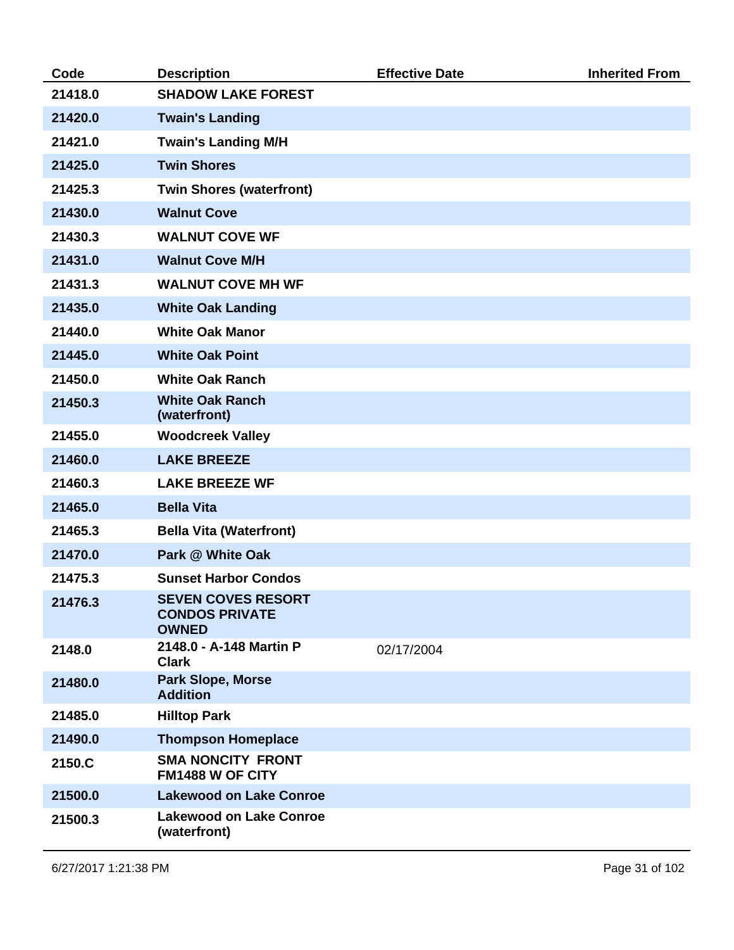| Code    | <b>Description</b>                                                 | <b>Effective Date</b> | <b>Inherited From</b> |
|---------|--------------------------------------------------------------------|-----------------------|-----------------------|
| 21418.0 | <b>SHADOW LAKE FOREST</b>                                          |                       |                       |
| 21420.0 | <b>Twain's Landing</b>                                             |                       |                       |
| 21421.0 | <b>Twain's Landing M/H</b>                                         |                       |                       |
| 21425.0 | <b>Twin Shores</b>                                                 |                       |                       |
| 21425.3 | <b>Twin Shores (waterfront)</b>                                    |                       |                       |
| 21430.0 | <b>Walnut Cove</b>                                                 |                       |                       |
| 21430.3 | <b>WALNUT COVE WF</b>                                              |                       |                       |
| 21431.0 | <b>Walnut Cove M/H</b>                                             |                       |                       |
| 21431.3 | <b>WALNUT COVE MH WF</b>                                           |                       |                       |
| 21435.0 | <b>White Oak Landing</b>                                           |                       |                       |
| 21440.0 | <b>White Oak Manor</b>                                             |                       |                       |
| 21445.0 | <b>White Oak Point</b>                                             |                       |                       |
| 21450.0 | <b>White Oak Ranch</b>                                             |                       |                       |
| 21450.3 | <b>White Oak Ranch</b><br>(waterfront)                             |                       |                       |
| 21455.0 | <b>Woodcreek Valley</b>                                            |                       |                       |
| 21460.0 | <b>LAKE BREEZE</b>                                                 |                       |                       |
| 21460.3 | <b>LAKE BREEZE WF</b>                                              |                       |                       |
| 21465.0 | <b>Bella Vita</b>                                                  |                       |                       |
| 21465.3 | <b>Bella Vita (Waterfront)</b>                                     |                       |                       |
| 21470.0 | Park @ White Oak                                                   |                       |                       |
| 21475.3 | <b>Sunset Harbor Condos</b>                                        |                       |                       |
| 21476.3 | <b>SEVEN COVES RESORT</b><br><b>CONDOS PRIVATE</b><br><b>OWNED</b> |                       |                       |
| 2148.0  | 2148.0 - A-148 Martin P<br><b>Clark</b>                            | 02/17/2004            |                       |
| 21480.0 | <b>Park Slope, Morse</b><br><b>Addition</b>                        |                       |                       |
| 21485.0 | <b>Hilltop Park</b>                                                |                       |                       |
| 21490.0 | <b>Thompson Homeplace</b>                                          |                       |                       |
| 2150.C  | <b>SMA NONCITY FRONT</b><br>FM1488 W OF CITY                       |                       |                       |
| 21500.0 | <b>Lakewood on Lake Conroe</b>                                     |                       |                       |
| 21500.3 | <b>Lakewood on Lake Conroe</b><br>(waterfront)                     |                       |                       |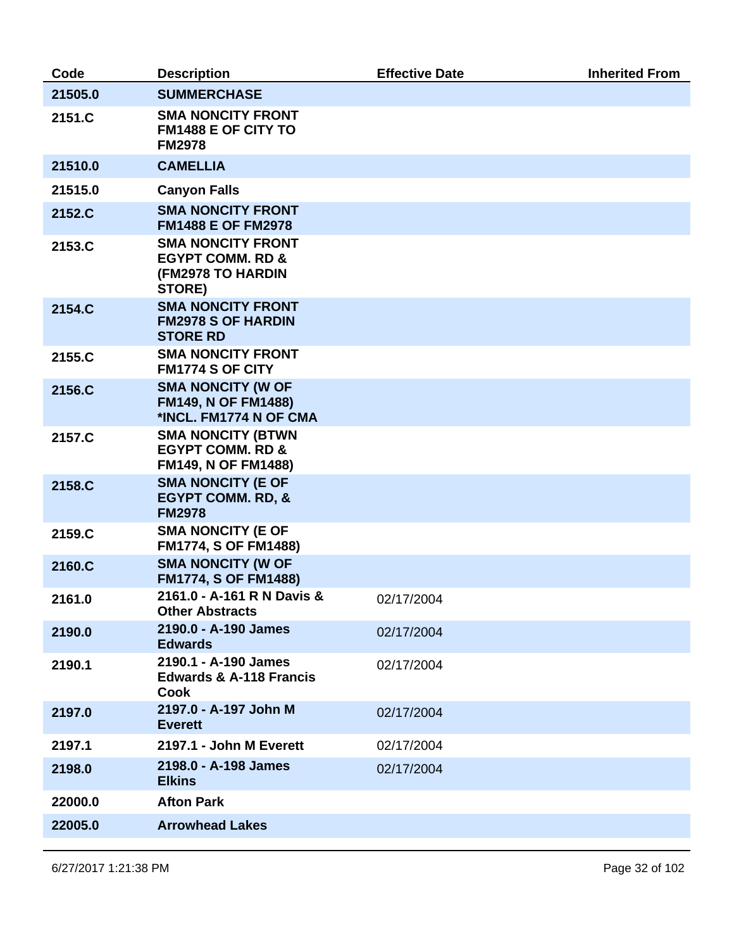| Code    | <b>Description</b>                                                                            | <b>Effective Date</b> | <b>Inherited From</b> |
|---------|-----------------------------------------------------------------------------------------------|-----------------------|-----------------------|
| 21505.0 | <b>SUMMERCHASE</b>                                                                            |                       |                       |
| 2151.C  | <b>SMA NONCITY FRONT</b><br><b>FM1488 E OF CITY TO</b><br><b>FM2978</b>                       |                       |                       |
| 21510.0 | <b>CAMELLIA</b>                                                                               |                       |                       |
| 21515.0 | <b>Canyon Falls</b>                                                                           |                       |                       |
| 2152.C  | <b>SMA NONCITY FRONT</b><br><b>FM1488 E OF FM2978</b>                                         |                       |                       |
| 2153.C  | <b>SMA NONCITY FRONT</b><br><b>EGYPT COMM. RD &amp;</b><br><b>(FM2978 TO HARDIN</b><br>STORE) |                       |                       |
| 2154.C  | <b>SMA NONCITY FRONT</b><br><b>FM2978 S OF HARDIN</b><br><b>STORE RD</b>                      |                       |                       |
| 2155.C  | <b>SMA NONCITY FRONT</b><br><b>FM1774 S OF CITY</b>                                           |                       |                       |
| 2156.C  | <b>SMA NONCITY (W OF</b><br><b>FM149, N OF FM1488)</b><br>*INCL. FM1774 N OF CMA              |                       |                       |
| 2157.C  | <b>SMA NONCITY (BTWN</b><br><b>EGYPT COMM. RD &amp;</b><br><b>FM149, N OF FM1488)</b>         |                       |                       |
| 2158.C  | <b>SMA NONCITY (E OF</b><br><b>EGYPT COMM. RD, &amp;</b><br><b>FM2978</b>                     |                       |                       |
| 2159.C  | <b>SMA NONCITY (E OF</b><br><b>FM1774, S OF FM1488)</b>                                       |                       |                       |
| 2160.C  | <b>SMA NONCITY (W OF</b><br><b>FM1774, S OF FM1488)</b>                                       |                       |                       |
| 2161.0  | 2161.0 - A-161 R N Davis &<br><b>Other Abstracts</b>                                          | 02/17/2004            |                       |
| 2190.0  | 2190.0 - A-190 James<br><b>Edwards</b>                                                        | 02/17/2004            |                       |
| 2190.1  | 2190.1 - A-190 James<br><b>Edwards &amp; A-118 Francis</b><br>Cook                            | 02/17/2004            |                       |
| 2197.0  | 2197.0 - A-197 John M<br><b>Everett</b>                                                       | 02/17/2004            |                       |
| 2197.1  | 2197.1 - John M Everett                                                                       | 02/17/2004            |                       |
| 2198.0  | 2198.0 - A-198 James<br><b>Elkins</b>                                                         | 02/17/2004            |                       |
| 22000.0 | <b>Afton Park</b>                                                                             |                       |                       |
| 22005.0 | <b>Arrowhead Lakes</b>                                                                        |                       |                       |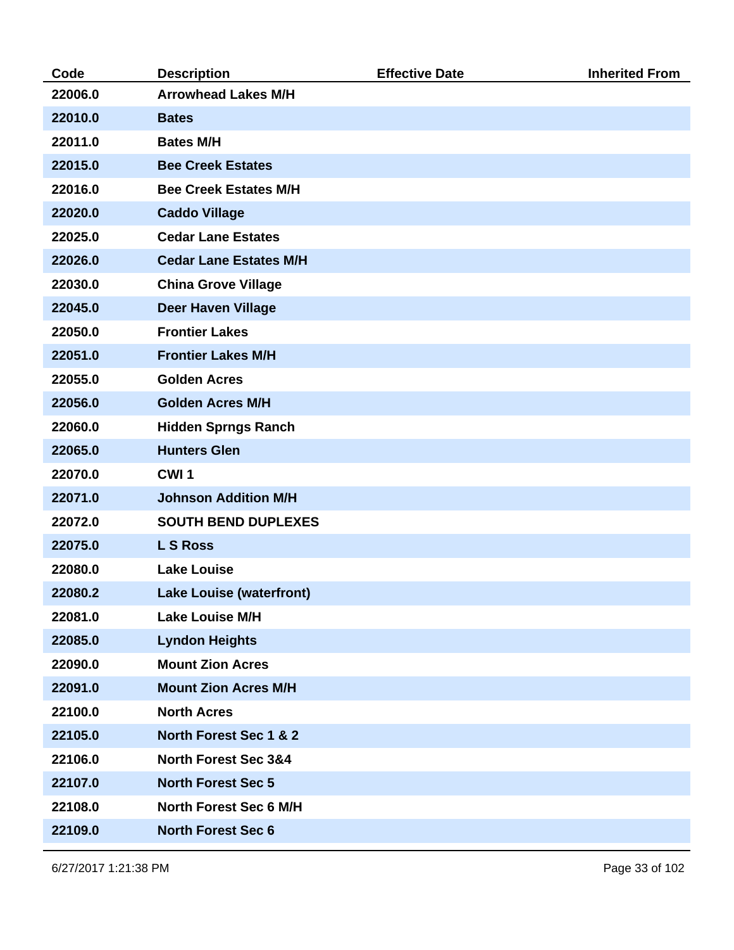| Code    | <b>Description</b>              | <b>Effective Date</b> | <b>Inherited From</b> |
|---------|---------------------------------|-----------------------|-----------------------|
| 22006.0 | <b>Arrowhead Lakes M/H</b>      |                       |                       |
| 22010.0 | <b>Bates</b>                    |                       |                       |
| 22011.0 | <b>Bates M/H</b>                |                       |                       |
| 22015.0 | <b>Bee Creek Estates</b>        |                       |                       |
| 22016.0 | <b>Bee Creek Estates M/H</b>    |                       |                       |
| 22020.0 | <b>Caddo Village</b>            |                       |                       |
| 22025.0 | <b>Cedar Lane Estates</b>       |                       |                       |
| 22026.0 | <b>Cedar Lane Estates M/H</b>   |                       |                       |
| 22030.0 | <b>China Grove Village</b>      |                       |                       |
| 22045.0 | <b>Deer Haven Village</b>       |                       |                       |
| 22050.0 | <b>Frontier Lakes</b>           |                       |                       |
| 22051.0 | <b>Frontier Lakes M/H</b>       |                       |                       |
| 22055.0 | <b>Golden Acres</b>             |                       |                       |
| 22056.0 | <b>Golden Acres M/H</b>         |                       |                       |
| 22060.0 | <b>Hidden Sprngs Ranch</b>      |                       |                       |
| 22065.0 | <b>Hunters Glen</b>             |                       |                       |
| 22070.0 | CWI <sub>1</sub>                |                       |                       |
| 22071.0 | <b>Johnson Addition M/H</b>     |                       |                       |
| 22072.0 | <b>SOUTH BEND DUPLEXES</b>      |                       |                       |
| 22075.0 | <b>LS Ross</b>                  |                       |                       |
| 22080.0 | <b>Lake Louise</b>              |                       |                       |
| 22080.2 | <b>Lake Louise (waterfront)</b> |                       |                       |
| 22081.0 | <b>Lake Louise M/H</b>          |                       |                       |
| 22085.0 | <b>Lyndon Heights</b>           |                       |                       |
| 22090.0 | <b>Mount Zion Acres</b>         |                       |                       |
| 22091.0 | <b>Mount Zion Acres M/H</b>     |                       |                       |
| 22100.0 | <b>North Acres</b>              |                       |                       |
| 22105.0 | North Forest Sec 1 & 2          |                       |                       |
| 22106.0 | <b>North Forest Sec 3&amp;4</b> |                       |                       |
| 22107.0 | <b>North Forest Sec 5</b>       |                       |                       |
| 22108.0 | <b>North Forest Sec 6 M/H</b>   |                       |                       |
| 22109.0 | <b>North Forest Sec 6</b>       |                       |                       |

6/27/2017 1:21:38 PM Page 33 of 102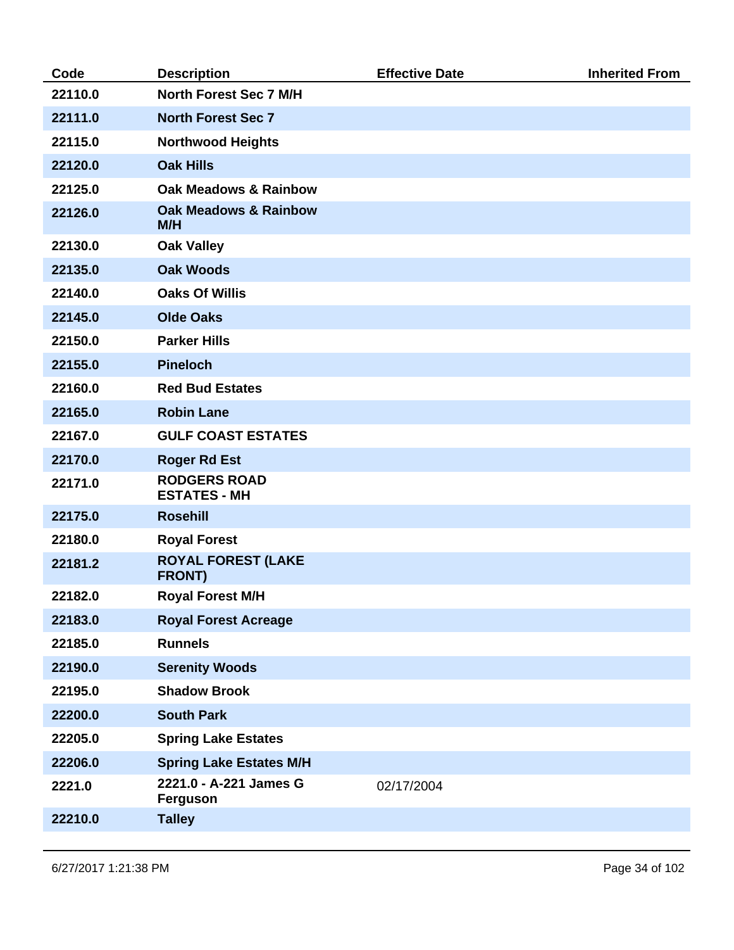| Code    | <b>Description</b>                         | <b>Effective Date</b> | <b>Inherited From</b> |
|---------|--------------------------------------------|-----------------------|-----------------------|
| 22110.0 | North Forest Sec 7 M/H                     |                       |                       |
| 22111.0 | <b>North Forest Sec 7</b>                  |                       |                       |
| 22115.0 | <b>Northwood Heights</b>                   |                       |                       |
| 22120.0 | <b>Oak Hills</b>                           |                       |                       |
| 22125.0 | <b>Oak Meadows &amp; Rainbow</b>           |                       |                       |
| 22126.0 | <b>Oak Meadows &amp; Rainbow</b><br>M/H    |                       |                       |
| 22130.0 | <b>Oak Valley</b>                          |                       |                       |
| 22135.0 | <b>Oak Woods</b>                           |                       |                       |
| 22140.0 | <b>Oaks Of Willis</b>                      |                       |                       |
| 22145.0 | <b>Olde Oaks</b>                           |                       |                       |
| 22150.0 | <b>Parker Hills</b>                        |                       |                       |
| 22155.0 | <b>Pineloch</b>                            |                       |                       |
| 22160.0 | <b>Red Bud Estates</b>                     |                       |                       |
| 22165.0 | <b>Robin Lane</b>                          |                       |                       |
| 22167.0 | <b>GULF COAST ESTATES</b>                  |                       |                       |
| 22170.0 | <b>Roger Rd Est</b>                        |                       |                       |
| 22171.0 | <b>RODGERS ROAD</b><br><b>ESTATES - MH</b> |                       |                       |
| 22175.0 | <b>Rosehill</b>                            |                       |                       |
| 22180.0 | <b>Royal Forest</b>                        |                       |                       |
| 22181.2 | <b>ROYAL FOREST (LAKE</b><br><b>FRONT)</b> |                       |                       |
| 22182.0 | <b>Royal Forest M/H</b>                    |                       |                       |
| 22183.0 | <b>Royal Forest Acreage</b>                |                       |                       |
| 22185.0 | <b>Runnels</b>                             |                       |                       |
| 22190.0 | <b>Serenity Woods</b>                      |                       |                       |
| 22195.0 | <b>Shadow Brook</b>                        |                       |                       |
| 22200.0 | <b>South Park</b>                          |                       |                       |
| 22205.0 | <b>Spring Lake Estates</b>                 |                       |                       |
| 22206.0 | <b>Spring Lake Estates M/H</b>             |                       |                       |
| 2221.0  | 2221.0 - A-221 James G<br><b>Ferguson</b>  | 02/17/2004            |                       |
| 22210.0 | <b>Talley</b>                              |                       |                       |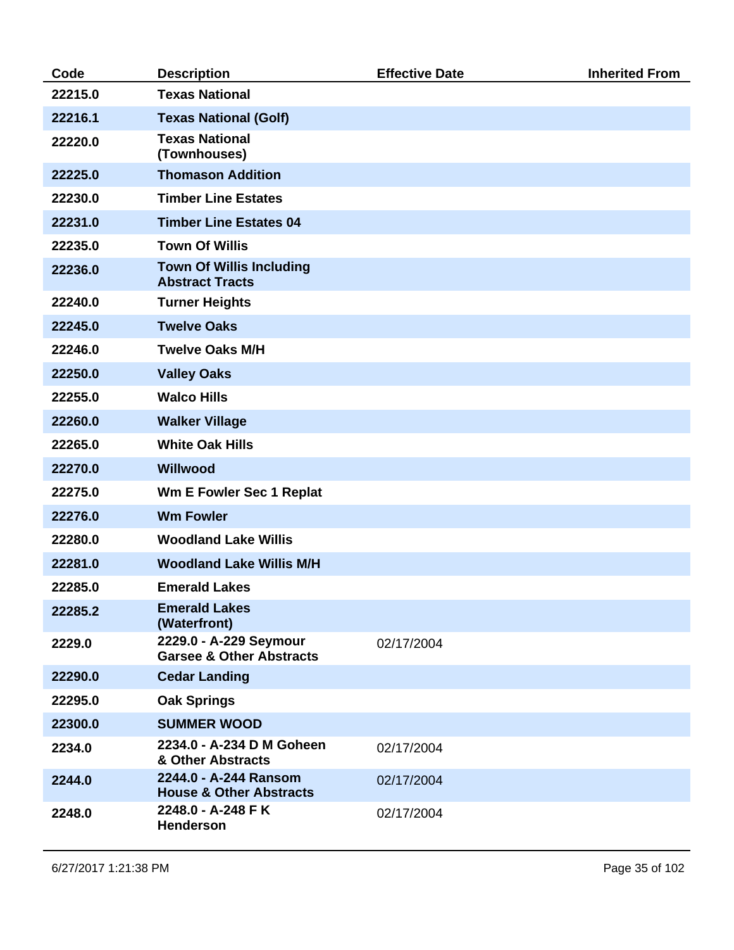| Code    | <b>Description</b>                                            | <b>Effective Date</b> | <b>Inherited From</b> |
|---------|---------------------------------------------------------------|-----------------------|-----------------------|
| 22215.0 | <b>Texas National</b>                                         |                       |                       |
| 22216.1 | <b>Texas National (Golf)</b>                                  |                       |                       |
| 22220.0 | <b>Texas National</b><br>(Townhouses)                         |                       |                       |
| 22225.0 | <b>Thomason Addition</b>                                      |                       |                       |
| 22230.0 | <b>Timber Line Estates</b>                                    |                       |                       |
| 22231.0 | <b>Timber Line Estates 04</b>                                 |                       |                       |
| 22235.0 | <b>Town Of Willis</b>                                         |                       |                       |
| 22236.0 | <b>Town Of Willis Including</b><br><b>Abstract Tracts</b>     |                       |                       |
| 22240.0 | <b>Turner Heights</b>                                         |                       |                       |
| 22245.0 | <b>Twelve Oaks</b>                                            |                       |                       |
| 22246.0 | <b>Twelve Oaks M/H</b>                                        |                       |                       |
| 22250.0 | <b>Valley Oaks</b>                                            |                       |                       |
| 22255.0 | <b>Walco Hills</b>                                            |                       |                       |
| 22260.0 | <b>Walker Village</b>                                         |                       |                       |
| 22265.0 | <b>White Oak Hills</b>                                        |                       |                       |
| 22270.0 | Willwood                                                      |                       |                       |
| 22275.0 | <b>Wm E Fowler Sec 1 Replat</b>                               |                       |                       |
| 22276.0 | <b>Wm Fowler</b>                                              |                       |                       |
| 22280.0 | <b>Woodland Lake Willis</b>                                   |                       |                       |
| 22281.0 | <b>Woodland Lake Willis M/H</b>                               |                       |                       |
| 22285.0 | <b>Emerald Lakes</b>                                          |                       |                       |
| 22285.2 | <b>Emerald Lakes</b><br>(Waterfront)                          |                       |                       |
| 2229.0  | 2229.0 - A-229 Seymour<br><b>Garsee &amp; Other Abstracts</b> | 02/17/2004            |                       |
| 22290.0 | <b>Cedar Landing</b>                                          |                       |                       |
| 22295.0 | <b>Oak Springs</b>                                            |                       |                       |
| 22300.0 | <b>SUMMER WOOD</b>                                            |                       |                       |
| 2234.0  | 2234.0 - A-234 D M Goheen<br>& Other Abstracts                | 02/17/2004            |                       |
| 2244.0  | 2244.0 - A-244 Ransom<br><b>House &amp; Other Abstracts</b>   | 02/17/2004            |                       |
| 2248.0  | 2248.0 - A-248 F K<br><b>Henderson</b>                        | 02/17/2004            |                       |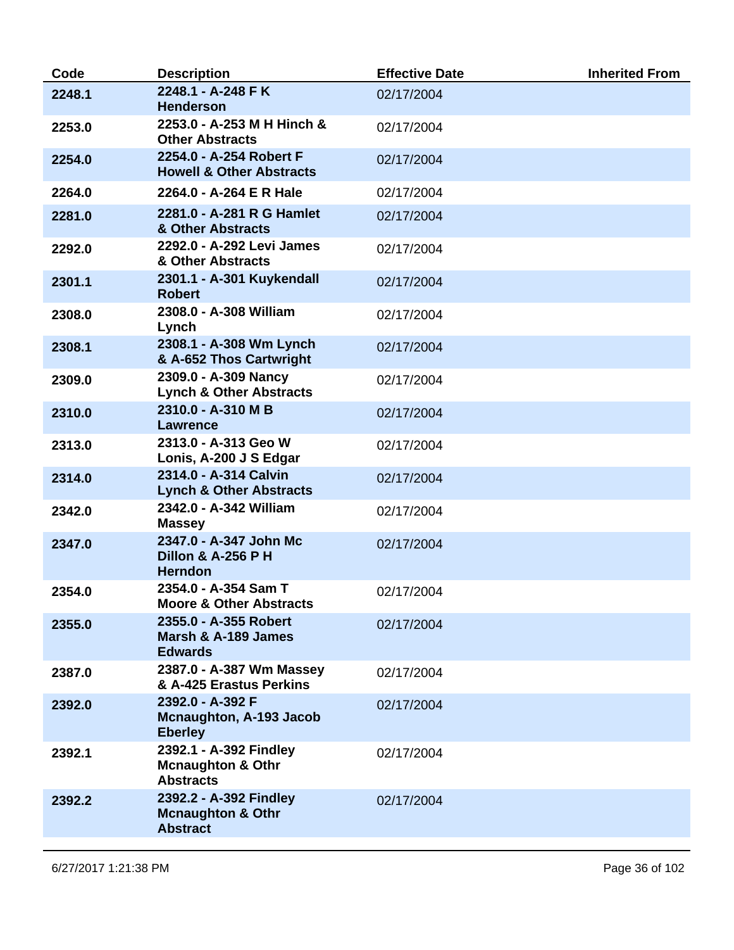| 2248.1 - A-248 F K<br>2248.1<br>02/17/2004<br><b>Henderson</b><br>2253.0 - A-253 M H Hinch &<br>2253.0<br>02/17/2004<br><b>Other Abstracts</b><br>2254.0 - A-254 Robert F<br>2254.0<br>02/17/2004<br><b>Howell &amp; Other Abstracts</b><br>2264.0<br>2264.0 - A-264 E R Hale<br>02/17/2004<br>2281.0 - A-281 R G Hamlet<br>2281.0<br>02/17/2004<br>& Other Abstracts<br>2292.0 - A-292 Levi James<br>2292.0<br>02/17/2004<br>& Other Abstracts<br>2301.1 - A-301 Kuykendall<br>2301.1<br>02/17/2004<br><b>Robert</b><br>2308.0 - A-308 William<br>2308.0<br>02/17/2004<br>Lynch<br>2308.1 - A-308 Wm Lynch<br>2308.1<br>02/17/2004<br>& A-652 Thos Cartwright<br>2309.0 - A-309 Nancy<br>2309.0<br>02/17/2004<br><b>Lynch &amp; Other Abstracts</b><br>2310.0 - A-310 M B<br>2310.0<br>02/17/2004<br>Lawrence<br>2313.0 - A-313 Geo W<br>2313.0<br>02/17/2004<br>Lonis, A-200 J S Edgar<br>2314.0 - A-314 Calvin<br>2314.0<br>02/17/2004<br><b>Lynch &amp; Other Abstracts</b><br>2342.0 - A-342 William<br>2342.0<br>02/17/2004<br><b>Massey</b><br>2347.0 - A-347 John Mc<br>2347.0<br>02/17/2004<br><b>Dillon &amp; A-256 P H</b><br><b>Herndon</b><br>2354.0 - A-354 Sam T<br>2354.0<br>02/17/2004<br><b>Moore &amp; Other Abstracts</b><br>2355.0 - A-355 Robert<br>2355.0<br>02/17/2004<br>Marsh & A-189 James<br><b>Edwards</b><br>2387.0 - A-387 Wm Massey<br>2387.0<br>02/17/2004<br>& A-425 Erastus Perkins<br>2392.0 - A-392 F<br>2392.0<br>02/17/2004<br>Mcnaughton, A-193 Jacob<br><b>Eberley</b><br>2392.1 - A-392 Findley<br>2392.1<br>02/17/2004<br><b>Mcnaughton &amp; Othr</b><br><b>Abstracts</b><br>2392.2 - A-392 Findley<br>2392.2<br>02/17/2004<br><b>Mcnaughton &amp; Othr</b><br><b>Abstract</b> | Code | <b>Description</b> | <b>Effective Date</b> | <b>Inherited From</b> |
|----------------------------------------------------------------------------------------------------------------------------------------------------------------------------------------------------------------------------------------------------------------------------------------------------------------------------------------------------------------------------------------------------------------------------------------------------------------------------------------------------------------------------------------------------------------------------------------------------------------------------------------------------------------------------------------------------------------------------------------------------------------------------------------------------------------------------------------------------------------------------------------------------------------------------------------------------------------------------------------------------------------------------------------------------------------------------------------------------------------------------------------------------------------------------------------------------------------------------------------------------------------------------------------------------------------------------------------------------------------------------------------------------------------------------------------------------------------------------------------------------------------------------------------------------------------------------------------------------------------------------------------------------------------------------------------------------------------------------|------|--------------------|-----------------------|-----------------------|
|                                                                                                                                                                                                                                                                                                                                                                                                                                                                                                                                                                                                                                                                                                                                                                                                                                                                                                                                                                                                                                                                                                                                                                                                                                                                                                                                                                                                                                                                                                                                                                                                                                                                                                                            |      |                    |                       |                       |
|                                                                                                                                                                                                                                                                                                                                                                                                                                                                                                                                                                                                                                                                                                                                                                                                                                                                                                                                                                                                                                                                                                                                                                                                                                                                                                                                                                                                                                                                                                                                                                                                                                                                                                                            |      |                    |                       |                       |
|                                                                                                                                                                                                                                                                                                                                                                                                                                                                                                                                                                                                                                                                                                                                                                                                                                                                                                                                                                                                                                                                                                                                                                                                                                                                                                                                                                                                                                                                                                                                                                                                                                                                                                                            |      |                    |                       |                       |
|                                                                                                                                                                                                                                                                                                                                                                                                                                                                                                                                                                                                                                                                                                                                                                                                                                                                                                                                                                                                                                                                                                                                                                                                                                                                                                                                                                                                                                                                                                                                                                                                                                                                                                                            |      |                    |                       |                       |
|                                                                                                                                                                                                                                                                                                                                                                                                                                                                                                                                                                                                                                                                                                                                                                                                                                                                                                                                                                                                                                                                                                                                                                                                                                                                                                                                                                                                                                                                                                                                                                                                                                                                                                                            |      |                    |                       |                       |
|                                                                                                                                                                                                                                                                                                                                                                                                                                                                                                                                                                                                                                                                                                                                                                                                                                                                                                                                                                                                                                                                                                                                                                                                                                                                                                                                                                                                                                                                                                                                                                                                                                                                                                                            |      |                    |                       |                       |
|                                                                                                                                                                                                                                                                                                                                                                                                                                                                                                                                                                                                                                                                                                                                                                                                                                                                                                                                                                                                                                                                                                                                                                                                                                                                                                                                                                                                                                                                                                                                                                                                                                                                                                                            |      |                    |                       |                       |
|                                                                                                                                                                                                                                                                                                                                                                                                                                                                                                                                                                                                                                                                                                                                                                                                                                                                                                                                                                                                                                                                                                                                                                                                                                                                                                                                                                                                                                                                                                                                                                                                                                                                                                                            |      |                    |                       |                       |
|                                                                                                                                                                                                                                                                                                                                                                                                                                                                                                                                                                                                                                                                                                                                                                                                                                                                                                                                                                                                                                                                                                                                                                                                                                                                                                                                                                                                                                                                                                                                                                                                                                                                                                                            |      |                    |                       |                       |
|                                                                                                                                                                                                                                                                                                                                                                                                                                                                                                                                                                                                                                                                                                                                                                                                                                                                                                                                                                                                                                                                                                                                                                                                                                                                                                                                                                                                                                                                                                                                                                                                                                                                                                                            |      |                    |                       |                       |
|                                                                                                                                                                                                                                                                                                                                                                                                                                                                                                                                                                                                                                                                                                                                                                                                                                                                                                                                                                                                                                                                                                                                                                                                                                                                                                                                                                                                                                                                                                                                                                                                                                                                                                                            |      |                    |                       |                       |
|                                                                                                                                                                                                                                                                                                                                                                                                                                                                                                                                                                                                                                                                                                                                                                                                                                                                                                                                                                                                                                                                                                                                                                                                                                                                                                                                                                                                                                                                                                                                                                                                                                                                                                                            |      |                    |                       |                       |
|                                                                                                                                                                                                                                                                                                                                                                                                                                                                                                                                                                                                                                                                                                                                                                                                                                                                                                                                                                                                                                                                                                                                                                                                                                                                                                                                                                                                                                                                                                                                                                                                                                                                                                                            |      |                    |                       |                       |
|                                                                                                                                                                                                                                                                                                                                                                                                                                                                                                                                                                                                                                                                                                                                                                                                                                                                                                                                                                                                                                                                                                                                                                                                                                                                                                                                                                                                                                                                                                                                                                                                                                                                                                                            |      |                    |                       |                       |
|                                                                                                                                                                                                                                                                                                                                                                                                                                                                                                                                                                                                                                                                                                                                                                                                                                                                                                                                                                                                                                                                                                                                                                                                                                                                                                                                                                                                                                                                                                                                                                                                                                                                                                                            |      |                    |                       |                       |
|                                                                                                                                                                                                                                                                                                                                                                                                                                                                                                                                                                                                                                                                                                                                                                                                                                                                                                                                                                                                                                                                                                                                                                                                                                                                                                                                                                                                                                                                                                                                                                                                                                                                                                                            |      |                    |                       |                       |
|                                                                                                                                                                                                                                                                                                                                                                                                                                                                                                                                                                                                                                                                                                                                                                                                                                                                                                                                                                                                                                                                                                                                                                                                                                                                                                                                                                                                                                                                                                                                                                                                                                                                                                                            |      |                    |                       |                       |
|                                                                                                                                                                                                                                                                                                                                                                                                                                                                                                                                                                                                                                                                                                                                                                                                                                                                                                                                                                                                                                                                                                                                                                                                                                                                                                                                                                                                                                                                                                                                                                                                                                                                                                                            |      |                    |                       |                       |
|                                                                                                                                                                                                                                                                                                                                                                                                                                                                                                                                                                                                                                                                                                                                                                                                                                                                                                                                                                                                                                                                                                                                                                                                                                                                                                                                                                                                                                                                                                                                                                                                                                                                                                                            |      |                    |                       |                       |
|                                                                                                                                                                                                                                                                                                                                                                                                                                                                                                                                                                                                                                                                                                                                                                                                                                                                                                                                                                                                                                                                                                                                                                                                                                                                                                                                                                                                                                                                                                                                                                                                                                                                                                                            |      |                    |                       |                       |
|                                                                                                                                                                                                                                                                                                                                                                                                                                                                                                                                                                                                                                                                                                                                                                                                                                                                                                                                                                                                                                                                                                                                                                                                                                                                                                                                                                                                                                                                                                                                                                                                                                                                                                                            |      |                    |                       |                       |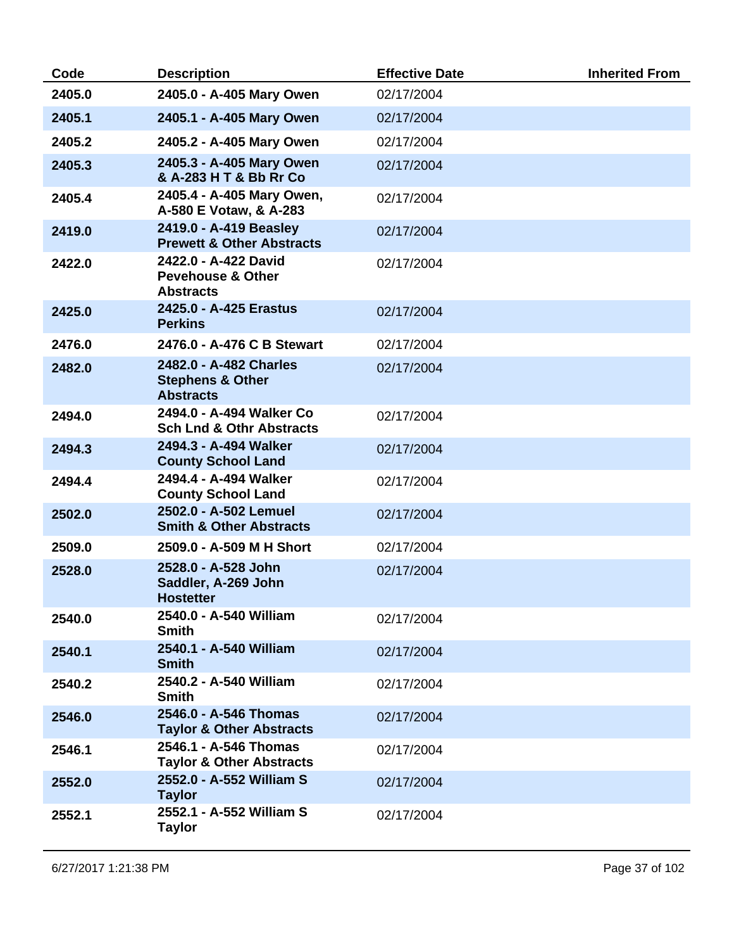| Code   | <b>Description</b>                                                        | <b>Effective Date</b> | <b>Inherited From</b> |
|--------|---------------------------------------------------------------------------|-----------------------|-----------------------|
| 2405.0 | 2405.0 - A-405 Mary Owen                                                  | 02/17/2004            |                       |
| 2405.1 | 2405.1 - A-405 Mary Owen                                                  | 02/17/2004            |                       |
| 2405.2 | 2405.2 - A-405 Mary Owen                                                  | 02/17/2004            |                       |
| 2405.3 | 2405.3 - A-405 Mary Owen<br>& A-283 H T & Bb Rr Co                        | 02/17/2004            |                       |
| 2405.4 | 2405.4 - A-405 Mary Owen,<br>A-580 E Votaw, & A-283                       | 02/17/2004            |                       |
| 2419.0 | 2419.0 - A-419 Beasley<br><b>Prewett &amp; Other Abstracts</b>            | 02/17/2004            |                       |
| 2422.0 | 2422.0 - A-422 David<br><b>Pevehouse &amp; Other</b><br><b>Abstracts</b>  | 02/17/2004            |                       |
| 2425.0 | 2425.0 - A-425 Erastus<br><b>Perkins</b>                                  | 02/17/2004            |                       |
| 2476.0 | 2476.0 - A-476 C B Stewart                                                | 02/17/2004            |                       |
| 2482.0 | 2482.0 - A-482 Charles<br><b>Stephens &amp; Other</b><br><b>Abstracts</b> | 02/17/2004            |                       |
| 2494.0 | 2494.0 - A-494 Walker Co<br><b>Sch Lnd &amp; Othr Abstracts</b>           | 02/17/2004            |                       |
| 2494.3 | 2494.3 - A-494 Walker<br><b>County School Land</b>                        | 02/17/2004            |                       |
| 2494.4 | 2494.4 - A-494 Walker<br><b>County School Land</b>                        | 02/17/2004            |                       |
| 2502.0 | 2502.0 - A-502 Lemuel<br><b>Smith &amp; Other Abstracts</b>               | 02/17/2004            |                       |
| 2509.0 | 2509.0 - A-509 M H Short                                                  | 02/17/2004            |                       |
| 2528.0 | 2528.0 - A-528 John<br>Saddler, A-269 John<br><b>Hostetter</b>            | 02/17/2004            |                       |
| 2540.0 | 2540.0 - A-540 William<br><b>Smith</b>                                    | 02/17/2004            |                       |
| 2540.1 | 2540.1 - A-540 William<br><b>Smith</b>                                    | 02/17/2004            |                       |
| 2540.2 | 2540.2 - A-540 William<br><b>Smith</b>                                    | 02/17/2004            |                       |
| 2546.0 | 2546.0 - A-546 Thomas<br><b>Taylor &amp; Other Abstracts</b>              | 02/17/2004            |                       |
| 2546.1 | 2546.1 - A-546 Thomas<br><b>Taylor &amp; Other Abstracts</b>              | 02/17/2004            |                       |
| 2552.0 | 2552.0 - A-552 William S<br><b>Taylor</b>                                 | 02/17/2004            |                       |
| 2552.1 | 2552.1 - A-552 William S<br><b>Taylor</b>                                 | 02/17/2004            |                       |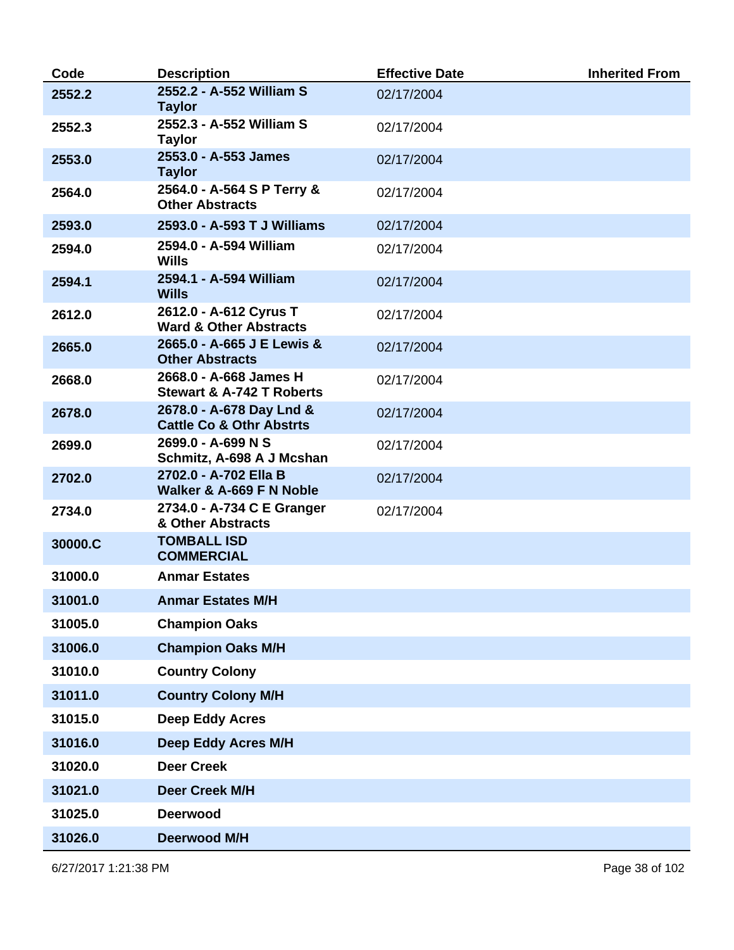| Code    | <b>Description</b>                                              | <b>Effective Date</b> | <b>Inherited From</b> |
|---------|-----------------------------------------------------------------|-----------------------|-----------------------|
| 2552.2  | 2552.2 - A-552 William S<br><b>Taylor</b>                       | 02/17/2004            |                       |
| 2552.3  | 2552.3 - A-552 William S<br><b>Taylor</b>                       | 02/17/2004            |                       |
| 2553.0  | 2553.0 - A-553 James<br><b>Taylor</b>                           | 02/17/2004            |                       |
| 2564.0  | 2564.0 - A-564 S P Terry &<br><b>Other Abstracts</b>            | 02/17/2004            |                       |
| 2593.0  | 2593.0 - A-593 T J Williams                                     | 02/17/2004            |                       |
| 2594.0  | 2594.0 - A-594 William<br><b>Wills</b>                          | 02/17/2004            |                       |
| 2594.1  | 2594.1 - A-594 William<br><b>Wills</b>                          | 02/17/2004            |                       |
| 2612.0  | 2612.0 - A-612 Cyrus T<br><b>Ward &amp; Other Abstracts</b>     | 02/17/2004            |                       |
| 2665.0  | 2665.0 - A-665 J E Lewis &<br><b>Other Abstracts</b>            | 02/17/2004            |                       |
| 2668.0  | 2668.0 - A-668 James H<br><b>Stewart &amp; A-742 T Roberts</b>  | 02/17/2004            |                       |
| 2678.0  | 2678.0 - A-678 Day Lnd &<br><b>Cattle Co &amp; Othr Abstrts</b> | 02/17/2004            |                       |
| 2699.0  | 2699.0 - A-699 N S<br>Schmitz, A-698 A J Mcshan                 | 02/17/2004            |                       |
| 2702.0  | 2702.0 - A-702 Ella B<br>Walker & A-669 F N Noble               | 02/17/2004            |                       |
| 2734.0  | 2734.0 - A-734 C E Granger<br>& Other Abstracts                 | 02/17/2004            |                       |
| 30000.C | <b>TOMBALL ISD</b><br><b>COMMERCIAL</b>                         |                       |                       |
| 31000.0 | <b>Anmar Estates</b>                                            |                       |                       |
| 31001.0 | <b>Anmar Estates M/H</b>                                        |                       |                       |
| 31005.0 | <b>Champion Oaks</b>                                            |                       |                       |
| 31006.0 | <b>Champion Oaks M/H</b>                                        |                       |                       |
| 31010.0 | <b>Country Colony</b>                                           |                       |                       |
| 31011.0 | <b>Country Colony M/H</b>                                       |                       |                       |
| 31015.0 | <b>Deep Eddy Acres</b>                                          |                       |                       |
| 31016.0 | <b>Deep Eddy Acres M/H</b>                                      |                       |                       |
| 31020.0 | <b>Deer Creek</b>                                               |                       |                       |
| 31021.0 | <b>Deer Creek M/H</b>                                           |                       |                       |
| 31025.0 | <b>Deerwood</b>                                                 |                       |                       |
| 31026.0 | <b>Deerwood M/H</b>                                             |                       |                       |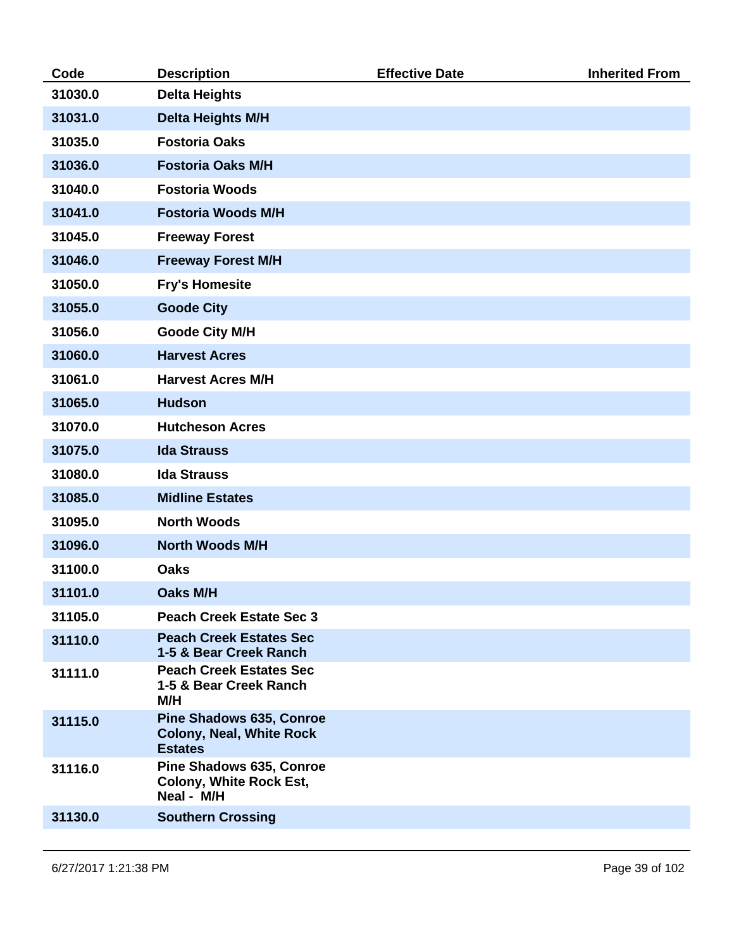| Code    | <b>Description</b>                                                                   | <b>Effective Date</b> | <b>Inherited From</b> |
|---------|--------------------------------------------------------------------------------------|-----------------------|-----------------------|
| 31030.0 | <b>Delta Heights</b>                                                                 |                       |                       |
| 31031.0 | <b>Delta Heights M/H</b>                                                             |                       |                       |
| 31035.0 | <b>Fostoria Oaks</b>                                                                 |                       |                       |
| 31036.0 | <b>Fostoria Oaks M/H</b>                                                             |                       |                       |
| 31040.0 | <b>Fostoria Woods</b>                                                                |                       |                       |
| 31041.0 | <b>Fostoria Woods M/H</b>                                                            |                       |                       |
| 31045.0 | <b>Freeway Forest</b>                                                                |                       |                       |
| 31046.0 | <b>Freeway Forest M/H</b>                                                            |                       |                       |
| 31050.0 | <b>Fry's Homesite</b>                                                                |                       |                       |
| 31055.0 | <b>Goode City</b>                                                                    |                       |                       |
| 31056.0 | <b>Goode City M/H</b>                                                                |                       |                       |
| 31060.0 | <b>Harvest Acres</b>                                                                 |                       |                       |
| 31061.0 | <b>Harvest Acres M/H</b>                                                             |                       |                       |
| 31065.0 | <b>Hudson</b>                                                                        |                       |                       |
| 31070.0 | <b>Hutcheson Acres</b>                                                               |                       |                       |
| 31075.0 | <b>Ida Strauss</b>                                                                   |                       |                       |
| 31080.0 | <b>Ida Strauss</b>                                                                   |                       |                       |
| 31085.0 | <b>Midline Estates</b>                                                               |                       |                       |
| 31095.0 | <b>North Woods</b>                                                                   |                       |                       |
| 31096.0 | <b>North Woods M/H</b>                                                               |                       |                       |
| 31100.0 | <b>Oaks</b>                                                                          |                       |                       |
| 31101.0 | <b>Oaks M/H</b>                                                                      |                       |                       |
| 31105.0 | <b>Peach Creek Estate Sec 3</b>                                                      |                       |                       |
| 31110.0 | <b>Peach Creek Estates Sec</b><br>1-5 & Bear Creek Ranch                             |                       |                       |
| 31111.0 | <b>Peach Creek Estates Sec</b><br>1-5 & Bear Creek Ranch<br>M/H                      |                       |                       |
| 31115.0 | <b>Pine Shadows 635, Conroe</b><br><b>Colony, Neal, White Rock</b><br><b>Estates</b> |                       |                       |
| 31116.0 | Pine Shadows 635, Conroe<br><b>Colony, White Rock Est,</b><br>Neal - M/H             |                       |                       |
| 31130.0 | <b>Southern Crossing</b>                                                             |                       |                       |
|         |                                                                                      |                       |                       |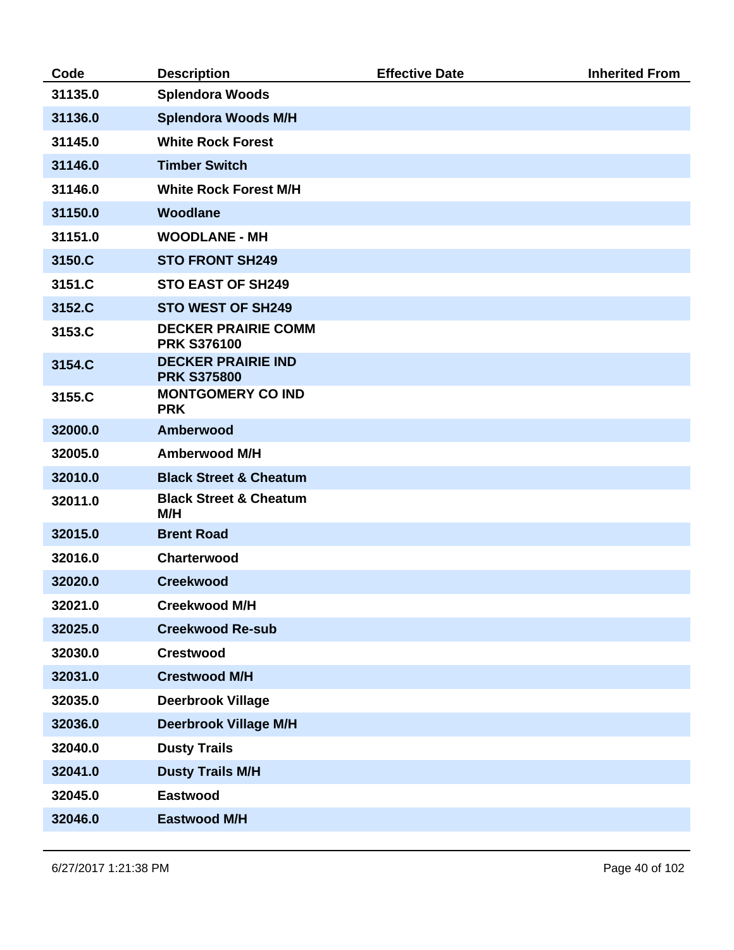| Code    | <b>Description</b>                               | <b>Effective Date</b> | <b>Inherited From</b> |
|---------|--------------------------------------------------|-----------------------|-----------------------|
| 31135.0 | <b>Splendora Woods</b>                           |                       |                       |
| 31136.0 | <b>Splendora Woods M/H</b>                       |                       |                       |
| 31145.0 | <b>White Rock Forest</b>                         |                       |                       |
| 31146.0 | <b>Timber Switch</b>                             |                       |                       |
| 31146.0 | <b>White Rock Forest M/H</b>                     |                       |                       |
| 31150.0 | Woodlane                                         |                       |                       |
| 31151.0 | <b>WOODLANE - MH</b>                             |                       |                       |
| 3150.C  | <b>STO FRONT SH249</b>                           |                       |                       |
| 3151.C  | <b>STO EAST OF SH249</b>                         |                       |                       |
| 3152.C  | <b>STO WEST OF SH249</b>                         |                       |                       |
| 3153.C  | <b>DECKER PRAIRIE COMM</b><br><b>PRK S376100</b> |                       |                       |
| 3154.C  | <b>DECKER PRAIRIE IND</b><br><b>PRK S375800</b>  |                       |                       |
| 3155.C  | <b>MONTGOMERY CO IND</b><br><b>PRK</b>           |                       |                       |
| 32000.0 | Amberwood                                        |                       |                       |
| 32005.0 | <b>Amberwood M/H</b>                             |                       |                       |
| 32010.0 | <b>Black Street &amp; Cheatum</b>                |                       |                       |
| 32011.0 | <b>Black Street &amp; Cheatum</b><br>M/H         |                       |                       |
| 32015.0 | <b>Brent Road</b>                                |                       |                       |
| 32016.0 | Charterwood                                      |                       |                       |
| 32020.0 | <b>Creekwood</b>                                 |                       |                       |
| 32021.0 | <b>Creekwood M/H</b>                             |                       |                       |
| 32025.0 | <b>Creekwood Re-sub</b>                          |                       |                       |
| 32030.0 | <b>Crestwood</b>                                 |                       |                       |
| 32031.0 | <b>Crestwood M/H</b>                             |                       |                       |
| 32035.0 | <b>Deerbrook Village</b>                         |                       |                       |
| 32036.0 | <b>Deerbrook Village M/H</b>                     |                       |                       |
| 32040.0 | <b>Dusty Trails</b>                              |                       |                       |
| 32041.0 | <b>Dusty Trails M/H</b>                          |                       |                       |
| 32045.0 | <b>Eastwood</b>                                  |                       |                       |
| 32046.0 | <b>Eastwood M/H</b>                              |                       |                       |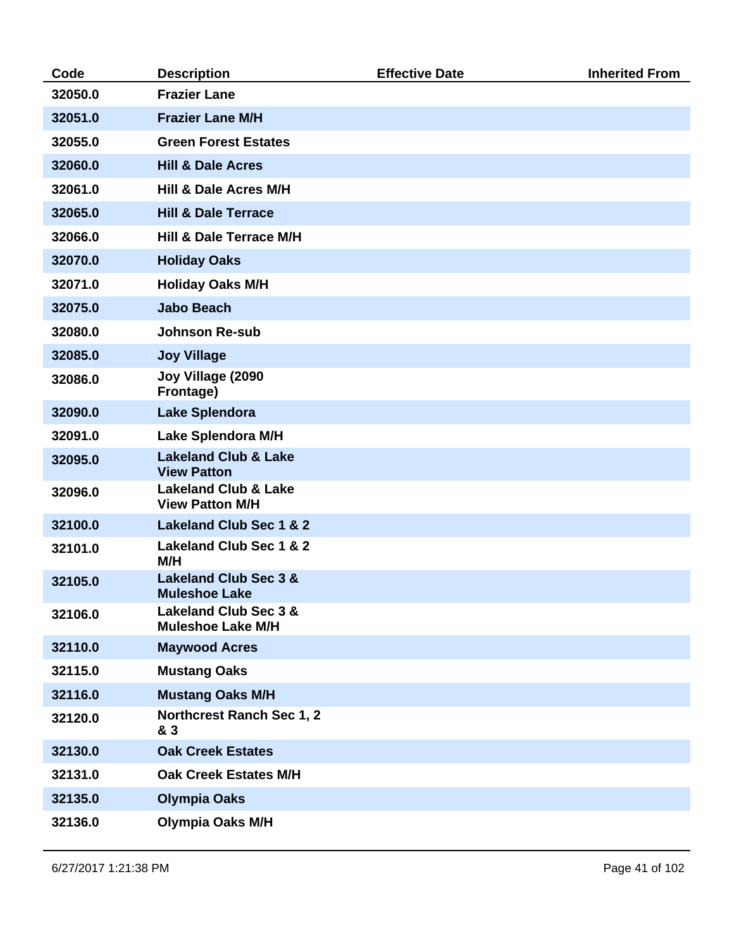| Code    | <b>Description</b>                                           | <b>Effective Date</b> | <b>Inherited From</b> |
|---------|--------------------------------------------------------------|-----------------------|-----------------------|
| 32050.0 | <b>Frazier Lane</b>                                          |                       |                       |
| 32051.0 | <b>Frazier Lane M/H</b>                                      |                       |                       |
| 32055.0 | <b>Green Forest Estates</b>                                  |                       |                       |
| 32060.0 | <b>Hill &amp; Dale Acres</b>                                 |                       |                       |
| 32061.0 | Hill & Dale Acres M/H                                        |                       |                       |
| 32065.0 | <b>Hill &amp; Dale Terrace</b>                               |                       |                       |
| 32066.0 | Hill & Dale Terrace M/H                                      |                       |                       |
| 32070.0 | <b>Holiday Oaks</b>                                          |                       |                       |
| 32071.0 | <b>Holiday Oaks M/H</b>                                      |                       |                       |
| 32075.0 | <b>Jabo Beach</b>                                            |                       |                       |
| 32080.0 | <b>Johnson Re-sub</b>                                        |                       |                       |
| 32085.0 | <b>Joy Village</b>                                           |                       |                       |
| 32086.0 | Joy Village (2090<br>Frontage)                               |                       |                       |
| 32090.0 | <b>Lake Splendora</b>                                        |                       |                       |
| 32091.0 | Lake Splendora M/H                                           |                       |                       |
| 32095.0 | <b>Lakeland Club &amp; Lake</b><br><b>View Patton</b>        |                       |                       |
| 32096.0 | <b>Lakeland Club &amp; Lake</b><br><b>View Patton M/H</b>    |                       |                       |
| 32100.0 | <b>Lakeland Club Sec 1 &amp; 2</b>                           |                       |                       |
| 32101.0 | Lakeland Club Sec 1 & 2<br>M/H                               |                       |                       |
| 32105.0 | <b>Lakeland Club Sec 3 &amp;</b><br><b>Muleshoe Lake</b>     |                       |                       |
| 32106.0 | <b>Lakeland Club Sec 3 &amp;</b><br><b>Muleshoe Lake M/H</b> |                       |                       |
| 32110.0 | <b>Maywood Acres</b>                                         |                       |                       |
| 32115.0 | <b>Mustang Oaks</b>                                          |                       |                       |
| 32116.0 | <b>Mustang Oaks M/H</b>                                      |                       |                       |
| 32120.0 | <b>Northcrest Ranch Sec 1, 2</b><br>& 3                      |                       |                       |
| 32130.0 | <b>Oak Creek Estates</b>                                     |                       |                       |
| 32131.0 | <b>Oak Creek Estates M/H</b>                                 |                       |                       |
| 32135.0 | <b>Olympia Oaks</b>                                          |                       |                       |
| 32136.0 | <b>Olympia Oaks M/H</b>                                      |                       |                       |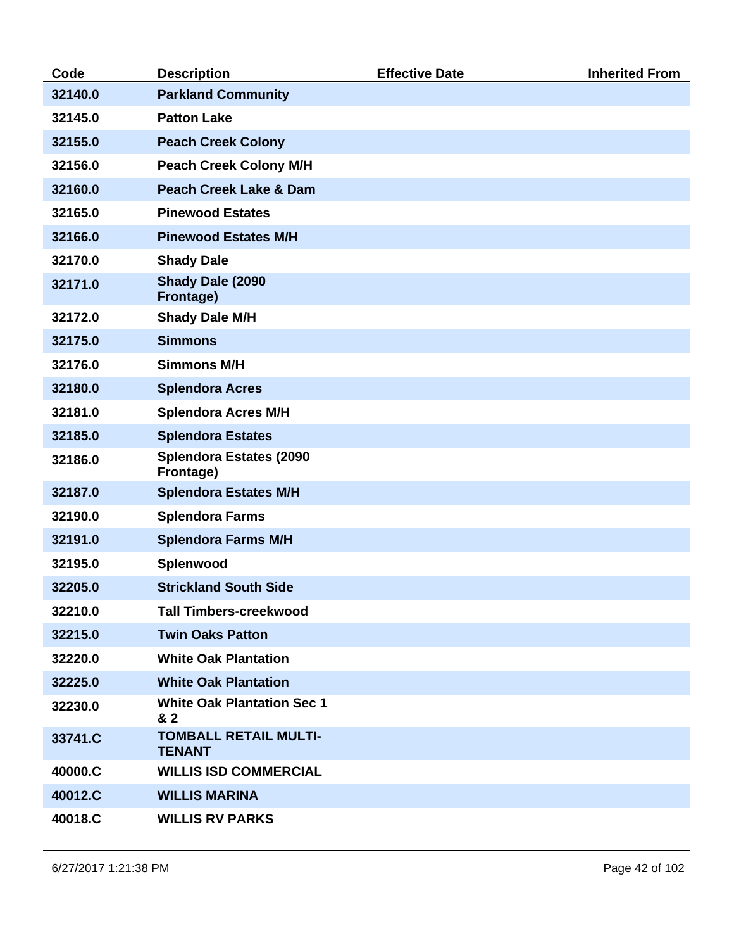| Code    | <b>Description</b>                            | <b>Effective Date</b> | <b>Inherited From</b> |
|---------|-----------------------------------------------|-----------------------|-----------------------|
| 32140.0 | <b>Parkland Community</b>                     |                       |                       |
| 32145.0 | <b>Patton Lake</b>                            |                       |                       |
| 32155.0 | <b>Peach Creek Colony</b>                     |                       |                       |
| 32156.0 | <b>Peach Creek Colony M/H</b>                 |                       |                       |
| 32160.0 | <b>Peach Creek Lake &amp; Dam</b>             |                       |                       |
| 32165.0 | <b>Pinewood Estates</b>                       |                       |                       |
| 32166.0 | <b>Pinewood Estates M/H</b>                   |                       |                       |
| 32170.0 | <b>Shady Dale</b>                             |                       |                       |
| 32171.0 | Shady Dale (2090<br>Frontage)                 |                       |                       |
| 32172.0 | <b>Shady Dale M/H</b>                         |                       |                       |
| 32175.0 | <b>Simmons</b>                                |                       |                       |
| 32176.0 | <b>Simmons M/H</b>                            |                       |                       |
| 32180.0 | <b>Splendora Acres</b>                        |                       |                       |
| 32181.0 | <b>Splendora Acres M/H</b>                    |                       |                       |
| 32185.0 | <b>Splendora Estates</b>                      |                       |                       |
| 32186.0 | <b>Splendora Estates (2090</b><br>Frontage)   |                       |                       |
| 32187.0 | <b>Splendora Estates M/H</b>                  |                       |                       |
| 32190.0 | <b>Splendora Farms</b>                        |                       |                       |
| 32191.0 | <b>Splendora Farms M/H</b>                    |                       |                       |
| 32195.0 | Splenwood                                     |                       |                       |
| 32205.0 | <b>Strickland South Side</b>                  |                       |                       |
| 32210.0 | <b>Tall Timbers-creekwood</b>                 |                       |                       |
| 32215.0 | <b>Twin Oaks Patton</b>                       |                       |                       |
| 32220.0 | <b>White Oak Plantation</b>                   |                       |                       |
| 32225.0 | <b>White Oak Plantation</b>                   |                       |                       |
| 32230.0 | <b>White Oak Plantation Sec 1</b><br>& 2      |                       |                       |
| 33741.C | <b>TOMBALL RETAIL MULTI-</b><br><b>TENANT</b> |                       |                       |
| 40000.C | <b>WILLIS ISD COMMERCIAL</b>                  |                       |                       |
| 40012.C | <b>WILLIS MARINA</b>                          |                       |                       |
| 40018.C | <b>WILLIS RV PARKS</b>                        |                       |                       |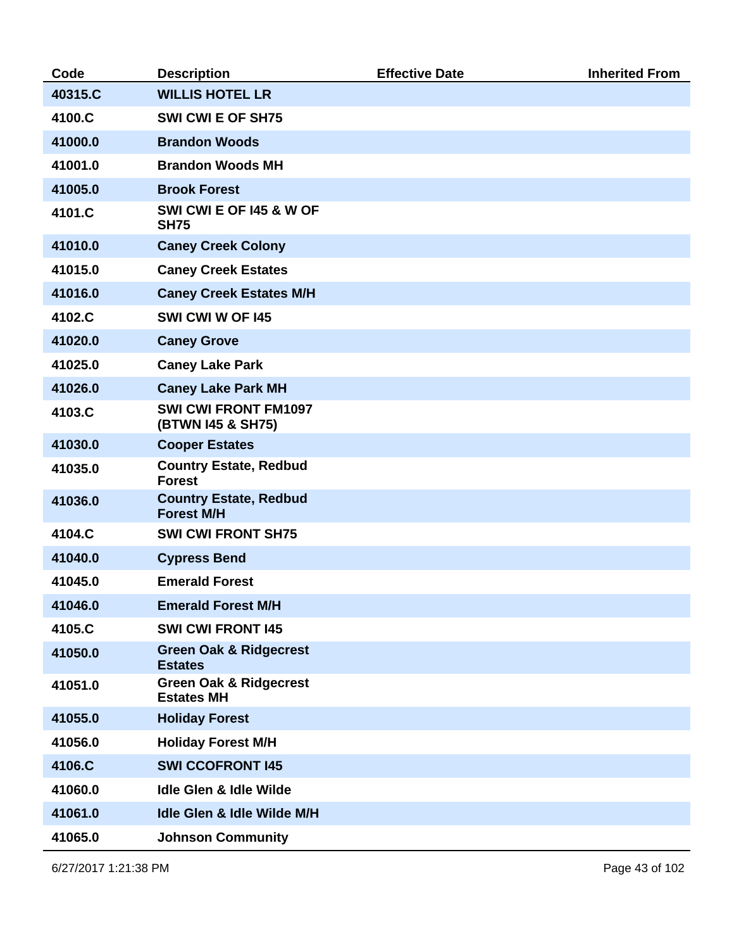| Code    | <b>Description</b>                                     | <b>Effective Date</b> | <b>Inherited From</b> |
|---------|--------------------------------------------------------|-----------------------|-----------------------|
| 40315.C | <b>WILLIS HOTEL LR</b>                                 |                       |                       |
| 4100.C  | <b>SWI CWI E OF SH75</b>                               |                       |                       |
| 41000.0 | <b>Brandon Woods</b>                                   |                       |                       |
| 41001.0 | <b>Brandon Woods MH</b>                                |                       |                       |
| 41005.0 | <b>Brook Forest</b>                                    |                       |                       |
| 4101.C  | SWI CWI E OF 145 & W OF<br><b>SH75</b>                 |                       |                       |
| 41010.0 | <b>Caney Creek Colony</b>                              |                       |                       |
| 41015.0 | <b>Caney Creek Estates</b>                             |                       |                       |
| 41016.0 | <b>Caney Creek Estates M/H</b>                         |                       |                       |
| 4102.C  | SWI CWI W OF 145                                       |                       |                       |
| 41020.0 | <b>Caney Grove</b>                                     |                       |                       |
| 41025.0 | <b>Caney Lake Park</b>                                 |                       |                       |
| 41026.0 | <b>Caney Lake Park MH</b>                              |                       |                       |
| 4103.C  | <b>SWI CWI FRONT FM1097</b><br>(BTWN I45 & SH75)       |                       |                       |
| 41030.0 | <b>Cooper Estates</b>                                  |                       |                       |
| 41035.0 | <b>Country Estate, Redbud</b><br><b>Forest</b>         |                       |                       |
| 41036.0 | <b>Country Estate, Redbud</b><br><b>Forest M/H</b>     |                       |                       |
| 4104.C  | <b>SWI CWI FRONT SH75</b>                              |                       |                       |
| 41040.0 | <b>Cypress Bend</b>                                    |                       |                       |
| 41045.0 | <b>Emerald Forest</b>                                  |                       |                       |
| 41046.0 | <b>Emerald Forest M/H</b>                              |                       |                       |
| 4105.C  | <b>SWI CWI FRONT 145</b>                               |                       |                       |
| 41050.0 | <b>Green Oak &amp; Ridgecrest</b><br><b>Estates</b>    |                       |                       |
| 41051.0 | <b>Green Oak &amp; Ridgecrest</b><br><b>Estates MH</b> |                       |                       |
| 41055.0 | <b>Holiday Forest</b>                                  |                       |                       |
| 41056.0 | <b>Holiday Forest M/H</b>                              |                       |                       |
| 4106.C  | <b>SWI CCOFRONT 145</b>                                |                       |                       |
| 41060.0 | Idle Glen & Idle Wilde                                 |                       |                       |
| 41061.0 | Idle Glen & Idle Wilde M/H                             |                       |                       |
| 41065.0 | <b>Johnson Community</b>                               |                       |                       |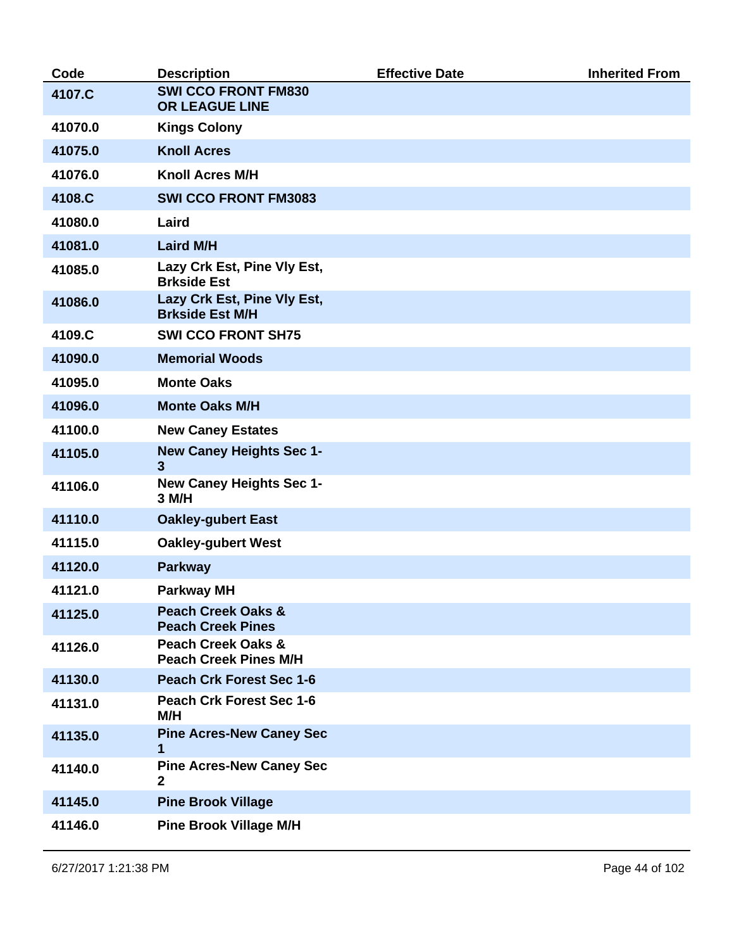| Code    | <b>Description</b>                                            | <b>Effective Date</b> | <b>Inherited From</b> |
|---------|---------------------------------------------------------------|-----------------------|-----------------------|
| 4107.C  | <b>SWI CCO FRONT FM830</b><br>OR LEAGUE LINE                  |                       |                       |
| 41070.0 | <b>Kings Colony</b>                                           |                       |                       |
| 41075.0 | <b>Knoll Acres</b>                                            |                       |                       |
| 41076.0 | <b>Knoll Acres M/H</b>                                        |                       |                       |
| 4108.C  | <b>SWI CCO FRONT FM3083</b>                                   |                       |                       |
| 41080.0 | Laird                                                         |                       |                       |
| 41081.0 | <b>Laird M/H</b>                                              |                       |                       |
| 41085.0 | Lazy Crk Est, Pine Vly Est,<br><b>Brkside Est</b>             |                       |                       |
| 41086.0 | Lazy Crk Est, Pine Vly Est,<br><b>Brkside Est M/H</b>         |                       |                       |
| 4109.C  | <b>SWI CCO FRONT SH75</b>                                     |                       |                       |
| 41090.0 | <b>Memorial Woods</b>                                         |                       |                       |
| 41095.0 | <b>Monte Oaks</b>                                             |                       |                       |
| 41096.0 | <b>Monte Oaks M/H</b>                                         |                       |                       |
| 41100.0 | <b>New Caney Estates</b>                                      |                       |                       |
| 41105.0 | <b>New Caney Heights Sec 1-</b><br>3                          |                       |                       |
| 41106.0 | <b>New Caney Heights Sec 1-</b><br>3 M/H                      |                       |                       |
| 41110.0 | <b>Oakley-gubert East</b>                                     |                       |                       |
| 41115.0 | <b>Oakley-gubert West</b>                                     |                       |                       |
| 41120.0 | <b>Parkway</b>                                                |                       |                       |
| 41121.0 | <b>Parkway MH</b>                                             |                       |                       |
| 41125.0 | <b>Peach Creek Oaks &amp;</b><br><b>Peach Creek Pines</b>     |                       |                       |
| 41126.0 | <b>Peach Creek Oaks &amp;</b><br><b>Peach Creek Pines M/H</b> |                       |                       |
| 41130.0 | <b>Peach Crk Forest Sec 1-6</b>                               |                       |                       |
| 41131.0 | <b>Peach Crk Forest Sec 1-6</b><br>M/H                        |                       |                       |
| 41135.0 | <b>Pine Acres-New Caney Sec</b><br>1                          |                       |                       |
| 41140.0 | <b>Pine Acres-New Caney Sec</b><br>$\overline{2}$             |                       |                       |
| 41145.0 | <b>Pine Brook Village</b>                                     |                       |                       |
| 41146.0 | <b>Pine Brook Village M/H</b>                                 |                       |                       |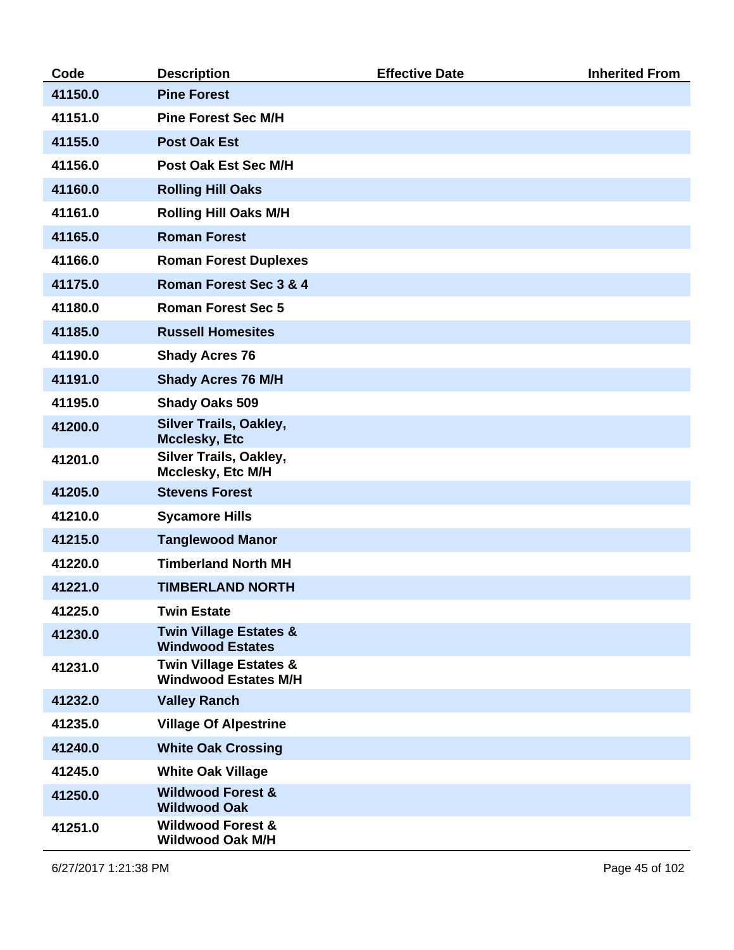| Code    | <b>Description</b>                                               | <b>Effective Date</b> | <b>Inherited From</b> |
|---------|------------------------------------------------------------------|-----------------------|-----------------------|
| 41150.0 | <b>Pine Forest</b>                                               |                       |                       |
| 41151.0 | <b>Pine Forest Sec M/H</b>                                       |                       |                       |
| 41155.0 | <b>Post Oak Est</b>                                              |                       |                       |
| 41156.0 | <b>Post Oak Est Sec M/H</b>                                      |                       |                       |
| 41160.0 | <b>Rolling Hill Oaks</b>                                         |                       |                       |
| 41161.0 | <b>Rolling Hill Oaks M/H</b>                                     |                       |                       |
| 41165.0 | <b>Roman Forest</b>                                              |                       |                       |
| 41166.0 | <b>Roman Forest Duplexes</b>                                     |                       |                       |
| 41175.0 | Roman Forest Sec 3 & 4                                           |                       |                       |
| 41180.0 | <b>Roman Forest Sec 5</b>                                        |                       |                       |
| 41185.0 | <b>Russell Homesites</b>                                         |                       |                       |
| 41190.0 | <b>Shady Acres 76</b>                                            |                       |                       |
| 41191.0 | <b>Shady Acres 76 M/H</b>                                        |                       |                       |
| 41195.0 | <b>Shady Oaks 509</b>                                            |                       |                       |
| 41200.0 | <b>Silver Trails, Oakley,</b><br><b>Mcclesky, Etc</b>            |                       |                       |
| 41201.0 | Silver Trails, Oakley,<br>Mcclesky, Etc M/H                      |                       |                       |
| 41205.0 | <b>Stevens Forest</b>                                            |                       |                       |
| 41210.0 | <b>Sycamore Hills</b>                                            |                       |                       |
| 41215.0 | <b>Tanglewood Manor</b>                                          |                       |                       |
| 41220.0 | <b>Timberland North MH</b>                                       |                       |                       |
| 41221.0 | <b>TIMBERLAND NORTH</b>                                          |                       |                       |
| 41225.0 | <b>Twin Estate</b>                                               |                       |                       |
| 41230.0 | <b>Twin Village Estates &amp;</b><br><b>Windwood Estates</b>     |                       |                       |
| 41231.0 | <b>Twin Village Estates &amp;</b><br><b>Windwood Estates M/H</b> |                       |                       |
| 41232.0 | <b>Valley Ranch</b>                                              |                       |                       |
| 41235.0 | <b>Village Of Alpestrine</b>                                     |                       |                       |
| 41240.0 | <b>White Oak Crossing</b>                                        |                       |                       |
| 41245.0 | <b>White Oak Village</b>                                         |                       |                       |
| 41250.0 | <b>Wildwood Forest &amp;</b><br><b>Wildwood Oak</b>              |                       |                       |
| 41251.0 | <b>Wildwood Forest &amp;</b><br><b>Wildwood Oak M/H</b>          |                       |                       |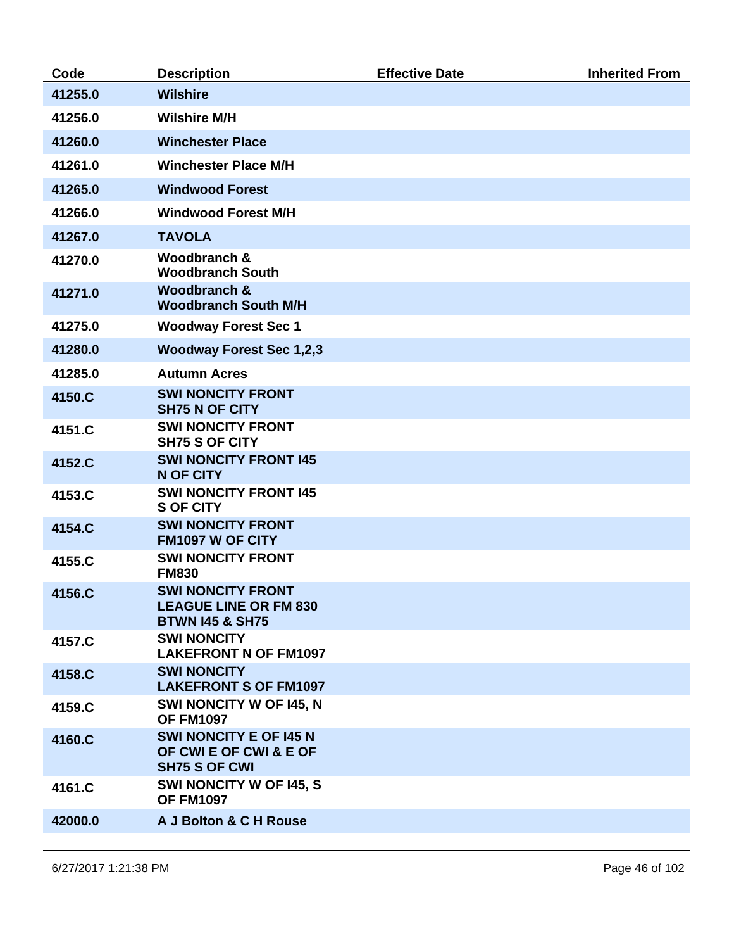| Code    | <b>Description</b>                                                              | <b>Effective Date</b> | <b>Inherited From</b> |
|---------|---------------------------------------------------------------------------------|-----------------------|-----------------------|
| 41255.0 | <b>Wilshire</b>                                                                 |                       |                       |
| 41256.0 | <b>Wilshire M/H</b>                                                             |                       |                       |
| 41260.0 | <b>Winchester Place</b>                                                         |                       |                       |
| 41261.0 | <b>Winchester Place M/H</b>                                                     |                       |                       |
| 41265.0 | <b>Windwood Forest</b>                                                          |                       |                       |
| 41266.0 | <b>Windwood Forest M/H</b>                                                      |                       |                       |
| 41267.0 | <b>TAVOLA</b>                                                                   |                       |                       |
| 41270.0 | Woodbranch &<br><b>Woodbranch South</b>                                         |                       |                       |
| 41271.0 | Woodbranch &<br><b>Woodbranch South M/H</b>                                     |                       |                       |
| 41275.0 | <b>Woodway Forest Sec 1</b>                                                     |                       |                       |
| 41280.0 | <b>Woodway Forest Sec 1,2,3</b>                                                 |                       |                       |
| 41285.0 | <b>Autumn Acres</b>                                                             |                       |                       |
| 4150.C  | <b>SWI NONCITY FRONT</b><br><b>SH75 N OF CITY</b>                               |                       |                       |
| 4151.C  | <b>SWI NONCITY FRONT</b><br><b>SH75 S OF CITY</b>                               |                       |                       |
| 4152.C  | <b>SWI NONCITY FRONT 145</b><br><b>N OF CITY</b>                                |                       |                       |
| 4153.C  | <b>SWI NONCITY FRONT 145</b><br><b>S OF CITY</b>                                |                       |                       |
| 4154.C  | <b>SWI NONCITY FRONT</b><br>FM1097 W OF CITY                                    |                       |                       |
| 4155.C  | <b>SWI NONCITY FRONT</b><br><b>FM830</b>                                        |                       |                       |
| 4156.C  | <b>SWI NONCITY FRONT</b><br>LEAGUE LINE OR FM 830<br><b>BTWN 145 &amp; SH75</b> |                       |                       |
| 4157.C  | <b>SWI NONCITY</b><br><b>LAKEFRONT N OF FM1097</b>                              |                       |                       |
| 4158.C  | <b>SWI NONCITY</b><br><b>LAKEFRONT S OF FM1097</b>                              |                       |                       |
| 4159.C  | SWI NONCITY W OF 145, N<br><b>OF FM1097</b>                                     |                       |                       |
| 4160.C  | <b>SWI NONCITY E OF 145 N</b><br>OF CWI E OF CWI & E OF<br><b>SH75 S OF CWI</b> |                       |                       |
| 4161.C  | SWI NONCITY W OF 145, S<br><b>OF FM1097</b>                                     |                       |                       |
| 42000.0 | A J Bolton & C H Rouse                                                          |                       |                       |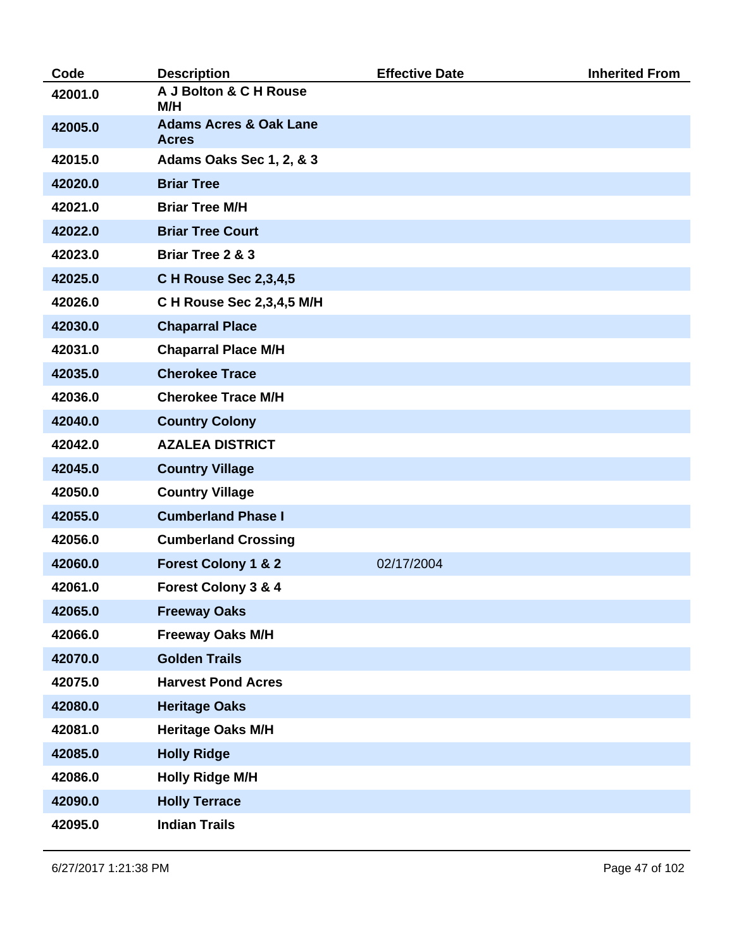| Code    | <b>Description</b>                                | <b>Effective Date</b> | <b>Inherited From</b> |
|---------|---------------------------------------------------|-----------------------|-----------------------|
| 42001.0 | A J Bolton & C H Rouse<br>M/H                     |                       |                       |
| 42005.0 | <b>Adams Acres &amp; Oak Lane</b><br><b>Acres</b> |                       |                       |
| 42015.0 | Adams Oaks Sec 1, 2, & 3                          |                       |                       |
| 42020.0 | <b>Briar Tree</b>                                 |                       |                       |
| 42021.0 | <b>Briar Tree M/H</b>                             |                       |                       |
| 42022.0 | <b>Briar Tree Court</b>                           |                       |                       |
| 42023.0 | <b>Briar Tree 2 &amp; 3</b>                       |                       |                       |
| 42025.0 | C H Rouse Sec 2,3,4,5                             |                       |                       |
| 42026.0 | C H Rouse Sec 2,3,4,5 M/H                         |                       |                       |
| 42030.0 | <b>Chaparral Place</b>                            |                       |                       |
| 42031.0 | <b>Chaparral Place M/H</b>                        |                       |                       |
| 42035.0 | <b>Cherokee Trace</b>                             |                       |                       |
| 42036.0 | <b>Cherokee Trace M/H</b>                         |                       |                       |
| 42040.0 | <b>Country Colony</b>                             |                       |                       |
| 42042.0 | <b>AZALEA DISTRICT</b>                            |                       |                       |
| 42045.0 | <b>Country Village</b>                            |                       |                       |
| 42050.0 | <b>Country Village</b>                            |                       |                       |
| 42055.0 | <b>Cumberland Phase I</b>                         |                       |                       |
| 42056.0 | <b>Cumberland Crossing</b>                        |                       |                       |
| 42060.0 | <b>Forest Colony 1 &amp; 2</b>                    | 02/17/2004            |                       |
| 42061.0 | Forest Colony 3 & 4                               |                       |                       |
| 42065.0 | <b>Freeway Oaks</b>                               |                       |                       |
| 42066.0 | <b>Freeway Oaks M/H</b>                           |                       |                       |
| 42070.0 | <b>Golden Trails</b>                              |                       |                       |
| 42075.0 | <b>Harvest Pond Acres</b>                         |                       |                       |
| 42080.0 | <b>Heritage Oaks</b>                              |                       |                       |
| 42081.0 | <b>Heritage Oaks M/H</b>                          |                       |                       |
| 42085.0 | <b>Holly Ridge</b>                                |                       |                       |
| 42086.0 | <b>Holly Ridge M/H</b>                            |                       |                       |
| 42090.0 | <b>Holly Terrace</b>                              |                       |                       |
| 42095.0 | <b>Indian Trails</b>                              |                       |                       |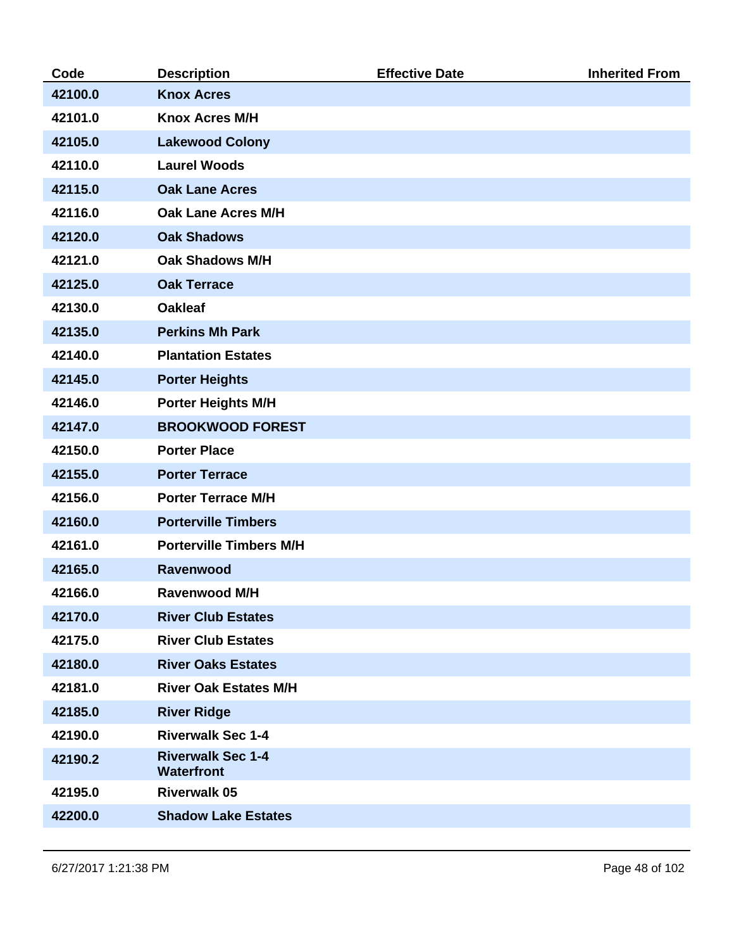| Code    | <b>Description</b>                            | <b>Effective Date</b> | <b>Inherited From</b> |
|---------|-----------------------------------------------|-----------------------|-----------------------|
| 42100.0 | <b>Knox Acres</b>                             |                       |                       |
| 42101.0 | <b>Knox Acres M/H</b>                         |                       |                       |
| 42105.0 | <b>Lakewood Colony</b>                        |                       |                       |
| 42110.0 | <b>Laurel Woods</b>                           |                       |                       |
| 42115.0 | <b>Oak Lane Acres</b>                         |                       |                       |
| 42116.0 | <b>Oak Lane Acres M/H</b>                     |                       |                       |
| 42120.0 | <b>Oak Shadows</b>                            |                       |                       |
| 42121.0 | <b>Oak Shadows M/H</b>                        |                       |                       |
| 42125.0 | <b>Oak Terrace</b>                            |                       |                       |
| 42130.0 | <b>Oakleaf</b>                                |                       |                       |
| 42135.0 | <b>Perkins Mh Park</b>                        |                       |                       |
| 42140.0 | <b>Plantation Estates</b>                     |                       |                       |
| 42145.0 | <b>Porter Heights</b>                         |                       |                       |
| 42146.0 | <b>Porter Heights M/H</b>                     |                       |                       |
| 42147.0 | <b>BROOKWOOD FOREST</b>                       |                       |                       |
| 42150.0 | <b>Porter Place</b>                           |                       |                       |
| 42155.0 | <b>Porter Terrace</b>                         |                       |                       |
| 42156.0 | <b>Porter Terrace M/H</b>                     |                       |                       |
| 42160.0 | <b>Porterville Timbers</b>                    |                       |                       |
| 42161.0 | <b>Porterville Timbers M/H</b>                |                       |                       |
| 42165.0 | <b>Ravenwood</b>                              |                       |                       |
| 42166.0 | <b>Ravenwood M/H</b>                          |                       |                       |
| 42170.0 | <b>River Club Estates</b>                     |                       |                       |
| 42175.0 | <b>River Club Estates</b>                     |                       |                       |
| 42180.0 | <b>River Oaks Estates</b>                     |                       |                       |
| 42181.0 | <b>River Oak Estates M/H</b>                  |                       |                       |
| 42185.0 | <b>River Ridge</b>                            |                       |                       |
| 42190.0 | <b>Riverwalk Sec 1-4</b>                      |                       |                       |
| 42190.2 | <b>Riverwalk Sec 1-4</b><br><b>Waterfront</b> |                       |                       |
| 42195.0 | <b>Riverwalk 05</b>                           |                       |                       |
| 42200.0 | <b>Shadow Lake Estates</b>                    |                       |                       |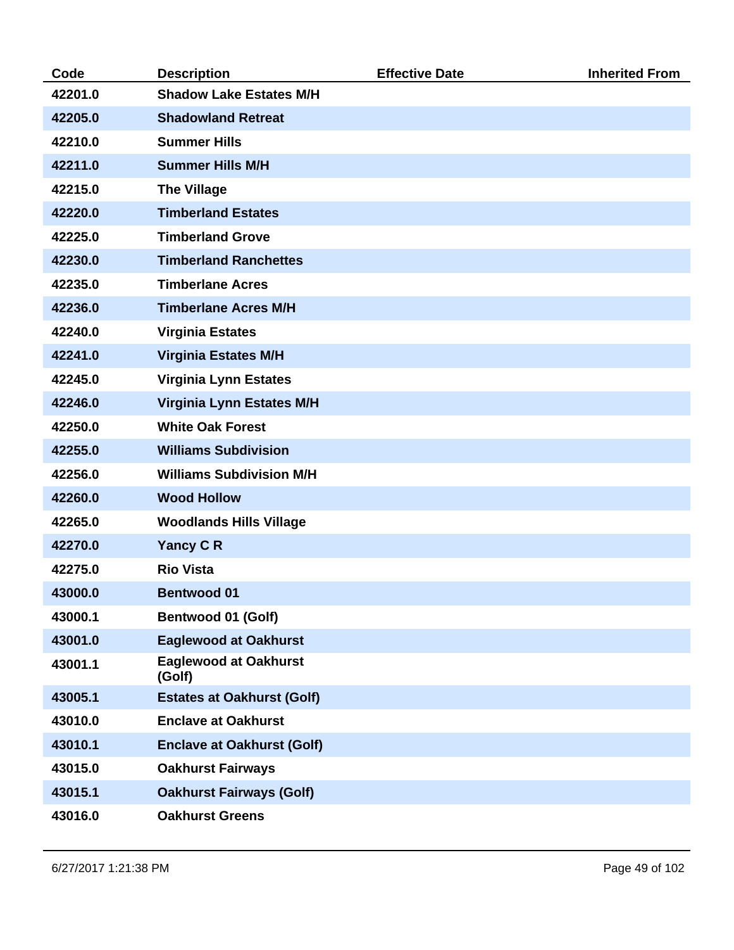| Code    | <b>Description</b>                     | <b>Effective Date</b> | <b>Inherited From</b> |
|---------|----------------------------------------|-----------------------|-----------------------|
| 42201.0 | <b>Shadow Lake Estates M/H</b>         |                       |                       |
| 42205.0 | <b>Shadowland Retreat</b>              |                       |                       |
| 42210.0 | <b>Summer Hills</b>                    |                       |                       |
| 42211.0 | <b>Summer Hills M/H</b>                |                       |                       |
| 42215.0 | <b>The Village</b>                     |                       |                       |
| 42220.0 | <b>Timberland Estates</b>              |                       |                       |
| 42225.0 | <b>Timberland Grove</b>                |                       |                       |
| 42230.0 | <b>Timberland Ranchettes</b>           |                       |                       |
| 42235.0 | <b>Timberlane Acres</b>                |                       |                       |
| 42236.0 | <b>Timberlane Acres M/H</b>            |                       |                       |
| 42240.0 | <b>Virginia Estates</b>                |                       |                       |
| 42241.0 | <b>Virginia Estates M/H</b>            |                       |                       |
| 42245.0 | <b>Virginia Lynn Estates</b>           |                       |                       |
| 42246.0 | <b>Virginia Lynn Estates M/H</b>       |                       |                       |
| 42250.0 | <b>White Oak Forest</b>                |                       |                       |
| 42255.0 | <b>Williams Subdivision</b>            |                       |                       |
| 42256.0 | <b>Williams Subdivision M/H</b>        |                       |                       |
| 42260.0 | <b>Wood Hollow</b>                     |                       |                       |
| 42265.0 | <b>Woodlands Hills Village</b>         |                       |                       |
| 42270.0 | <b>Yancy CR</b>                        |                       |                       |
| 42275.0 | <b>Rio Vista</b>                       |                       |                       |
| 43000.0 | <b>Bentwood 01</b>                     |                       |                       |
| 43000.1 | Bentwood 01 (Golf)                     |                       |                       |
| 43001.0 | <b>Eaglewood at Oakhurst</b>           |                       |                       |
| 43001.1 | <b>Eaglewood at Oakhurst</b><br>(Golf) |                       |                       |
| 43005.1 | <b>Estates at Oakhurst (Golf)</b>      |                       |                       |
| 43010.0 | <b>Enclave at Oakhurst</b>             |                       |                       |
| 43010.1 | <b>Enclave at Oakhurst (Golf)</b>      |                       |                       |
| 43015.0 | <b>Oakhurst Fairways</b>               |                       |                       |
| 43015.1 | <b>Oakhurst Fairways (Golf)</b>        |                       |                       |
| 43016.0 | <b>Oakhurst Greens</b>                 |                       |                       |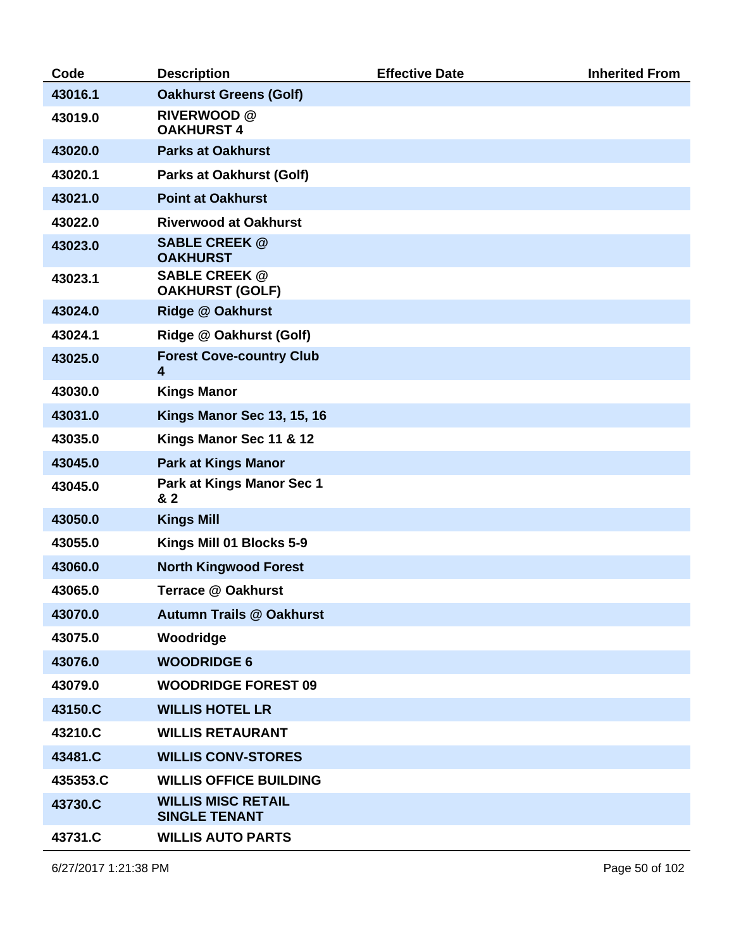| Code     | <b>Description</b>                                         | <b>Effective Date</b> | <b>Inherited From</b> |
|----------|------------------------------------------------------------|-----------------------|-----------------------|
| 43016.1  | <b>Oakhurst Greens (Golf)</b>                              |                       |                       |
| 43019.0  | <b>RIVERWOOD</b> @<br><b>OAKHURST 4</b>                    |                       |                       |
| 43020.0  | <b>Parks at Oakhurst</b>                                   |                       |                       |
| 43020.1  | <b>Parks at Oakhurst (Golf)</b>                            |                       |                       |
| 43021.0  | <b>Point at Oakhurst</b>                                   |                       |                       |
| 43022.0  | <b>Riverwood at Oakhurst</b>                               |                       |                       |
| 43023.0  | <b>SABLE CREEK @</b><br><b>OAKHURST</b>                    |                       |                       |
| 43023.1  | <b>SABLE CREEK @</b><br><b>OAKHURST (GOLF)</b>             |                       |                       |
| 43024.0  | <b>Ridge @ Oakhurst</b>                                    |                       |                       |
| 43024.1  | Ridge @ Oakhurst (Golf)                                    |                       |                       |
| 43025.0  | <b>Forest Cove-country Club</b><br>$\overline{\mathbf{4}}$ |                       |                       |
| 43030.0  | <b>Kings Manor</b>                                         |                       |                       |
| 43031.0  | <b>Kings Manor Sec 13, 15, 16</b>                          |                       |                       |
| 43035.0  | Kings Manor Sec 11 & 12                                    |                       |                       |
| 43045.0  | <b>Park at Kings Manor</b>                                 |                       |                       |
| 43045.0  | Park at Kings Manor Sec 1<br>& 2                           |                       |                       |
| 43050.0  | <b>Kings Mill</b>                                          |                       |                       |
| 43055.0  | Kings Mill 01 Blocks 5-9                                   |                       |                       |
| 43060.0  | <b>North Kingwood Forest</b>                               |                       |                       |
| 43065.0  | <b>Terrace @ Oakhurst</b>                                  |                       |                       |
| 43070.0  | <b>Autumn Trails @ Oakhurst</b>                            |                       |                       |
| 43075.0  | Woodridge                                                  |                       |                       |
| 43076.0  | <b>WOODRIDGE 6</b>                                         |                       |                       |
| 43079.0  | <b>WOODRIDGE FOREST 09</b>                                 |                       |                       |
| 43150.C  | <b>WILLIS HOTEL LR</b>                                     |                       |                       |
| 43210.C  | <b>WILLIS RETAURANT</b>                                    |                       |                       |
| 43481.C  | <b>WILLIS CONV-STORES</b>                                  |                       |                       |
| 435353.C | <b>WILLIS OFFICE BUILDING</b>                              |                       |                       |
| 43730.C  | <b>WILLIS MISC RETAIL</b><br><b>SINGLE TENANT</b>          |                       |                       |
| 43731.C  | <b>WILLIS AUTO PARTS</b>                                   |                       |                       |

6/27/2017 1:21:38 PM Page 50 of 102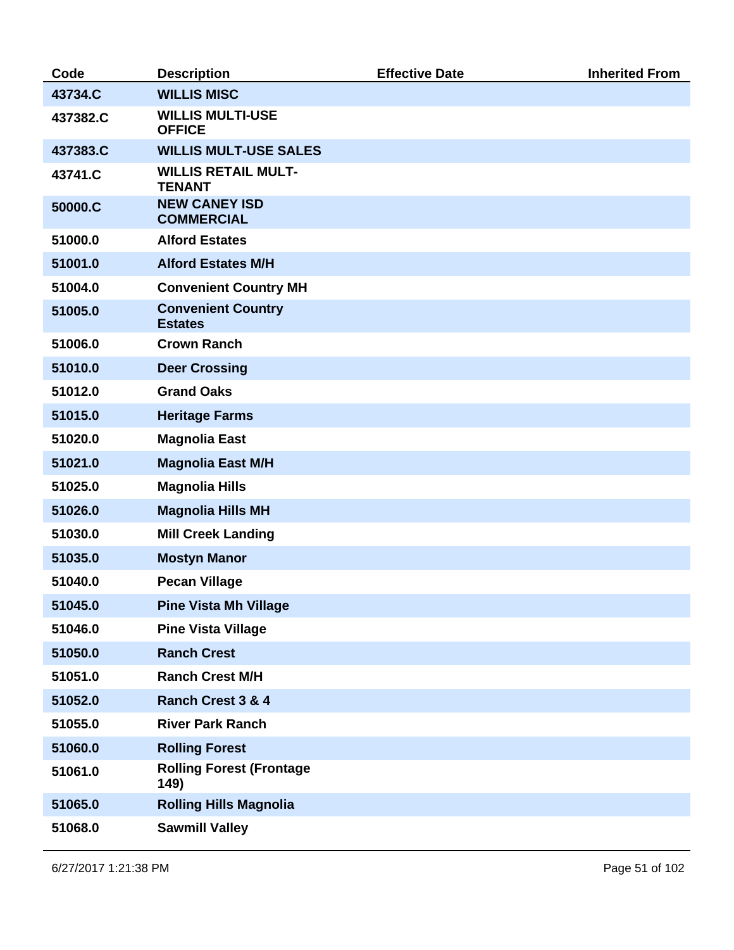| Code     | <b>Description</b>                          | <b>Effective Date</b> | <b>Inherited From</b> |
|----------|---------------------------------------------|-----------------------|-----------------------|
| 43734.C  | <b>WILLIS MISC</b>                          |                       |                       |
| 437382.C | <b>WILLIS MULTI-USE</b><br><b>OFFICE</b>    |                       |                       |
| 437383.C | <b>WILLIS MULT-USE SALES</b>                |                       |                       |
| 43741.C  | <b>WILLIS RETAIL MULT-</b><br><b>TENANT</b> |                       |                       |
| 50000.C  | <b>NEW CANEY ISD</b><br><b>COMMERCIAL</b>   |                       |                       |
| 51000.0  | <b>Alford Estates</b>                       |                       |                       |
| 51001.0  | <b>Alford Estates M/H</b>                   |                       |                       |
| 51004.0  | <b>Convenient Country MH</b>                |                       |                       |
| 51005.0  | <b>Convenient Country</b><br><b>Estates</b> |                       |                       |
| 51006.0  | <b>Crown Ranch</b>                          |                       |                       |
| 51010.0  | <b>Deer Crossing</b>                        |                       |                       |
| 51012.0  | <b>Grand Oaks</b>                           |                       |                       |
| 51015.0  | <b>Heritage Farms</b>                       |                       |                       |
| 51020.0  | <b>Magnolia East</b>                        |                       |                       |
| 51021.0  | <b>Magnolia East M/H</b>                    |                       |                       |
| 51025.0  | <b>Magnolia Hills</b>                       |                       |                       |
| 51026.0  | <b>Magnolia Hills MH</b>                    |                       |                       |
| 51030.0  | <b>Mill Creek Landing</b>                   |                       |                       |
| 51035.0  | <b>Mostyn Manor</b>                         |                       |                       |
| 51040.0  | <b>Pecan Village</b>                        |                       |                       |
| 51045.0  | <b>Pine Vista Mh Village</b>                |                       |                       |
| 51046.0  | <b>Pine Vista Village</b>                   |                       |                       |
| 51050.0  | <b>Ranch Crest</b>                          |                       |                       |
| 51051.0  | <b>Ranch Crest M/H</b>                      |                       |                       |
| 51052.0  | <b>Ranch Crest 3 &amp; 4</b>                |                       |                       |
| 51055.0  | <b>River Park Ranch</b>                     |                       |                       |
| 51060.0  | <b>Rolling Forest</b>                       |                       |                       |
| 51061.0  | <b>Rolling Forest (Frontage</b><br>149)     |                       |                       |
| 51065.0  | <b>Rolling Hills Magnolia</b>               |                       |                       |
| 51068.0  | <b>Sawmill Valley</b>                       |                       |                       |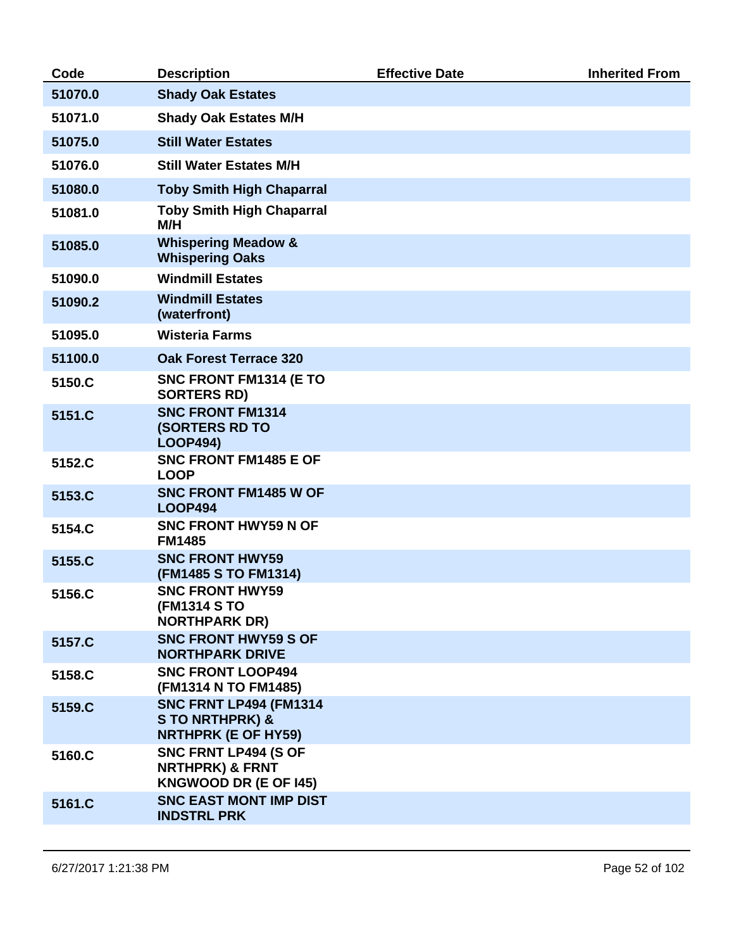| Code    | <b>Description</b>                                                                       | <b>Effective Date</b> | <b>Inherited From</b> |
|---------|------------------------------------------------------------------------------------------|-----------------------|-----------------------|
| 51070.0 | <b>Shady Oak Estates</b>                                                                 |                       |                       |
| 51071.0 | <b>Shady Oak Estates M/H</b>                                                             |                       |                       |
| 51075.0 | <b>Still Water Estates</b>                                                               |                       |                       |
| 51076.0 | <b>Still Water Estates M/H</b>                                                           |                       |                       |
| 51080.0 | <b>Toby Smith High Chaparral</b>                                                         |                       |                       |
| 51081.0 | <b>Toby Smith High Chaparral</b><br>M/H                                                  |                       |                       |
| 51085.0 | <b>Whispering Meadow &amp;</b><br><b>Whispering Oaks</b>                                 |                       |                       |
| 51090.0 | <b>Windmill Estates</b>                                                                  |                       |                       |
| 51090.2 | <b>Windmill Estates</b><br>(waterfront)                                                  |                       |                       |
| 51095.0 | <b>Wisteria Farms</b>                                                                    |                       |                       |
| 51100.0 | <b>Oak Forest Terrace 320</b>                                                            |                       |                       |
| 5150.C  | SNC FRONT FM1314 (E TO<br><b>SORTERS RD)</b>                                             |                       |                       |
| 5151.C  | <b>SNC FRONT FM1314</b><br><b>(SORTERS RD TO</b><br><b>LOOP494)</b>                      |                       |                       |
| 5152.C  | SNC FRONT FM1485 E OF<br><b>LOOP</b>                                                     |                       |                       |
| 5153.C  | <b>SNC FRONT FM1485 W OF</b><br><b>LOOP494</b>                                           |                       |                       |
| 5154.C  | <b>SNC FRONT HWY59 N OF</b><br><b>FM1485</b>                                             |                       |                       |
| 5155.C  | <b>SNC FRONT HWY59</b><br>(FM1485 S TO FM1314)                                           |                       |                       |
| 5156.C  | <b>SNC FRONT HWY59</b><br>(FM1314 S TO<br><b>NORTHPARK DR)</b>                           |                       |                       |
| 5157.C  | <b>SNC FRONT HWY59 S OF</b><br><b>NORTHPARK DRIVE</b>                                    |                       |                       |
| 5158.C  | <b>SNC FRONT LOOP494</b><br>(FM1314 N TO FM1485)                                         |                       |                       |
| 5159.C  | <b>SNC FRNT LP494 (FM1314</b><br><b>STO NRTHPRK) &amp;</b><br><b>NRTHPRK (E OF HY59)</b> |                       |                       |
| 5160.C  | SNC FRNT LP494 (S OF<br><b>NRTHPRK) &amp; FRNT</b><br><b>KNGWOOD DR (E OF 145)</b>       |                       |                       |
| 5161.C  | <b>SNC EAST MONT IMP DIST</b><br><b>INDSTRL PRK</b>                                      |                       |                       |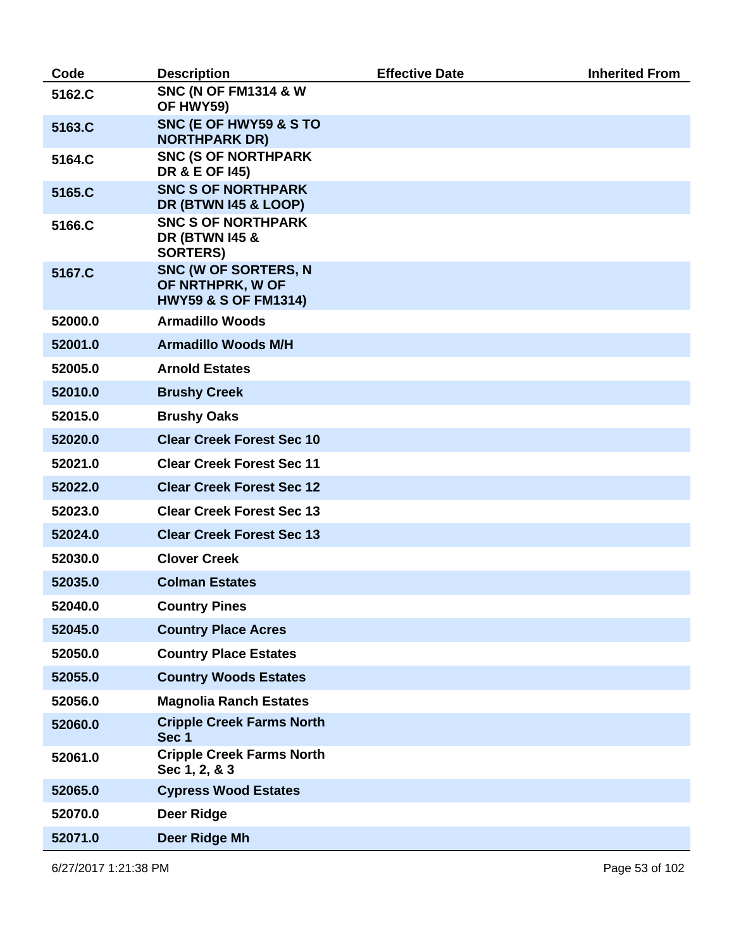| Code    | <b>Description</b>                                                          | <b>Effective Date</b> | <b>Inherited From</b> |
|---------|-----------------------------------------------------------------------------|-----------------------|-----------------------|
| 5162.C  | <b>SNC (N OF FM1314 &amp; W</b><br>OF HWY59)                                |                       |                       |
| 5163.C  | SNC (E OF HWY59 & S TO<br><b>NORTHPARK DR)</b>                              |                       |                       |
| 5164.C  | <b>SNC (S OF NORTHPARK</b><br><b>DR &amp; E OF 145)</b>                     |                       |                       |
| 5165.C  | <b>SNC S OF NORTHPARK</b><br><b>DR (BTWN I45 &amp; LOOP)</b>                |                       |                       |
| 5166.C  | <b>SNC S OF NORTHPARK</b><br><b>DR (BTWN 145 &amp;</b><br><b>SORTERS)</b>   |                       |                       |
| 5167.C  | SNC (W OF SORTERS, N<br>OF NRTHPRK, W OF<br><b>HWY59 &amp; S OF FM1314)</b> |                       |                       |
| 52000.0 | <b>Armadillo Woods</b>                                                      |                       |                       |
| 52001.0 | <b>Armadillo Woods M/H</b>                                                  |                       |                       |
| 52005.0 | <b>Arnold Estates</b>                                                       |                       |                       |
| 52010.0 | <b>Brushy Creek</b>                                                         |                       |                       |
| 52015.0 | <b>Brushy Oaks</b>                                                          |                       |                       |
| 52020.0 | <b>Clear Creek Forest Sec 10</b>                                            |                       |                       |
| 52021.0 | <b>Clear Creek Forest Sec 11</b>                                            |                       |                       |
| 52022.0 | <b>Clear Creek Forest Sec 12</b>                                            |                       |                       |
| 52023.0 | <b>Clear Creek Forest Sec 13</b>                                            |                       |                       |
| 52024.0 | <b>Clear Creek Forest Sec 13</b>                                            |                       |                       |
| 52030.0 | <b>Clover Creek</b>                                                         |                       |                       |
| 52035.0 | <b>Colman Estates</b>                                                       |                       |                       |
| 52040.0 | <b>Country Pines</b>                                                        |                       |                       |
| 52045.0 | <b>Country Place Acres</b>                                                  |                       |                       |
| 52050.0 | <b>Country Place Estates</b>                                                |                       |                       |
| 52055.0 | <b>Country Woods Estates</b>                                                |                       |                       |
| 52056.0 | <b>Magnolia Ranch Estates</b>                                               |                       |                       |
| 52060.0 | <b>Cripple Creek Farms North</b><br>Sec 1                                   |                       |                       |
| 52061.0 | <b>Cripple Creek Farms North</b><br>Sec 1, 2, & 3                           |                       |                       |
| 52065.0 | <b>Cypress Wood Estates</b>                                                 |                       |                       |
| 52070.0 | <b>Deer Ridge</b>                                                           |                       |                       |
| 52071.0 | Deer Ridge Mh                                                               |                       |                       |

6/27/2017 1:21:38 PM Page 53 of 102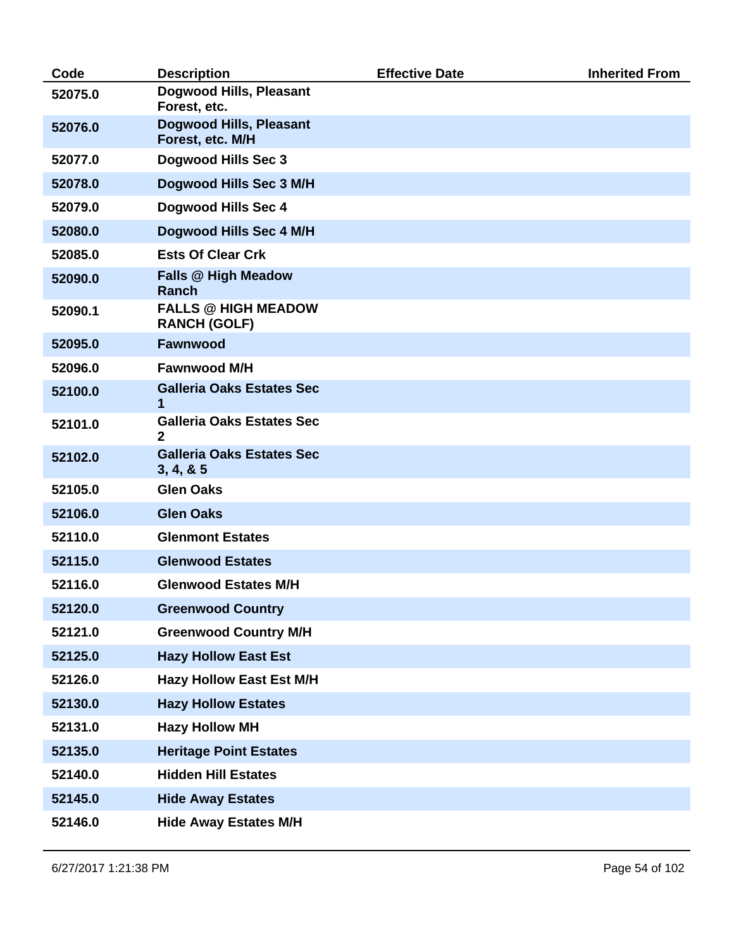| Code    | <b>Description</b>                                 | <b>Effective Date</b> | <b>Inherited From</b> |
|---------|----------------------------------------------------|-----------------------|-----------------------|
| 52075.0 | Dogwood Hills, Pleasant<br>Forest, etc.            |                       |                       |
| 52076.0 | <b>Dogwood Hills, Pleasant</b><br>Forest, etc. M/H |                       |                       |
| 52077.0 | Dogwood Hills Sec 3                                |                       |                       |
| 52078.0 | Dogwood Hills Sec 3 M/H                            |                       |                       |
| 52079.0 | <b>Dogwood Hills Sec 4</b>                         |                       |                       |
| 52080.0 | Dogwood Hills Sec 4 M/H                            |                       |                       |
| 52085.0 | <b>Ests Of Clear Crk</b>                           |                       |                       |
| 52090.0 | <b>Falls @ High Meadow</b><br><b>Ranch</b>         |                       |                       |
| 52090.1 | <b>FALLS @ HIGH MEADOW</b><br><b>RANCH (GOLF)</b>  |                       |                       |
| 52095.0 | <b>Fawnwood</b>                                    |                       |                       |
| 52096.0 | <b>Fawnwood M/H</b>                                |                       |                       |
| 52100.0 | <b>Galleria Oaks Estates Sec</b><br>1              |                       |                       |
| 52101.0 | <b>Galleria Oaks Estates Sec</b><br>$\mathbf{2}$   |                       |                       |
| 52102.0 | <b>Galleria Oaks Estates Sec</b><br>3, 4, 8, 5     |                       |                       |
| 52105.0 | <b>Glen Oaks</b>                                   |                       |                       |
| 52106.0 | <b>Glen Oaks</b>                                   |                       |                       |
| 52110.0 | <b>Glenmont Estates</b>                            |                       |                       |
| 52115.0 | <b>Glenwood Estates</b>                            |                       |                       |
| 52116.0 | <b>Glenwood Estates M/H</b>                        |                       |                       |
| 52120.0 | <b>Greenwood Country</b>                           |                       |                       |
| 52121.0 | <b>Greenwood Country M/H</b>                       |                       |                       |
| 52125.0 | <b>Hazy Hollow East Est</b>                        |                       |                       |
| 52126.0 | <b>Hazy Hollow East Est M/H</b>                    |                       |                       |
| 52130.0 | <b>Hazy Hollow Estates</b>                         |                       |                       |
| 52131.0 | <b>Hazy Hollow MH</b>                              |                       |                       |
| 52135.0 | <b>Heritage Point Estates</b>                      |                       |                       |
| 52140.0 | <b>Hidden Hill Estates</b>                         |                       |                       |
| 52145.0 | <b>Hide Away Estates</b>                           |                       |                       |
| 52146.0 | <b>Hide Away Estates M/H</b>                       |                       |                       |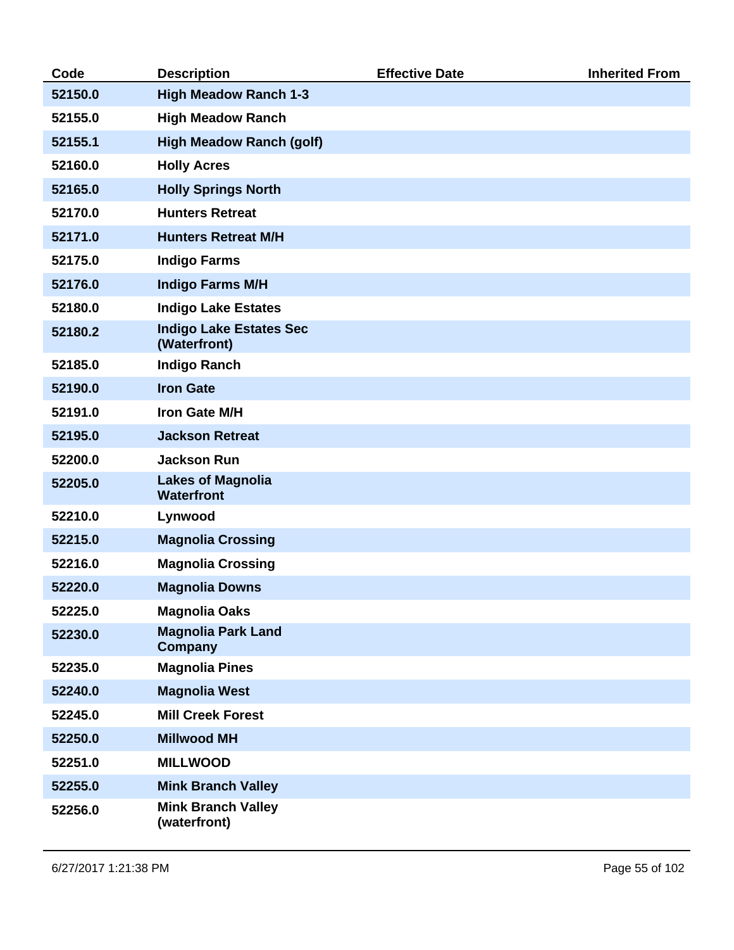| Code    | <b>Description</b>                             | <b>Effective Date</b> | <b>Inherited From</b> |
|---------|------------------------------------------------|-----------------------|-----------------------|
| 52150.0 | <b>High Meadow Ranch 1-3</b>                   |                       |                       |
| 52155.0 | <b>High Meadow Ranch</b>                       |                       |                       |
| 52155.1 | <b>High Meadow Ranch (golf)</b>                |                       |                       |
| 52160.0 | <b>Holly Acres</b>                             |                       |                       |
| 52165.0 | <b>Holly Springs North</b>                     |                       |                       |
| 52170.0 | <b>Hunters Retreat</b>                         |                       |                       |
| 52171.0 | <b>Hunters Retreat M/H</b>                     |                       |                       |
| 52175.0 | <b>Indigo Farms</b>                            |                       |                       |
| 52176.0 | <b>Indigo Farms M/H</b>                        |                       |                       |
| 52180.0 | <b>Indigo Lake Estates</b>                     |                       |                       |
| 52180.2 | <b>Indigo Lake Estates Sec</b><br>(Waterfront) |                       |                       |
| 52185.0 | <b>Indigo Ranch</b>                            |                       |                       |
| 52190.0 | <b>Iron Gate</b>                               |                       |                       |
| 52191.0 | Iron Gate M/H                                  |                       |                       |
| 52195.0 | <b>Jackson Retreat</b>                         |                       |                       |
| 52200.0 | <b>Jackson Run</b>                             |                       |                       |
| 52205.0 | <b>Lakes of Magnolia</b><br><b>Waterfront</b>  |                       |                       |
| 52210.0 | Lynwood                                        |                       |                       |
| 52215.0 | <b>Magnolia Crossing</b>                       |                       |                       |
| 52216.0 | <b>Magnolia Crossing</b>                       |                       |                       |
| 52220.0 | <b>Magnolia Downs</b>                          |                       |                       |
| 52225.0 | <b>Magnolia Oaks</b>                           |                       |                       |
| 52230.0 | <b>Magnolia Park Land</b><br>Company           |                       |                       |
| 52235.0 | <b>Magnolia Pines</b>                          |                       |                       |
| 52240.0 | <b>Magnolia West</b>                           |                       |                       |
| 52245.0 | <b>Mill Creek Forest</b>                       |                       |                       |
| 52250.0 | <b>Millwood MH</b>                             |                       |                       |
| 52251.0 | <b>MILLWOOD</b>                                |                       |                       |
| 52255.0 | <b>Mink Branch Valley</b>                      |                       |                       |
| 52256.0 | <b>Mink Branch Valley</b><br>(waterfront)      |                       |                       |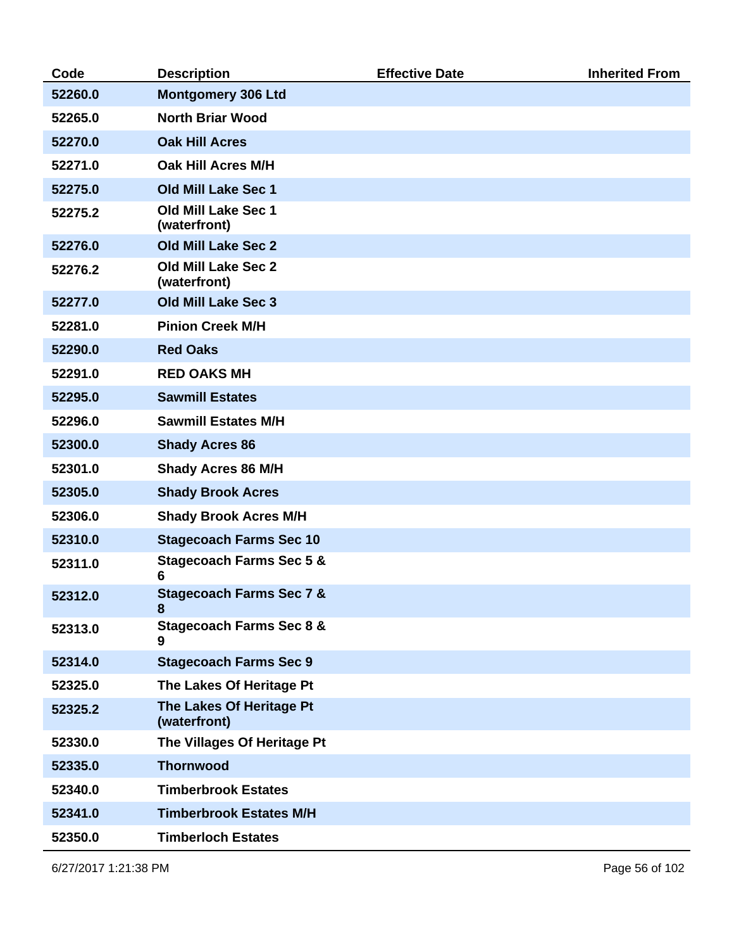| Code    | <b>Description</b>                       | <b>Effective Date</b> | <b>Inherited From</b> |
|---------|------------------------------------------|-----------------------|-----------------------|
| 52260.0 | <b>Montgomery 306 Ltd</b>                |                       |                       |
| 52265.0 | <b>North Briar Wood</b>                  |                       |                       |
| 52270.0 | <b>Oak Hill Acres</b>                    |                       |                       |
| 52271.0 | Oak Hill Acres M/H                       |                       |                       |
| 52275.0 | <b>Old Mill Lake Sec 1</b>               |                       |                       |
| 52275.2 | Old Mill Lake Sec 1<br>(waterfront)      |                       |                       |
| 52276.0 | <b>Old Mill Lake Sec 2</b>               |                       |                       |
| 52276.2 | Old Mill Lake Sec 2<br>(waterfront)      |                       |                       |
| 52277.0 | <b>Old Mill Lake Sec 3</b>               |                       |                       |
| 52281.0 | <b>Pinion Creek M/H</b>                  |                       |                       |
| 52290.0 | <b>Red Oaks</b>                          |                       |                       |
| 52291.0 | <b>RED OAKS MH</b>                       |                       |                       |
| 52295.0 | <b>Sawmill Estates</b>                   |                       |                       |
| 52296.0 | <b>Sawmill Estates M/H</b>               |                       |                       |
| 52300.0 | <b>Shady Acres 86</b>                    |                       |                       |
| 52301.0 | <b>Shady Acres 86 M/H</b>                |                       |                       |
| 52305.0 | <b>Shady Brook Acres</b>                 |                       |                       |
| 52306.0 | <b>Shady Brook Acres M/H</b>             |                       |                       |
| 52310.0 | <b>Stagecoach Farms Sec 10</b>           |                       |                       |
| 52311.0 | <b>Stagecoach Farms Sec 5 &amp;</b><br>6 |                       |                       |
| 52312.0 | <b>Stagecoach Farms Sec 7 &amp;</b><br>8 |                       |                       |
| 52313.0 | <b>Stagecoach Farms Sec 8 &amp;</b><br>9 |                       |                       |
| 52314.0 | <b>Stagecoach Farms Sec 9</b>            |                       |                       |
| 52325.0 | The Lakes Of Heritage Pt                 |                       |                       |
| 52325.2 | The Lakes Of Heritage Pt<br>(waterfront) |                       |                       |
| 52330.0 | The Villages Of Heritage Pt              |                       |                       |
| 52335.0 | <b>Thornwood</b>                         |                       |                       |
| 52340.0 | <b>Timberbrook Estates</b>               |                       |                       |
| 52341.0 | <b>Timberbrook Estates M/H</b>           |                       |                       |
| 52350.0 | <b>Timberloch Estates</b>                |                       |                       |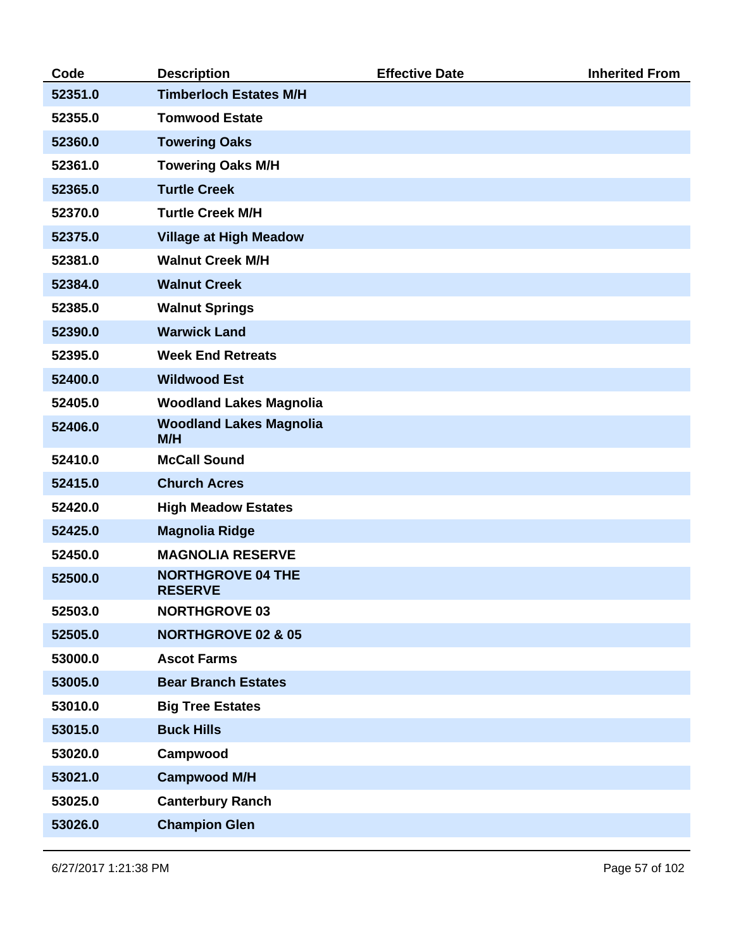| Code    | <b>Description</b>                         | <b>Effective Date</b> | <b>Inherited From</b> |
|---------|--------------------------------------------|-----------------------|-----------------------|
| 52351.0 | <b>Timberloch Estates M/H</b>              |                       |                       |
| 52355.0 | <b>Tomwood Estate</b>                      |                       |                       |
| 52360.0 | <b>Towering Oaks</b>                       |                       |                       |
| 52361.0 | <b>Towering Oaks M/H</b>                   |                       |                       |
| 52365.0 | <b>Turtle Creek</b>                        |                       |                       |
| 52370.0 | <b>Turtle Creek M/H</b>                    |                       |                       |
| 52375.0 | <b>Village at High Meadow</b>              |                       |                       |
| 52381.0 | <b>Walnut Creek M/H</b>                    |                       |                       |
| 52384.0 | <b>Walnut Creek</b>                        |                       |                       |
| 52385.0 | <b>Walnut Springs</b>                      |                       |                       |
| 52390.0 | <b>Warwick Land</b>                        |                       |                       |
| 52395.0 | <b>Week End Retreats</b>                   |                       |                       |
| 52400.0 | <b>Wildwood Est</b>                        |                       |                       |
| 52405.0 | <b>Woodland Lakes Magnolia</b>             |                       |                       |
| 52406.0 | <b>Woodland Lakes Magnolia</b><br>M/H      |                       |                       |
| 52410.0 | <b>McCall Sound</b>                        |                       |                       |
| 52415.0 | <b>Church Acres</b>                        |                       |                       |
| 52420.0 | <b>High Meadow Estates</b>                 |                       |                       |
| 52425.0 | <b>Magnolia Ridge</b>                      |                       |                       |
| 52450.0 | <b>MAGNOLIA RESERVE</b>                    |                       |                       |
| 52500.0 | <b>NORTHGROVE 04 THE</b><br><b>RESERVE</b> |                       |                       |
| 52503.0 | <b>NORTHGROVE 03</b>                       |                       |                       |
| 52505.0 | <b>NORTHGROVE 02 &amp; 05</b>              |                       |                       |
| 53000.0 | <b>Ascot Farms</b>                         |                       |                       |
| 53005.0 | <b>Bear Branch Estates</b>                 |                       |                       |
| 53010.0 | <b>Big Tree Estates</b>                    |                       |                       |
| 53015.0 | <b>Buck Hills</b>                          |                       |                       |
| 53020.0 | Campwood                                   |                       |                       |
| 53021.0 | <b>Campwood M/H</b>                        |                       |                       |
| 53025.0 | <b>Canterbury Ranch</b>                    |                       |                       |
| 53026.0 | <b>Champion Glen</b>                       |                       |                       |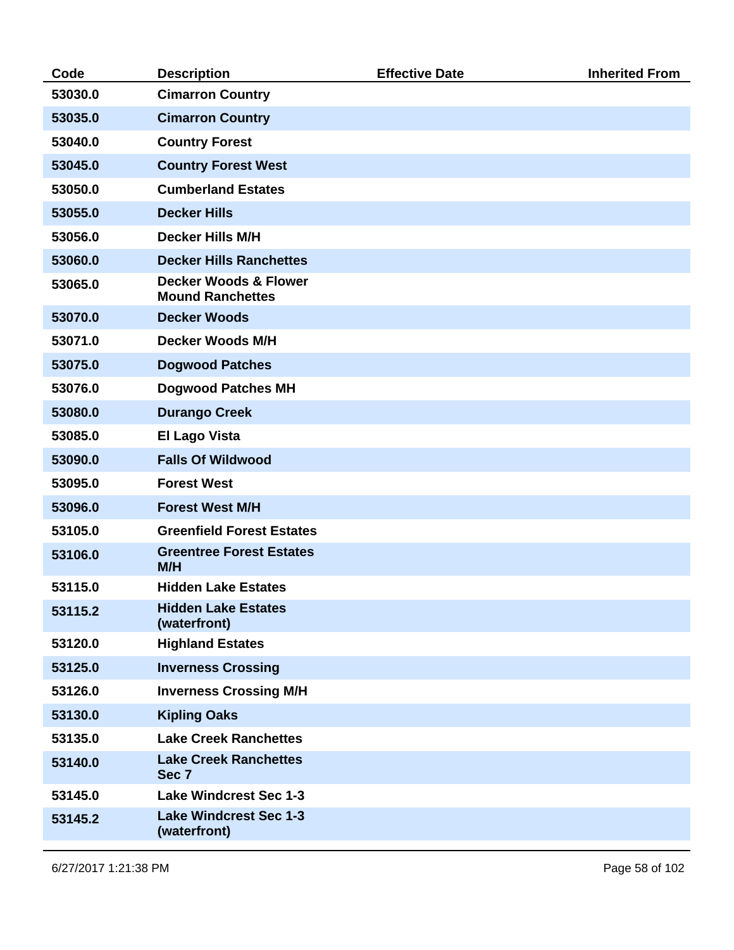| 53030.0<br>53035.0<br>53040.0<br>53045.0<br>53050.0<br>53055.0<br>53056.0 | <b>Cimarron Country</b><br><b>Cimarron Country</b><br><b>Country Forest</b><br><b>Country Forest West</b><br><b>Cumberland Estates</b><br><b>Decker Hills</b><br><b>Decker Hills M/H</b><br><b>Decker Hills Ranchettes</b> |  |
|---------------------------------------------------------------------------|----------------------------------------------------------------------------------------------------------------------------------------------------------------------------------------------------------------------------|--|
|                                                                           |                                                                                                                                                                                                                            |  |
|                                                                           |                                                                                                                                                                                                                            |  |
|                                                                           |                                                                                                                                                                                                                            |  |
|                                                                           |                                                                                                                                                                                                                            |  |
|                                                                           |                                                                                                                                                                                                                            |  |
|                                                                           |                                                                                                                                                                                                                            |  |
|                                                                           |                                                                                                                                                                                                                            |  |
| 53060.0                                                                   |                                                                                                                                                                                                                            |  |
| 53065.0                                                                   | <b>Decker Woods &amp; Flower</b><br><b>Mound Ranchettes</b>                                                                                                                                                                |  |
| 53070.0                                                                   | <b>Decker Woods</b>                                                                                                                                                                                                        |  |
| 53071.0                                                                   | <b>Decker Woods M/H</b>                                                                                                                                                                                                    |  |
| 53075.0                                                                   | <b>Dogwood Patches</b>                                                                                                                                                                                                     |  |
| 53076.0                                                                   | <b>Dogwood Patches MH</b>                                                                                                                                                                                                  |  |
| 53080.0                                                                   | <b>Durango Creek</b>                                                                                                                                                                                                       |  |
| 53085.0                                                                   | <b>El Lago Vista</b>                                                                                                                                                                                                       |  |
| 53090.0                                                                   | <b>Falls Of Wildwood</b>                                                                                                                                                                                                   |  |
| 53095.0                                                                   | <b>Forest West</b>                                                                                                                                                                                                         |  |
| 53096.0                                                                   | <b>Forest West M/H</b>                                                                                                                                                                                                     |  |
| 53105.0                                                                   | <b>Greenfield Forest Estates</b>                                                                                                                                                                                           |  |
| 53106.0<br>M/H                                                            | <b>Greentree Forest Estates</b>                                                                                                                                                                                            |  |
| 53115.0                                                                   | <b>Hidden Lake Estates</b>                                                                                                                                                                                                 |  |
| 53115.2                                                                   | <b>Hidden Lake Estates</b><br>(waterfront)                                                                                                                                                                                 |  |
| 53120.0                                                                   | <b>Highland Estates</b>                                                                                                                                                                                                    |  |
| 53125.0                                                                   | <b>Inverness Crossing</b>                                                                                                                                                                                                  |  |
| 53126.0                                                                   | <b>Inverness Crossing M/H</b>                                                                                                                                                                                              |  |
| 53130.0                                                                   | <b>Kipling Oaks</b>                                                                                                                                                                                                        |  |
| 53135.0                                                                   | <b>Lake Creek Ranchettes</b>                                                                                                                                                                                               |  |
| 53140.0<br>Sec <sub>7</sub>                                               | <b>Lake Creek Ranchettes</b>                                                                                                                                                                                               |  |
| 53145.0                                                                   | <b>Lake Windcrest Sec 1-3</b>                                                                                                                                                                                              |  |
| 53145.2<br>(waterfront)                                                   | <b>Lake Windcrest Sec 1-3</b>                                                                                                                                                                                              |  |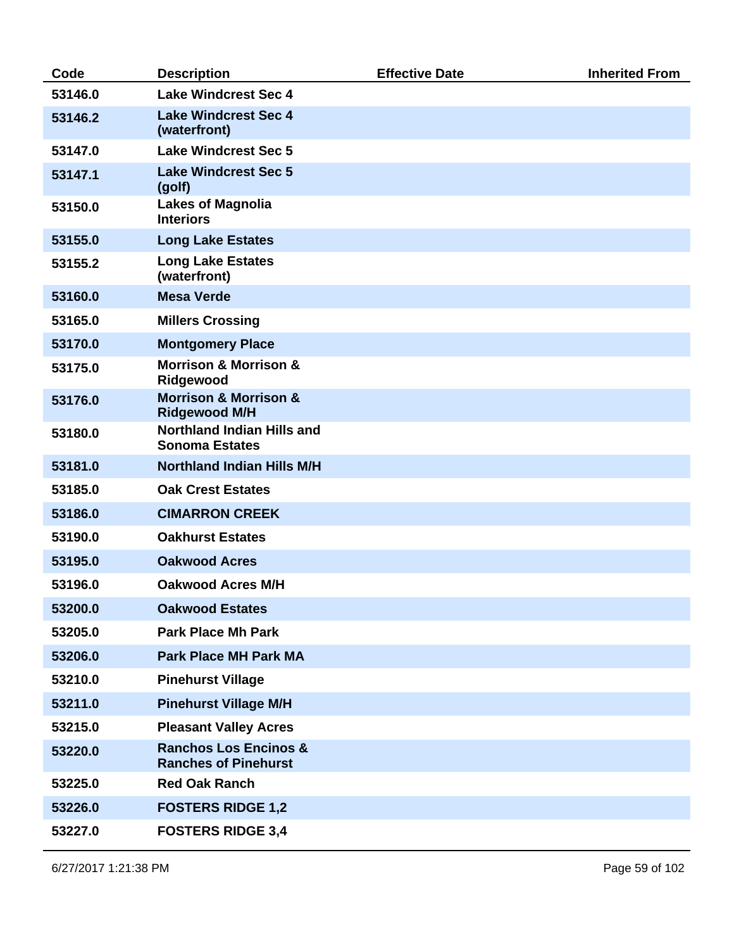| Code    | <b>Description</b>                                              | <b>Effective Date</b> | <b>Inherited From</b> |
|---------|-----------------------------------------------------------------|-----------------------|-----------------------|
| 53146.0 | <b>Lake Windcrest Sec 4</b>                                     |                       |                       |
| 53146.2 | <b>Lake Windcrest Sec 4</b><br>(waterfront)                     |                       |                       |
| 53147.0 | <b>Lake Windcrest Sec 5</b>                                     |                       |                       |
| 53147.1 | <b>Lake Windcrest Sec 5</b><br>(golf)                           |                       |                       |
| 53150.0 | <b>Lakes of Magnolia</b><br><b>Interiors</b>                    |                       |                       |
| 53155.0 | <b>Long Lake Estates</b>                                        |                       |                       |
| 53155.2 | <b>Long Lake Estates</b><br>(waterfront)                        |                       |                       |
| 53160.0 | <b>Mesa Verde</b>                                               |                       |                       |
| 53165.0 | <b>Millers Crossing</b>                                         |                       |                       |
| 53170.0 | <b>Montgomery Place</b>                                         |                       |                       |
| 53175.0 | <b>Morrison &amp; Morrison &amp;</b><br>Ridgewood               |                       |                       |
| 53176.0 | <b>Morrison &amp; Morrison &amp;</b><br><b>Ridgewood M/H</b>    |                       |                       |
| 53180.0 | <b>Northland Indian Hills and</b><br><b>Sonoma Estates</b>      |                       |                       |
| 53181.0 | <b>Northland Indian Hills M/H</b>                               |                       |                       |
| 53185.0 | <b>Oak Crest Estates</b>                                        |                       |                       |
| 53186.0 | <b>CIMARRON CREEK</b>                                           |                       |                       |
| 53190.0 | <b>Oakhurst Estates</b>                                         |                       |                       |
| 53195.0 | <b>Oakwood Acres</b>                                            |                       |                       |
| 53196.0 | <b>Oakwood Acres M/H</b>                                        |                       |                       |
| 53200.0 | <b>Oakwood Estates</b>                                          |                       |                       |
| 53205.0 | <b>Park Place Mh Park</b>                                       |                       |                       |
| 53206.0 | <b>Park Place MH Park MA</b>                                    |                       |                       |
| 53210.0 | <b>Pinehurst Village</b>                                        |                       |                       |
| 53211.0 | <b>Pinehurst Village M/H</b>                                    |                       |                       |
| 53215.0 | <b>Pleasant Valley Acres</b>                                    |                       |                       |
| 53220.0 | <b>Ranchos Los Encinos &amp;</b><br><b>Ranches of Pinehurst</b> |                       |                       |
| 53225.0 | <b>Red Oak Ranch</b>                                            |                       |                       |
| 53226.0 | <b>FOSTERS RIDGE 1,2</b>                                        |                       |                       |
| 53227.0 | <b>FOSTERS RIDGE 3,4</b>                                        |                       |                       |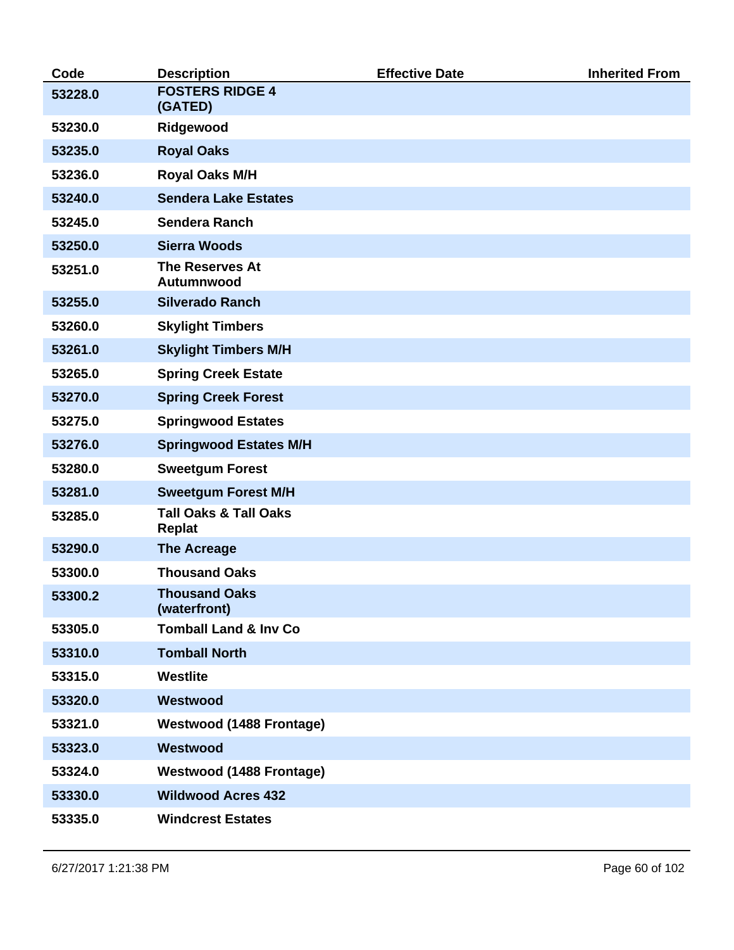| Code    | <b>Description</b>                                | <b>Effective Date</b> | <b>Inherited From</b> |
|---------|---------------------------------------------------|-----------------------|-----------------------|
| 53228.0 | <b>FOSTERS RIDGE 4</b><br>(GATED)                 |                       |                       |
| 53230.0 | Ridgewood                                         |                       |                       |
| 53235.0 | <b>Royal Oaks</b>                                 |                       |                       |
| 53236.0 | Royal Oaks M/H                                    |                       |                       |
| 53240.0 | <b>Sendera Lake Estates</b>                       |                       |                       |
| 53245.0 | Sendera Ranch                                     |                       |                       |
| 53250.0 | <b>Sierra Woods</b>                               |                       |                       |
| 53251.0 | <b>The Reserves At</b><br>Autumnwood              |                       |                       |
| 53255.0 | <b>Silverado Ranch</b>                            |                       |                       |
| 53260.0 | <b>Skylight Timbers</b>                           |                       |                       |
| 53261.0 | <b>Skylight Timbers M/H</b>                       |                       |                       |
| 53265.0 | <b>Spring Creek Estate</b>                        |                       |                       |
| 53270.0 | <b>Spring Creek Forest</b>                        |                       |                       |
| 53275.0 | <b>Springwood Estates</b>                         |                       |                       |
| 53276.0 | <b>Springwood Estates M/H</b>                     |                       |                       |
| 53280.0 | <b>Sweetgum Forest</b>                            |                       |                       |
| 53281.0 | <b>Sweetgum Forest M/H</b>                        |                       |                       |
| 53285.0 | <b>Tall Oaks &amp; Tall Oaks</b><br><b>Replat</b> |                       |                       |
| 53290.0 | <b>The Acreage</b>                                |                       |                       |
| 53300.0 | <b>Thousand Oaks</b>                              |                       |                       |
| 53300.2 | <b>Thousand Oaks</b><br>(waterfront)              |                       |                       |
| 53305.0 | <b>Tomball Land &amp; Inv Co</b>                  |                       |                       |
| 53310.0 | <b>Tomball North</b>                              |                       |                       |
| 53315.0 | Westlite                                          |                       |                       |
| 53320.0 | Westwood                                          |                       |                       |
| 53321.0 | <b>Westwood (1488 Frontage)</b>                   |                       |                       |
| 53323.0 | Westwood                                          |                       |                       |
| 53324.0 | <b>Westwood (1488 Frontage)</b>                   |                       |                       |
| 53330.0 | <b>Wildwood Acres 432</b>                         |                       |                       |
| 53335.0 | <b>Windcrest Estates</b>                          |                       |                       |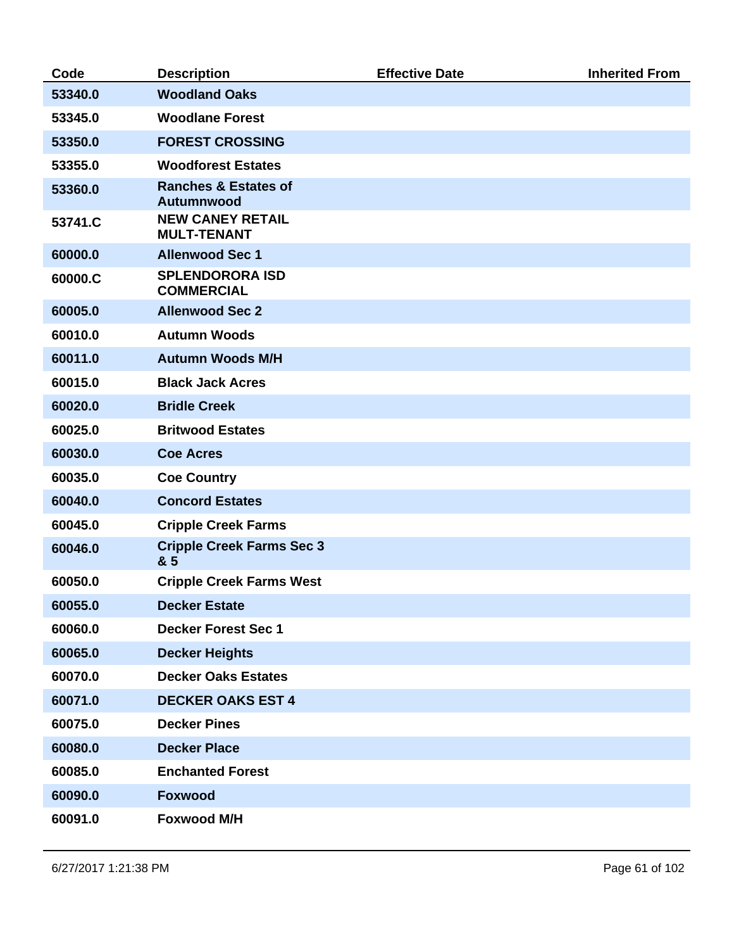| Code    | <b>Description</b>                            | <b>Effective Date</b> | <b>Inherited From</b> |
|---------|-----------------------------------------------|-----------------------|-----------------------|
| 53340.0 | <b>Woodland Oaks</b>                          |                       |                       |
| 53345.0 | <b>Woodlane Forest</b>                        |                       |                       |
| 53350.0 | <b>FOREST CROSSING</b>                        |                       |                       |
| 53355.0 | <b>Woodforest Estates</b>                     |                       |                       |
| 53360.0 | <b>Ranches &amp; Estates of</b><br>Autumnwood |                       |                       |
| 53741.C | <b>NEW CANEY RETAIL</b><br><b>MULT-TENANT</b> |                       |                       |
| 60000.0 | <b>Allenwood Sec 1</b>                        |                       |                       |
| 60000.C | <b>SPLENDORORA ISD</b><br><b>COMMERCIAL</b>   |                       |                       |
| 60005.0 | <b>Allenwood Sec 2</b>                        |                       |                       |
| 60010.0 | <b>Autumn Woods</b>                           |                       |                       |
| 60011.0 | <b>Autumn Woods M/H</b>                       |                       |                       |
| 60015.0 | <b>Black Jack Acres</b>                       |                       |                       |
| 60020.0 | <b>Bridle Creek</b>                           |                       |                       |
| 60025.0 | <b>Britwood Estates</b>                       |                       |                       |
| 60030.0 | <b>Coe Acres</b>                              |                       |                       |
| 60035.0 | <b>Coe Country</b>                            |                       |                       |
| 60040.0 | <b>Concord Estates</b>                        |                       |                       |
| 60045.0 | <b>Cripple Creek Farms</b>                    |                       |                       |
| 60046.0 | <b>Cripple Creek Farms Sec 3</b><br>& 5       |                       |                       |
| 60050.0 | <b>Cripple Creek Farms West</b>               |                       |                       |
| 60055.0 | <b>Decker Estate</b>                          |                       |                       |
| 60060.0 | <b>Decker Forest Sec 1</b>                    |                       |                       |
| 60065.0 | <b>Decker Heights</b>                         |                       |                       |
| 60070.0 | <b>Decker Oaks Estates</b>                    |                       |                       |
| 60071.0 | <b>DECKER OAKS EST 4</b>                      |                       |                       |
| 60075.0 | <b>Decker Pines</b>                           |                       |                       |
| 60080.0 | <b>Decker Place</b>                           |                       |                       |
| 60085.0 | <b>Enchanted Forest</b>                       |                       |                       |
| 60090.0 | <b>Foxwood</b>                                |                       |                       |
| 60091.0 | <b>Foxwood M/H</b>                            |                       |                       |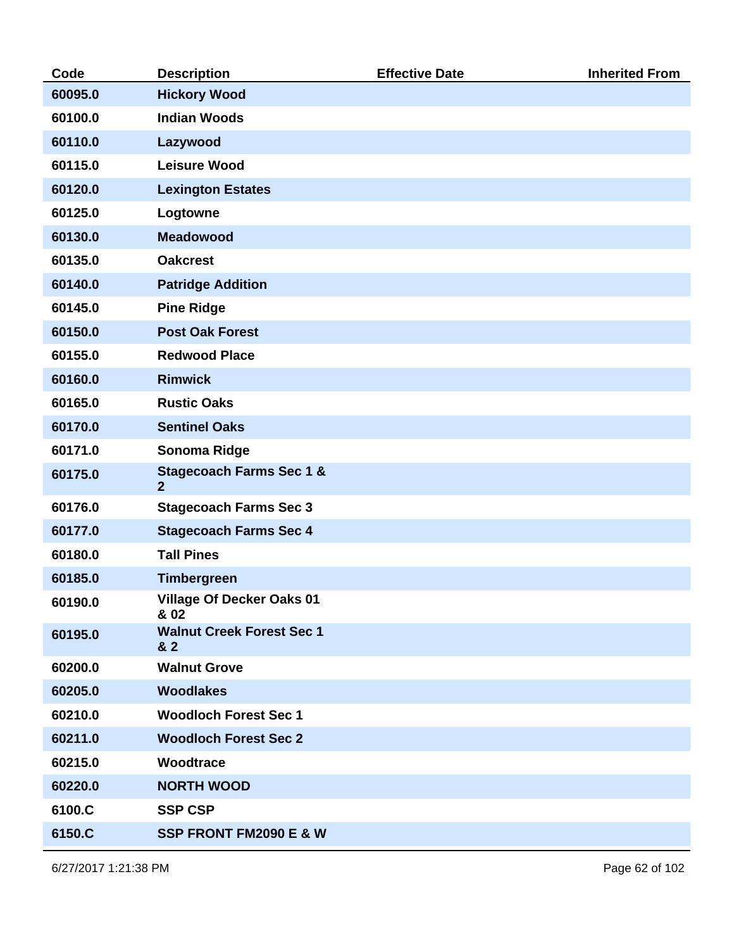| Code    | <b>Description</b>                                    | <b>Effective Date</b> | <b>Inherited From</b> |
|---------|-------------------------------------------------------|-----------------------|-----------------------|
| 60095.0 | <b>Hickory Wood</b>                                   |                       |                       |
| 60100.0 | <b>Indian Woods</b>                                   |                       |                       |
| 60110.0 | Lazywood                                              |                       |                       |
| 60115.0 | <b>Leisure Wood</b>                                   |                       |                       |
| 60120.0 | <b>Lexington Estates</b>                              |                       |                       |
| 60125.0 | Logtowne                                              |                       |                       |
| 60130.0 | <b>Meadowood</b>                                      |                       |                       |
| 60135.0 | <b>Oakcrest</b>                                       |                       |                       |
| 60140.0 | <b>Patridge Addition</b>                              |                       |                       |
| 60145.0 | <b>Pine Ridge</b>                                     |                       |                       |
| 60150.0 | <b>Post Oak Forest</b>                                |                       |                       |
| 60155.0 | <b>Redwood Place</b>                                  |                       |                       |
| 60160.0 | <b>Rimwick</b>                                        |                       |                       |
| 60165.0 | <b>Rustic Oaks</b>                                    |                       |                       |
| 60170.0 | <b>Sentinel Oaks</b>                                  |                       |                       |
| 60171.0 | Sonoma Ridge                                          |                       |                       |
| 60175.0 | <b>Stagecoach Farms Sec 1 &amp;</b><br>$\overline{2}$ |                       |                       |
| 60176.0 | <b>Stagecoach Farms Sec 3</b>                         |                       |                       |
| 60177.0 | <b>Stagecoach Farms Sec 4</b>                         |                       |                       |
| 60180.0 | <b>Tall Pines</b>                                     |                       |                       |
| 60185.0 | <b>Timbergreen</b>                                    |                       |                       |
| 60190.0 | <b>Village Of Decker Oaks 01</b><br>& 02              |                       |                       |
| 60195.0 | <b>Walnut Creek Forest Sec 1</b><br>& 2               |                       |                       |
| 60200.0 | <b>Walnut Grove</b>                                   |                       |                       |
| 60205.0 | <b>Woodlakes</b>                                      |                       |                       |
| 60210.0 | <b>Woodloch Forest Sec 1</b>                          |                       |                       |
| 60211.0 | <b>Woodloch Forest Sec 2</b>                          |                       |                       |
| 60215.0 | Woodtrace                                             |                       |                       |
| 60220.0 | <b>NORTH WOOD</b>                                     |                       |                       |
| 6100.C  | <b>SSP CSP</b>                                        |                       |                       |
| 6150.C  | SSP FRONT FM2090 E & W                                |                       |                       |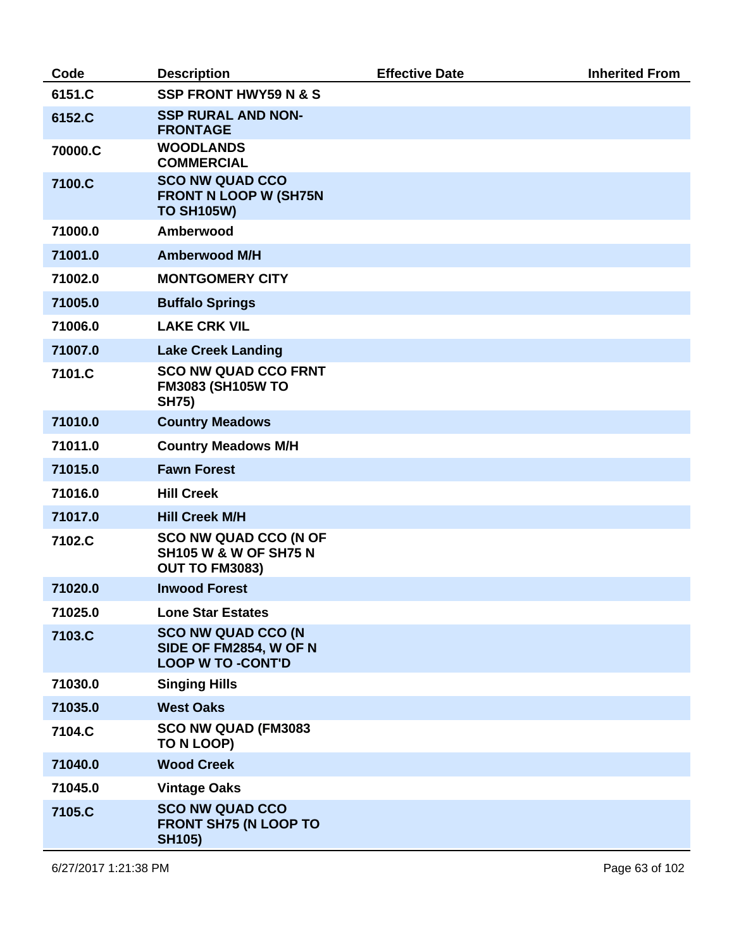| Code    | <b>Description</b>                                                                 | <b>Effective Date</b> | <b>Inherited From</b> |
|---------|------------------------------------------------------------------------------------|-----------------------|-----------------------|
| 6151.C  | <b>SSP FRONT HWY59 N &amp; S</b>                                                   |                       |                       |
| 6152.C  | <b>SSP RURAL AND NON-</b><br><b>FRONTAGE</b>                                       |                       |                       |
| 70000.C | <b>WOODLANDS</b><br><b>COMMERCIAL</b>                                              |                       |                       |
| 7100.C  | <b>SCO NW QUAD CCO</b><br><b>FRONT N LOOP W (SH75N</b><br><b>TO SH105W)</b>        |                       |                       |
| 71000.0 | Amberwood                                                                          |                       |                       |
| 71001.0 | <b>Amberwood M/H</b>                                                               |                       |                       |
| 71002.0 | <b>MONTGOMERY CITY</b>                                                             |                       |                       |
| 71005.0 | <b>Buffalo Springs</b>                                                             |                       |                       |
| 71006.0 | <b>LAKE CRK VIL</b>                                                                |                       |                       |
| 71007.0 | <b>Lake Creek Landing</b>                                                          |                       |                       |
| 7101.C  | <b>SCO NW QUAD CCO FRNT</b><br><b>FM3083 (SH105W TO</b><br><b>SH75)</b>            |                       |                       |
| 71010.0 | <b>Country Meadows</b>                                                             |                       |                       |
| 71011.0 | <b>Country Meadows M/H</b>                                                         |                       |                       |
| 71015.0 | <b>Fawn Forest</b>                                                                 |                       |                       |
| 71016.0 | <b>Hill Creek</b>                                                                  |                       |                       |
| 71017.0 | <b>Hill Creek M/H</b>                                                              |                       |                       |
| 7102.C  | <b>SCO NW QUAD CCO (N OF</b><br><b>SH105 W &amp; W OF SH75 N</b><br>OUT TO FM3083) |                       |                       |
| 71020.0 | <b>Inwood Forest</b>                                                               |                       |                       |
| 71025.0 | <b>Lone Star Estates</b>                                                           |                       |                       |
| 7103.C  | <b>SCO NW QUAD CCO (N</b><br>SIDE OF FM2854, W OF N<br><b>LOOP W TO -CONT'D</b>    |                       |                       |
| 71030.0 | <b>Singing Hills</b>                                                               |                       |                       |
| 71035.0 | <b>West Oaks</b>                                                                   |                       |                       |
| 7104.C  | SCO NW QUAD (FM3083<br>TO N LOOP)                                                  |                       |                       |
| 71040.0 | <b>Wood Creek</b>                                                                  |                       |                       |
| 71045.0 | <b>Vintage Oaks</b>                                                                |                       |                       |
| 7105.C  | <b>SCO NW QUAD CCO</b><br><b>FRONT SH75 (N LOOP TO</b><br><b>SH105)</b>            |                       |                       |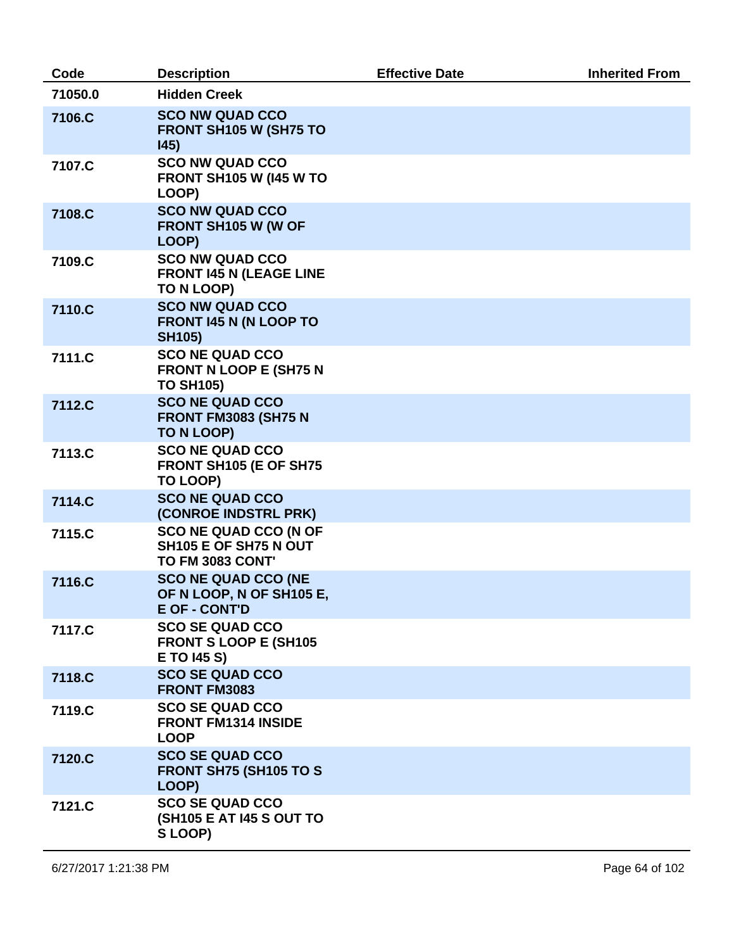| Code    | <b>Description</b>                                                               | <b>Effective Date</b> | <b>Inherited From</b> |
|---------|----------------------------------------------------------------------------------|-----------------------|-----------------------|
| 71050.0 | <b>Hidden Creek</b>                                                              |                       |                       |
| 7106.C  | <b>SCO NW QUAD CCO</b><br>FRONT SH105 W (SH75 TO<br>145)                         |                       |                       |
| 7107.C  | <b>SCO NW QUAD CCO</b><br><b>FRONT SH105 W (145 W TO</b><br>LOOP)                |                       |                       |
| 7108.C  | <b>SCO NW QUAD CCO</b><br>FRONT SH105 W (W OF<br>LOOP)                           |                       |                       |
| 7109.C  | <b>SCO NW QUAD CCO</b><br><b>FRONT 145 N (LEAGE LINE</b><br>TO N LOOP)           |                       |                       |
| 7110.C  | <b>SCO NW QUAD CCO</b><br><b>FRONT 145 N (N LOOP TO</b><br><b>SH105)</b>         |                       |                       |
| 7111.C  | <b>SCO NE QUAD CCO</b><br><b>FRONT N LOOP E (SH75 N</b><br><b>TO SH105)</b>      |                       |                       |
| 7112.C  | <b>SCO NE QUAD CCO</b><br><b>FRONT FM3083 (SH75 N</b><br>TO N LOOP)              |                       |                       |
| 7113.C  | <b>SCO NE QUAD CCO</b><br>FRONT SH105 (E OF SH75<br>TO LOOP)                     |                       |                       |
| 7114.C  | <b>SCO NE QUAD CCO</b><br>(CONROE INDSTRL PRK)                                   |                       |                       |
| 7115.C  | <b>SCO NE QUAD CCO (N OF</b><br>SH105 E OF SH75 N OUT<br><b>TO FM 3083 CONT'</b> |                       |                       |
| 7116.C  | <b>SCO NE QUAD CCO (NE</b><br>OF N LOOP, N OF SH105 E,<br><b>E OF - CONT'D</b>   |                       |                       |
| 7117.C  | <b>SCO SE QUAD CCO</b><br><b>FRONT S LOOP E (SH105</b><br>E TO 145 S)            |                       |                       |
| 7118.C  | <b>SCO SE QUAD CCO</b><br><b>FRONT FM3083</b>                                    |                       |                       |
| 7119.C  | <b>SCO SE QUAD CCO</b><br><b>FRONT FM1314 INSIDE</b><br><b>LOOP</b>              |                       |                       |
| 7120.C  | <b>SCO SE QUAD CCO</b><br><b>FRONT SH75 (SH105 TO S</b><br>LOOP)                 |                       |                       |
| 7121.C  | <b>SCO SE QUAD CCO</b><br>(SH105 E AT I45 S OUT TO<br>S LOOP)                    |                       |                       |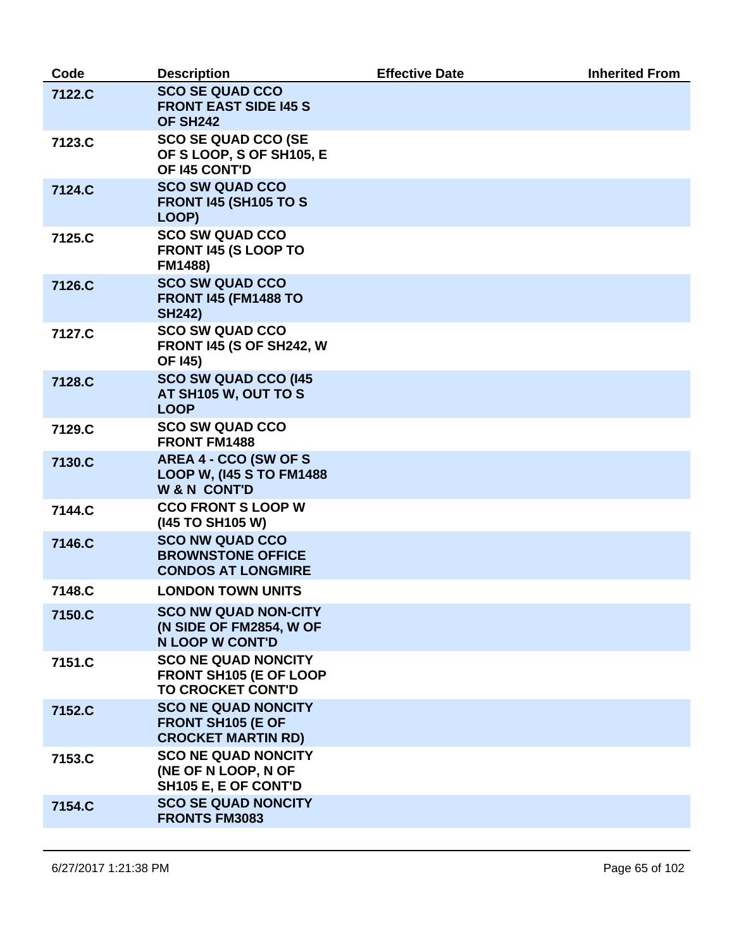| Code   | <b>Description</b>                                                                  | <b>Effective Date</b> | <b>Inherited From</b> |
|--------|-------------------------------------------------------------------------------------|-----------------------|-----------------------|
| 7122.C | <b>SCO SE QUAD CCO</b><br><b>FRONT EAST SIDE 145 S</b><br>OF SH <sub>242</sub>      |                       |                       |
| 7123.C | <b>SCO SE QUAD CCO (SE</b><br>OF S LOOP, S OF SH105, E<br>OF 145 CONT'D             |                       |                       |
| 7124.C | <b>SCO SW QUAD CCO</b><br><b>FRONT 145 (SH105 TO S</b><br>LOOP)                     |                       |                       |
| 7125.C | <b>SCO SW QUAD CCO</b><br>FRONT 145 (S LOOP TO<br><b>FM1488)</b>                    |                       |                       |
| 7126.C | <b>SCO SW QUAD CCO</b><br><b>FRONT 145 (FM1488 TO</b><br><b>SH242)</b>              |                       |                       |
| 7127.C | <b>SCO SW QUAD CCO</b><br><b>FRONT 145 (S OF SH242, W</b><br><b>OF 145)</b>         |                       |                       |
| 7128.C | <b>SCO SW QUAD CCO (145</b><br>AT SH105 W, OUT TO S<br><b>LOOP</b>                  |                       |                       |
| 7129.C | <b>SCO SW QUAD CCO</b><br><b>FRONT FM1488</b>                                       |                       |                       |
| 7130.C | AREA 4 - CCO (SW OF S<br><b>LOOP W, (145 S TO FM1488</b><br><b>W&amp;N CONT'D</b>   |                       |                       |
| 7144.C | <b>CCO FRONT S LOOP W</b><br>(145 TO SH105 W)                                       |                       |                       |
| 7146.C | <b>SCO NW QUAD CCO</b><br><b>BROWNSTONE OFFICE</b><br><b>CONDOS AT LONGMIRE</b>     |                       |                       |
| 7148.C | <b>LONDON TOWN UNITS</b>                                                            |                       |                       |
| 7150.C | <b>SCO NW QUAD NON-CITY</b><br>(N SIDE OF FM2854, W OF<br><b>N LOOP W CONT'D</b>    |                       |                       |
| 7151.C | <b>SCO NE QUAD NONCITY</b><br>FRONT SH105 (E OF LOOP<br><b>TO CROCKET CONT'D</b>    |                       |                       |
| 7152.C | <b>SCO NE QUAD NONCITY</b><br><b>FRONT SH105 (E OF</b><br><b>CROCKET MARTIN RD)</b> |                       |                       |
| 7153.C | <b>SCO NE QUAD NONCITY</b><br>(NE OF N LOOP, N OF<br>SH105 E, E OF CONT'D           |                       |                       |
| 7154.C | <b>SCO SE QUAD NONCITY</b><br><b>FRONTS FM3083</b>                                  |                       |                       |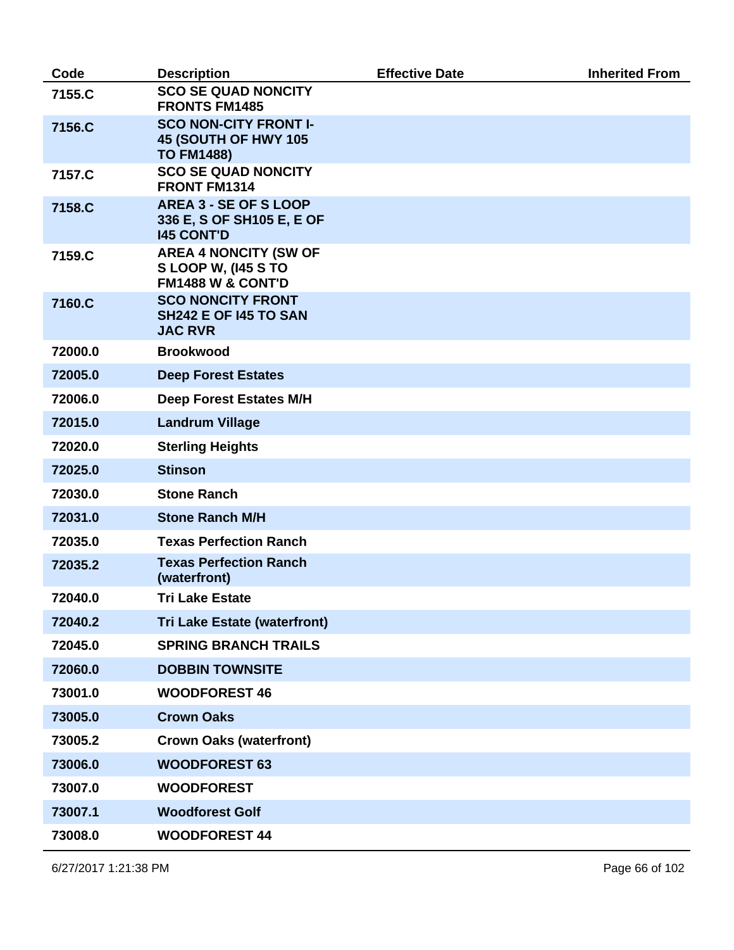| Code    | <b>Description</b>                                                                        | <b>Effective Date</b> | <b>Inherited From</b> |
|---------|-------------------------------------------------------------------------------------------|-----------------------|-----------------------|
| 7155.C  | <b>SCO SE QUAD NONCITY</b><br><b>FRONTS FM1485</b>                                        |                       |                       |
| 7156.C  | <b>SCO NON-CITY FRONT I-</b><br>45 (SOUTH OF HWY 105<br><b>TO FM1488)</b>                 |                       |                       |
| 7157.C  | <b>SCO SE QUAD NONCITY</b><br><b>FRONT FM1314</b>                                         |                       |                       |
| 7158.C  | <b>AREA 3 - SE OF S LOOP</b><br>336 E, S OF SH105 E, E OF<br><b>145 CONT'D</b>            |                       |                       |
| 7159.C  | <b>AREA 4 NONCITY (SW OF</b><br><b>SLOOP W, (145 S TO</b><br><b>FM1488 W &amp; CONT'D</b> |                       |                       |
| 7160.C  | <b>SCO NONCITY FRONT</b><br><b>SH242 E OF 145 TO SAN</b><br><b>JAC RVR</b>                |                       |                       |
| 72000.0 | <b>Brookwood</b>                                                                          |                       |                       |
| 72005.0 | <b>Deep Forest Estates</b>                                                                |                       |                       |
| 72006.0 | <b>Deep Forest Estates M/H</b>                                                            |                       |                       |
| 72015.0 | <b>Landrum Village</b>                                                                    |                       |                       |
| 72020.0 | <b>Sterling Heights</b>                                                                   |                       |                       |
| 72025.0 | <b>Stinson</b>                                                                            |                       |                       |
| 72030.0 | <b>Stone Ranch</b>                                                                        |                       |                       |
| 72031.0 | <b>Stone Ranch M/H</b>                                                                    |                       |                       |
| 72035.0 | <b>Texas Perfection Ranch</b>                                                             |                       |                       |
| 72035.2 | <b>Texas Perfection Ranch</b><br>(waterfront)                                             |                       |                       |
| 72040.0 | <b>Tri Lake Estate</b>                                                                    |                       |                       |
| 72040.2 | <b>Tri Lake Estate (waterfront)</b>                                                       |                       |                       |
| 72045.0 | <b>SPRING BRANCH TRAILS</b>                                                               |                       |                       |
| 72060.0 | <b>DOBBIN TOWNSITE</b>                                                                    |                       |                       |
| 73001.0 | <b>WOODFOREST 46</b>                                                                      |                       |                       |
| 73005.0 | <b>Crown Oaks</b>                                                                         |                       |                       |
| 73005.2 | <b>Crown Oaks (waterfront)</b>                                                            |                       |                       |
| 73006.0 | <b>WOODFOREST 63</b>                                                                      |                       |                       |
| 73007.0 | <b>WOODFOREST</b>                                                                         |                       |                       |
| 73007.1 | <b>Woodforest Golf</b>                                                                    |                       |                       |
| 73008.0 | <b>WOODFOREST 44</b>                                                                      |                       |                       |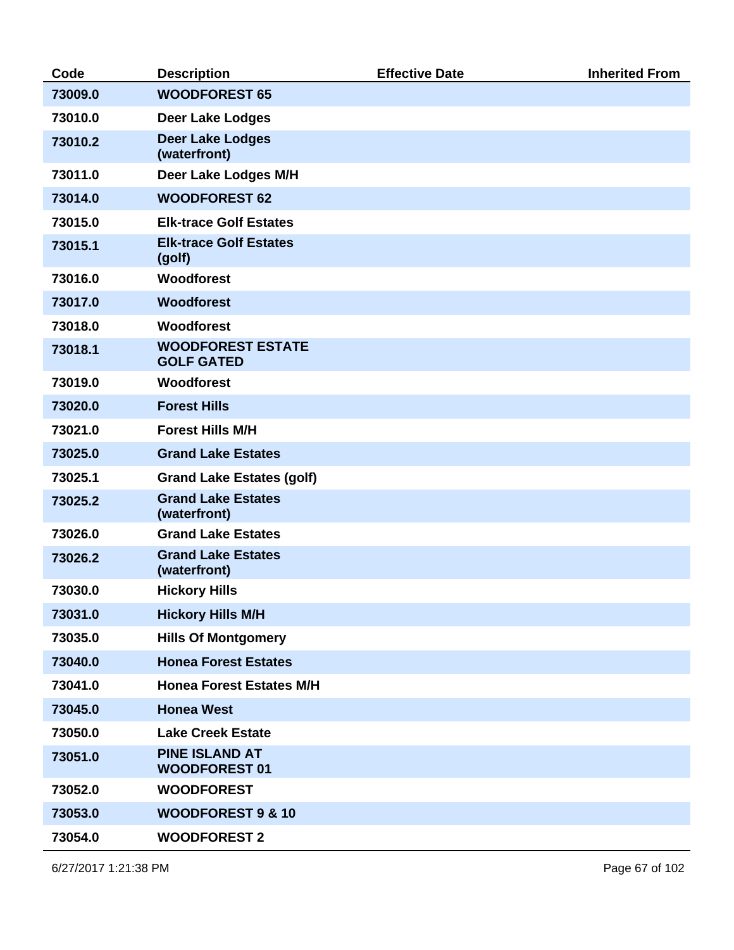| Code    | <b>Description</b>                            | <b>Effective Date</b> | <b>Inherited From</b> |
|---------|-----------------------------------------------|-----------------------|-----------------------|
| 73009.0 | <b>WOODFOREST 65</b>                          |                       |                       |
| 73010.0 | <b>Deer Lake Lodges</b>                       |                       |                       |
| 73010.2 | <b>Deer Lake Lodges</b><br>(waterfront)       |                       |                       |
| 73011.0 | Deer Lake Lodges M/H                          |                       |                       |
| 73014.0 | <b>WOODFOREST 62</b>                          |                       |                       |
| 73015.0 | <b>Elk-trace Golf Estates</b>                 |                       |                       |
| 73015.1 | <b>Elk-trace Golf Estates</b><br>(golf)       |                       |                       |
| 73016.0 | <b>Woodforest</b>                             |                       |                       |
| 73017.0 | <b>Woodforest</b>                             |                       |                       |
| 73018.0 | Woodforest                                    |                       |                       |
| 73018.1 | <b>WOODFOREST ESTATE</b><br><b>GOLF GATED</b> |                       |                       |
| 73019.0 | <b>Woodforest</b>                             |                       |                       |
| 73020.0 | <b>Forest Hills</b>                           |                       |                       |
| 73021.0 | <b>Forest Hills M/H</b>                       |                       |                       |
| 73025.0 | <b>Grand Lake Estates</b>                     |                       |                       |
| 73025.1 | <b>Grand Lake Estates (golf)</b>              |                       |                       |
| 73025.2 | <b>Grand Lake Estates</b><br>(waterfront)     |                       |                       |
| 73026.0 | <b>Grand Lake Estates</b>                     |                       |                       |
| 73026.2 | <b>Grand Lake Estates</b><br>(waterfront)     |                       |                       |
| 73030.0 | <b>Hickory Hills</b>                          |                       |                       |
| 73031.0 | <b>Hickory Hills M/H</b>                      |                       |                       |
| 73035.0 | <b>Hills Of Montgomery</b>                    |                       |                       |
| 73040.0 | <b>Honea Forest Estates</b>                   |                       |                       |
| 73041.0 | <b>Honea Forest Estates M/H</b>               |                       |                       |
| 73045.0 | <b>Honea West</b>                             |                       |                       |
| 73050.0 | <b>Lake Creek Estate</b>                      |                       |                       |
| 73051.0 | <b>PINE ISLAND AT</b><br><b>WOODFOREST 01</b> |                       |                       |
| 73052.0 | <b>WOODFOREST</b>                             |                       |                       |
| 73053.0 | <b>WOODFOREST 9 &amp; 10</b>                  |                       |                       |
| 73054.0 | <b>WOODFOREST 2</b>                           |                       |                       |

6/27/2017 1:21:38 PM Page 67 of 102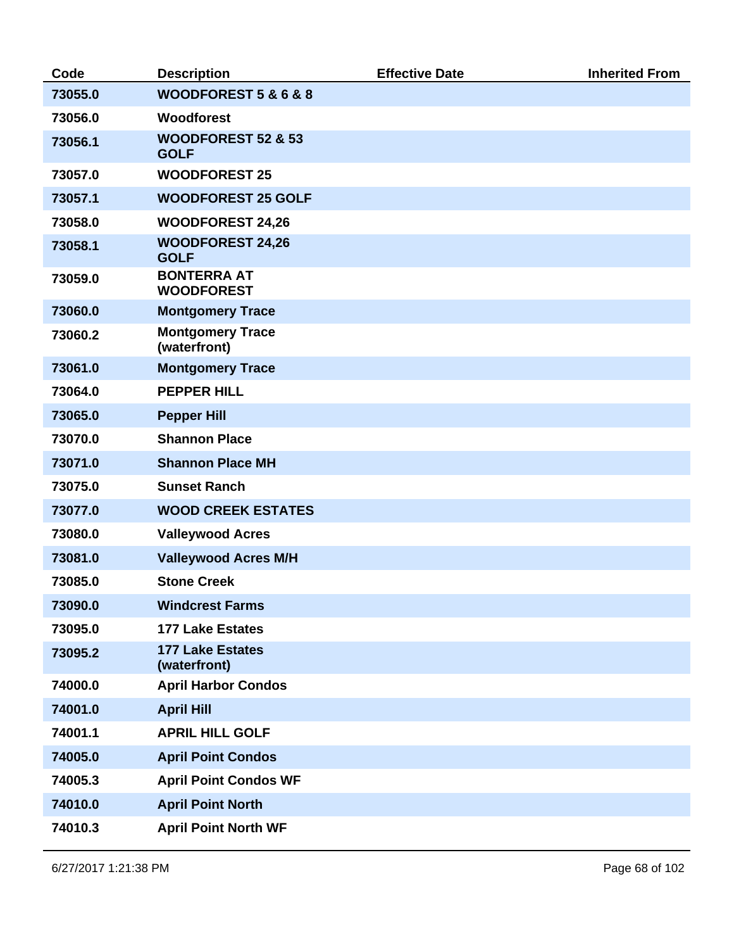| Code    | <b>Description</b>                           | <b>Effective Date</b> | <b>Inherited From</b> |
|---------|----------------------------------------------|-----------------------|-----------------------|
| 73055.0 | WOODFOREST 5 & 6 & 8                         |                       |                       |
| 73056.0 | <b>Woodforest</b>                            |                       |                       |
| 73056.1 | <b>WOODFOREST 52 &amp; 53</b><br><b>GOLF</b> |                       |                       |
| 73057.0 | <b>WOODFOREST 25</b>                         |                       |                       |
| 73057.1 | <b>WOODFOREST 25 GOLF</b>                    |                       |                       |
| 73058.0 | <b>WOODFOREST 24,26</b>                      |                       |                       |
| 73058.1 | <b>WOODFOREST 24,26</b><br><b>GOLF</b>       |                       |                       |
| 73059.0 | <b>BONTERRA AT</b><br><b>WOODFOREST</b>      |                       |                       |
| 73060.0 | <b>Montgomery Trace</b>                      |                       |                       |
| 73060.2 | <b>Montgomery Trace</b><br>(waterfront)      |                       |                       |
| 73061.0 | <b>Montgomery Trace</b>                      |                       |                       |
| 73064.0 | <b>PEPPER HILL</b>                           |                       |                       |
| 73065.0 | <b>Pepper Hill</b>                           |                       |                       |
| 73070.0 | <b>Shannon Place</b>                         |                       |                       |
| 73071.0 | <b>Shannon Place MH</b>                      |                       |                       |
| 73075.0 | <b>Sunset Ranch</b>                          |                       |                       |
| 73077.0 | <b>WOOD CREEK ESTATES</b>                    |                       |                       |
| 73080.0 | <b>Valleywood Acres</b>                      |                       |                       |
| 73081.0 | <b>Valleywood Acres M/H</b>                  |                       |                       |
| 73085.0 | <b>Stone Creek</b>                           |                       |                       |
| 73090.0 | <b>Windcrest Farms</b>                       |                       |                       |
| 73095.0 | <b>177 Lake Estates</b>                      |                       |                       |
| 73095.2 | <b>177 Lake Estates</b><br>(waterfront)      |                       |                       |
| 74000.0 | <b>April Harbor Condos</b>                   |                       |                       |
| 74001.0 | <b>April Hill</b>                            |                       |                       |
| 74001.1 | <b>APRIL HILL GOLF</b>                       |                       |                       |
| 74005.0 | <b>April Point Condos</b>                    |                       |                       |
| 74005.3 | <b>April Point Condos WF</b>                 |                       |                       |
| 74010.0 | <b>April Point North</b>                     |                       |                       |
| 74010.3 | <b>April Point North WF</b>                  |                       |                       |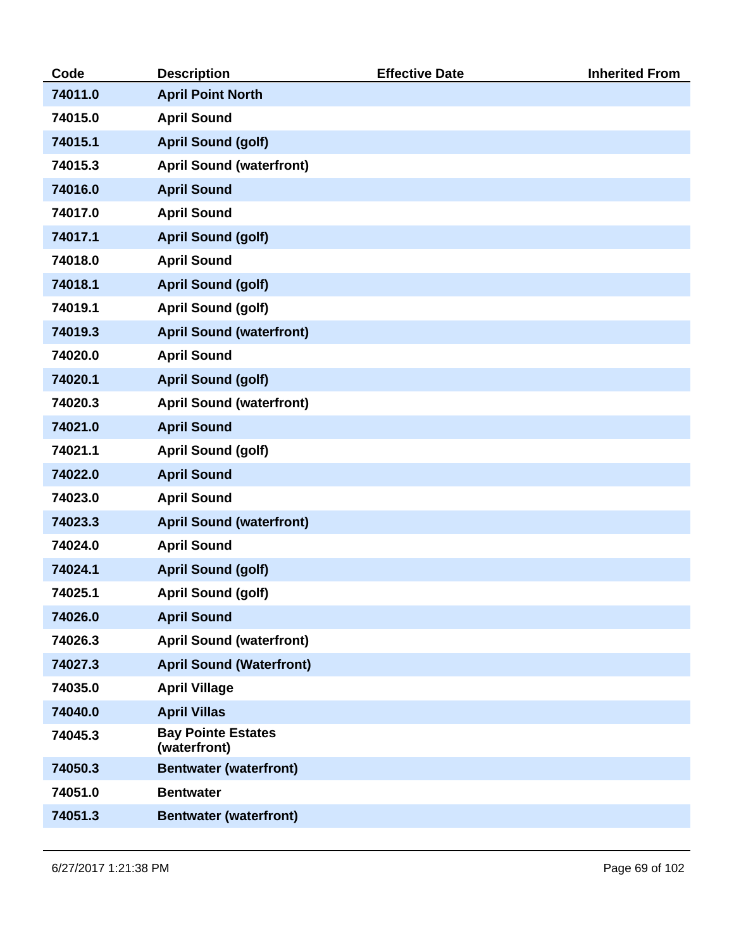| Code    | <b>Description</b>                        | <b>Effective Date</b> | <b>Inherited From</b> |
|---------|-------------------------------------------|-----------------------|-----------------------|
| 74011.0 | <b>April Point North</b>                  |                       |                       |
| 74015.0 | <b>April Sound</b>                        |                       |                       |
| 74015.1 | <b>April Sound (golf)</b>                 |                       |                       |
| 74015.3 | <b>April Sound (waterfront)</b>           |                       |                       |
| 74016.0 | <b>April Sound</b>                        |                       |                       |
| 74017.0 | <b>April Sound</b>                        |                       |                       |
| 74017.1 | <b>April Sound (golf)</b>                 |                       |                       |
| 74018.0 | <b>April Sound</b>                        |                       |                       |
| 74018.1 | <b>April Sound (golf)</b>                 |                       |                       |
| 74019.1 | <b>April Sound (golf)</b>                 |                       |                       |
| 74019.3 | <b>April Sound (waterfront)</b>           |                       |                       |
| 74020.0 | <b>April Sound</b>                        |                       |                       |
| 74020.1 | <b>April Sound (golf)</b>                 |                       |                       |
| 74020.3 | <b>April Sound (waterfront)</b>           |                       |                       |
| 74021.0 | <b>April Sound</b>                        |                       |                       |
| 74021.1 | <b>April Sound (golf)</b>                 |                       |                       |
| 74022.0 | <b>April Sound</b>                        |                       |                       |
| 74023.0 | <b>April Sound</b>                        |                       |                       |
| 74023.3 | <b>April Sound (waterfront)</b>           |                       |                       |
| 74024.0 | <b>April Sound</b>                        |                       |                       |
| 74024.1 | <b>April Sound (golf)</b>                 |                       |                       |
| 74025.1 | <b>April Sound (golf)</b>                 |                       |                       |
| 74026.0 | <b>April Sound</b>                        |                       |                       |
| 74026.3 | <b>April Sound (waterfront)</b>           |                       |                       |
| 74027.3 | <b>April Sound (Waterfront)</b>           |                       |                       |
| 74035.0 | <b>April Village</b>                      |                       |                       |
| 74040.0 | <b>April Villas</b>                       |                       |                       |
| 74045.3 | <b>Bay Pointe Estates</b><br>(waterfront) |                       |                       |
| 74050.3 | <b>Bentwater (waterfront)</b>             |                       |                       |
| 74051.0 | <b>Bentwater</b>                          |                       |                       |
| 74051.3 | <b>Bentwater (waterfront)</b>             |                       |                       |
|         |                                           |                       |                       |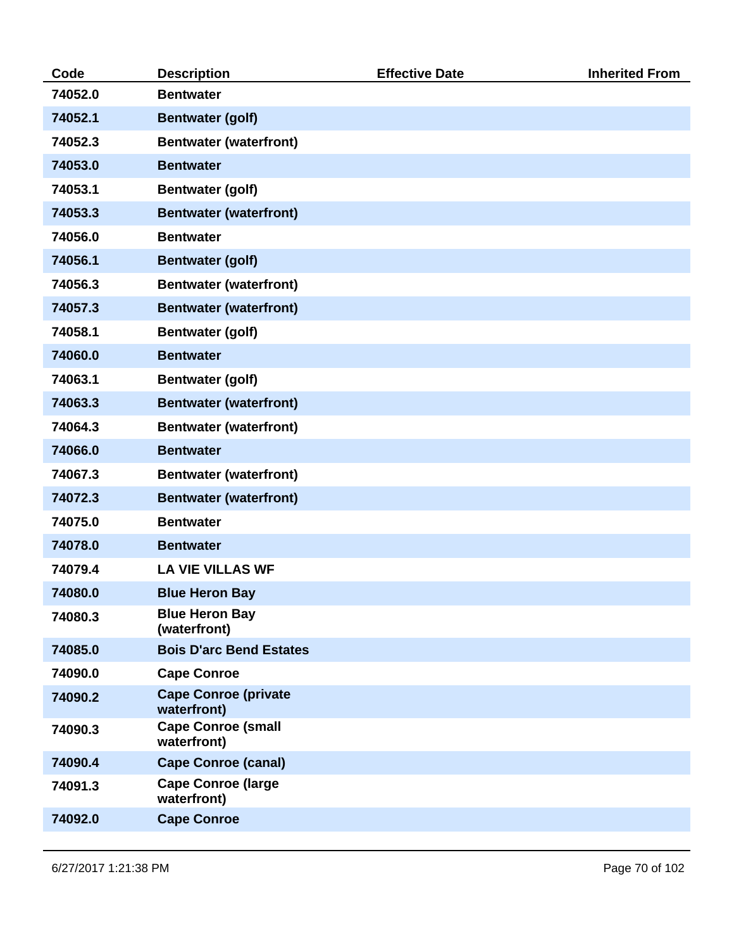| Code    | <b>Description</b>                         | <b>Effective Date</b> | <b>Inherited From</b> |
|---------|--------------------------------------------|-----------------------|-----------------------|
| 74052.0 | <b>Bentwater</b>                           |                       |                       |
| 74052.1 | <b>Bentwater (golf)</b>                    |                       |                       |
| 74052.3 | <b>Bentwater (waterfront)</b>              |                       |                       |
| 74053.0 | <b>Bentwater</b>                           |                       |                       |
| 74053.1 | <b>Bentwater (golf)</b>                    |                       |                       |
| 74053.3 | <b>Bentwater (waterfront)</b>              |                       |                       |
| 74056.0 | <b>Bentwater</b>                           |                       |                       |
| 74056.1 | <b>Bentwater (golf)</b>                    |                       |                       |
| 74056.3 | <b>Bentwater (waterfront)</b>              |                       |                       |
| 74057.3 | <b>Bentwater (waterfront)</b>              |                       |                       |
| 74058.1 | <b>Bentwater (golf)</b>                    |                       |                       |
| 74060.0 | <b>Bentwater</b>                           |                       |                       |
| 74063.1 | <b>Bentwater (golf)</b>                    |                       |                       |
| 74063.3 | <b>Bentwater (waterfront)</b>              |                       |                       |
| 74064.3 | <b>Bentwater (waterfront)</b>              |                       |                       |
| 74066.0 | <b>Bentwater</b>                           |                       |                       |
| 74067.3 | <b>Bentwater (waterfront)</b>              |                       |                       |
| 74072.3 | <b>Bentwater (waterfront)</b>              |                       |                       |
| 74075.0 | <b>Bentwater</b>                           |                       |                       |
| 74078.0 | <b>Bentwater</b>                           |                       |                       |
| 74079.4 | <b>LA VIE VILLAS WF</b>                    |                       |                       |
| 74080.0 | <b>Blue Heron Bay</b>                      |                       |                       |
| 74080.3 | <b>Blue Heron Bay</b><br>(waterfront)      |                       |                       |
| 74085.0 | <b>Bois D'arc Bend Estates</b>             |                       |                       |
| 74090.0 | <b>Cape Conroe</b>                         |                       |                       |
| 74090.2 | <b>Cape Conroe (private</b><br>waterfront) |                       |                       |
| 74090.3 | <b>Cape Conroe (small</b><br>waterfront)   |                       |                       |
| 74090.4 | <b>Cape Conroe (canal)</b>                 |                       |                       |
| 74091.3 | <b>Cape Conroe (large</b><br>waterfront)   |                       |                       |
| 74092.0 | <b>Cape Conroe</b>                         |                       |                       |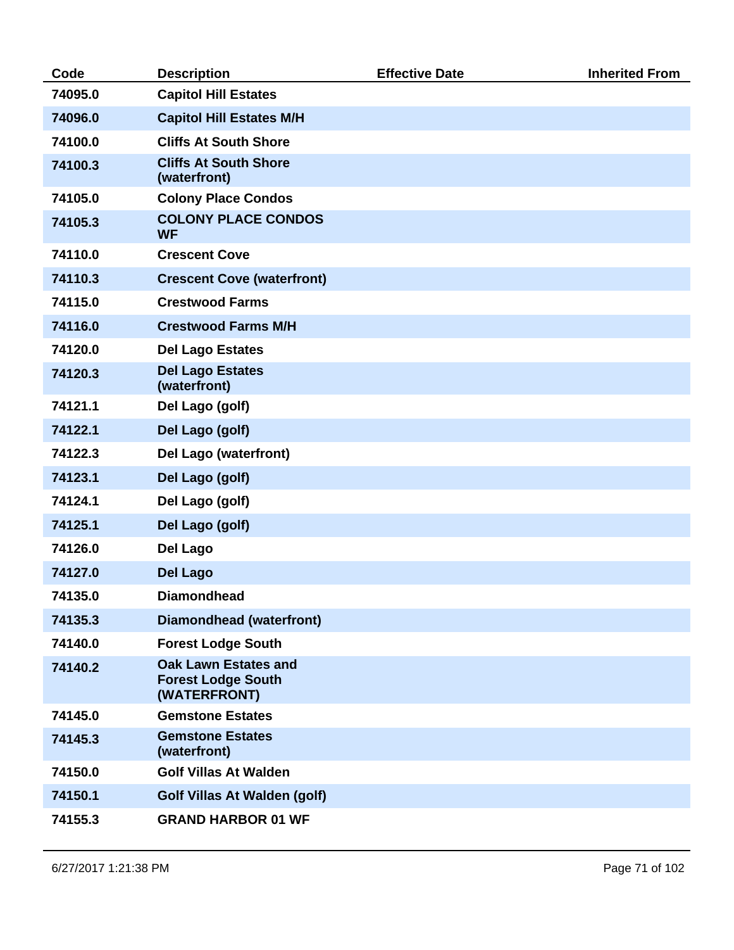| Code    | <b>Description</b>                                                       | <b>Effective Date</b> | <b>Inherited From</b> |
|---------|--------------------------------------------------------------------------|-----------------------|-----------------------|
| 74095.0 | <b>Capitol Hill Estates</b>                                              |                       |                       |
| 74096.0 | <b>Capitol Hill Estates M/H</b>                                          |                       |                       |
| 74100.0 | <b>Cliffs At South Shore</b>                                             |                       |                       |
| 74100.3 | <b>Cliffs At South Shore</b><br>(waterfront)                             |                       |                       |
| 74105.0 | <b>Colony Place Condos</b>                                               |                       |                       |
| 74105.3 | <b>COLONY PLACE CONDOS</b><br><b>WF</b>                                  |                       |                       |
| 74110.0 | <b>Crescent Cove</b>                                                     |                       |                       |
| 74110.3 | <b>Crescent Cove (waterfront)</b>                                        |                       |                       |
| 74115.0 | <b>Crestwood Farms</b>                                                   |                       |                       |
| 74116.0 | <b>Crestwood Farms M/H</b>                                               |                       |                       |
| 74120.0 | <b>Del Lago Estates</b>                                                  |                       |                       |
| 74120.3 | <b>Del Lago Estates</b><br>(waterfront)                                  |                       |                       |
| 74121.1 | Del Lago (golf)                                                          |                       |                       |
| 74122.1 | Del Lago (golf)                                                          |                       |                       |
| 74122.3 | Del Lago (waterfront)                                                    |                       |                       |
| 74123.1 | Del Lago (golf)                                                          |                       |                       |
| 74124.1 | Del Lago (golf)                                                          |                       |                       |
| 74125.1 | Del Lago (golf)                                                          |                       |                       |
| 74126.0 | <b>Del Lago</b>                                                          |                       |                       |
| 74127.0 | <b>Del Lago</b>                                                          |                       |                       |
| 74135.0 | <b>Diamondhead</b>                                                       |                       |                       |
| 74135.3 | <b>Diamondhead (waterfront)</b>                                          |                       |                       |
| 74140.0 | <b>Forest Lodge South</b>                                                |                       |                       |
| 74140.2 | <b>Oak Lawn Estates and</b><br><b>Forest Lodge South</b><br>(WATERFRONT) |                       |                       |
| 74145.0 | <b>Gemstone Estates</b>                                                  |                       |                       |
| 74145.3 | <b>Gemstone Estates</b><br>(waterfront)                                  |                       |                       |
| 74150.0 | <b>Golf Villas At Walden</b>                                             |                       |                       |
| 74150.1 | <b>Golf Villas At Walden (golf)</b>                                      |                       |                       |
| 74155.3 | <b>GRAND HARBOR 01 WF</b>                                                |                       |                       |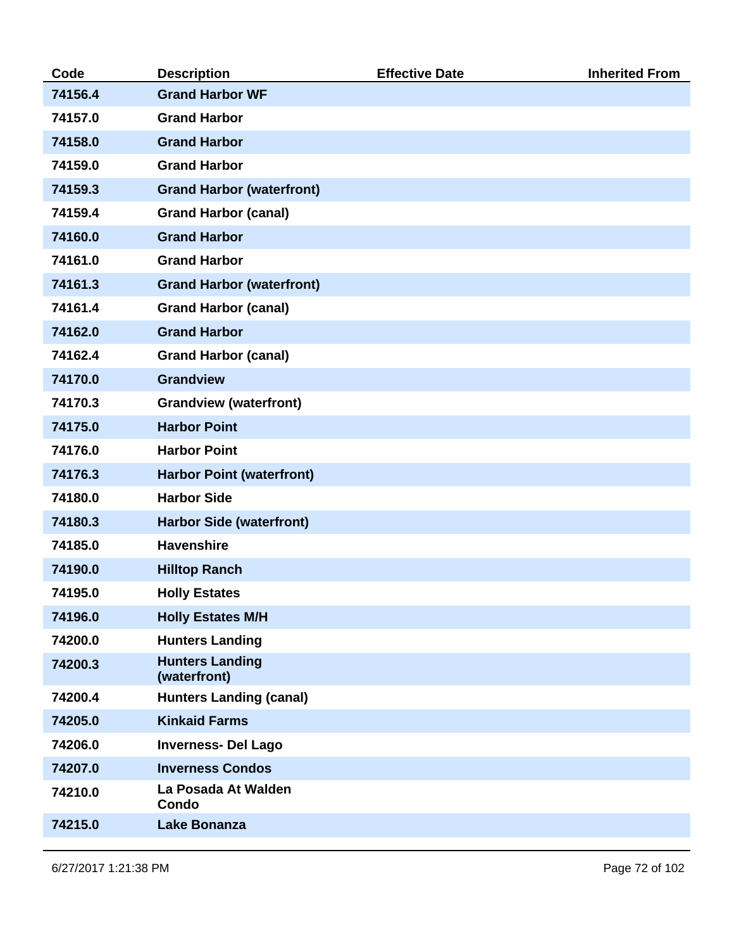| Code    | <b>Description</b>                     | <b>Effective Date</b> | <b>Inherited From</b> |
|---------|----------------------------------------|-----------------------|-----------------------|
| 74156.4 | <b>Grand Harbor WF</b>                 |                       |                       |
| 74157.0 | <b>Grand Harbor</b>                    |                       |                       |
| 74158.0 | <b>Grand Harbor</b>                    |                       |                       |
| 74159.0 | <b>Grand Harbor</b>                    |                       |                       |
| 74159.3 | <b>Grand Harbor (waterfront)</b>       |                       |                       |
| 74159.4 | <b>Grand Harbor (canal)</b>            |                       |                       |
| 74160.0 | <b>Grand Harbor</b>                    |                       |                       |
| 74161.0 | <b>Grand Harbor</b>                    |                       |                       |
| 74161.3 | <b>Grand Harbor (waterfront)</b>       |                       |                       |
| 74161.4 | <b>Grand Harbor (canal)</b>            |                       |                       |
| 74162.0 | <b>Grand Harbor</b>                    |                       |                       |
| 74162.4 | <b>Grand Harbor (canal)</b>            |                       |                       |
| 74170.0 | <b>Grandview</b>                       |                       |                       |
| 74170.3 | <b>Grandview (waterfront)</b>          |                       |                       |
| 74175.0 | <b>Harbor Point</b>                    |                       |                       |
| 74176.0 | <b>Harbor Point</b>                    |                       |                       |
| 74176.3 | <b>Harbor Point (waterfront)</b>       |                       |                       |
| 74180.0 | <b>Harbor Side</b>                     |                       |                       |
| 74180.3 | <b>Harbor Side (waterfront)</b>        |                       |                       |
| 74185.0 | <b>Havenshire</b>                      |                       |                       |
| 74190.0 | <b>Hilltop Ranch</b>                   |                       |                       |
| 74195.0 | <b>Holly Estates</b>                   |                       |                       |
| 74196.0 | <b>Holly Estates M/H</b>               |                       |                       |
| 74200.0 | <b>Hunters Landing</b>                 |                       |                       |
| 74200.3 | <b>Hunters Landing</b><br>(waterfront) |                       |                       |
| 74200.4 | <b>Hunters Landing (canal)</b>         |                       |                       |
| 74205.0 | <b>Kinkaid Farms</b>                   |                       |                       |
| 74206.0 | <b>Inverness-Del Lago</b>              |                       |                       |
| 74207.0 | <b>Inverness Condos</b>                |                       |                       |
| 74210.0 | La Posada At Walden<br>Condo           |                       |                       |
| 74215.0 | <b>Lake Bonanza</b>                    |                       |                       |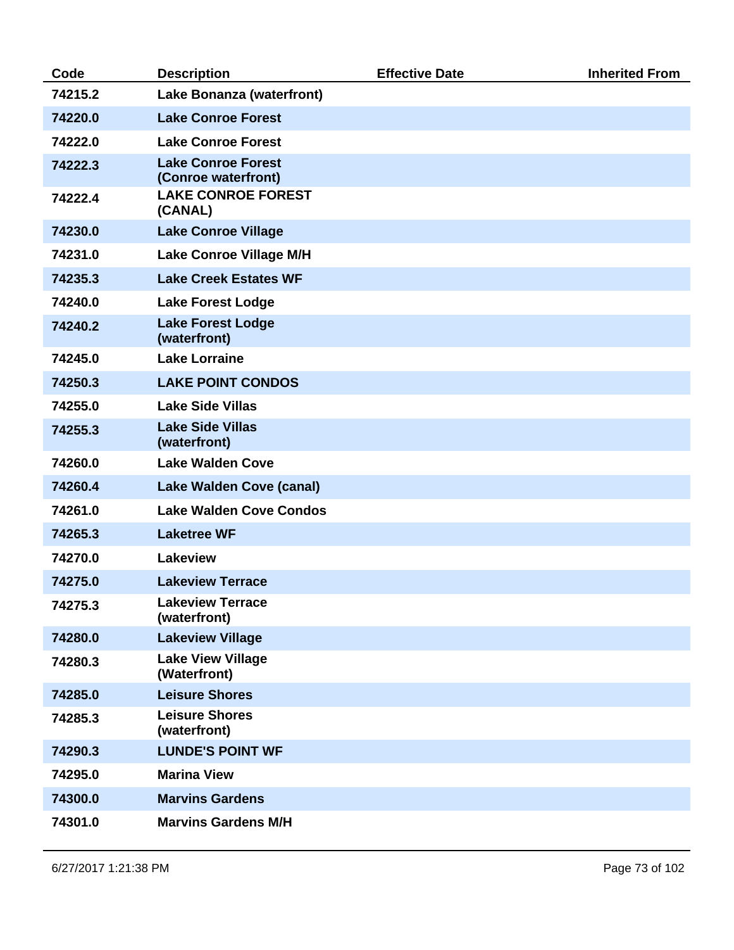| Code    | <b>Description</b>                               | <b>Effective Date</b> | <b>Inherited From</b> |
|---------|--------------------------------------------------|-----------------------|-----------------------|
| 74215.2 | Lake Bonanza (waterfront)                        |                       |                       |
| 74220.0 | <b>Lake Conroe Forest</b>                        |                       |                       |
| 74222.0 | <b>Lake Conroe Forest</b>                        |                       |                       |
| 74222.3 | <b>Lake Conroe Forest</b><br>(Conroe waterfront) |                       |                       |
| 74222.4 | <b>LAKE CONROE FOREST</b><br>(CANAL)             |                       |                       |
| 74230.0 | <b>Lake Conroe Village</b>                       |                       |                       |
| 74231.0 | <b>Lake Conroe Village M/H</b>                   |                       |                       |
| 74235.3 | <b>Lake Creek Estates WF</b>                     |                       |                       |
| 74240.0 | <b>Lake Forest Lodge</b>                         |                       |                       |
| 74240.2 | <b>Lake Forest Lodge</b><br>(waterfront)         |                       |                       |
| 74245.0 | <b>Lake Lorraine</b>                             |                       |                       |
| 74250.3 | <b>LAKE POINT CONDOS</b>                         |                       |                       |
| 74255.0 | <b>Lake Side Villas</b>                          |                       |                       |
| 74255.3 | <b>Lake Side Villas</b><br>(waterfront)          |                       |                       |
| 74260.0 | <b>Lake Walden Cove</b>                          |                       |                       |
| 74260.4 | <b>Lake Walden Cove (canal)</b>                  |                       |                       |
| 74261.0 | <b>Lake Walden Cove Condos</b>                   |                       |                       |
| 74265.3 | <b>Laketree WF</b>                               |                       |                       |
| 74270.0 | <b>Lakeview</b>                                  |                       |                       |
| 74275.0 | <b>Lakeview Terrace</b>                          |                       |                       |
| 74275.3 | <b>Lakeview Terrace</b><br>(waterfront)          |                       |                       |
| 74280.0 | <b>Lakeview Village</b>                          |                       |                       |
| 74280.3 | <b>Lake View Village</b><br>(Waterfront)         |                       |                       |
| 74285.0 | <b>Leisure Shores</b>                            |                       |                       |
| 74285.3 | <b>Leisure Shores</b><br>(waterfront)            |                       |                       |
| 74290.3 | <b>LUNDE'S POINT WF</b>                          |                       |                       |
| 74295.0 | <b>Marina View</b>                               |                       |                       |
| 74300.0 | <b>Marvins Gardens</b>                           |                       |                       |
| 74301.0 | <b>Marvins Gardens M/H</b>                       |                       |                       |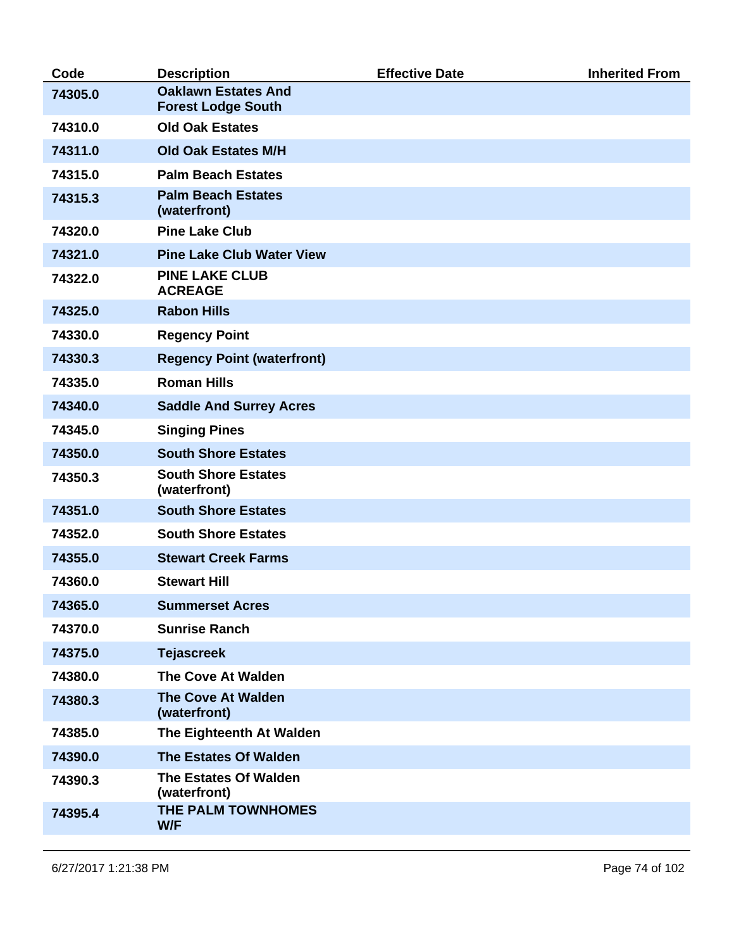| Code    | <b>Description</b>                                      | <b>Effective Date</b> | <b>Inherited From</b> |
|---------|---------------------------------------------------------|-----------------------|-----------------------|
| 74305.0 | <b>Oaklawn Estates And</b><br><b>Forest Lodge South</b> |                       |                       |
| 74310.0 | <b>Old Oak Estates</b>                                  |                       |                       |
| 74311.0 | <b>Old Oak Estates M/H</b>                              |                       |                       |
| 74315.0 | <b>Palm Beach Estates</b>                               |                       |                       |
| 74315.3 | <b>Palm Beach Estates</b><br>(waterfront)               |                       |                       |
| 74320.0 | <b>Pine Lake Club</b>                                   |                       |                       |
| 74321.0 | <b>Pine Lake Club Water View</b>                        |                       |                       |
| 74322.0 | <b>PINE LAKE CLUB</b><br><b>ACREAGE</b>                 |                       |                       |
| 74325.0 | <b>Rabon Hills</b>                                      |                       |                       |
| 74330.0 | <b>Regency Point</b>                                    |                       |                       |
| 74330.3 | <b>Regency Point (waterfront)</b>                       |                       |                       |
| 74335.0 | <b>Roman Hills</b>                                      |                       |                       |
| 74340.0 | <b>Saddle And Surrey Acres</b>                          |                       |                       |
| 74345.0 | <b>Singing Pines</b>                                    |                       |                       |
| 74350.0 | <b>South Shore Estates</b>                              |                       |                       |
| 74350.3 | <b>South Shore Estates</b><br>(waterfront)              |                       |                       |
| 74351.0 | <b>South Shore Estates</b>                              |                       |                       |
| 74352.0 | <b>South Shore Estates</b>                              |                       |                       |
| 74355.0 | <b>Stewart Creek Farms</b>                              |                       |                       |
| 74360.0 | <b>Stewart Hill</b>                                     |                       |                       |
| 74365.0 | <b>Summerset Acres</b>                                  |                       |                       |
| 74370.0 | <b>Sunrise Ranch</b>                                    |                       |                       |
| 74375.0 | <b>Tejascreek</b>                                       |                       |                       |
| 74380.0 | <b>The Cove At Walden</b>                               |                       |                       |
| 74380.3 | <b>The Cove At Walden</b><br>(waterfront)               |                       |                       |
| 74385.0 | The Eighteenth At Walden                                |                       |                       |
| 74390.0 | The Estates Of Walden                                   |                       |                       |
| 74390.3 | The Estates Of Walden<br>(waterfront)                   |                       |                       |
| 74395.4 | THE PALM TOWNHOMES<br>W/F                               |                       |                       |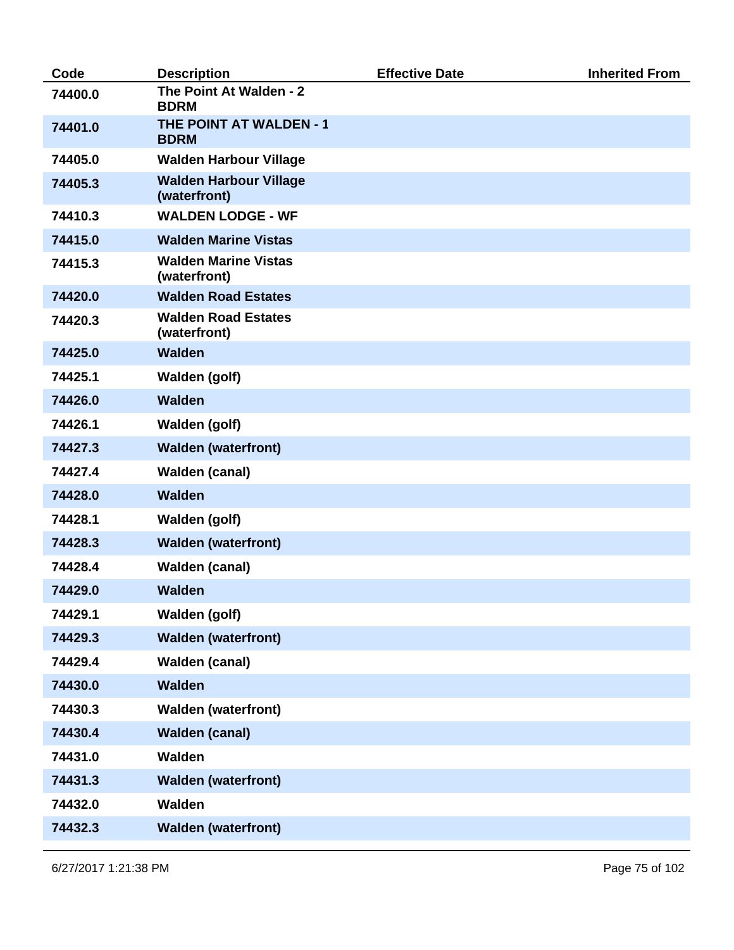| Code    | <b>Description</b>                            | <b>Effective Date</b> | <b>Inherited From</b> |
|---------|-----------------------------------------------|-----------------------|-----------------------|
| 74400.0 | The Point At Walden - 2<br><b>BDRM</b>        |                       |                       |
| 74401.0 | <b>THE POINT AT WALDEN - 1</b><br><b>BDRM</b> |                       |                       |
| 74405.0 | <b>Walden Harbour Village</b>                 |                       |                       |
| 74405.3 | <b>Walden Harbour Village</b><br>(waterfront) |                       |                       |
| 74410.3 | <b>WALDEN LODGE - WF</b>                      |                       |                       |
| 74415.0 | <b>Walden Marine Vistas</b>                   |                       |                       |
| 74415.3 | <b>Walden Marine Vistas</b><br>(waterfront)   |                       |                       |
| 74420.0 | <b>Walden Road Estates</b>                    |                       |                       |
| 74420.3 | <b>Walden Road Estates</b><br>(waterfront)    |                       |                       |
| 74425.0 | <b>Walden</b>                                 |                       |                       |
| 74425.1 | <b>Walden (golf)</b>                          |                       |                       |
| 74426.0 | <b>Walden</b>                                 |                       |                       |
| 74426.1 | <b>Walden (golf)</b>                          |                       |                       |
| 74427.3 | <b>Walden (waterfront)</b>                    |                       |                       |
| 74427.4 | <b>Walden (canal)</b>                         |                       |                       |
| 74428.0 | <b>Walden</b>                                 |                       |                       |
| 74428.1 | <b>Walden (golf)</b>                          |                       |                       |
| 74428.3 | <b>Walden (waterfront)</b>                    |                       |                       |
| 74428.4 | <b>Walden (canal)</b>                         |                       |                       |
| 74429.0 | <b>Walden</b>                                 |                       |                       |
| 74429.1 | <b>Walden (golf)</b>                          |                       |                       |
| 74429.3 | <b>Walden (waterfront)</b>                    |                       |                       |
| 74429.4 | <b>Walden (canal)</b>                         |                       |                       |
| 74430.0 | <b>Walden</b>                                 |                       |                       |
| 74430.3 | <b>Walden (waterfront)</b>                    |                       |                       |
| 74430.4 | <b>Walden (canal)</b>                         |                       |                       |
| 74431.0 | <b>Walden</b>                                 |                       |                       |
| 74431.3 | <b>Walden (waterfront)</b>                    |                       |                       |
| 74432.0 | Walden                                        |                       |                       |
| 74432.3 | <b>Walden (waterfront)</b>                    |                       |                       |
|         |                                               |                       |                       |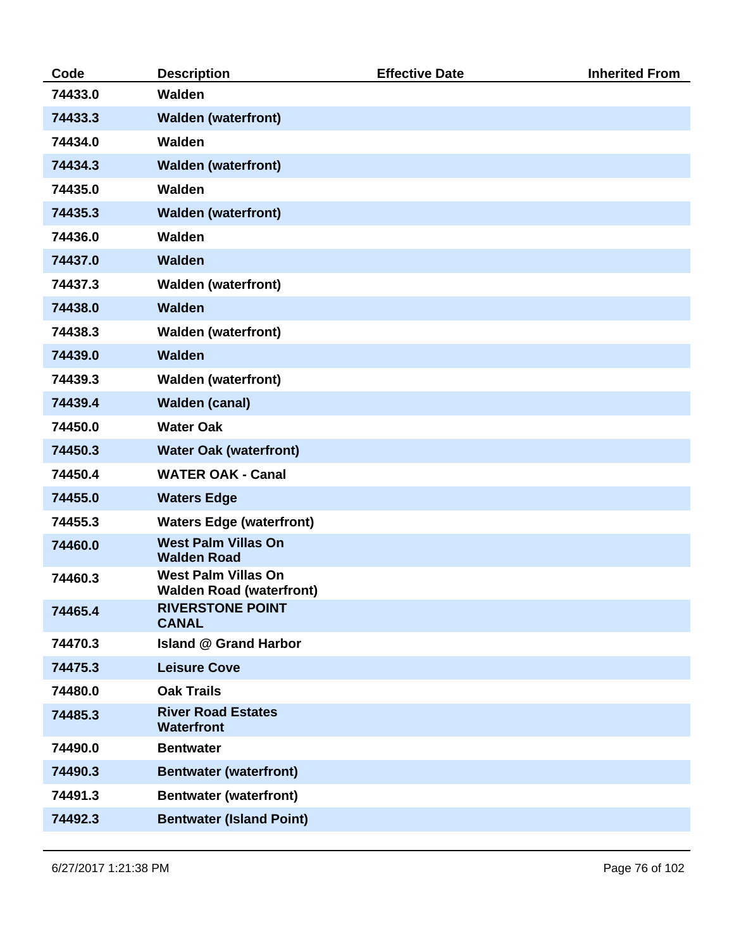| Code    | <b>Description</b>                                            | <b>Effective Date</b> | <b>Inherited From</b> |
|---------|---------------------------------------------------------------|-----------------------|-----------------------|
| 74433.0 | <b>Walden</b>                                                 |                       |                       |
| 74433.3 | <b>Walden (waterfront)</b>                                    |                       |                       |
| 74434.0 | Walden                                                        |                       |                       |
| 74434.3 | <b>Walden (waterfront)</b>                                    |                       |                       |
| 74435.0 | Walden                                                        |                       |                       |
| 74435.3 | <b>Walden (waterfront)</b>                                    |                       |                       |
| 74436.0 | Walden                                                        |                       |                       |
| 74437.0 | <b>Walden</b>                                                 |                       |                       |
| 74437.3 | <b>Walden (waterfront)</b>                                    |                       |                       |
| 74438.0 | <b>Walden</b>                                                 |                       |                       |
| 74438.3 | <b>Walden (waterfront)</b>                                    |                       |                       |
| 74439.0 | <b>Walden</b>                                                 |                       |                       |
| 74439.3 | <b>Walden (waterfront)</b>                                    |                       |                       |
| 74439.4 | <b>Walden (canal)</b>                                         |                       |                       |
| 74450.0 | <b>Water Oak</b>                                              |                       |                       |
| 74450.3 | <b>Water Oak (waterfront)</b>                                 |                       |                       |
| 74450.4 | <b>WATER OAK - Canal</b>                                      |                       |                       |
| 74455.0 | <b>Waters Edge</b>                                            |                       |                       |
| 74455.3 | <b>Waters Edge (waterfront)</b>                               |                       |                       |
| 74460.0 | <b>West Palm Villas On</b><br><b>Walden Road</b>              |                       |                       |
| 74460.3 | <b>West Palm Villas On</b><br><b>Walden Road (waterfront)</b> |                       |                       |
| 74465.4 | <b>RIVERSTONE POINT</b><br><b>CANAL</b>                       |                       |                       |
| 74470.3 | <b>Island @ Grand Harbor</b>                                  |                       |                       |
| 74475.3 | <b>Leisure Cove</b>                                           |                       |                       |
| 74480.0 | <b>Oak Trails</b>                                             |                       |                       |
| 74485.3 | <b>River Road Estates</b><br><b>Waterfront</b>                |                       |                       |
| 74490.0 | <b>Bentwater</b>                                              |                       |                       |
| 74490.3 | <b>Bentwater (waterfront)</b>                                 |                       |                       |
| 74491.3 | <b>Bentwater (waterfront)</b>                                 |                       |                       |
| 74492.3 | <b>Bentwater (Island Point)</b>                               |                       |                       |
|         |                                                               |                       |                       |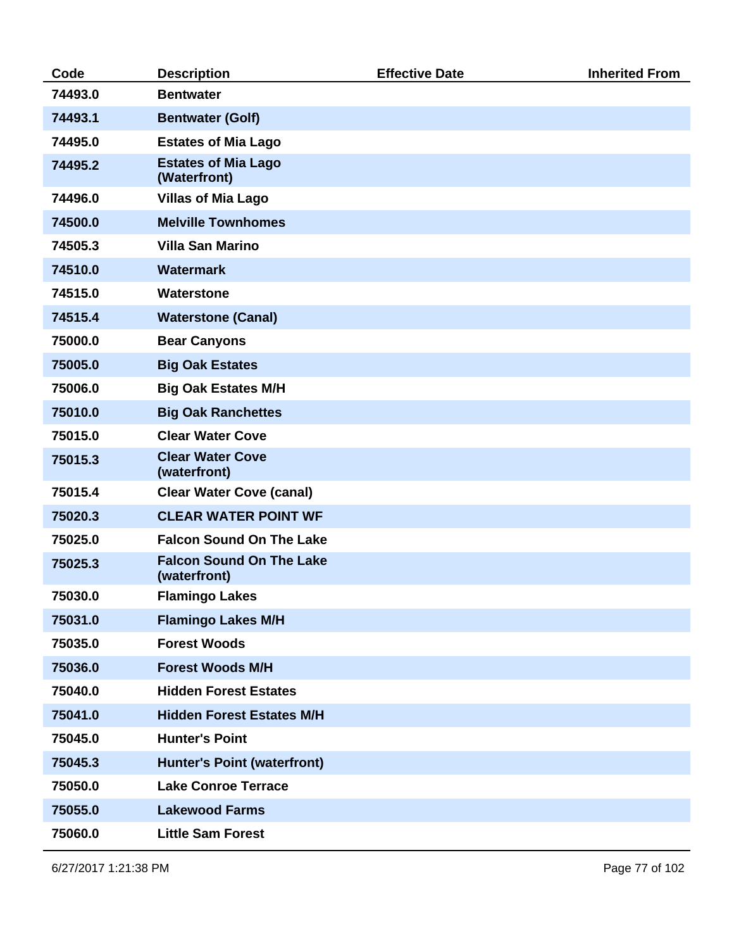| Code    | <b>Description</b>                              | <b>Effective Date</b> | <b>Inherited From</b> |
|---------|-------------------------------------------------|-----------------------|-----------------------|
| 74493.0 | <b>Bentwater</b>                                |                       |                       |
| 74493.1 | <b>Bentwater (Golf)</b>                         |                       |                       |
| 74495.0 | <b>Estates of Mia Lago</b>                      |                       |                       |
| 74495.2 | <b>Estates of Mia Lago</b><br>(Waterfront)      |                       |                       |
| 74496.0 | <b>Villas of Mia Lago</b>                       |                       |                       |
| 74500.0 | <b>Melville Townhomes</b>                       |                       |                       |
| 74505.3 | <b>Villa San Marino</b>                         |                       |                       |
| 74510.0 | <b>Watermark</b>                                |                       |                       |
| 74515.0 | <b>Waterstone</b>                               |                       |                       |
| 74515.4 | <b>Waterstone (Canal)</b>                       |                       |                       |
| 75000.0 | <b>Bear Canyons</b>                             |                       |                       |
| 75005.0 | <b>Big Oak Estates</b>                          |                       |                       |
| 75006.0 | <b>Big Oak Estates M/H</b>                      |                       |                       |
| 75010.0 | <b>Big Oak Ranchettes</b>                       |                       |                       |
| 75015.0 | <b>Clear Water Cove</b>                         |                       |                       |
| 75015.3 | <b>Clear Water Cove</b><br>(waterfront)         |                       |                       |
| 75015.4 | <b>Clear Water Cove (canal)</b>                 |                       |                       |
| 75020.3 | <b>CLEAR WATER POINT WF</b>                     |                       |                       |
| 75025.0 | <b>Falcon Sound On The Lake</b>                 |                       |                       |
| 75025.3 | <b>Falcon Sound On The Lake</b><br>(waterfront) |                       |                       |
| 75030.0 | <b>Flamingo Lakes</b>                           |                       |                       |
| 75031.0 | <b>Flamingo Lakes M/H</b>                       |                       |                       |
| 75035.0 | <b>Forest Woods</b>                             |                       |                       |
| 75036.0 | <b>Forest Woods M/H</b>                         |                       |                       |
| 75040.0 | <b>Hidden Forest Estates</b>                    |                       |                       |
| 75041.0 | <b>Hidden Forest Estates M/H</b>                |                       |                       |
| 75045.0 | <b>Hunter's Point</b>                           |                       |                       |
| 75045.3 | <b>Hunter's Point (waterfront)</b>              |                       |                       |
| 75050.0 | <b>Lake Conroe Terrace</b>                      |                       |                       |
| 75055.0 | <b>Lakewood Farms</b>                           |                       |                       |
| 75060.0 | <b>Little Sam Forest</b>                        |                       |                       |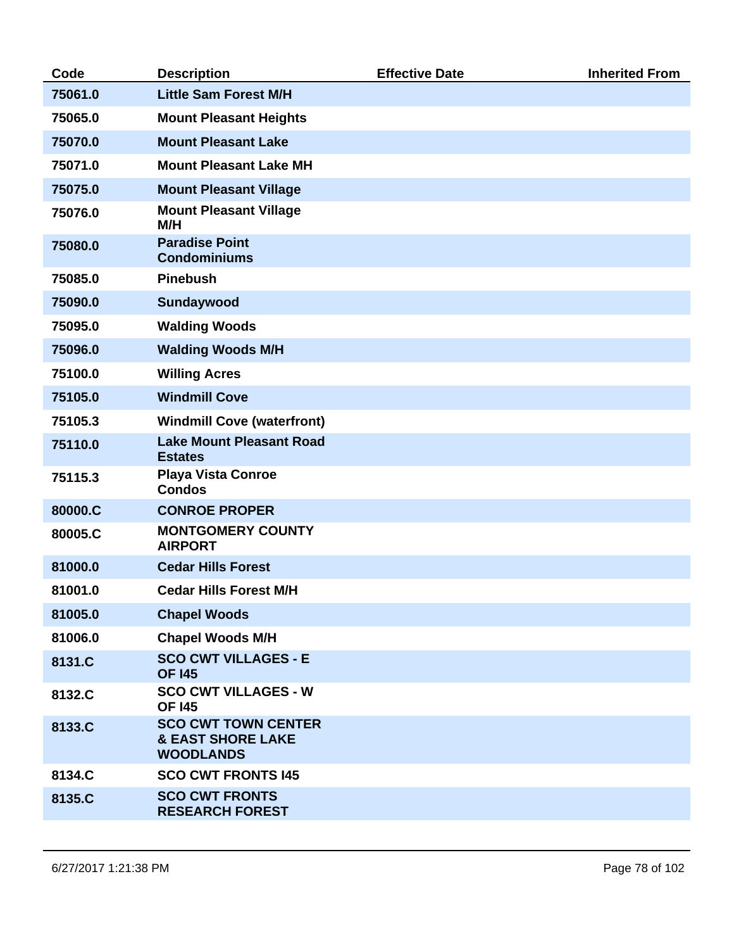| 75061.0 | <b>Little Sam Forest M/H</b>                                                   |  |
|---------|--------------------------------------------------------------------------------|--|
|         |                                                                                |  |
| 75065.0 | <b>Mount Pleasant Heights</b>                                                  |  |
| 75070.0 | <b>Mount Pleasant Lake</b>                                                     |  |
| 75071.0 | <b>Mount Pleasant Lake MH</b>                                                  |  |
| 75075.0 | <b>Mount Pleasant Village</b>                                                  |  |
| 75076.0 | <b>Mount Pleasant Village</b><br>M/H                                           |  |
| 75080.0 | <b>Paradise Point</b><br><b>Condominiums</b>                                   |  |
| 75085.0 | <b>Pinebush</b>                                                                |  |
| 75090.0 | Sundaywood                                                                     |  |
| 75095.0 | <b>Walding Woods</b>                                                           |  |
| 75096.0 | <b>Walding Woods M/H</b>                                                       |  |
| 75100.0 | <b>Willing Acres</b>                                                           |  |
| 75105.0 | <b>Windmill Cove</b>                                                           |  |
| 75105.3 | <b>Windmill Cove (waterfront)</b>                                              |  |
| 75110.0 | <b>Lake Mount Pleasant Road</b><br><b>Estates</b>                              |  |
| 75115.3 | <b>Playa Vista Conroe</b><br><b>Condos</b>                                     |  |
| 80000.C | <b>CONROE PROPER</b>                                                           |  |
| 80005.C | <b>MONTGOMERY COUNTY</b><br><b>AIRPORT</b>                                     |  |
| 81000.0 | <b>Cedar Hills Forest</b>                                                      |  |
| 81001.0 | <b>Cedar Hills Forest M/H</b>                                                  |  |
| 81005.0 | <b>Chapel Woods</b>                                                            |  |
| 81006.0 | <b>Chapel Woods M/H</b>                                                        |  |
| 8131.C  | <b>SCO CWT VILLAGES - E</b><br><b>OF 145</b>                                   |  |
| 8132.C  | <b>SCO CWT VILLAGES - W</b><br><b>OF 145</b>                                   |  |
| 8133.C  | <b>SCO CWT TOWN CENTER</b><br><b>&amp; EAST SHORE LAKE</b><br><b>WOODLANDS</b> |  |
| 8134.C  | <b>SCO CWT FRONTS 145</b>                                                      |  |
| 8135.C  | <b>SCO CWT FRONTS</b><br><b>RESEARCH FOREST</b>                                |  |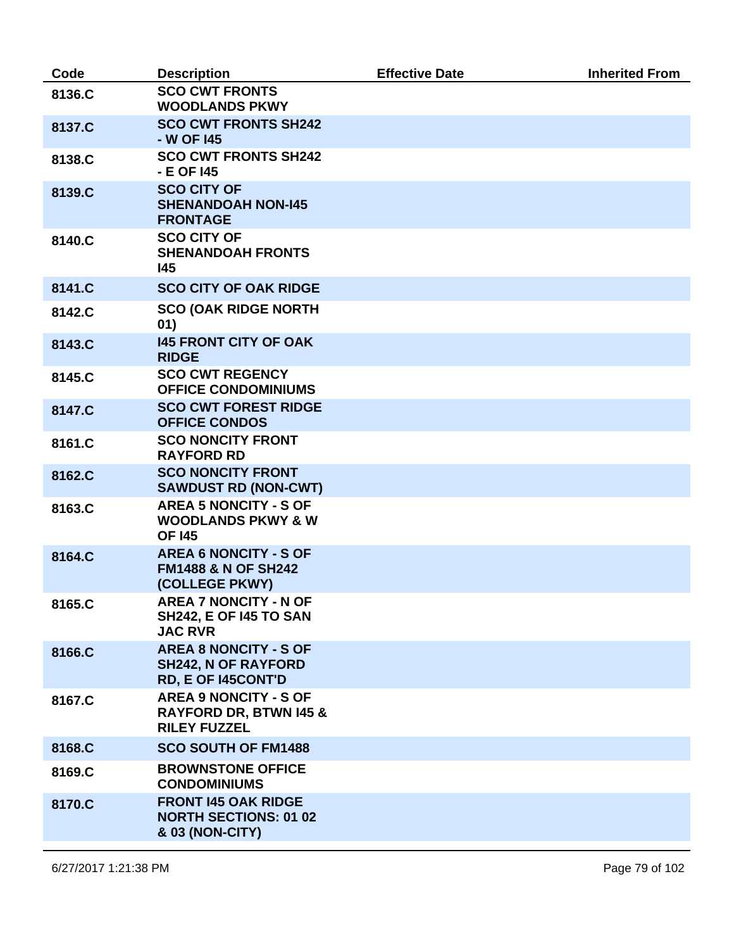| Code   | <b>Description</b>                                                                       | <b>Effective Date</b> | <b>Inherited From</b> |
|--------|------------------------------------------------------------------------------------------|-----------------------|-----------------------|
| 8136.C | <b>SCO CWT FRONTS</b><br><b>WOODLANDS PKWY</b>                                           |                       |                       |
| 8137.C | <b>SCO CWT FRONTS SH242</b><br>- W OF 145                                                |                       |                       |
| 8138.C | <b>SCO CWT FRONTS SH242</b><br>- E OF 145                                                |                       |                       |
| 8139.C | <b>SCO CITY OF</b><br><b>SHENANDOAH NON-145</b><br><b>FRONTAGE</b>                       |                       |                       |
| 8140.C | <b>SCO CITY OF</b><br><b>SHENANDOAH FRONTS</b><br>145                                    |                       |                       |
| 8141.C | <b>SCO CITY OF OAK RIDGE</b>                                                             |                       |                       |
| 8142.C | <b>SCO (OAK RIDGE NORTH</b><br>01)                                                       |                       |                       |
| 8143.C | <b>145 FRONT CITY OF OAK</b><br><b>RIDGE</b>                                             |                       |                       |
| 8145.C | <b>SCO CWT REGENCY</b><br><b>OFFICE CONDOMINIUMS</b>                                     |                       |                       |
| 8147.C | <b>SCO CWT FOREST RIDGE</b><br><b>OFFICE CONDOS</b>                                      |                       |                       |
| 8161.C | <b>SCO NONCITY FRONT</b><br><b>RAYFORD RD</b>                                            |                       |                       |
| 8162.C | <b>SCO NONCITY FRONT</b><br><b>SAWDUST RD (NON-CWT)</b>                                  |                       |                       |
| 8163.C | <b>AREA 5 NONCITY - S OF</b><br><b>WOODLANDS PKWY &amp; W</b><br><b>OF 145</b>           |                       |                       |
| 8164.C | <b>AREA 6 NONCITY - S OF</b><br><b>FM1488 &amp; N OF SH242</b><br>(COLLEGE PKWY)         |                       |                       |
| 8165.C | <b>AREA 7 NONCITY - N OF</b><br><b>SH242, E OF 145 TO SAN</b><br><b>JAC RVR</b>          |                       |                       |
| 8166.C | <b>AREA 8 NONCITY - S OF</b><br><b>SH242, N OF RAYFORD</b><br><b>RD, E OF I45CONT'D</b>  |                       |                       |
| 8167.C | <b>AREA 9 NONCITY - S OF</b><br><b>RAYFORD DR, BTWN 145 &amp;</b><br><b>RILEY FUZZEL</b> |                       |                       |
| 8168.C | <b>SCO SOUTH OF FM1488</b>                                                               |                       |                       |
| 8169.C | <b>BROWNSTONE OFFICE</b><br><b>CONDOMINIUMS</b>                                          |                       |                       |
| 8170.C | <b>FRONT 145 OAK RIDGE</b><br><b>NORTH SECTIONS: 01 02</b><br>& 03 (NON-CITY)            |                       |                       |
|        |                                                                                          |                       |                       |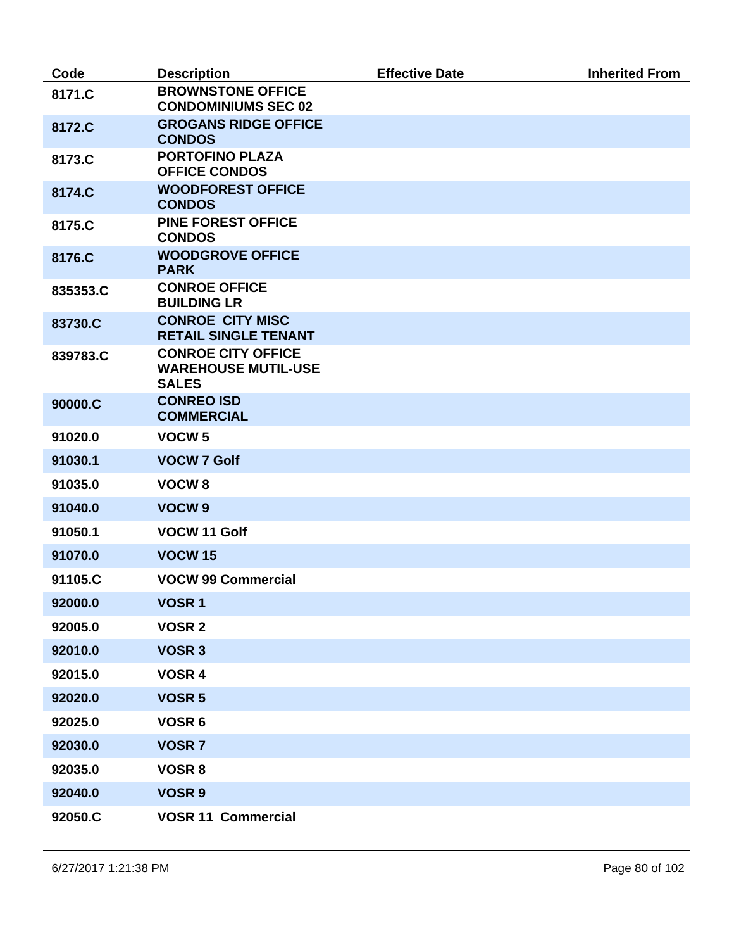| Code     | <b>Description</b>                                                      | <b>Effective Date</b> | <b>Inherited From</b> |
|----------|-------------------------------------------------------------------------|-----------------------|-----------------------|
| 8171.C   | <b>BROWNSTONE OFFICE</b><br><b>CONDOMINIUMS SEC 02</b>                  |                       |                       |
| 8172.C   | <b>GROGANS RIDGE OFFICE</b><br><b>CONDOS</b>                            |                       |                       |
| 8173.C   | <b>PORTOFINO PLAZA</b><br><b>OFFICE CONDOS</b>                          |                       |                       |
| 8174.C   | <b>WOODFOREST OFFICE</b><br><b>CONDOS</b>                               |                       |                       |
| 8175.C   | <b>PINE FOREST OFFICE</b><br><b>CONDOS</b>                              |                       |                       |
| 8176.C   | <b>WOODGROVE OFFICE</b><br><b>PARK</b>                                  |                       |                       |
| 835353.C | <b>CONROE OFFICE</b><br><b>BUILDING LR</b>                              |                       |                       |
| 83730.C  | <b>CONROE CITY MISC</b><br><b>RETAIL SINGLE TENANT</b>                  |                       |                       |
| 839783.C | <b>CONROE CITY OFFICE</b><br><b>WAREHOUSE MUTIL-USE</b><br><b>SALES</b> |                       |                       |
| 90000.C  | <b>CONREO ISD</b><br><b>COMMERCIAL</b>                                  |                       |                       |
| 91020.0  | VOCW <sub>5</sub>                                                       |                       |                       |
| 91030.1  | <b>VOCW 7 Golf</b>                                                      |                       |                       |
| 91035.0  | VOCW <sub>8</sub>                                                       |                       |                       |
| 91040.0  | VOCW <sub>9</sub>                                                       |                       |                       |
| 91050.1  | VOCW 11 Golf                                                            |                       |                       |
| 91070.0  | <b>VOCW 15</b>                                                          |                       |                       |
| 91105.C  | <b>VOCW 99 Commercial</b>                                               |                       |                       |
| 92000.0  | VOSR <sub>1</sub>                                                       |                       |                       |
| 92005.0  | <b>VOSR 2</b>                                                           |                       |                       |
| 92010.0  | <b>VOSR 3</b>                                                           |                       |                       |
| 92015.0  | VOSR 4                                                                  |                       |                       |
| 92020.0  | <b>VOSR 5</b>                                                           |                       |                       |
| 92025.0  | VOSR 6                                                                  |                       |                       |
| 92030.0  | <b>VOSR7</b>                                                            |                       |                       |
| 92035.0  | <b>VOSR 8</b>                                                           |                       |                       |
| 92040.0  | <b>VOSR 9</b>                                                           |                       |                       |
| 92050.C  | <b>VOSR 11 Commercial</b>                                               |                       |                       |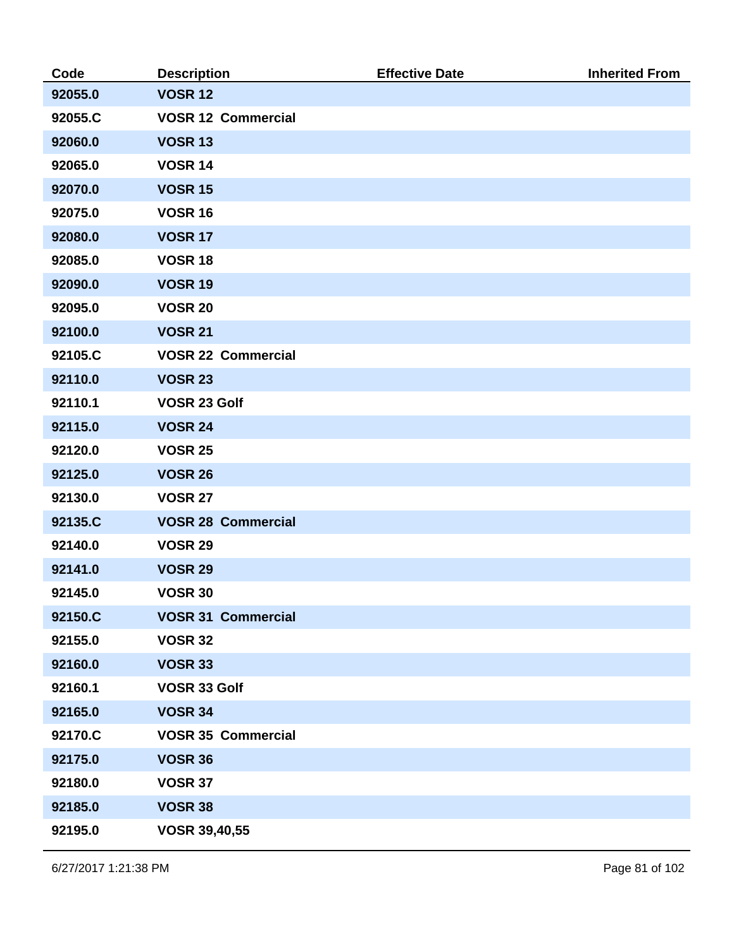| Code    | <b>Description</b>        | <b>Effective Date</b> | <b>Inherited From</b> |
|---------|---------------------------|-----------------------|-----------------------|
| 92055.0 | <b>VOSR 12</b>            |                       |                       |
| 92055.C | <b>VOSR 12 Commercial</b> |                       |                       |
| 92060.0 | <b>VOSR 13</b>            |                       |                       |
| 92065.0 | <b>VOSR 14</b>            |                       |                       |
| 92070.0 | <b>VOSR 15</b>            |                       |                       |
| 92075.0 | <b>VOSR 16</b>            |                       |                       |
| 92080.0 | <b>VOSR 17</b>            |                       |                       |
| 92085.0 | <b>VOSR 18</b>            |                       |                       |
| 92090.0 | <b>VOSR 19</b>            |                       |                       |
| 92095.0 | <b>VOSR 20</b>            |                       |                       |
| 92100.0 | <b>VOSR 21</b>            |                       |                       |
| 92105.C | <b>VOSR 22 Commercial</b> |                       |                       |
| 92110.0 | <b>VOSR 23</b>            |                       |                       |
| 92110.1 | VOSR 23 Golf              |                       |                       |
| 92115.0 | <b>VOSR 24</b>            |                       |                       |
| 92120.0 | <b>VOSR 25</b>            |                       |                       |
| 92125.0 | <b>VOSR 26</b>            |                       |                       |
| 92130.0 | <b>VOSR 27</b>            |                       |                       |
| 92135.C | <b>VOSR 28 Commercial</b> |                       |                       |
| 92140.0 | <b>VOSR 29</b>            |                       |                       |
| 92141.0 | <b>VOSR 29</b>            |                       |                       |
| 92145.0 | <b>VOSR 30</b>            |                       |                       |
| 92150.C | <b>VOSR 31 Commercial</b> |                       |                       |
| 92155.0 | <b>VOSR 32</b>            |                       |                       |
| 92160.0 | <b>VOSR 33</b>            |                       |                       |
| 92160.1 | VOSR 33 Golf              |                       |                       |
| 92165.0 | <b>VOSR 34</b>            |                       |                       |
| 92170.C | <b>VOSR 35 Commercial</b> |                       |                       |
| 92175.0 | <b>VOSR 36</b>            |                       |                       |
| 92180.0 | <b>VOSR 37</b>            |                       |                       |
| 92185.0 | <b>VOSR 38</b>            |                       |                       |
| 92195.0 | <b>VOSR 39,40,55</b>      |                       |                       |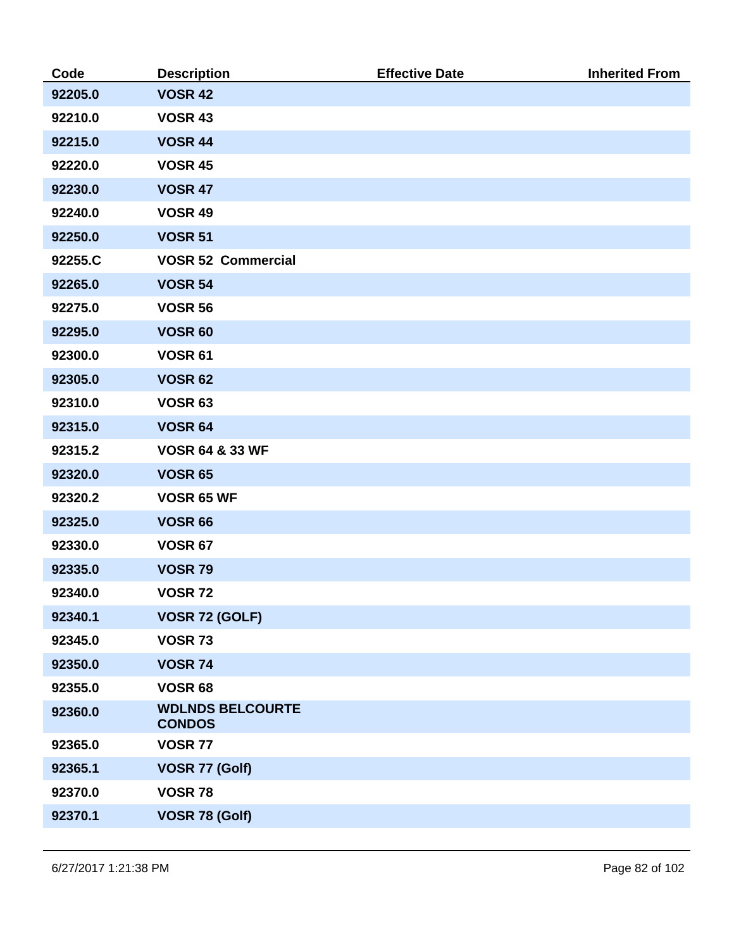| Code    | <b>Description</b>                       | <b>Effective Date</b> | <b>Inherited From</b> |
|---------|------------------------------------------|-----------------------|-----------------------|
| 92205.0 | <b>VOSR 42</b>                           |                       |                       |
| 92210.0 | <b>VOSR 43</b>                           |                       |                       |
| 92215.0 | <b>VOSR 44</b>                           |                       |                       |
| 92220.0 | <b>VOSR 45</b>                           |                       |                       |
| 92230.0 | <b>VOSR 47</b>                           |                       |                       |
| 92240.0 | <b>VOSR 49</b>                           |                       |                       |
| 92250.0 | <b>VOSR 51</b>                           |                       |                       |
| 92255.C | <b>VOSR 52 Commercial</b>                |                       |                       |
| 92265.0 | <b>VOSR 54</b>                           |                       |                       |
| 92275.0 | <b>VOSR 56</b>                           |                       |                       |
| 92295.0 | <b>VOSR 60</b>                           |                       |                       |
| 92300.0 | <b>VOSR 61</b>                           |                       |                       |
| 92305.0 | <b>VOSR 62</b>                           |                       |                       |
| 92310.0 | <b>VOSR 63</b>                           |                       |                       |
| 92315.0 | <b>VOSR 64</b>                           |                       |                       |
| 92315.2 | <b>VOSR 64 &amp; 33 WF</b>               |                       |                       |
| 92320.0 | <b>VOSR 65</b>                           |                       |                       |
| 92320.2 | VOSR 65 WF                               |                       |                       |
| 92325.0 | <b>VOSR 66</b>                           |                       |                       |
| 92330.0 | <b>VOSR 67</b>                           |                       |                       |
| 92335.0 | <b>VOSR 79</b>                           |                       |                       |
| 92340.0 | <b>VOSR 72</b>                           |                       |                       |
| 92340.1 | VOSR 72 (GOLF)                           |                       |                       |
| 92345.0 | <b>VOSR 73</b>                           |                       |                       |
| 92350.0 | <b>VOSR 74</b>                           |                       |                       |
| 92355.0 | <b>VOSR 68</b>                           |                       |                       |
| 92360.0 | <b>WDLNDS BELCOURTE</b><br><b>CONDOS</b> |                       |                       |
| 92365.0 | <b>VOSR 77</b>                           |                       |                       |
| 92365.1 | VOSR 77 (Golf)                           |                       |                       |
| 92370.0 | <b>VOSR 78</b>                           |                       |                       |
| 92370.1 | VOSR 78 (Golf)                           |                       |                       |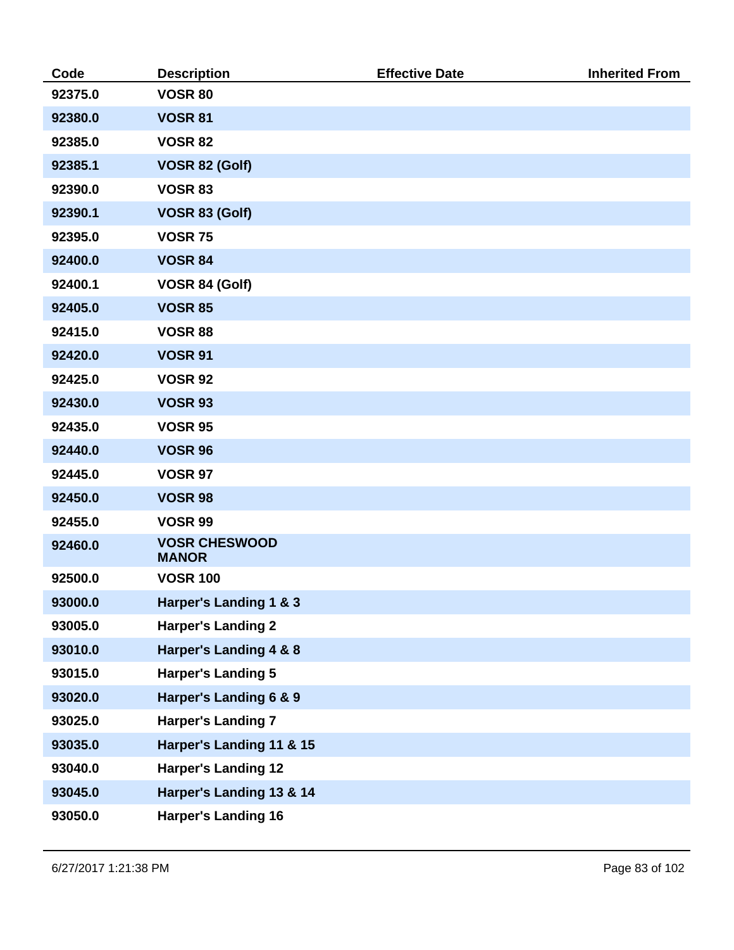| Code    | <b>Description</b>                   | <b>Effective Date</b> | <b>Inherited From</b> |
|---------|--------------------------------------|-----------------------|-----------------------|
| 92375.0 | <b>VOSR 80</b>                       |                       |                       |
| 92380.0 | <b>VOSR 81</b>                       |                       |                       |
| 92385.0 | <b>VOSR 82</b>                       |                       |                       |
| 92385.1 | VOSR 82 (Golf)                       |                       |                       |
| 92390.0 | <b>VOSR 83</b>                       |                       |                       |
| 92390.1 | VOSR 83 (Golf)                       |                       |                       |
| 92395.0 | <b>VOSR 75</b>                       |                       |                       |
| 92400.0 | <b>VOSR 84</b>                       |                       |                       |
| 92400.1 | VOSR 84 (Golf)                       |                       |                       |
| 92405.0 | <b>VOSR 85</b>                       |                       |                       |
| 92415.0 | <b>VOSR 88</b>                       |                       |                       |
| 92420.0 | <b>VOSR 91</b>                       |                       |                       |
| 92425.0 | <b>VOSR 92</b>                       |                       |                       |
| 92430.0 | <b>VOSR 93</b>                       |                       |                       |
| 92435.0 | <b>VOSR 95</b>                       |                       |                       |
| 92440.0 | <b>VOSR 96</b>                       |                       |                       |
| 92445.0 | <b>VOSR 97</b>                       |                       |                       |
| 92450.0 | <b>VOSR 98</b>                       |                       |                       |
| 92455.0 | <b>VOSR 99</b>                       |                       |                       |
| 92460.0 | <b>VOSR CHESWOOD</b><br><b>MANOR</b> |                       |                       |
| 92500.0 | <b>VOSR 100</b>                      |                       |                       |
| 93000.0 | Harper's Landing 1 & 3               |                       |                       |
| 93005.0 | <b>Harper's Landing 2</b>            |                       |                       |
| 93010.0 | Harper's Landing 4 & 8               |                       |                       |
| 93015.0 | <b>Harper's Landing 5</b>            |                       |                       |
| 93020.0 | Harper's Landing 6 & 9               |                       |                       |
| 93025.0 | <b>Harper's Landing 7</b>            |                       |                       |
| 93035.0 | Harper's Landing 11 & 15             |                       |                       |
| 93040.0 | <b>Harper's Landing 12</b>           |                       |                       |
| 93045.0 | Harper's Landing 13 & 14             |                       |                       |
| 93050.0 | <b>Harper's Landing 16</b>           |                       |                       |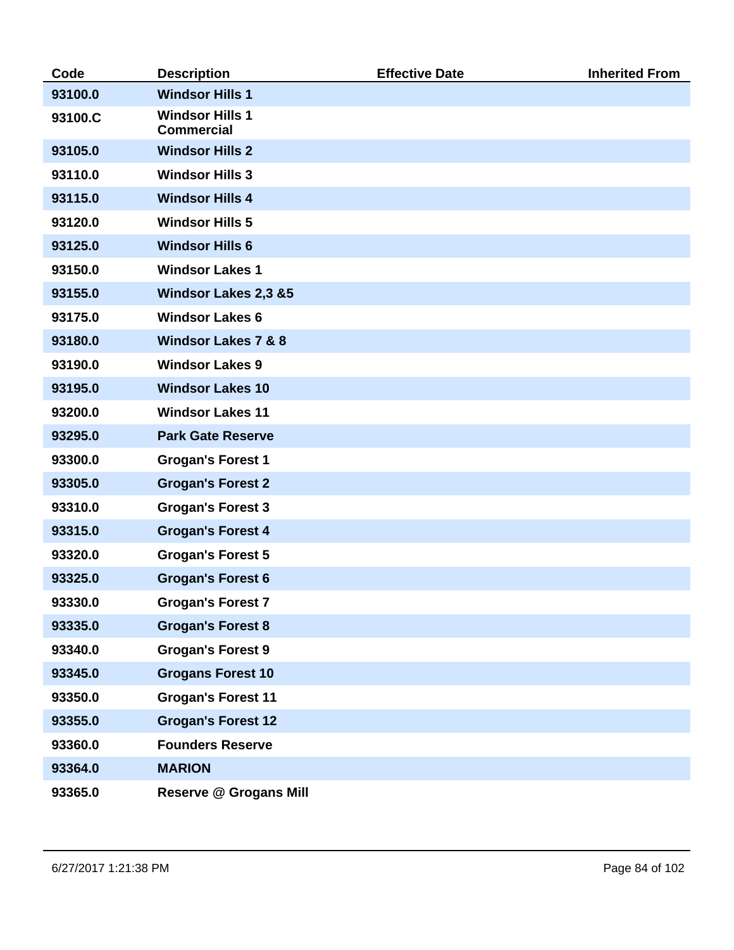| Code    | <b>Description</b>                          | <b>Effective Date</b> | <b>Inherited From</b> |
|---------|---------------------------------------------|-----------------------|-----------------------|
| 93100.0 | <b>Windsor Hills 1</b>                      |                       |                       |
| 93100.C | <b>Windsor Hills 1</b><br><b>Commercial</b> |                       |                       |
| 93105.0 | <b>Windsor Hills 2</b>                      |                       |                       |
| 93110.0 | <b>Windsor Hills 3</b>                      |                       |                       |
| 93115.0 | <b>Windsor Hills 4</b>                      |                       |                       |
| 93120.0 | <b>Windsor Hills 5</b>                      |                       |                       |
| 93125.0 | <b>Windsor Hills 6</b>                      |                       |                       |
| 93150.0 | <b>Windsor Lakes 1</b>                      |                       |                       |
| 93155.0 | <b>Windsor Lakes 2,3 &amp;5</b>             |                       |                       |
| 93175.0 | <b>Windsor Lakes 6</b>                      |                       |                       |
| 93180.0 | <b>Windsor Lakes 7 &amp; 8</b>              |                       |                       |
| 93190.0 | <b>Windsor Lakes 9</b>                      |                       |                       |
| 93195.0 | <b>Windsor Lakes 10</b>                     |                       |                       |
| 93200.0 | <b>Windsor Lakes 11</b>                     |                       |                       |
| 93295.0 | <b>Park Gate Reserve</b>                    |                       |                       |
| 93300.0 | <b>Grogan's Forest 1</b>                    |                       |                       |
| 93305.0 | <b>Grogan's Forest 2</b>                    |                       |                       |
| 93310.0 | <b>Grogan's Forest 3</b>                    |                       |                       |
| 93315.0 | <b>Grogan's Forest 4</b>                    |                       |                       |
| 93320.0 | <b>Grogan's Forest 5</b>                    |                       |                       |
| 93325.0 | <b>Grogan's Forest 6</b>                    |                       |                       |
| 93330.0 | <b>Grogan's Forest 7</b>                    |                       |                       |
| 93335.0 | <b>Grogan's Forest 8</b>                    |                       |                       |
| 93340.0 | <b>Grogan's Forest 9</b>                    |                       |                       |
| 93345.0 | <b>Grogans Forest 10</b>                    |                       |                       |
| 93350.0 | <b>Grogan's Forest 11</b>                   |                       |                       |
| 93355.0 | <b>Grogan's Forest 12</b>                   |                       |                       |
| 93360.0 | <b>Founders Reserve</b>                     |                       |                       |
| 93364.0 | <b>MARION</b>                               |                       |                       |
| 93365.0 | <b>Reserve @ Grogans Mill</b>               |                       |                       |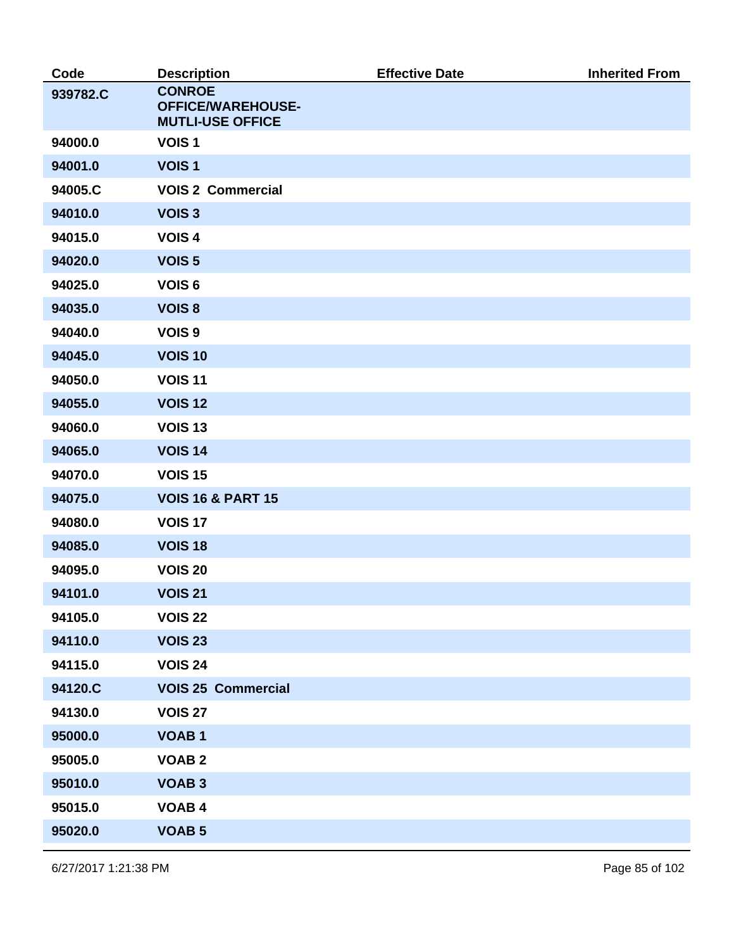| Code     | <b>Description</b>                                                   | <b>Effective Date</b> | <b>Inherited From</b> |
|----------|----------------------------------------------------------------------|-----------------------|-----------------------|
| 939782.C | <b>CONROE</b><br><b>OFFICE/WAREHOUSE-</b><br><b>MUTLI-USE OFFICE</b> |                       |                       |
| 94000.0  | VOIS <sub>1</sub>                                                    |                       |                       |
| 94001.0  | VOIS <sub>1</sub>                                                    |                       |                       |
| 94005.C  | <b>VOIS 2 Commercial</b>                                             |                       |                       |
| 94010.0  | VOIS <sub>3</sub>                                                    |                       |                       |
| 94015.0  | VOIS <sub>4</sub>                                                    |                       |                       |
| 94020.0  | <b>VOIS 5</b>                                                        |                       |                       |
| 94025.0  | VOIS <sub>6</sub>                                                    |                       |                       |
| 94035.0  | VOIS <sub>8</sub>                                                    |                       |                       |
| 94040.0  | VOIS <sub>9</sub>                                                    |                       |                       |
| 94045.0  | <b>VOIS 10</b>                                                       |                       |                       |
| 94050.0  | <b>VOIS 11</b>                                                       |                       |                       |
| 94055.0  | <b>VOIS 12</b>                                                       |                       |                       |
| 94060.0  | <b>VOIS 13</b>                                                       |                       |                       |
| 94065.0  | <b>VOIS 14</b>                                                       |                       |                       |
| 94070.0  | <b>VOIS 15</b>                                                       |                       |                       |
| 94075.0  | <b>VOIS 16 &amp; PART 15</b>                                         |                       |                       |
| 94080.0  | <b>VOIS 17</b>                                                       |                       |                       |
| 94085.0  | <b>VOIS 18</b>                                                       |                       |                       |
| 94095.0  | <b>VOIS 20</b>                                                       |                       |                       |
| 94101.0  | <b>VOIS 21</b>                                                       |                       |                       |
| 94105.0  | <b>VOIS 22</b>                                                       |                       |                       |
| 94110.0  | <b>VOIS 23</b>                                                       |                       |                       |
| 94115.0  | <b>VOIS 24</b>                                                       |                       |                       |
| 94120.C  | <b>VOIS 25 Commercial</b>                                            |                       |                       |
| 94130.0  | <b>VOIS 27</b>                                                       |                       |                       |
| 95000.0  | <b>VOAB1</b>                                                         |                       |                       |
| 95005.0  | <b>VOAB2</b>                                                         |                       |                       |
| 95010.0  | <b>VOAB3</b>                                                         |                       |                       |
| 95015.0  | <b>VOAB4</b>                                                         |                       |                       |
| 95020.0  | <b>VOAB 5</b>                                                        |                       |                       |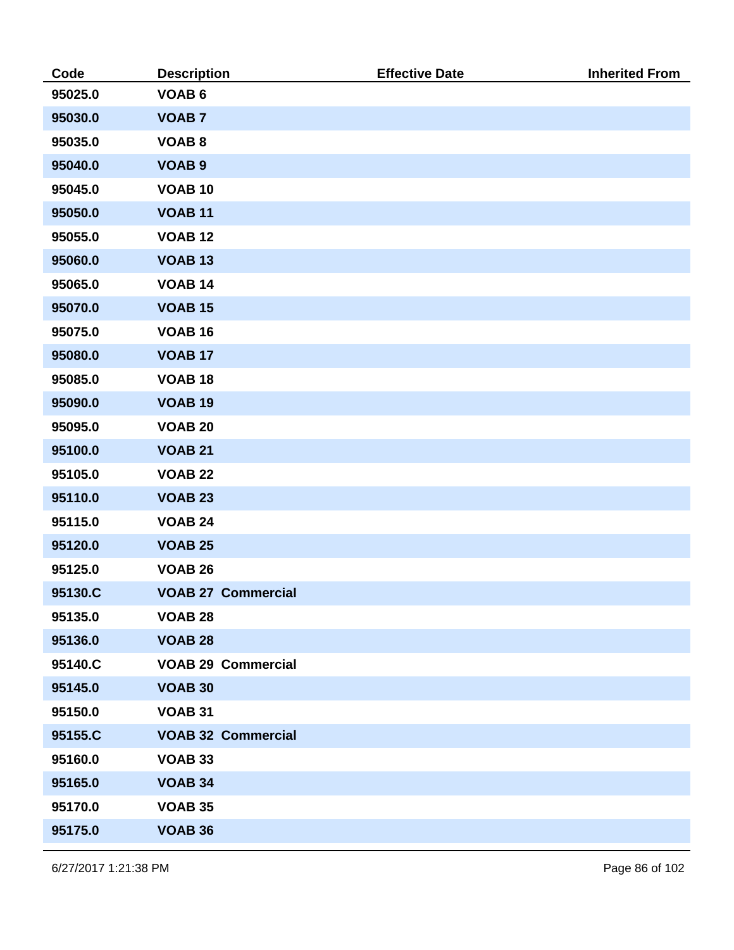| Code    | <b>Description</b>        | <b>Effective Date</b> | <b>Inherited From</b> |
|---------|---------------------------|-----------------------|-----------------------|
| 95025.0 | <b>VOAB6</b>              |                       |                       |
| 95030.0 | <b>VOAB7</b>              |                       |                       |
| 95035.0 | <b>VOAB8</b>              |                       |                       |
| 95040.0 | <b>VOAB 9</b>             |                       |                       |
| 95045.0 | <b>VOAB 10</b>            |                       |                       |
| 95050.0 | <b>VOAB 11</b>            |                       |                       |
| 95055.0 | <b>VOAB 12</b>            |                       |                       |
| 95060.0 | <b>VOAB 13</b>            |                       |                       |
| 95065.0 | <b>VOAB 14</b>            |                       |                       |
| 95070.0 | <b>VOAB 15</b>            |                       |                       |
| 95075.0 | <b>VOAB 16</b>            |                       |                       |
| 95080.0 | <b>VOAB 17</b>            |                       |                       |
| 95085.0 | <b>VOAB 18</b>            |                       |                       |
| 95090.0 | <b>VOAB 19</b>            |                       |                       |
| 95095.0 | <b>VOAB 20</b>            |                       |                       |
| 95100.0 | <b>VOAB 21</b>            |                       |                       |
| 95105.0 | <b>VOAB 22</b>            |                       |                       |
| 95110.0 | <b>VOAB 23</b>            |                       |                       |
| 95115.0 | <b>VOAB 24</b>            |                       |                       |
| 95120.0 | <b>VOAB 25</b>            |                       |                       |
| 95125.0 | <b>VOAB 26</b>            |                       |                       |
| 95130.C | <b>VOAB 27 Commercial</b> |                       |                       |
| 95135.0 | <b>VOAB 28</b>            |                       |                       |
| 95136.0 | <b>VOAB 28</b>            |                       |                       |
| 95140.C | <b>VOAB 29 Commercial</b> |                       |                       |
| 95145.0 | <b>VOAB 30</b>            |                       |                       |
| 95150.0 | <b>VOAB 31</b>            |                       |                       |
| 95155.C | <b>VOAB 32 Commercial</b> |                       |                       |
| 95160.0 | <b>VOAB 33</b>            |                       |                       |
| 95165.0 | <b>VOAB 34</b>            |                       |                       |
| 95170.0 | <b>VOAB 35</b>            |                       |                       |
| 95175.0 | <b>VOAB 36</b>            |                       |                       |

6/27/2017 1:21:38 PM Page 86 of 102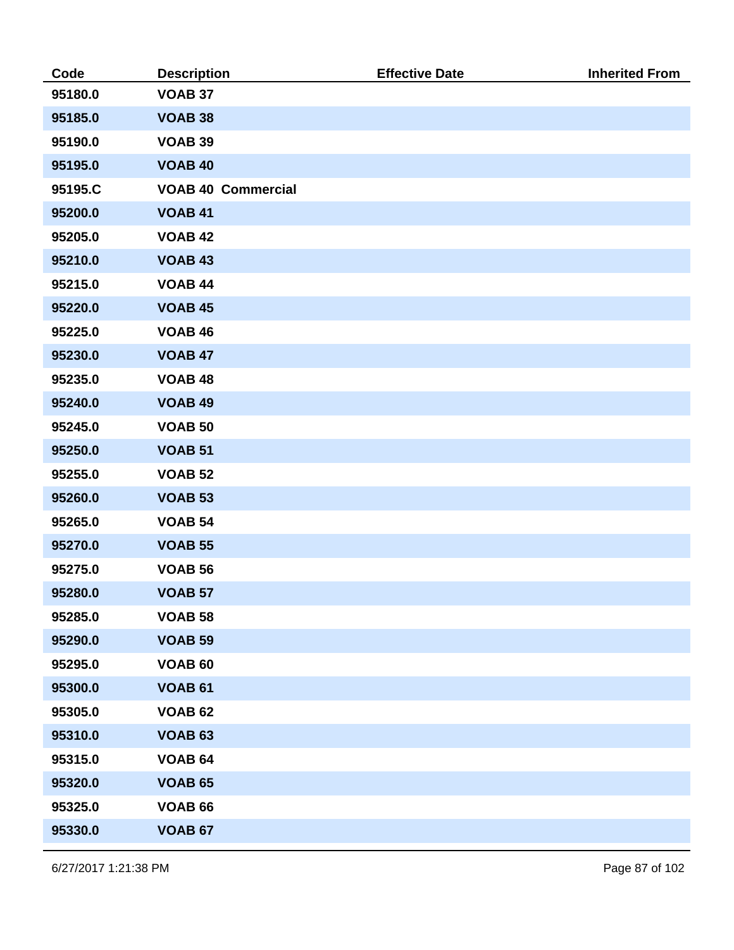| Code    | <b>Description</b>        | <b>Effective Date</b> | <b>Inherited From</b> |
|---------|---------------------------|-----------------------|-----------------------|
| 95180.0 | <b>VOAB 37</b>            |                       |                       |
| 95185.0 | <b>VOAB 38</b>            |                       |                       |
| 95190.0 | <b>VOAB 39</b>            |                       |                       |
| 95195.0 | <b>VOAB 40</b>            |                       |                       |
| 95195.C | <b>VOAB 40 Commercial</b> |                       |                       |
| 95200.0 | <b>VOAB 41</b>            |                       |                       |
| 95205.0 | <b>VOAB 42</b>            |                       |                       |
| 95210.0 | <b>VOAB 43</b>            |                       |                       |
| 95215.0 | <b>VOAB 44</b>            |                       |                       |
| 95220.0 | <b>VOAB 45</b>            |                       |                       |
| 95225.0 | <b>VOAB 46</b>            |                       |                       |
| 95230.0 | <b>VOAB 47</b>            |                       |                       |
| 95235.0 | <b>VOAB 48</b>            |                       |                       |
| 95240.0 | <b>VOAB 49</b>            |                       |                       |
| 95245.0 | <b>VOAB 50</b>            |                       |                       |
| 95250.0 | <b>VOAB 51</b>            |                       |                       |
| 95255.0 | <b>VOAB 52</b>            |                       |                       |
| 95260.0 | <b>VOAB 53</b>            |                       |                       |
| 95265.0 | <b>VOAB 54</b>            |                       |                       |
| 95270.0 | <b>VOAB 55</b>            |                       |                       |
| 95275.0 | <b>VOAB 56</b>            |                       |                       |
| 95280.0 | <b>VOAB 57</b>            |                       |                       |
| 95285.0 | <b>VOAB 58</b>            |                       |                       |
| 95290.0 | <b>VOAB 59</b>            |                       |                       |
| 95295.0 | <b>VOAB 60</b>            |                       |                       |
| 95300.0 | <b>VOAB 61</b>            |                       |                       |
| 95305.0 | <b>VOAB 62</b>            |                       |                       |
| 95310.0 | <b>VOAB 63</b>            |                       |                       |
| 95315.0 | <b>VOAB 64</b>            |                       |                       |
| 95320.0 | <b>VOAB 65</b>            |                       |                       |
| 95325.0 | <b>VOAB 66</b>            |                       |                       |
| 95330.0 | <b>VOAB 67</b>            |                       |                       |

6/27/2017 1:21:38 PM Page 87 of 102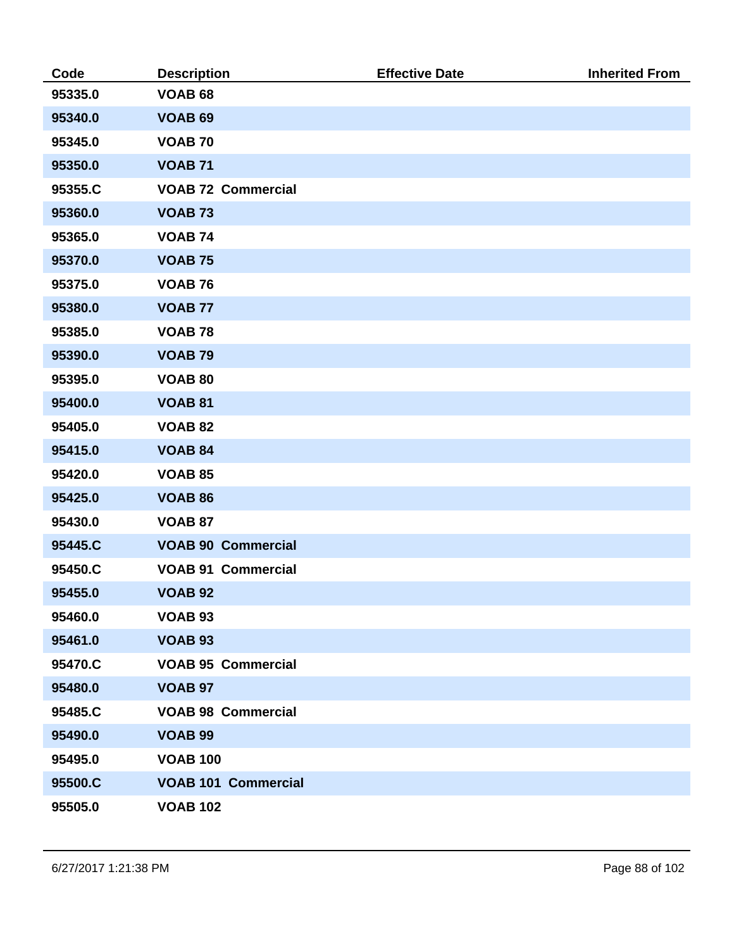| Code    | <b>Description</b>         | <b>Effective Date</b> | <b>Inherited From</b> |
|---------|----------------------------|-----------------------|-----------------------|
| 95335.0 | <b>VOAB 68</b>             |                       |                       |
| 95340.0 | <b>VOAB 69</b>             |                       |                       |
| 95345.0 | <b>VOAB 70</b>             |                       |                       |
| 95350.0 | <b>VOAB 71</b>             |                       |                       |
| 95355.C | <b>VOAB 72 Commercial</b>  |                       |                       |
| 95360.0 | <b>VOAB 73</b>             |                       |                       |
| 95365.0 | <b>VOAB 74</b>             |                       |                       |
| 95370.0 | <b>VOAB 75</b>             |                       |                       |
| 95375.0 | <b>VOAB 76</b>             |                       |                       |
| 95380.0 | <b>VOAB 77</b>             |                       |                       |
| 95385.0 | <b>VOAB 78</b>             |                       |                       |
| 95390.0 | <b>VOAB 79</b>             |                       |                       |
| 95395.0 | <b>VOAB 80</b>             |                       |                       |
| 95400.0 | <b>VOAB 81</b>             |                       |                       |
| 95405.0 | <b>VOAB 82</b>             |                       |                       |
| 95415.0 | <b>VOAB 84</b>             |                       |                       |
| 95420.0 | <b>VOAB 85</b>             |                       |                       |
| 95425.0 | <b>VOAB 86</b>             |                       |                       |
| 95430.0 | <b>VOAB 87</b>             |                       |                       |
| 95445.C | <b>VOAB 90 Commercial</b>  |                       |                       |
| 95450.C | <b>VOAB 91 Commercial</b>  |                       |                       |
| 95455.0 | <b>VOAB 92</b>             |                       |                       |
| 95460.0 | <b>VOAB 93</b>             |                       |                       |
| 95461.0 | <b>VOAB 93</b>             |                       |                       |
| 95470.C | <b>VOAB 95 Commercial</b>  |                       |                       |
| 95480.0 | <b>VOAB 97</b>             |                       |                       |
| 95485.C | <b>VOAB 98 Commercial</b>  |                       |                       |
| 95490.0 | <b>VOAB 99</b>             |                       |                       |
| 95495.0 | <b>VOAB 100</b>            |                       |                       |
| 95500.C | <b>VOAB 101 Commercial</b> |                       |                       |
| 95505.0 | <b>VOAB 102</b>            |                       |                       |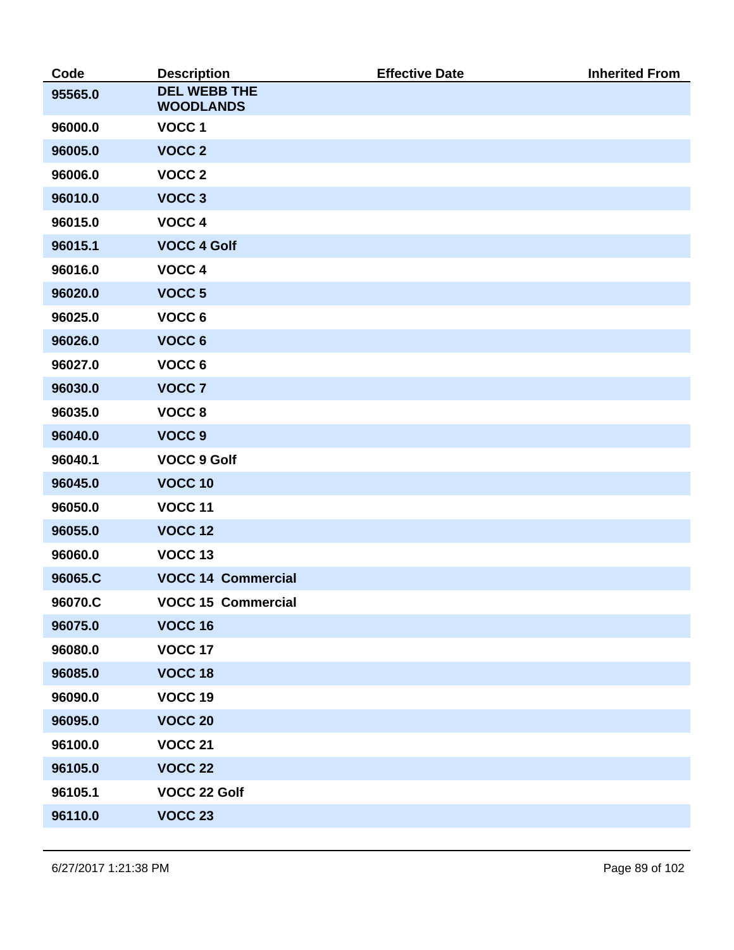| Code    | <b>Description</b>                      | <b>Effective Date</b> | <b>Inherited From</b> |
|---------|-----------------------------------------|-----------------------|-----------------------|
| 95565.0 | <b>DEL WEBB THE</b><br><b>WOODLANDS</b> |                       |                       |
| 96000.0 | VOCC <sub>1</sub>                       |                       |                       |
| 96005.0 | VOCC <sub>2</sub>                       |                       |                       |
| 96006.0 | VOCC <sub>2</sub>                       |                       |                       |
| 96010.0 | VOCC <sub>3</sub>                       |                       |                       |
| 96015.0 | VOCC 4                                  |                       |                       |
| 96015.1 | <b>VOCC 4 Golf</b>                      |                       |                       |
| 96016.0 | VOCC 4                                  |                       |                       |
| 96020.0 | VOCC <sub>5</sub>                       |                       |                       |
| 96025.0 | VOCC 6                                  |                       |                       |
| 96026.0 | VOCC 6                                  |                       |                       |
| 96027.0 | VOCC 6                                  |                       |                       |
| 96030.0 | VOCC <sub>7</sub>                       |                       |                       |
| 96035.0 | VOCC <sub>8</sub>                       |                       |                       |
| 96040.0 | VOCC <sub>9</sub>                       |                       |                       |
| 96040.1 | <b>VOCC 9 Golf</b>                      |                       |                       |
| 96045.0 | <b>VOCC 10</b>                          |                       |                       |
| 96050.0 | <b>VOCC 11</b>                          |                       |                       |
| 96055.0 | <b>VOCC 12</b>                          |                       |                       |
| 96060.0 | VOCC <sub>13</sub>                      |                       |                       |
| 96065.C | <b>VOCC 14 Commercial</b>               |                       |                       |
| 96070.C | <b>VOCC 15 Commercial</b>               |                       |                       |
| 96075.0 | <b>VOCC 16</b>                          |                       |                       |
| 96080.0 | <b>VOCC 17</b>                          |                       |                       |
| 96085.0 | <b>VOCC 18</b>                          |                       |                       |
| 96090.0 | VOCC 19                                 |                       |                       |
| 96095.0 | <b>VOCC 20</b>                          |                       |                       |
| 96100.0 | <b>VOCC 21</b>                          |                       |                       |
| 96105.0 | <b>VOCC 22</b>                          |                       |                       |
| 96105.1 | VOCC 22 Golf                            |                       |                       |
| 96110.0 | <b>VOCC 23</b>                          |                       |                       |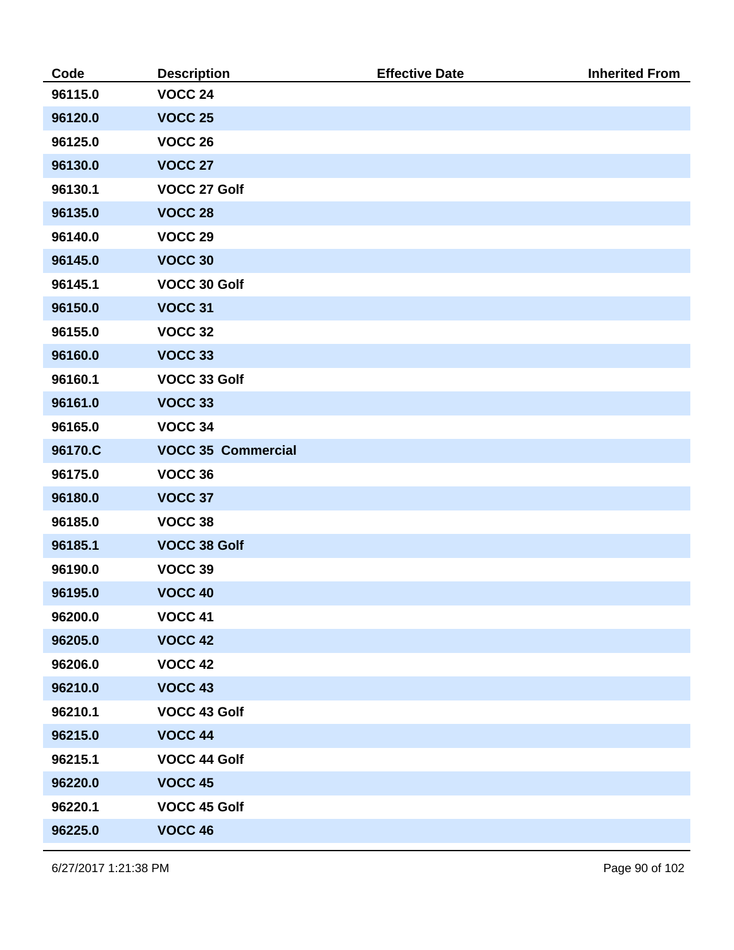| Code    | <b>Description</b>        | <b>Effective Date</b> | <b>Inherited From</b> |
|---------|---------------------------|-----------------------|-----------------------|
| 96115.0 | <b>VOCC 24</b>            |                       |                       |
| 96120.0 | <b>VOCC 25</b>            |                       |                       |
| 96125.0 | <b>VOCC 26</b>            |                       |                       |
| 96130.0 | <b>VOCC 27</b>            |                       |                       |
| 96130.1 | VOCC 27 Golf              |                       |                       |
| 96135.0 | <b>VOCC 28</b>            |                       |                       |
| 96140.0 | <b>VOCC 29</b>            |                       |                       |
| 96145.0 | <b>VOCC 30</b>            |                       |                       |
| 96145.1 | VOCC 30 Golf              |                       |                       |
| 96150.0 | <b>VOCC 31</b>            |                       |                       |
| 96155.0 | <b>VOCC 32</b>            |                       |                       |
| 96160.0 | VOCC 33                   |                       |                       |
| 96160.1 | VOCC 33 Golf              |                       |                       |
| 96161.0 | <b>VOCC 33</b>            |                       |                       |
| 96165.0 | VOCC 34                   |                       |                       |
| 96170.C | <b>VOCC 35 Commercial</b> |                       |                       |
| 96175.0 | VOCC 36                   |                       |                       |
| 96180.0 | VOCC 37                   |                       |                       |
| 96185.0 | VOCC 38                   |                       |                       |
| 96185.1 | <b>VOCC 38 Golf</b>       |                       |                       |
| 96190.0 | VOCC 39                   |                       |                       |
| 96195.0 | <b>VOCC 40</b>            |                       |                       |
| 96200.0 | <b>VOCC 41</b>            |                       |                       |
| 96205.0 | <b>VOCC 42</b>            |                       |                       |
| 96206.0 | <b>VOCC 42</b>            |                       |                       |
| 96210.0 | <b>VOCC 43</b>            |                       |                       |
| 96210.1 | VOCC 43 Golf              |                       |                       |
| 96215.0 | <b>VOCC 44</b>            |                       |                       |
| 96215.1 | VOCC 44 Golf              |                       |                       |
| 96220.0 | <b>VOCC 45</b>            |                       |                       |
| 96220.1 | VOCC 45 Golf              |                       |                       |
| 96225.0 | <b>VOCC 46</b>            |                       |                       |

6/27/2017 1:21:38 PM Page 90 of 102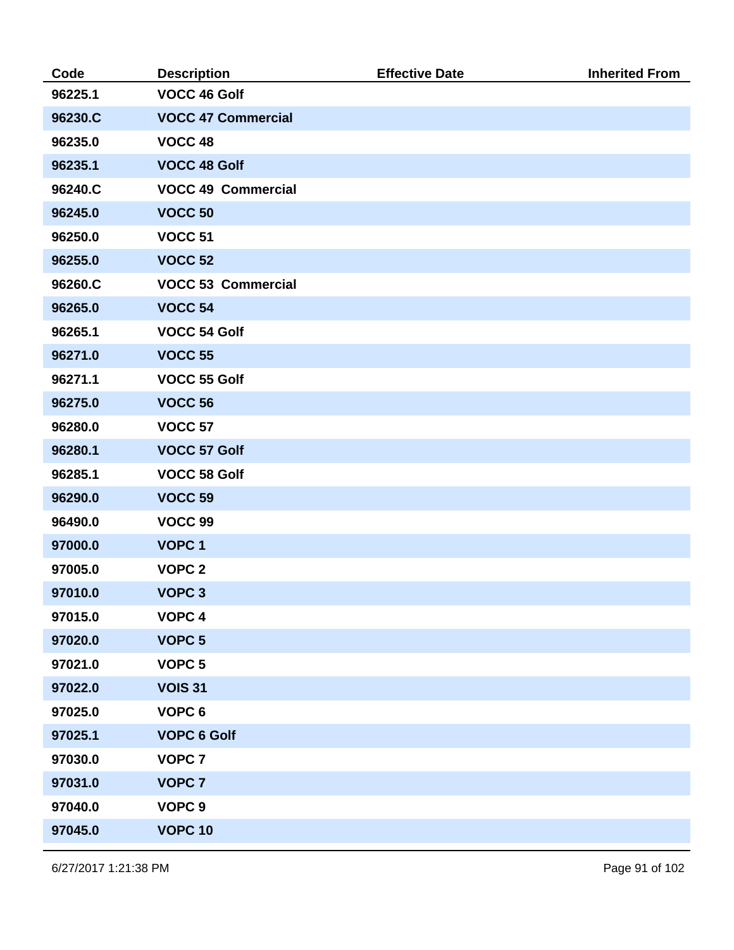| Code    | <b>Description</b>        | <b>Effective Date</b> | <b>Inherited From</b> |
|---------|---------------------------|-----------------------|-----------------------|
| 96225.1 | VOCC 46 Golf              |                       |                       |
| 96230.C | <b>VOCC 47 Commercial</b> |                       |                       |
| 96235.0 | <b>VOCC 48</b>            |                       |                       |
| 96235.1 | <b>VOCC 48 Golf</b>       |                       |                       |
| 96240.C | <b>VOCC 49 Commercial</b> |                       |                       |
| 96245.0 | <b>VOCC 50</b>            |                       |                       |
| 96250.0 | <b>VOCC 51</b>            |                       |                       |
| 96255.0 | <b>VOCC 52</b>            |                       |                       |
| 96260.C | <b>VOCC 53 Commercial</b> |                       |                       |
| 96265.0 | <b>VOCC 54</b>            |                       |                       |
| 96265.1 | VOCC 54 Golf              |                       |                       |
| 96271.0 | <b>VOCC 55</b>            |                       |                       |
| 96271.1 | VOCC 55 Golf              |                       |                       |
| 96275.0 | <b>VOCC 56</b>            |                       |                       |
| 96280.0 | <b>VOCC 57</b>            |                       |                       |
| 96280.1 | VOCC 57 Golf              |                       |                       |
| 96285.1 | <b>VOCC 58 Golf</b>       |                       |                       |
| 96290.0 | <b>VOCC 59</b>            |                       |                       |
| 96490.0 | VOCC 99                   |                       |                       |
| 97000.0 | <b>VOPC1</b>              |                       |                       |
| 97005.0 | <b>VOPC 2</b>             |                       |                       |
| 97010.0 | VOPC <sub>3</sub>         |                       |                       |
| 97015.0 | VOPC <sub>4</sub>         |                       |                       |
| 97020.0 | VOPC <sub>5</sub>         |                       |                       |
| 97021.0 | VOPC <sub>5</sub>         |                       |                       |
| 97022.0 | <b>VOIS 31</b>            |                       |                       |
| 97025.0 | VOPC <sub>6</sub>         |                       |                       |
| 97025.1 | <b>VOPC 6 Golf</b>        |                       |                       |
| 97030.0 | <b>VOPC 7</b>             |                       |                       |
| 97031.0 | <b>VOPC 7</b>             |                       |                       |
| 97040.0 | VOPC <sub>9</sub>         |                       |                       |
| 97045.0 | <b>VOPC 10</b>            |                       |                       |
|         |                           |                       |                       |

6/27/2017 1:21:38 PM Page 91 of 102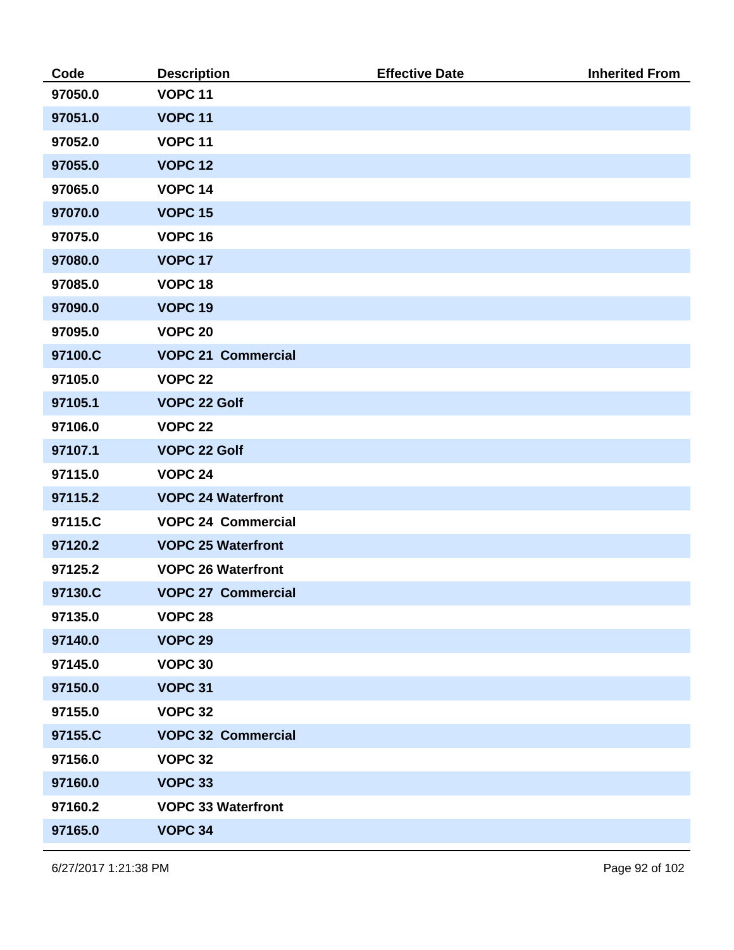| Code    | <b>Description</b>        | <b>Effective Date</b> | <b>Inherited From</b> |
|---------|---------------------------|-----------------------|-----------------------|
| 97050.0 | <b>VOPC 11</b>            |                       |                       |
| 97051.0 | <b>VOPC 11</b>            |                       |                       |
| 97052.0 | <b>VOPC 11</b>            |                       |                       |
| 97055.0 | <b>VOPC 12</b>            |                       |                       |
| 97065.0 | <b>VOPC 14</b>            |                       |                       |
| 97070.0 | <b>VOPC 15</b>            |                       |                       |
| 97075.0 | <b>VOPC 16</b>            |                       |                       |
| 97080.0 | <b>VOPC 17</b>            |                       |                       |
| 97085.0 | <b>VOPC 18</b>            |                       |                       |
| 97090.0 | <b>VOPC 19</b>            |                       |                       |
| 97095.0 | <b>VOPC 20</b>            |                       |                       |
| 97100.C | <b>VOPC 21 Commercial</b> |                       |                       |
| 97105.0 | <b>VOPC 22</b>            |                       |                       |
| 97105.1 | <b>VOPC 22 Golf</b>       |                       |                       |
| 97106.0 | <b>VOPC 22</b>            |                       |                       |
| 97107.1 | <b>VOPC 22 Golf</b>       |                       |                       |
| 97115.0 | <b>VOPC 24</b>            |                       |                       |
| 97115.2 | <b>VOPC 24 Waterfront</b> |                       |                       |
| 97115.C | <b>VOPC 24 Commercial</b> |                       |                       |
| 97120.2 | <b>VOPC 25 Waterfront</b> |                       |                       |
| 97125.2 | <b>VOPC 26 Waterfront</b> |                       |                       |
| 97130.C | <b>VOPC 27 Commercial</b> |                       |                       |
| 97135.0 | <b>VOPC 28</b>            |                       |                       |
| 97140.0 | <b>VOPC 29</b>            |                       |                       |
| 97145.0 | <b>VOPC 30</b>            |                       |                       |
| 97150.0 | <b>VOPC 31</b>            |                       |                       |
| 97155.0 | <b>VOPC 32</b>            |                       |                       |
| 97155.C | <b>VOPC 32 Commercial</b> |                       |                       |
| 97156.0 | <b>VOPC 32</b>            |                       |                       |
| 97160.0 | <b>VOPC 33</b>            |                       |                       |
| 97160.2 | <b>VOPC 33 Waterfront</b> |                       |                       |
| 97165.0 | <b>VOPC 34</b>            |                       |                       |
|         |                           |                       |                       |

6/27/2017 1:21:38 PM Page 92 of 102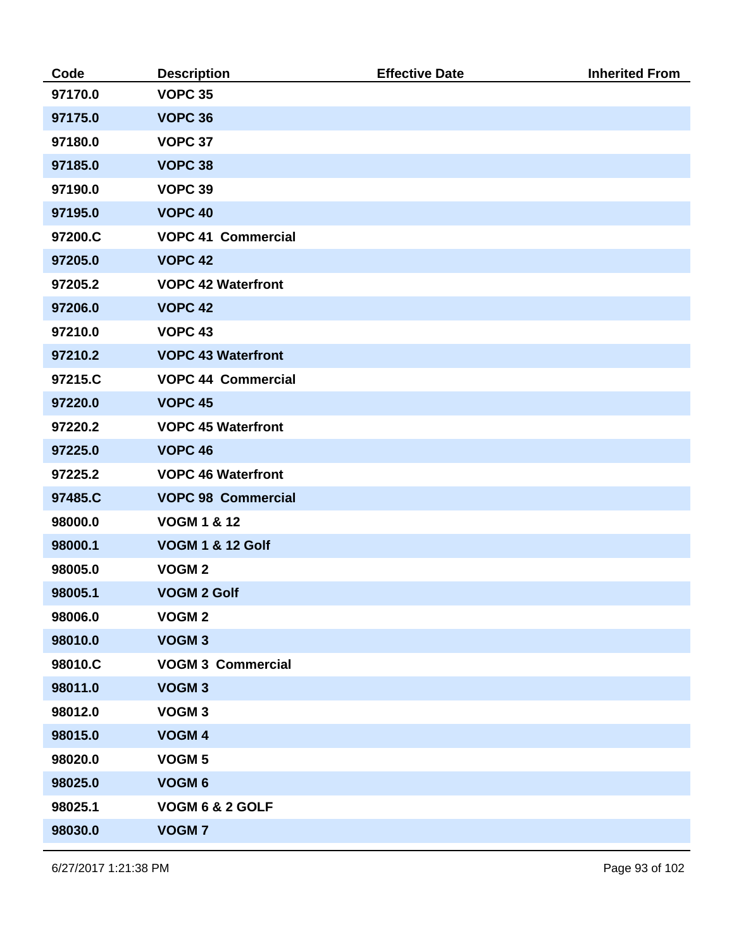| Code    | <b>Description</b>          | <b>Effective Date</b> | <b>Inherited From</b> |
|---------|-----------------------------|-----------------------|-----------------------|
| 97170.0 | <b>VOPC 35</b>              |                       |                       |
| 97175.0 | <b>VOPC 36</b>              |                       |                       |
| 97180.0 | <b>VOPC 37</b>              |                       |                       |
| 97185.0 | <b>VOPC 38</b>              |                       |                       |
| 97190.0 | <b>VOPC 39</b>              |                       |                       |
| 97195.0 | <b>VOPC 40</b>              |                       |                       |
| 97200.C | <b>VOPC 41 Commercial</b>   |                       |                       |
| 97205.0 | <b>VOPC 42</b>              |                       |                       |
| 97205.2 | <b>VOPC 42 Waterfront</b>   |                       |                       |
| 97206.0 | <b>VOPC 42</b>              |                       |                       |
| 97210.0 | <b>VOPC 43</b>              |                       |                       |
| 97210.2 | <b>VOPC 43 Waterfront</b>   |                       |                       |
| 97215.C | <b>VOPC 44 Commercial</b>   |                       |                       |
| 97220.0 | <b>VOPC 45</b>              |                       |                       |
| 97220.2 | <b>VOPC 45 Waterfront</b>   |                       |                       |
| 97225.0 | <b>VOPC 46</b>              |                       |                       |
| 97225.2 | <b>VOPC 46 Waterfront</b>   |                       |                       |
| 97485.C | <b>VOPC 98 Commercial</b>   |                       |                       |
| 98000.0 | <b>VOGM 1 &amp; 12</b>      |                       |                       |
| 98000.1 | <b>VOGM 1 &amp; 12 Golf</b> |                       |                       |
| 98005.0 | VOGM <sub>2</sub>           |                       |                       |
| 98005.1 | <b>VOGM 2 Golf</b>          |                       |                       |
| 98006.0 | VOGM <sub>2</sub>           |                       |                       |
| 98010.0 | VOGM <sub>3</sub>           |                       |                       |
| 98010.C | <b>VOGM 3 Commercial</b>    |                       |                       |
| 98011.0 | VOGM <sub>3</sub>           |                       |                       |
| 98012.0 | VOGM <sub>3</sub>           |                       |                       |
| 98015.0 | VOGM 4                      |                       |                       |
| 98020.0 | VOGM <sub>5</sub>           |                       |                       |
| 98025.0 | VOGM <sub>6</sub>           |                       |                       |
| 98025.1 | VOGM 6 & 2 GOLF             |                       |                       |
| 98030.0 | <b>VOGM7</b>                |                       |                       |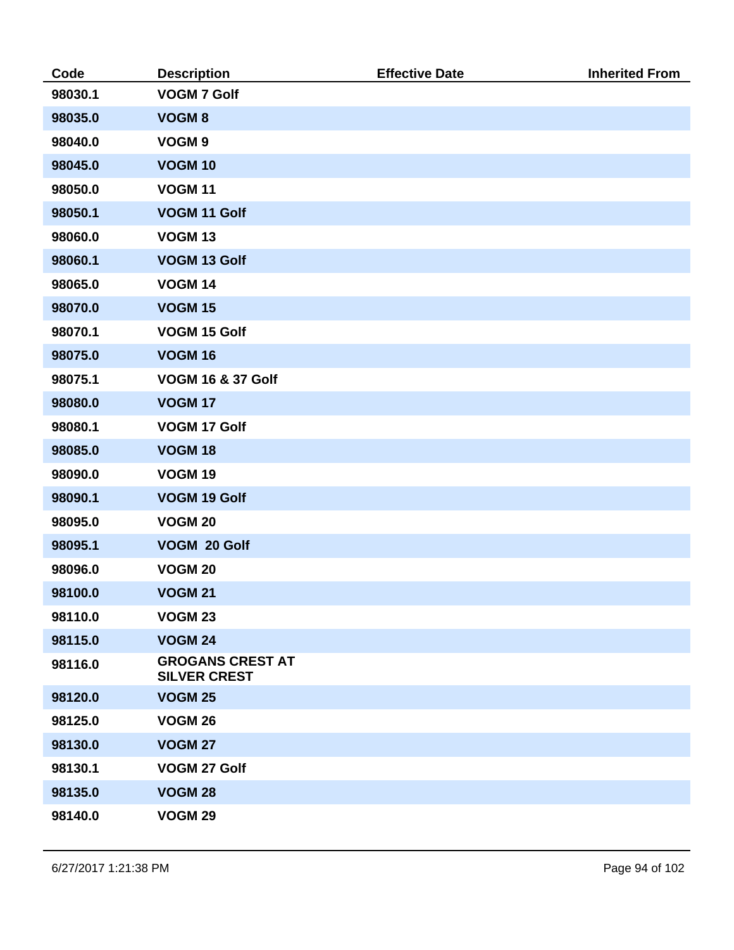| Code    | <b>Description</b>                             | <b>Effective Date</b> | <b>Inherited From</b> |
|---------|------------------------------------------------|-----------------------|-----------------------|
| 98030.1 | <b>VOGM 7 Golf</b>                             |                       |                       |
| 98035.0 | <b>VOGM8</b>                                   |                       |                       |
| 98040.0 | VOGM <sub>9</sub>                              |                       |                       |
| 98045.0 | <b>VOGM 10</b>                                 |                       |                       |
| 98050.0 | <b>VOGM 11</b>                                 |                       |                       |
| 98050.1 | VOGM 11 Golf                                   |                       |                       |
| 98060.0 | <b>VOGM 13</b>                                 |                       |                       |
| 98060.1 | VOGM 13 Golf                                   |                       |                       |
| 98065.0 | <b>VOGM 14</b>                                 |                       |                       |
| 98070.0 | <b>VOGM 15</b>                                 |                       |                       |
| 98070.1 | VOGM 15 Golf                                   |                       |                       |
| 98075.0 | <b>VOGM 16</b>                                 |                       |                       |
| 98075.1 | <b>VOGM 16 &amp; 37 Golf</b>                   |                       |                       |
| 98080.0 | <b>VOGM 17</b>                                 |                       |                       |
| 98080.1 | VOGM 17 Golf                                   |                       |                       |
| 98085.0 | <b>VOGM 18</b>                                 |                       |                       |
| 98090.0 | <b>VOGM 19</b>                                 |                       |                       |
| 98090.1 | VOGM 19 Golf                                   |                       |                       |
| 98095.0 | <b>VOGM 20</b>                                 |                       |                       |
| 98095.1 | VOGM 20 Golf                                   |                       |                       |
| 98096.0 | <b>VOGM 20</b>                                 |                       |                       |
| 98100.0 | <b>VOGM 21</b>                                 |                       |                       |
| 98110.0 | <b>VOGM 23</b>                                 |                       |                       |
| 98115.0 | <b>VOGM 24</b>                                 |                       |                       |
| 98116.0 | <b>GROGANS CREST AT</b><br><b>SILVER CREST</b> |                       |                       |
| 98120.0 | <b>VOGM 25</b>                                 |                       |                       |
| 98125.0 | <b>VOGM 26</b>                                 |                       |                       |
| 98130.0 | <b>VOGM 27</b>                                 |                       |                       |
| 98130.1 | VOGM 27 Golf                                   |                       |                       |
| 98135.0 | <b>VOGM 28</b>                                 |                       |                       |
| 98140.0 | <b>VOGM 29</b>                                 |                       |                       |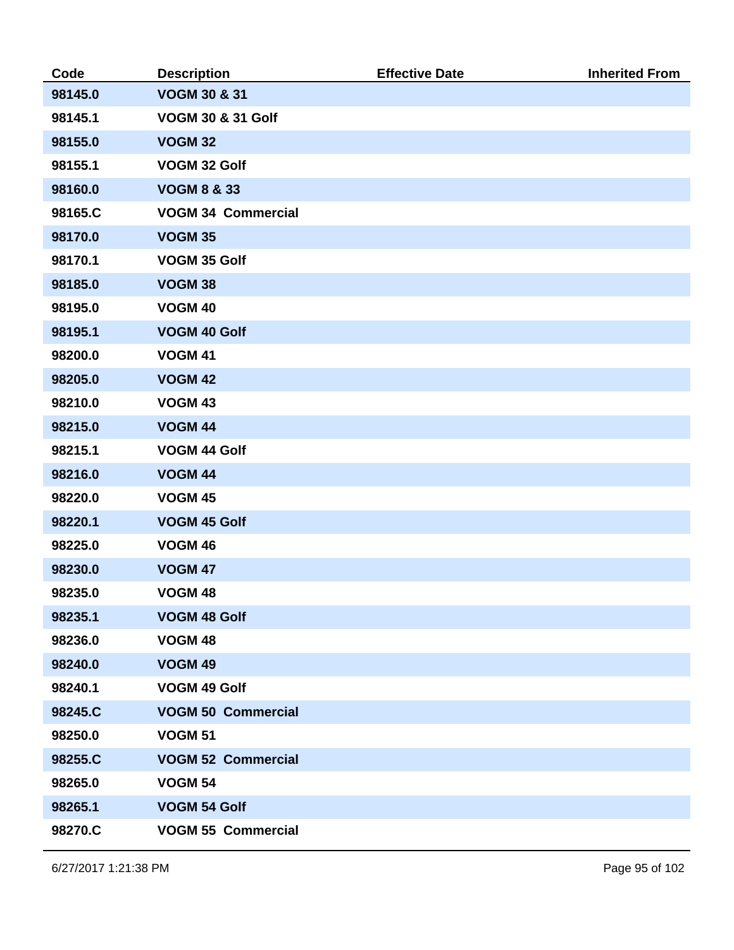| Code    | <b>Description</b>           | <b>Effective Date</b> | <b>Inherited From</b> |
|---------|------------------------------|-----------------------|-----------------------|
| 98145.0 | <b>VOGM 30 &amp; 31</b>      |                       |                       |
| 98145.1 | <b>VOGM 30 &amp; 31 Golf</b> |                       |                       |
| 98155.0 | <b>VOGM 32</b>               |                       |                       |
| 98155.1 | VOGM 32 Golf                 |                       |                       |
| 98160.0 | <b>VOGM 8 &amp; 33</b>       |                       |                       |
| 98165.C | <b>VOGM 34 Commercial</b>    |                       |                       |
| 98170.0 | <b>VOGM 35</b>               |                       |                       |
| 98170.1 | VOGM 35 Golf                 |                       |                       |
| 98185.0 | <b>VOGM 38</b>               |                       |                       |
| 98195.0 | <b>VOGM 40</b>               |                       |                       |
| 98195.1 | <b>VOGM 40 Golf</b>          |                       |                       |
| 98200.0 | <b>VOGM 41</b>               |                       |                       |
| 98205.0 | <b>VOGM 42</b>               |                       |                       |
| 98210.0 | <b>VOGM 43</b>               |                       |                       |
| 98215.0 | <b>VOGM 44</b>               |                       |                       |
| 98215.1 | VOGM 44 Golf                 |                       |                       |
| 98216.0 | <b>VOGM 44</b>               |                       |                       |
| 98220.0 | <b>VOGM 45</b>               |                       |                       |
| 98220.1 | <b>VOGM 45 Golf</b>          |                       |                       |
| 98225.0 | <b>VOGM 46</b>               |                       |                       |
| 98230.0 | <b>VOGM 47</b>               |                       |                       |
| 98235.0 | <b>VOGM 48</b>               |                       |                       |
| 98235.1 | <b>VOGM 48 Golf</b>          |                       |                       |
| 98236.0 | <b>VOGM 48</b>               |                       |                       |
| 98240.0 | <b>VOGM 49</b>               |                       |                       |
| 98240.1 | VOGM 49 Golf                 |                       |                       |
| 98245.C | <b>VOGM 50 Commercial</b>    |                       |                       |
| 98250.0 | <b>VOGM 51</b>               |                       |                       |
| 98255.C | <b>VOGM 52 Commercial</b>    |                       |                       |
| 98265.0 | <b>VOGM 54</b>               |                       |                       |
| 98265.1 | <b>VOGM 54 Golf</b>          |                       |                       |
| 98270.C | <b>VOGM 55 Commercial</b>    |                       |                       |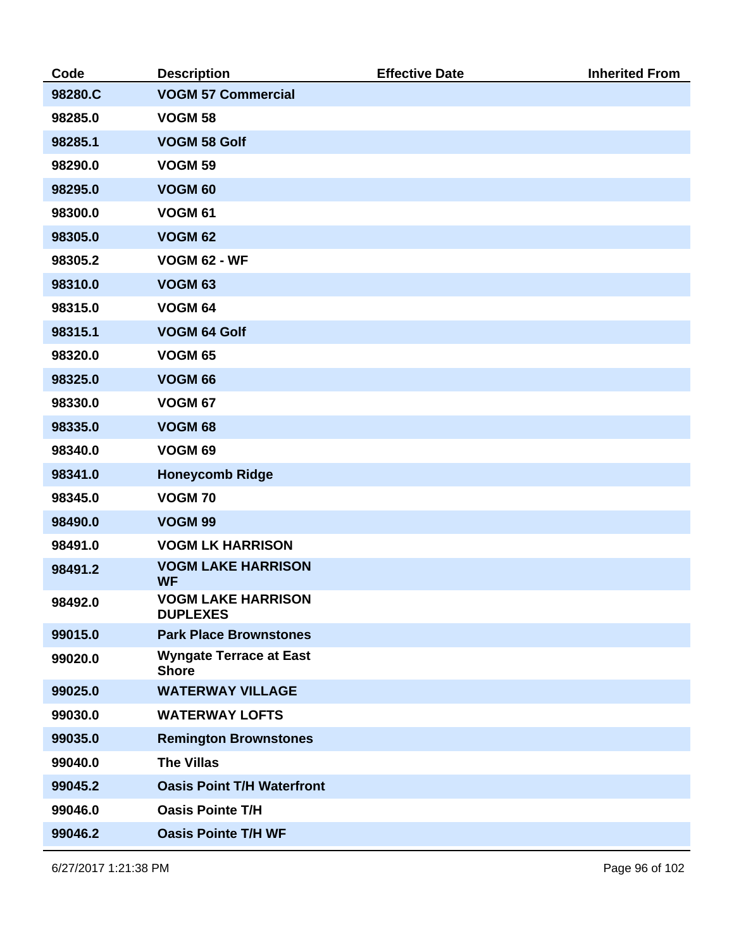| Code    | <b>Description</b>                             | <b>Effective Date</b> | <b>Inherited From</b> |
|---------|------------------------------------------------|-----------------------|-----------------------|
| 98280.C | <b>VOGM 57 Commercial</b>                      |                       |                       |
| 98285.0 | <b>VOGM 58</b>                                 |                       |                       |
| 98285.1 | <b>VOGM 58 Golf</b>                            |                       |                       |
| 98290.0 | <b>VOGM 59</b>                                 |                       |                       |
| 98295.0 | <b>VOGM 60</b>                                 |                       |                       |
| 98300.0 | <b>VOGM 61</b>                                 |                       |                       |
| 98305.0 | <b>VOGM 62</b>                                 |                       |                       |
| 98305.2 | <b>VOGM 62 - WF</b>                            |                       |                       |
| 98310.0 | <b>VOGM 63</b>                                 |                       |                       |
| 98315.0 | <b>VOGM 64</b>                                 |                       |                       |
| 98315.1 | <b>VOGM 64 Golf</b>                            |                       |                       |
| 98320.0 | <b>VOGM 65</b>                                 |                       |                       |
| 98325.0 | <b>VOGM 66</b>                                 |                       |                       |
| 98330.0 | <b>VOGM 67</b>                                 |                       |                       |
| 98335.0 | <b>VOGM 68</b>                                 |                       |                       |
| 98340.0 | <b>VOGM 69</b>                                 |                       |                       |
| 98341.0 | <b>Honeycomb Ridge</b>                         |                       |                       |
| 98345.0 | <b>VOGM 70</b>                                 |                       |                       |
| 98490.0 | <b>VOGM 99</b>                                 |                       |                       |
| 98491.0 | <b>VOGM LK HARRISON</b>                        |                       |                       |
| 98491.2 | <b>VOGM LAKE HARRISON</b><br><b>WF</b>         |                       |                       |
| 98492.0 | <b>VOGM LAKE HARRISON</b><br><b>DUPLEXES</b>   |                       |                       |
| 99015.0 | <b>Park Place Brownstones</b>                  |                       |                       |
| 99020.0 | <b>Wyngate Terrace at East</b><br><b>Shore</b> |                       |                       |
| 99025.0 | <b>WATERWAY VILLAGE</b>                        |                       |                       |
| 99030.0 | <b>WATERWAY LOFTS</b>                          |                       |                       |
| 99035.0 | <b>Remington Brownstones</b>                   |                       |                       |
| 99040.0 | <b>The Villas</b>                              |                       |                       |
| 99045.2 | <b>Oasis Point T/H Waterfront</b>              |                       |                       |
| 99046.0 | <b>Oasis Pointe T/H</b>                        |                       |                       |
| 99046.2 | <b>Oasis Pointe T/H WF</b>                     |                       |                       |

6/27/2017 1:21:38 PM Page 96 of 102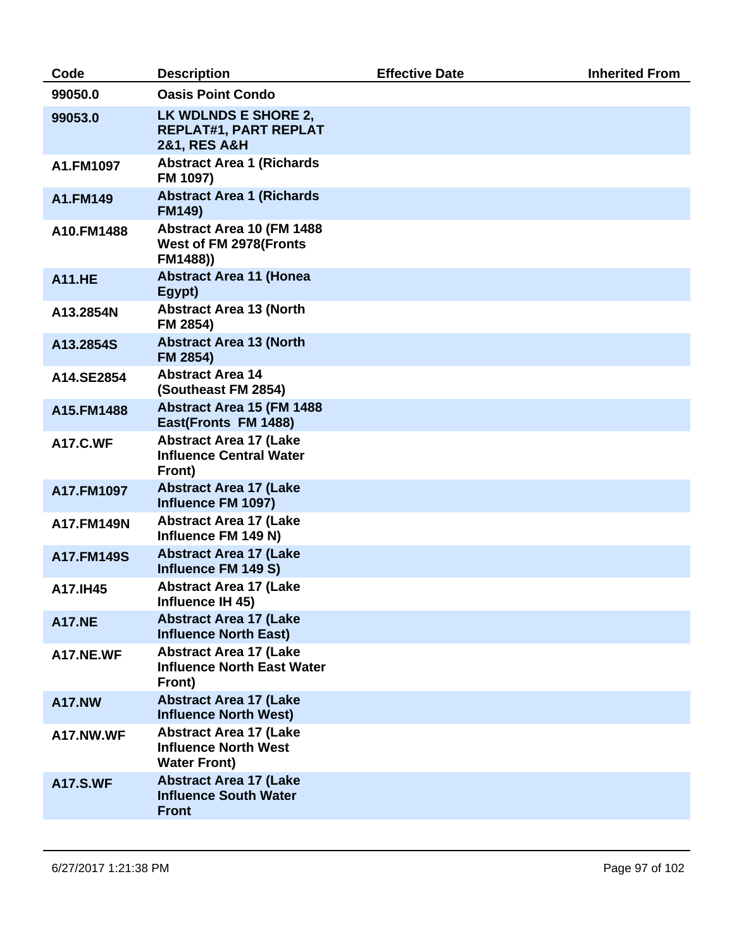| Code            | <b>Description</b>                                                                  | <b>Effective Date</b> | <b>Inherited From</b> |
|-----------------|-------------------------------------------------------------------------------------|-----------------------|-----------------------|
| 99050.0         | <b>Oasis Point Condo</b>                                                            |                       |                       |
| 99053.0         | LK WDLNDS E SHORE 2,<br><b>REPLAT#1, PART REPLAT</b><br><b>2&amp;1, RES A&amp;H</b> |                       |                       |
| A1.FM1097       | <b>Abstract Area 1 (Richards</b><br>FM 1097)                                        |                       |                       |
| A1.FM149        | <b>Abstract Area 1 (Richards</b><br><b>FM149)</b>                                   |                       |                       |
| A10.FM1488      | Abstract Area 10 (FM 1488<br>West of FM 2978(Fronts<br>FM1488))                     |                       |                       |
| <b>A11.HE</b>   | <b>Abstract Area 11 (Honea</b><br>Egypt)                                            |                       |                       |
| A13.2854N       | <b>Abstract Area 13 (North</b><br>FM 2854)                                          |                       |                       |
| A13.2854S       | <b>Abstract Area 13 (North</b><br>FM 2854)                                          |                       |                       |
| A14.SE2854      | <b>Abstract Area 14</b><br>(Southeast FM 2854)                                      |                       |                       |
| A15.FM1488      | Abstract Area 15 (FM 1488<br>East(Fronts FM 1488)                                   |                       |                       |
| <b>A17.C.WF</b> | <b>Abstract Area 17 (Lake</b><br><b>Influence Central Water</b><br>Front)           |                       |                       |
| A17.FM1097      | <b>Abstract Area 17 (Lake</b><br>Influence FM 1097)                                 |                       |                       |
| A17.FM149N      | <b>Abstract Area 17 (Lake</b><br>Influence FM 149 N)                                |                       |                       |
| A17.FM149S      | <b>Abstract Area 17 (Lake</b><br>Influence FM 149 S)                                |                       |                       |
| A17.IH45        | <b>Abstract Area 17 (Lake</b><br>Influence IH 45)                                   |                       |                       |
| <b>A17.NE</b>   | <b>Abstract Area 17 (Lake</b><br><b>Influence North East)</b>                       |                       |                       |
| A17.NE.WF       | <b>Abstract Area 17 (Lake</b><br><b>Influence North East Water</b><br>Front)        |                       |                       |
| <b>A17.NW</b>   | <b>Abstract Area 17 (Lake</b><br><b>Influence North West)</b>                       |                       |                       |
| A17.NW.WF       | <b>Abstract Area 17 (Lake</b><br><b>Influence North West</b><br><b>Water Front)</b> |                       |                       |
| <b>A17.S.WF</b> | <b>Abstract Area 17 (Lake</b><br><b>Influence South Water</b><br><b>Front</b>       |                       |                       |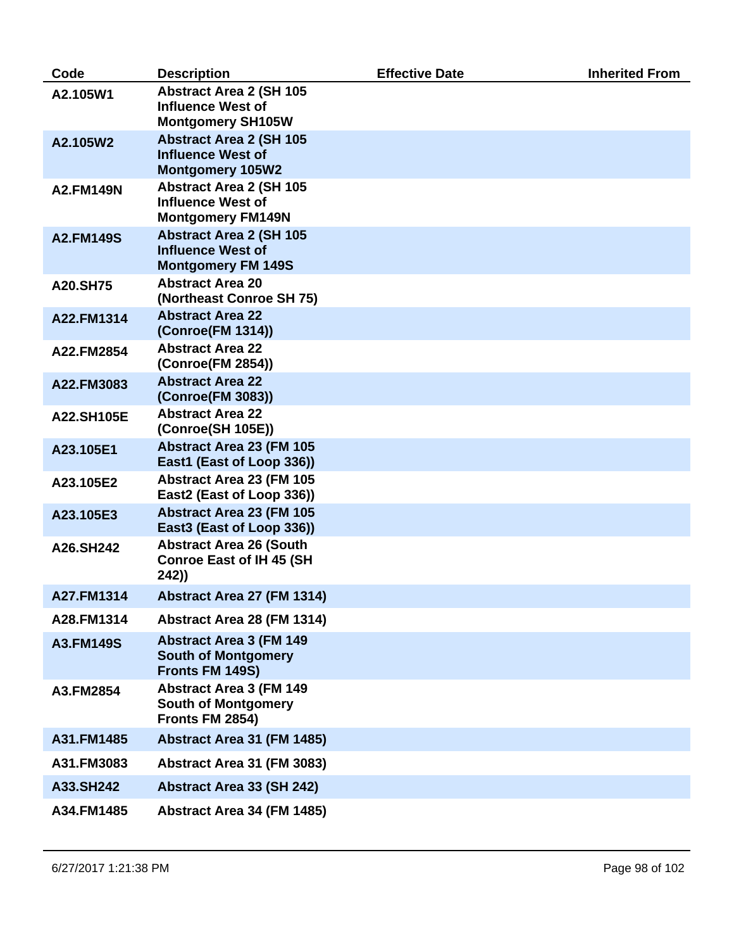| Code             | <b>Description</b>                                                                      | <b>Effective Date</b> | <b>Inherited From</b> |
|------------------|-----------------------------------------------------------------------------------------|-----------------------|-----------------------|
| A2.105W1         | <b>Abstract Area 2 (SH 105</b><br><b>Influence West of</b><br><b>Montgomery SH105W</b>  |                       |                       |
| A2.105W2         | <b>Abstract Area 2 (SH 105</b><br><b>Influence West of</b><br><b>Montgomery 105W2</b>   |                       |                       |
| <b>A2.FM149N</b> | <b>Abstract Area 2 (SH 105</b><br><b>Influence West of</b><br><b>Montgomery FM149N</b>  |                       |                       |
| <b>A2.FM149S</b> | <b>Abstract Area 2 (SH 105</b><br><b>Influence West of</b><br><b>Montgomery FM 149S</b> |                       |                       |
| A20.SH75         | <b>Abstract Area 20</b><br>(Northeast Conroe SH 75)                                     |                       |                       |
| A22.FM1314       | <b>Abstract Area 22</b><br>(Conroe(FM 1314))                                            |                       |                       |
| A22.FM2854       | <b>Abstract Area 22</b><br>(Conroe(FM 2854))                                            |                       |                       |
| A22.FM3083       | <b>Abstract Area 22</b><br>(Conroe(FM 3083))                                            |                       |                       |
| A22.SH105E       | <b>Abstract Area 22</b><br>(Conroe(SH 105E))                                            |                       |                       |
| A23.105E1        | <b>Abstract Area 23 (FM 105</b><br>East1 (East of Loop 336))                            |                       |                       |
| A23.105E2        | <b>Abstract Area 23 (FM 105</b><br>East2 (East of Loop 336))                            |                       |                       |
| A23.105E3        | <b>Abstract Area 23 (FM 105</b><br>East3 (East of Loop 336))                            |                       |                       |
| A26.SH242        | <b>Abstract Area 26 (South</b><br><b>Conroe East of IH 45 (SH</b><br>242))              |                       |                       |
| A27.FM1314       | Abstract Area 27 (FM 1314)                                                              |                       |                       |
| A28.FM1314       | Abstract Area 28 (FM 1314)                                                              |                       |                       |
| A3.FM149S        | <b>Abstract Area 3 (FM 149)</b><br><b>South of Montgomery</b><br>Fronts FM 149S)        |                       |                       |
| A3.FM2854        | <b>Abstract Area 3 (FM 149</b><br><b>South of Montgomery</b><br>Fronts FM 2854)         |                       |                       |
| A31.FM1485       | Abstract Area 31 (FM 1485)                                                              |                       |                       |
| A31.FM3083       | Abstract Area 31 (FM 3083)                                                              |                       |                       |
| A33.SH242        | <b>Abstract Area 33 (SH 242)</b>                                                        |                       |                       |
| A34.FM1485       | Abstract Area 34 (FM 1485)                                                              |                       |                       |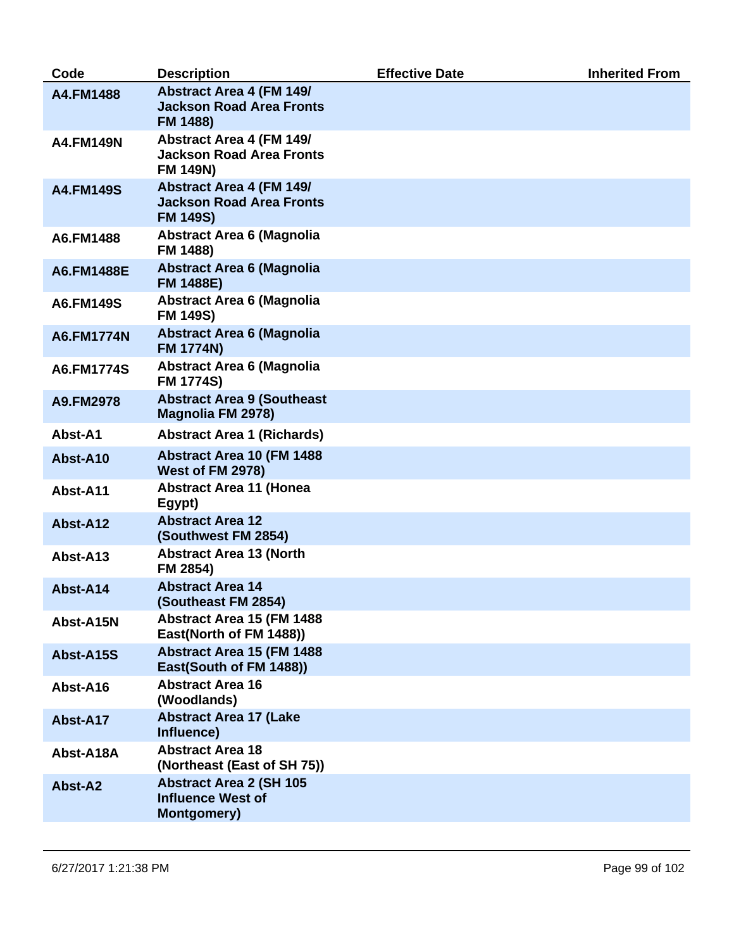| Code              | <b>Description</b>                                                                    | <b>Effective Date</b> | <b>Inherited From</b> |
|-------------------|---------------------------------------------------------------------------------------|-----------------------|-----------------------|
| A4.FM1488         | <b>Abstract Area 4 (FM 149/</b><br><b>Jackson Road Area Fronts</b><br>FM 1488)        |                       |                       |
| <b>A4.FM149N</b>  | <b>Abstract Area 4 (FM 149/</b><br><b>Jackson Road Area Fronts</b><br><b>FM 149N)</b> |                       |                       |
| <b>A4.FM149S</b>  | <b>Abstract Area 4 (FM 149/</b><br><b>Jackson Road Area Fronts</b><br><b>FM 149S)</b> |                       |                       |
| A6.FM1488         | <b>Abstract Area 6 (Magnolia</b><br>FM 1488)                                          |                       |                       |
| <b>A6.FM1488E</b> | <b>Abstract Area 6 (Magnolia</b><br><b>FM 1488E)</b>                                  |                       |                       |
| A6.FM149S         | <b>Abstract Area 6 (Magnolia</b><br><b>FM 149S)</b>                                   |                       |                       |
| <b>A6.FM1774N</b> | <b>Abstract Area 6 (Magnolia</b><br><b>FM 1774N)</b>                                  |                       |                       |
| A6.FM1774S        | <b>Abstract Area 6 (Magnolia</b><br><b>FM 1774S)</b>                                  |                       |                       |
| A9.FM2978         | <b>Abstract Area 9 (Southeast</b><br><b>Magnolia FM 2978)</b>                         |                       |                       |
| Abst-A1           | <b>Abstract Area 1 (Richards)</b>                                                     |                       |                       |
| Abst-A10          | <b>Abstract Area 10 (FM 1488</b><br><b>West of FM 2978)</b>                           |                       |                       |
| Abst-A11          | <b>Abstract Area 11 (Honea</b><br>Egypt)                                              |                       |                       |
| Abst-A12          | <b>Abstract Area 12</b><br>(Southwest FM 2854)                                        |                       |                       |
| Abst-A13          | <b>Abstract Area 13 (North</b><br>FM 2854)                                            |                       |                       |
| Abst-A14          | <b>Abstract Area 14</b><br>(Southeast FM 2854)                                        |                       |                       |
| Abst-A15N         | Abstract Area 15 (FM 1488<br>East(North of FM 1488))                                  |                       |                       |
| Abst-A15S         | <b>Abstract Area 15 (FM 1488</b><br>East(South of FM 1488))                           |                       |                       |
| Abst-A16          | <b>Abstract Area 16</b><br>(Woodlands)                                                |                       |                       |
| Abst-A17          | <b>Abstract Area 17 (Lake</b><br>Influence)                                           |                       |                       |
| Abst-A18A         | <b>Abstract Area 18</b><br>(Northeast (East of SH 75))                                |                       |                       |
| <b>Abst-A2</b>    | <b>Abstract Area 2 (SH 105</b><br><b>Influence West of</b><br><b>Montgomery</b> )     |                       |                       |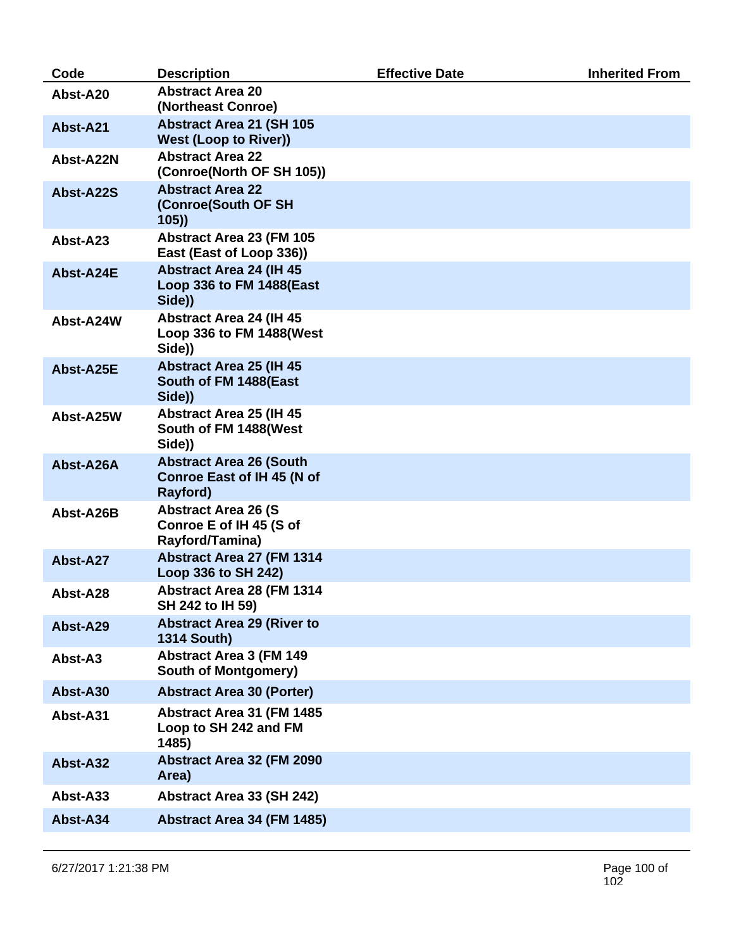| Code      | <b>Description</b>                                                              | <b>Effective Date</b> | <b>Inherited From</b> |
|-----------|---------------------------------------------------------------------------------|-----------------------|-----------------------|
| Abst-A20  | <b>Abstract Area 20</b><br>(Northeast Conroe)                                   |                       |                       |
| Abst-A21  | <b>Abstract Area 21 (SH 105</b><br><b>West (Loop to River))</b>                 |                       |                       |
| Abst-A22N | <b>Abstract Area 22</b><br>(Conroe(North OF SH 105))                            |                       |                       |
| Abst-A22S | <b>Abstract Area 22</b><br>(Conroe(South OF SH<br>105)                          |                       |                       |
| Abst-A23  | Abstract Area 23 (FM 105<br>East (East of Loop 336))                            |                       |                       |
| Abst-A24E | <b>Abstract Area 24 (IH 45)</b><br>Loop 336 to FM 1488(East<br>Side))           |                       |                       |
| Abst-A24W | <b>Abstract Area 24 (IH 45)</b><br>Loop 336 to FM 1488(West<br>Side))           |                       |                       |
| Abst-A25E | <b>Abstract Area 25 (IH 45</b><br>South of FM 1488(East<br>Side))               |                       |                       |
| Abst-A25W | <b>Abstract Area 25 (IH 45)</b><br>South of FM 1488(West<br>Side))              |                       |                       |
| Abst-A26A | <b>Abstract Area 26 (South</b><br><b>Conroe East of IH 45 (N of</b><br>Rayford) |                       |                       |
| Abst-A26B | <b>Abstract Area 26 (S)</b><br>Conroe E of IH 45 (S of<br>Rayford/Tamina)       |                       |                       |
| Abst-A27  | <b>Abstract Area 27 (FM 1314)</b><br>Loop 336 to SH 242)                        |                       |                       |
| Abst-A28  | Abstract Area 28 (FM 1314<br>SH 242 to IH 59)                                   |                       |                       |
| Abst-A29  | <b>Abstract Area 29 (River to</b><br><b>1314 South)</b>                         |                       |                       |
| Abst-A3   | <b>Abstract Area 3 (FM 149</b><br><b>South of Montgomery)</b>                   |                       |                       |
| Abst-A30  | <b>Abstract Area 30 (Porter)</b>                                                |                       |                       |
| Abst-A31  | Abstract Area 31 (FM 1485)<br>Loop to SH 242 and FM<br>1485)                    |                       |                       |
| Abst-A32  | Abstract Area 32 (FM 2090<br>Area)                                              |                       |                       |
| Abst-A33  | Abstract Area 33 (SH 242)                                                       |                       |                       |
| Abst-A34  | Abstract Area 34 (FM 1485)                                                      |                       |                       |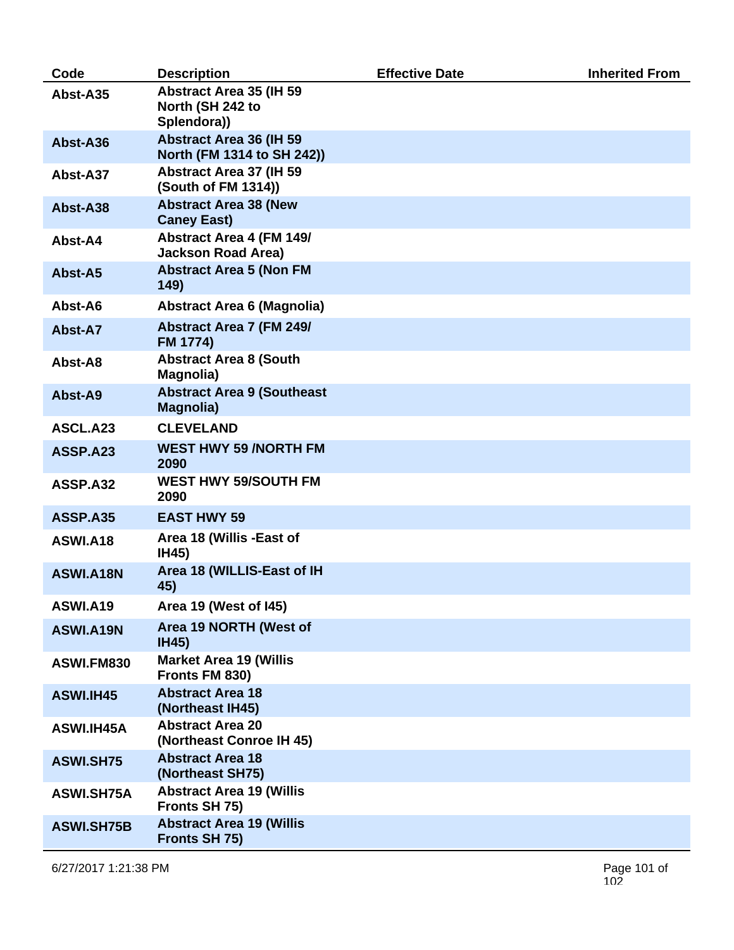| Code              | <b>Description</b>                                                 | <b>Effective Date</b> | <b>Inherited From</b> |
|-------------------|--------------------------------------------------------------------|-----------------------|-----------------------|
| Abst-A35          | <b>Abstract Area 35 (IH 59)</b><br>North (SH 242 to<br>Splendora)) |                       |                       |
| Abst-A36          | <b>Abstract Area 36 (IH 59)</b><br>North (FM 1314 to SH 242))      |                       |                       |
| Abst-A37          | <b>Abstract Area 37 (IH 59)</b><br>(South of FM 1314))             |                       |                       |
| Abst-A38          | <b>Abstract Area 38 (New</b><br><b>Caney East)</b>                 |                       |                       |
| Abst-A4           | <b>Abstract Area 4 (FM 149/</b><br><b>Jackson Road Area)</b>       |                       |                       |
| Abst-A5           | <b>Abstract Area 5 (Non FM</b><br>149)                             |                       |                       |
| Abst-A6           | <b>Abstract Area 6 (Magnolia)</b>                                  |                       |                       |
| Abst-A7           | <b>Abstract Area 7 (FM 249/</b><br><b>FM 1774)</b>                 |                       |                       |
| Abst-A8           | <b>Abstract Area 8 (South</b><br>Magnolia)                         |                       |                       |
| Abst-A9           | <b>Abstract Area 9 (Southeast</b><br><b>Magnolia)</b>              |                       |                       |
| ASCL.A23          | <b>CLEVELAND</b>                                                   |                       |                       |
| <b>ASSP.A23</b>   | <b>WEST HWY 59 /NORTH FM</b><br>2090                               |                       |                       |
| ASSP.A32          | <b>WEST HWY 59/SOUTH FM</b><br>2090                                |                       |                       |
| <b>ASSP.A35</b>   | <b>EAST HWY 59</b>                                                 |                       |                       |
| <b>ASWI.A18</b>   | Area 18 (Willis - East of<br><b>IH45)</b>                          |                       |                       |
| ASWI.A18N         | Area 18 (WILLIS-East of IH<br>45)                                  |                       |                       |
| <b>ASWI.A19</b>   | Area 19 (West of I45)                                              |                       |                       |
| ASWI.A19N         | Area 19 NORTH (West of<br><b>IH45)</b>                             |                       |                       |
| ASWI.FM830        | <b>Market Area 19 (Willis</b><br>Fronts FM 830)                    |                       |                       |
| ASWI.IH45         | <b>Abstract Area 18</b><br>(Northeast IH45)                        |                       |                       |
| ASWI.IH45A        | <b>Abstract Area 20</b><br>(Northeast Conroe IH 45)                |                       |                       |
| <b>ASWI.SH75</b>  | <b>Abstract Area 18</b><br>(Northeast SH75)                        |                       |                       |
| <b>ASWI.SH75A</b> | <b>Abstract Area 19 (Willis</b><br>Fronts SH 75)                   |                       |                       |
| <b>ASWI.SH75B</b> | <b>Abstract Area 19 (Willis</b><br>Fronts SH 75)                   |                       |                       |